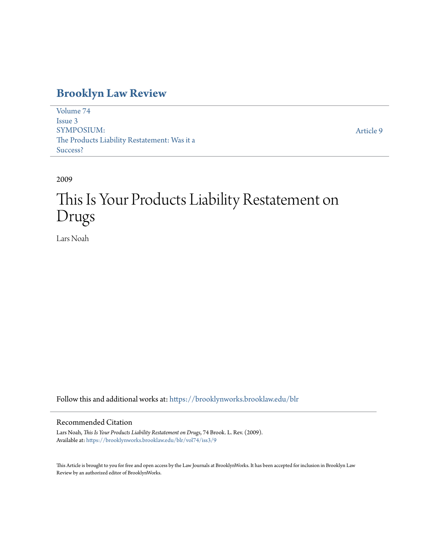## **[Brooklyn Law Review](https://brooklynworks.brooklaw.edu/blr?utm_source=brooklynworks.brooklaw.edu%2Fblr%2Fvol74%2Fiss3%2F9&utm_medium=PDF&utm_campaign=PDFCoverPages)**

[Volume 74](https://brooklynworks.brooklaw.edu/blr/vol74?utm_source=brooklynworks.brooklaw.edu%2Fblr%2Fvol74%2Fiss3%2F9&utm_medium=PDF&utm_campaign=PDFCoverPages) [Issue 3](https://brooklynworks.brooklaw.edu/blr/vol74/iss3?utm_source=brooklynworks.brooklaw.edu%2Fblr%2Fvol74%2Fiss3%2F9&utm_medium=PDF&utm_campaign=PDFCoverPages) SYMPOSIUM: The Products Liability Restatement: Was it a Success?

[Article 9](https://brooklynworks.brooklaw.edu/blr/vol74/iss3/9?utm_source=brooklynworks.brooklaw.edu%2Fblr%2Fvol74%2Fiss3%2F9&utm_medium=PDF&utm_campaign=PDFCoverPages)

2009

# This Is Your Products Liability Restatement on Drugs

Lars Noah

Follow this and additional works at: [https://brooklynworks.brooklaw.edu/blr](https://brooklynworks.brooklaw.edu/blr?utm_source=brooklynworks.brooklaw.edu%2Fblr%2Fvol74%2Fiss3%2F9&utm_medium=PDF&utm_campaign=PDFCoverPages)

### Recommended Citation

Lars Noah, *This Is Your Products Liability Restatement on Drugs*, 74 Brook. L. Rev. (2009). Available at: [https://brooklynworks.brooklaw.edu/blr/vol74/iss3/9](https://brooklynworks.brooklaw.edu/blr/vol74/iss3/9?utm_source=brooklynworks.brooklaw.edu%2Fblr%2Fvol74%2Fiss3%2F9&utm_medium=PDF&utm_campaign=PDFCoverPages)

This Article is brought to you for free and open access by the Law Journals at BrooklynWorks. It has been accepted for inclusion in Brooklyn Law Review by an authorized editor of BrooklynWorks.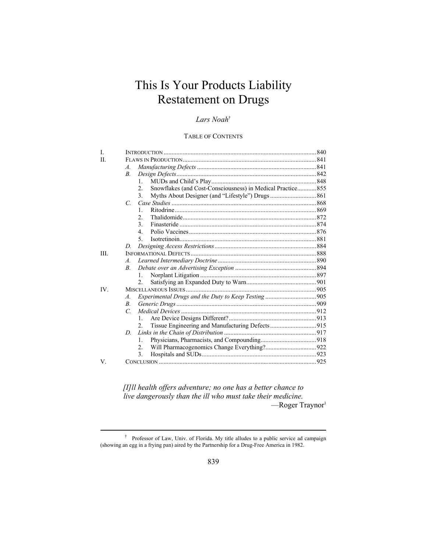# This Is Your Products Liability Restatement on Drugs

## *Lars Noah*†

#### TABLE OF CONTENTS

| L   |                  |                                                             |  |
|-----|------------------|-------------------------------------------------------------|--|
| H   |                  |                                                             |  |
|     | $\mathcal{A}$ .  |                                                             |  |
|     | В.               |                                                             |  |
|     | $\mathbf{1}$     |                                                             |  |
|     | $\overline{2}$ . | Snowflakes (and Cost-Consciousness) in Medical Practice 855 |  |
|     | 3.               |                                                             |  |
|     | $\mathcal{C}$ .  |                                                             |  |
|     | 1.               |                                                             |  |
|     | $\overline{2}$ . |                                                             |  |
|     | 3 <sub>1</sub>   |                                                             |  |
|     | 4                |                                                             |  |
|     | 5                |                                                             |  |
|     | D.               |                                                             |  |
| Ш   |                  |                                                             |  |
|     | $\mathcal{A}$ .  |                                                             |  |
|     | $\boldsymbol{B}$ |                                                             |  |
|     | $\mathbf{1}$     |                                                             |  |
|     | $\overline{2}$ . |                                                             |  |
| IV. |                  |                                                             |  |
|     | $\mathcal{A}$ .  |                                                             |  |
|     | $B_{\cdot}$      |                                                             |  |
|     | $\mathcal{C}$    |                                                             |  |
|     | 1.               |                                                             |  |
|     | $\mathfrak{D}$   | Tissue Engineering and Manufacturing Defects915             |  |
|     | D                |                                                             |  |
|     | $\mathbf{1}$ .   |                                                             |  |
|     | $\overline{2}$ . |                                                             |  |
|     | 3.               |                                                             |  |
| V.  |                  |                                                             |  |
|     |                  |                                                             |  |

*[I]ll health offers adventure; no one has a better chance to live dangerously than the ill who must take their medicine.* -Roger Traynor<sup>1</sup>

<sup>&</sup>lt;sup>†</sup> Professor of Law, Univ. of Florida. My title alludes to a public service ad campaign (showing an egg in a frying pan) aired by the Partnership for a Drug-Free America in 1982.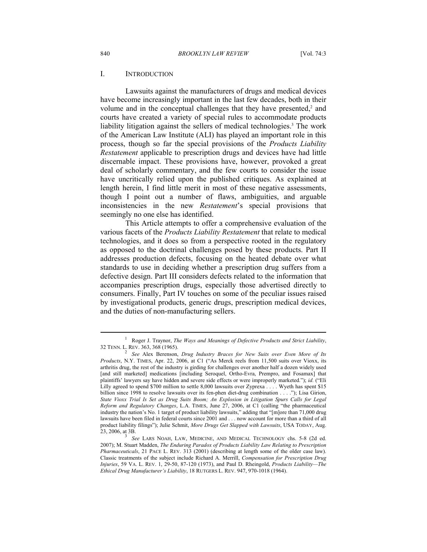#### I. INTRODUCTION

Lawsuits against the manufacturers of drugs and medical devices have become increasingly important in the last few decades, both in their volume and in the conceptual challenges that they have presented, $2$  and courts have created a variety of special rules to accommodate products liability litigation against the sellers of medical technologies.<sup>3</sup> The work of the American Law Institute (ALI) has played an important role in this process, though so far the special provisions of the *Products Liability Restatement* applicable to prescription drugs and devices have had little discernable impact. These provisions have, however, provoked a great deal of scholarly commentary, and the few courts to consider the issue have uncritically relied upon the published critiques. As explained at length herein, I find little merit in most of these negative assessments, though I point out a number of flaws, ambiguities, and arguable inconsistencies in the new *Restatement*'s special provisions that seemingly no one else has identified.

This Article attempts to offer a comprehensive evaluation of the various facets of the *Products Liability Restatement* that relate to medical technologies, and it does so from a perspective rooted in the regulatory as opposed to the doctrinal challenges posed by these products. Part II addresses production defects, focusing on the heated debate over what standards to use in deciding whether a prescription drug suffers from a defective design. Part III considers defects related to the information that accompanies prescription drugs, especially those advertised directly to consumers. Finally, Part IV touches on some of the peculiar issues raised by investigational products, generic drugs, prescription medical devices, and the duties of non-manufacturing sellers.

<sup>1</sup> Roger J. Traynor, *The Ways and Meanings of Defective Products and Strict Liability*, 32 TENN. L. REV. 363, 368 (1965). 2

*See* Alex Berenson, *Drug Industry Braces for New Suits over Even More of Its Products*, N.Y. TIMES, Apr. 22, 2006, at C1 ("As Merck reels from 11,500 suits over Vioxx, its arthritis drug, the rest of the industry is girding for challenges over another half a dozen widely used [and still marketed] medications [including Seroquel, Ortho-Evra, Prempro, and Fosamax] that plaintiffs' lawyers say have hidden and severe side effects or were improperly marketed."); *id.* ("Eli Lilly agreed to spend \$700 million to settle 8,000 lawsuits over Zyprexa . . . . Wyeth has spent \$15 billion since 1998 to resolve lawsuits over its fen-phen diet-drug combination . . . ."); Lisa Girion, *State Vioxx Trial Is Set as Drug Suits Boom; An Explosion in Litigation Spurs Calls for Legal Reform and Regulatory Changes*, L.A. TIMES, June 27, 2006, at C1 (calling "the pharmaceutical industry the nation's No. 1 target of product liability lawsuits," adding that "[m]ore than 71,000 drug lawsuits have been filed in federal courts since 2001 and . . . now account for more than a third of all product liability filings"); Julie Schmit, *More Drugs Get Slapped with Lawsuits*, USA TODAY, Aug. 23, 2006, at 3B.

*See* LARS NOAH, LAW, MEDICINE, AND MEDICAL TECHNOLOGY chs. 5-8 (2d ed. 2007); M. Stuart Madden, *The Enduring Paradox of Products Liability Law Relating to Prescription Pharmaceuticals*, 21 PACE L. REV. 313 (2001) (describing at length some of the older case law). Classic treatments of the subject include Richard A. Merrill, *Compensation for Prescription Drug Injuries*, 59 VA. L. REV. 1, 29-50, 87-120 (1973), and Paul D. Rheingold, *Products Liability—The Ethical Drug Manufacturer's Liability*, 18 RUTGERS L. REV. 947, 970-1018 (1964).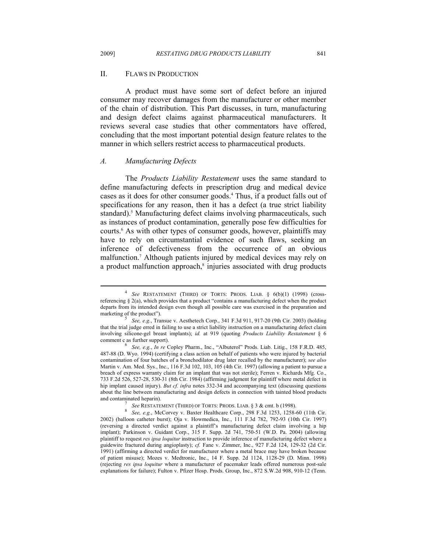#### II. FLAWS IN PRODUCTION

A product must have some sort of defect before an injured consumer may recover damages from the manufacturer or other member of the chain of distribution. This Part discusses, in turn, manufacturing and design defect claims against pharmaceutical manufacturers. It reviews several case studies that other commentators have offered, concluding that the most important potential design feature relates to the manner in which sellers restrict access to pharmaceutical products.

#### *A. Manufacturing Defects*

The *Products Liability Restatement* uses the same standard to define manufacturing defects in prescription drug and medical device cases as it does for other consumer goods.<sup>4</sup> Thus, if a product falls out of specifications for any reason, then it has a defect (a true strict liability standard).<sup>5</sup> Manufacturing defect claims involving pharmaceuticals, such as instances of product contamination, generally pose few difficulties for courts.<sup>6</sup> As with other types of consumer goods, however, plaintiffs may have to rely on circumstantial evidence of such flaws, seeking an inference of defectiveness from the occurrence of an obvious malfunction.7 Although patients injured by medical devices may rely on a product malfunction approach,<sup>8</sup> injuries associated with drug products

<sup>4</sup>  *See* RESTATEMENT (THIRD) OF TORTS: PRODS. LIAB. § 6(b)(1) (1998) (crossreferencing § 2(a), which provides that a product "contains a manufacturing defect when the product departs from its intended design even though all possible care was exercised in the preparation and marketing of the product").

*See, e.g.*, Transue v. Aesthetech Corp., 341 F.3d 911, 917-20 (9th Cir. 2003) (holding that the trial judge erred in failing to use a strict liability instruction on a manufacturing defect claim involving silicone-gel breast implants); *id.* at 919 (quoting *Products Liability Restatement* § 6 comment c as further support).

*See, e.g.*, *In re* Copley Pharm., Inc., "Albuterol" Prods. Liab. Litig., 158 F.R.D. 485, 487-88 (D. Wyo. 1994) (certifying a class action on behalf of patients who were injured by bacterial contamination of four batches of a bronchodilator drug later recalled by the manufacturer); *see also* Martin v. Am. Med. Sys., Inc., 116 F.3d 102, 103, 105 (4th Cir. 1997) (allowing a patient to pursue a breach of express warranty claim for an implant that was not sterile); Ferren v. Richards Mfg. Co., 733 F.2d 526, 527-28, 530-31 (8th Cir. 1984) (affirming judgment for plaintiff where metal defect in hip implant caused injury). *But cf. infra* notes 332-34 and accompanying text (discussing questions about the line between manufacturing and design defects in connection with tainted blood products and contaminated heparin).

<sup>&</sup>lt;sup>7</sup> See RESTATEMENT (THIRD) OF TORTS: PRODS. LIAB. § 3 & cmt. b (1998).

*See, e.g.*, McCorvey v. Baxter Healthcare Corp., 298 F.3d 1253, 1258-60 (11th Cir. 2002) (balloon catheter burst); Oja v. Howmedica, Inc., 111 F.3d 782, 792-93 (10th Cir. 1997) (reversing a directed verdict against a plaintiff's manufacturing defect claim involving a hip implant); Parkinson v. Guidant Corp., 315 F. Supp. 2d 741, 750-51 (W.D. Pa. 2004) (allowing plaintiff to request *res ipsa loquitur* instruction to provide inference of manufacturing defect where a guidewire fractured during angioplasty); *cf.* Fane v. Zimmer, Inc., 927 F.2d 124, 129-32 (2d Cir. 1991) (affirming a directed verdict for manufacturer where a metal brace may have broken because of patient misuse); Mozes v. Medtronic, Inc., 14 F. Supp. 2d 1124, 1128-29 (D. Minn. 1998) (rejecting *res ipsa loquitur* where a manufacturer of pacemaker leads offered numerous post-sale explanations for failure); Fulton v. Pfizer Hosp. Prods. Group, Inc., 872 S.W.2d 908, 910-12 (Tenn.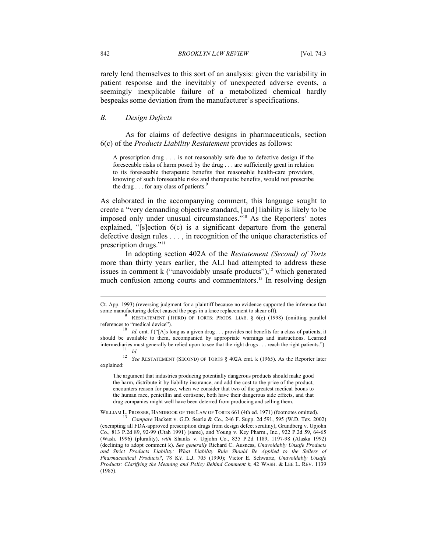rarely lend themselves to this sort of an analysis: given the variability in patient response and the inevitably of unexpected adverse events, a seemingly inexplicable failure of a metabolized chemical hardly bespeaks some deviation from the manufacturer's specifications.

#### *B. Design Defects*

As for claims of defective designs in pharmaceuticals, section 6(c) of the *Products Liability Restatement* provides as follows:

A prescription drug . . . is not reasonably safe due to defective design if the foreseeable risks of harm posed by the drug . . . are sufficiently great in relation to its foreseeable therapeutic benefits that reasonable health-care providers, knowing of such foreseeable risks and therapeutic benefits, would not prescribe the drug  $\ldots$  for any class of patients.<sup>9</sup>

As elaborated in the accompanying comment, this language sought to create a "very demanding objective standard, [and] liability is likely to be imposed only under unusual circumstances."10 As the Reporters' notes explained, "[s]ection 6(c) is a significant departure from the general defective design rules . . . , in recognition of the unique characteristics of prescription drugs."11

In adopting section 402A of the *Restatement (Second) of Torts* more than thirty years earlier, the ALI had attempted to address these issues in comment  $k$  ("unavoidably unsafe products"), $12$  which generated much confusion among courts and commentators.<sup>13</sup> In resolving design

Ct. App. 1993) (reversing judgment for a plaintiff because no evidence supported the inference that some manufacturing defect caused the pegs in a knee replacement to shear off).

RESTATEMENT (THIRD) OF TORTS: PRODS. LIAB. § 6(c) (1998) (omitting parallel references to "medical device").<br><sup>10</sup> *Id.* cmt. f ("[A]s long as a given drug . . . provides net benefits for a class of patients, it

should be available to them, accompanied by appropriate warnings and instructions. Learned intermediaries must generally be relied upon to see that the right drugs . . . reach the right patients.").<br><sup>11</sup> *Id. See* RESTATEMENT (SECOND) OF TORTS § 402A cmt. k (1965). As the Reporter later

explained:

The argument that industries producing potentially dangerous products should make good the harm, distribute it by liability insurance, and add the cost to the price of the product, encounters reason for pause, when we consider that two of the greatest medical boons to the human race, penicillin and cortisone, both have their dangerous side effects, and that drug companies might well have been deterred from producing and selling them.

WILLIAM L. PROSSER, HANDBOOK OF THE LAW OF TORTS 661 (4th ed. 1971) (footnotes omitted). 13 *Compare* Hackett v. G.D. Searle & Co., 246 F. Supp. 2d 591, 595 (W.D. Tex. 2002) (exempting all FDA-approved prescription drugs from design defect scrutiny), Grundberg v. Upjohn Co., 813 P.2d 89, 92-99 (Utah 1991) (same), and Young v. Key Pharm., Inc., 922 P.2d 59, 64-65 (Wash. 1996) (plurality), *with* Shanks v. Upjohn Co., 835 P.2d 1189, 1197-98 (Alaska 1992) (declining to adopt comment k). *See generally* Richard C. Ausness, *Unavoidably Unsafe Products and Strict Products Liability: What Liability Rule Should Be Applied to the Sellers of Pharmaceutical Products?*, 78 KY. L.J. 705 (1990); Victor E. Schwartz, *Unavoidably Unsafe Products: Clarifying the Meaning and Policy Behind Comment k*, 42 WASH. & LEE L. REV. 1139 (1985).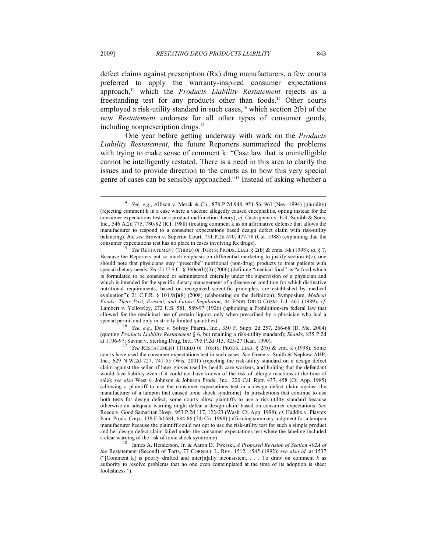defect claims against prescription (Rx) drug manufacturers, a few courts preferred to apply the warranty-inspired consumer expectations approach,<sup>14</sup> which the *Products Liability Restatement* rejects as a freestanding test for any products other than foods.<sup>15</sup> Other courts employed a risk-utility standard in such cases,<sup>16</sup> which section  $2(b)$  of the new *Restatement* endorses for all other types of consumer goods, including nonprescription drugs.<sup>17</sup>

One year before getting underway with work on the *Products Liability Restatement*, the future Reporters summarized the problems with trying to make sense of comment k: "Case law that is unintelligible cannot be intelligently restated. There is a need in this area to clarify the issues and to provide direction to the courts as to how this very special genre of cases can be sensibly approached."18 Instead of asking whether a

See, e.g., Doe v. Solvay Pharm., Inc., 350 F. Supp. 2d 257, 266-68 (D. Me. 2004) (quoting *Products Liability Restatement* § 6, but retaining a risk-utility standard); *Shanks*, 835 P.2d

<sup>14</sup> *See, e.g.*, Allison v. Merck & Co., 878 P.2d 948, 951-56, 961 (Nev. 1994) (plurality) (rejecting comment k in a case where a vaccine allegedly caused encephalitis, opting instead for the consumer expectations test or a product malfunction theory); *cf.* Castrignano v. E.R. Squibb & Sons, Inc., 546 A.2d 775, 780-82 (R.I. 1988) (treating comment k as an affirmative defense that allows the manufacturer to respond to a consumer expectations based design defect claim with risk-utility balancing). *But see* Brown v. Superior Court, 751 P.2d 470, 477-78 (Cal. 1988) (explaining that the consumer expectations test has no place in cases involving Rx drugs). 15 *See* RESTATEMENT (THIRD) OF TORTS: PRODS. LIAB. § 2(b) & cmts. f-h (1998); *id.* § 7.

Because the Reporters put so much emphasis on differential marketing to justify section 6(c), one should note that physicians may "prescribe" nutritional (non-drug) products to treat patients with special dietary needs. *See* 21 U.S.C. § 360ee(b)(3) (2006) (defining "medical food" as "a food which is formulated to be consumed or administered enterally under the supervision of a physician and which is intended for the specific dietary management of a disease or condition for which distinctive nutritional requirements, based on recognized scientific principles, are established by medical evaluation"); 21 C.F.R. § 101.9(j)(8) (2008) (elaborating on the definition); Symposium, *Medical Foods: Their Past, Present, and Future Regulation*, 44 FOOD DRUG COSM. L.J. 461 (1989); *cf.* Lambert v. Yellowley, 272 U.S. 581, 589-97 (1926) (upholding a Prohibition-era federal law that allowed for the medicinal use of certain liquors only when prescribed by a physician who had a special permit and only in strictly limited quantities).

See RESTATEMENT (THIRD) OF TORTS: PRODS. LIAB. § 2(b) & cmt. k (1998). Some courts have used the consumer expectations test in such cases. *See* Green v. Smith & Nephew AHP, Inc., 629 N.W.2d 727, 741-55 (Wis. 2001) (rejecting the risk-utility standard on a design defect claim against the seller of latex gloves used by health care workers, and holding that the defendant would face liability even if it could not have known of the risk of allergic reactions at the time of sale); *see also* West v. Johnson & Johnson Prods., Inc., 220 Cal. Rptr. 437, 458 (Ct. App. 1985) (allowing a plaintiff to use the consumer expectations test in a design defect claim against the manufacturer of a tampon that caused toxic shock syndrome). In jurisdictions that continue to use both tests for design defect, some courts allow plaintiffs to use a risk-utility standard because otherwise an adequate warning might defeat a design claim based on consumer expectations. *See* Reece v. Good Samaritan Hosp., 953 P.2d 117, 122-23 (Wash. Ct. App. 1998); *cf.* Haddix v. Playtex Fam. Prods. Corp., 138 F.3d 681, 684-86 (7th Cir. 1998) (affirming summary judgment for a tampon manufacturer because the plaintiff could not opt to use the risk-utility test for such a simple product and her design defect claim failed under the consumer expectations test where the labeling included

a clear warning of the risk of toxic shock syndrome). 18 James A. Henderson, Jr. & Aaron D. Twerski, *A Proposed Revision of Section 402A of the* Restatement (Second) of Torts, 77 CORNELL L. REV. 1512, 1545 (1992); *see also id.* at 1537 ("[Comment k] is poorly drafted and inter[n]ally inconsistent. . . . To draw on comment  $k$  as authority to resolve problems that no one even contemplated at the time of its adoption is sheer foolishness.").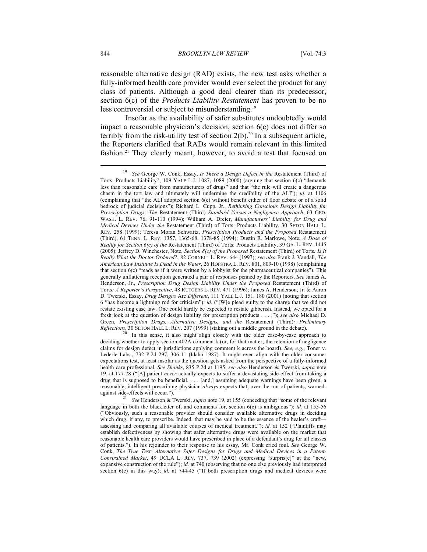reasonable alternative design (RAD) exists, the new test asks whether a fully-informed health care provider would ever select the product for any class of patients. Although a good deal clearer than its predecessor, section 6(c) of the *Products Liability Restatement* has proven to be no less controversial or subject to misunderstanding.<sup>19</sup>

Insofar as the availability of safer substitutes undoubtedly would impact a reasonable physician's decision, section 6(c) does not differ so terribly from the risk-utility test of section  $2(b)$ .<sup>20</sup> In a subsequent article, the Reporters clarified that RADs would remain relevant in this limited fashion.<sup>21</sup> They clearly meant, however, to avoid a test that focused on

<sup>19</sup> *See* George W. Conk, Essay, *Is There a Design Defect in the* Restatement (Third) of Torts: Products Liability*?*, 109 YALE L.J. 1087, 1089 (2000) (arguing that section 6(c) "demands less than reasonable care from manufacturers of drugs" and that "the rule will create a dangerous chasm in the tort law and ultimately will undermine the credibility of the ALI"); *id.* at 1106 (complaining that "the ALI adopted section 6(c) without benefit either of floor debate or of a solid bedrock of judicial decisions"); Richard L. Cupp, Jr., *Rethinking Conscious Design Liability for Prescription Drugs: The* Restatement (Third) *Standard Versus a Negligence Approach*, 63 GEO. WASH. L. REV. 76, 91-110 (1994); William A. Dreier, *Manufacturers' Liability for Drug and Medical Devices Under the* Restatement (Third) of Torts: Products Liability, 30 SETON HALL L. REV. 258 (1999); Teresa Moran Schwartz, *Prescription Products and the Proposed* Restatement (Third), 61 TENN. L. REV. 1357, 1365-68, 1378-85 (1994); Dustin R. Marlowe, Note, *A Dose of Reality for Section 6(c) of the* Restatement (Third) of Torts: Products Liability, 39 GA. L. REV. 1445 (2005); Jeffrey D. Winchester, Note, *Section 8(c) of the Proposed* Restatement (Third) of Torts*: Is It Really What the Doctor Ordered?*, 82 CORNELL L. REV. 644 (1997); *see also* Frank J. Vandall, *The American Law Institute Is Dead in the Water*, 26 HOFSTRA L. REV. 801, 809-10 (1998) (complaining that section  $6(c)$  "reads as if it were written by a lobbyist for the pharmaceutical companies"). This generally unflattering reception generated a pair of responses penned by the Reporters. *See* James A. Henderson, Jr., *Prescription Drug Design Liability Under the Proposed* Restatement (Third) of Torts*: A Reporter's Perspective*, 48 RUTGERS L. REV. 471 (1996); James A. Henderson, Jr. & Aaron D. Twerski, Essay, *Drug Designs* Are *Different*, 111 YALE L.J. 151, 180 (2001) (noting that section 6 "has become a lightning rod for criticism"); *id.* ("[W]e plead guilty to the charge that we did not restate existing case law. One could hardly be expected to restate gibberish. Instead, we opted for a fresh look at the question of design liability for prescription products . . . ."); *see also* Michael D. Green, *Prescription Drugs, Alternative Designs, and the* Restatement (Third)*: Preliminary Reflections*, 30 SETON HALL L. REV. 207 (1999) (staking out a middle ground in the debate).<br><sup>20</sup> In this sense, it also might align closely with the older case-by-case approach to

deciding whether to apply section 402A comment k (or, for that matter, the retention of negligence claims for design defect in jurisdictions applying comment k across the board). *See, e.g.*, Toner v. Lederle Labs., 732 P.2d 297, 306-11 (Idaho 1987). It might even align with the older consumer expectations test, at least insofar as the question gets asked from the perspective of a fully-informed health care professional. *See Shanks*, 835 P.2d at 1195; *see also* Henderson & Twerski, *supra* note 19, at 177-78 ("[A] patient *never* actually expects to suffer a devastating side-effect from taking a drug that is supposed to be beneficial. . . . [and,] assuming adequate warnings have been given, a reasonable, intelligent prescribing physician *always* expects that, over the run of patients, warnedagainst side-effects will occur."). 21 *See* Henderson & Twerski, *supra* note 19, at 155 (conceding that "some of the relevant

language in both the blackletter of, and comments for, section 6(c) is ambiguous"); *id.* at 155-56 ("Obviously, such a reasonable provider should consider available alternative drugs in deciding which drug, if any, to prescribe. Indeed, that may be said to be the essence of the healer's craftassessing and comparing all available courses of medical treatment."); *id.* at 152 ("Plaintiffs may establish defectiveness by showing that safer alternative drugs were available on the market that reasonable health care providers would have prescribed in place of a defendant's drug for all classes of patients."). In his rejoinder to their response to his essay, Mr. Conk cried foul. *See* George W. Conk, *The True Test: Alternative Safer Designs for Drugs and Medical Devices in a Patent-Constrained Market*, 49 UCLA L. REV. 737, 739 (2002) (expressing "surpris[e]" at the "new, expansive construction of the rule"); *id.* at 740 (observing that no one else previously had interpreted section 6(c) in this way); *id.* at 744-45 ("If both prescription drugs and medical devices were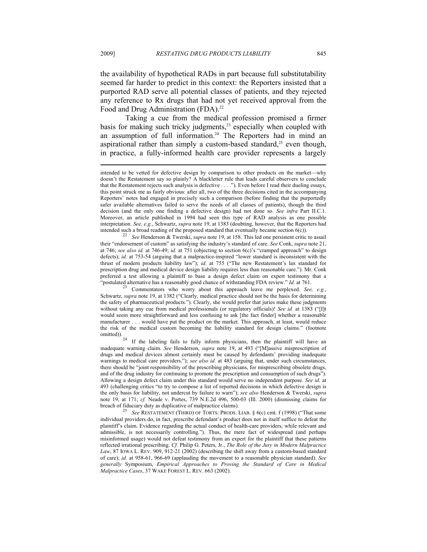the availability of hypothetical RADs in part because full substitutability seemed far harder to predict in this context: the Reporters insisted that a purported RAD serve all potential classes of patients, and they rejected any reference to Rx drugs that had not yet received approval from the Food and Drug Administration (FDA).<sup>22</sup>

Taking a cue from the medical profession promised a firmer basis for making such tricky judgments,<sup>23</sup> especially when coupled with an assumption of full information.<sup>24</sup> The Reporters had in mind an aspirational rather than simply a custom-based standard, $^{25}$  even though, in practice, a fully-informed health care provider represents a largely

their "endorsement of custom" as satisfying the industry's standard of care. *See* Conk, *supra* note 21, at 746; *see also id.* at 746-49; *id.* at 751 (objecting to section 6(c)'s "cramped approach" to design defects); *id.* at 753-54 (arguing that a malpractice-inspired "lower standard is inconsistent with the thrust of modern products liability law"); *id.* at 755 ("The new Restatement's lax standard for prescription drug and medical device design liability requires less than reasonable care."). Mr. Conk preferred a test allowing a plaintiff to base a design defect claim on expert testimony that a "postulated alternative has a reasonably good chance of withstanding FDA review." *Id.* at 761. 23 Commentators who worry about this approach leave me perplexed. *See, e.g.*,

Schwartz, *supra* note 19, at 1382 ("Clearly, medical practice should not be the basis for determining the safety of pharmaceutical products."). Clearly, she would prefer that juries make these judgments without taking any cue from medical professionals (or regulatory officials)! *See id.* at 1383 ("[I]t would seem more straightforward and less confusing to ask [the fact finder] whether a reasonable manufacturer . . . would have put the product on the market. This approach, at least, would reduce the risk of the medical custom becoming the liability standard for design claims." (footnote omitted)).

If the labeling fails to fully inform physicians, then the plaintiff will have an inadequate warning claim. *See* Henderson, *supra* note 19, at 493 ("[M]assive misprescription of drugs and medical devices almost certainly must be caused by defendants' providing inadequate warnings to medical care providers."); *see also id.* at 483 (arguing that, under such circumstances, there should be "joint responsibility of the prescribing physicians, for misprescribing obsolete drugs, and of the drug industry for continuing to promote the prescription and consumption of such drugs"). Allowing a design defect claim under this standard would serve no independent purpose. *See id.* at 493 (challenging critics "to try to compose a list of reported decisions in which defective design is the only basis for liability, not undercut by failure to warn"); *see also* Henderson & Twerski, *supra* note 19, at 171; *cf.* Neade v. Portes, 739 N.E.2d 496, 500-03 (Ill. 2000) (dismissing claims for breach of fiduciary duty as duplicative of malpractice claims). 25 *See* RESTATEMENT (THIRD) OF TORTS: PRODS. LIAB. § 6(c) cmt. f (1998) ("That some

individual providers do, in fact, prescribe defendant's product does not in itself suffice to defeat the plaintiff's claim. Evidence regarding the actual conduct of health-care providers, while relevant and admissible, is not necessarily controlling."). Thus, the mere fact of widespread (and perhaps misinformed usage) would not defeat testimony from an expert for the plaintiff that these patterns reflected irrational prescribing. *Cf.* Philip G. Peters, Jr., *The Role of the Jury in Modern Malpractice Law*, 87 IOWA L. REV. 909, 912-21 (2002) (describing the shift away from a custom-based standard of care); *id.* at 958-61, 966-69 (applauding the movement to a reasonable physician standard). *See generally* Symposium, *Empirical Approaches to Proving the Standard of Care in Medical Malpractice Cases*, 37 WAKE FOREST L. REV. 663 (2002).

intended to be vetted for defective design by comparison to other products on the market—why doesn't the Restatement say so plainly? A blackletter rule that leads careful observers to conclude that the Restatement rejects such analysis is defective . . . ."). Even before I read their dueling essays, this point struck me as fairly obvious: after all, two of the three decisions cited in the accompanying Reporters' notes had engaged in precisely such a comparison (before finding that the purportedly safer available alternatives failed to serve the needs of all classes of patients), though the third decision (and the only one finding a defective design) had not done so. *See infra* Part II.C.1. Moreover, an article published in 1994 had seen this type of RAD analysis as one possible interpretation. *See, e.g.*, Schwartz, *supra* note 19, at 1383 (doubting, however, that the Reporters had intended such a broad reading of the proposed standard that eventually became section 6(c)). 22 *See* Henderson & Twerski, *supra* note 19, at 158. This led one persistent critic to assail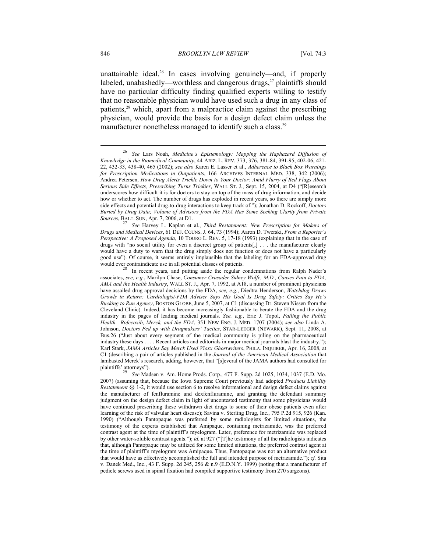unattainable ideal.<sup>26</sup> In cases involving genuinely—and, if properly labeled, unabashedly—worthless and dangerous drugs, $^{27}$  plaintiffs should have no particular difficulty finding qualified experts willing to testify that no reasonable physician would have used such a drug in any class of patients,28 which, apart from a malpractice claim against the prescribing physician, would provide the basis for a design defect claim unless the manufacturer nonetheless managed to identify such a class.<sup>29</sup>

*Drugs and Medical Devices*, 61 DEF. COUNS. J. 64, 73 (1994); Aaron D. Twerski, *From a Reporter's Perspective: A Proposed Agenda*, 10 TOURO L. REV. 5, 17-18 (1993) (explaining that in the case of drugs with "no social utility for even a discreet group of patients[,] . . . the manufacturer clearly would have a duty to warn that the drug simply does not function or does not have a particularly good use"). Of course, it seems entirely implausible that the labeling for an FDA-approved drug would ever contraindicate use in all potential classes of patients.<br><sup>28</sup> In recent years, and putting aside the regular condemnations from Ralph Nader's

associates, *see, e.g.*, Marilyn Chase, *Consumer Crusader Sidney Wolfe, M.D., Causes Pain to FDA, AMA and the Health Industry*, WALL ST. J., Apr. 7, 1992, at A18, a number of prominent physicians have assailed drug approval decisions by the FDA, *see, e.g.*, Diedtra Henderson, *Watchdog Draws Growls in Return: Cardiologist-FDA Adviser Says His Goal Is Drug Safety; Critics Say He's Bucking to Run Agency*, BOSTON GLOBE, June 5, 2007, at C1 (discussing Dr. Steven Nissen from the Cleveland Clinic). Indeed, it has become increasingly fashionable to berate the FDA and the drug industry in the pages of leading medical journals. *See, e.g.*, Eric J. Topol, *Failing the Public Health—Rofecoxib, Merck, and the FDA*, 351 NEW ENG. J. MED. 1707 (2004); *see also* Linda A. Johnson, *Doctors Fed up with Drugmakers' Tactics*, STAR-LEDGER (NEWARK), Sept. 11, 2008, at Bus.26 ("Just about every segment of the medical community is piling on the pharmaceutical industry these days . . . . Recent articles and editorials in major medical journals blast the industry."); Karl Stark, *JAMA Articles Say Merck Used Vioxx Ghostwriters*, PHILA. INQUIRER, Apr. 16, 2008, at C1 (describing a pair of articles published in the *Journal of the American Medical Association* that lambasted Merck's research, adding, however, that "[s]everal of the JAMA authors had consulted for plaintiffs' attorneys").

See Madsen v. Am. Home Prods. Corp., 477 F. Supp. 2d 1025, 1034, 1037 (E.D. Mo. 2007) (assuming that, because the Iowa Supreme Court previously had adopted *Products Liability Restatement* §§ 1-2, it would use section 6 to resolve informational and design defect claims against the manufacturer of fenfluramine and dexfenfluramine, and granting the defendant summary judgment on the design defect claim in light of uncontested testimony that some physicians would have continued prescribing these withdrawn diet drugs to some of their obese patients even after learning of the risk of valvular heart disease); Savina v. Sterling Drug, Inc., 795 P.2d 915, 926 (Kan. 1990) ("Although Pantopaque was preferred by some radiologists for limited situations, the testimony of the experts established that Amipaque, containing metrizamide, was the preferred contrast agent at the time of plaintiff's myelogram. Later, preference for metrizamide was replaced by other water-soluble contrast agents."); *id.* at 927 ("[T]he testimony of all the radiologists indicates that, although Pantopaque may be utilized for some limited situations, the preferred contrast agent at the time of plaintiff's myelogram was Amipaque. Thus, Pantopaque was not an alternative product that would have as effectively accomplished the full and intended purpose of metrizamide."); *cf.* Sita v. Danek Med., Inc., 43 F. Supp. 2d 245, 256 & n.9 (E.D.N.Y. 1999) (noting that a manufacturer of pedicle screws used in spinal fixation had compiled supportive testimony from 270 surgeons).

<sup>26</sup> *See* Lars Noah, *Medicine's Epistemology: Mapping the Haphazard Diffusion of Knowledge in the Biomedical Community*, 44 ARIZ. L. REV. 373, 376, 381-84, 391-95, 402-06, 421- 22, 432-33, 438-40, 465 (2002); *see also* Karen E. Lasser et al., *Adherence to Black Box Warnings for Prescription Medications in Outpatients*, 166 ARCHIVES INTERNAL MED. 338, 342 (2006); Andrea Petersen, *How Drug Alerts Trickle Down to Your Doctor: Amid Flurry of Red Flags About Serious Side Effects, Prescribing Turns Trickier*, WALL ST. J., Sept. 15, 2004, at D4 ("[R]esearch underscores how difficult it is for doctors to stay on top of the mass of drug information, and decide how or whether to act. The number of drugs has exploded in recent years, so there are simply more side effects and potential drug-to-drug interactions to keep track of."); Jonathan D. Rockoff, *Doctors Buried by Drug Data; Volume of Advisors from the FDA Has Some Seeking Clarity from Private Sources*, BALT. SUN, Apr. 7, 2006, at D1. 27 *See* Harvey L. Kaplan et al., *Third Restatement: New Prescription for Makers of*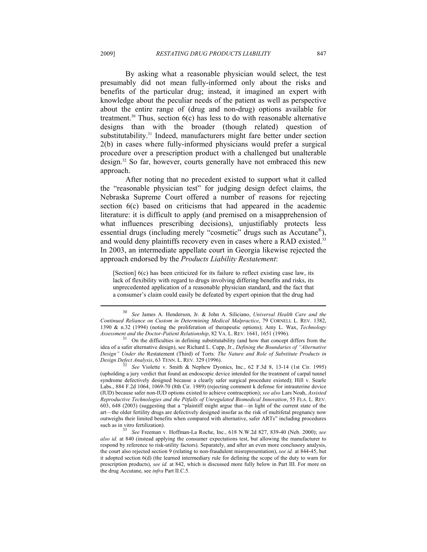By asking what a reasonable physician would select, the test presumably did not mean fully-informed only about the risks and benefits of the particular drug; instead, it imagined an expert with knowledge about the peculiar needs of the patient as well as perspective about the entire range of (drug and non-drug) options available for treatment.<sup>30</sup> Thus, section  $6(c)$  has less to do with reasonable alternative designs than with the broader (though related) question of substitutability.<sup>31</sup> Indeed, manufacturers might fare better under section 2(b) in cases where fully-informed physicians would prefer a surgical procedure over a prescription product with a challenged but unalterable design.32 So far, however, courts generally have not embraced this new approach.

After noting that no precedent existed to support what it called the "reasonable physician test" for judging design defect claims, the Nebraska Supreme Court offered a number of reasons for rejecting section 6(c) based on criticisms that had appeared in the academic literature: it is difficult to apply (and premised on a misapprehension of what influences prescribing decisions), unjustifiably protects less essential drugs (including merely "cosmetic" drugs such as Accutane®), and would deny plaintiffs recovery even in cases where a RAD existed.<sup>33</sup> In 2003, an intermediate appellate court in Georgia likewise rejected the approach endorsed by the *Products Liability Restatement*:

[Section]  $6(c)$  has been criticized for its failure to reflect existing case law, its lack of flexibility with regard to drugs involving differing benefits and risks, its unprecedented application of a reasonable physician standard, and the fact that a consumer's claim could easily be defeated by expert opinion that the drug had

<sup>30</sup> *See* James A. Henderson, Jr. & John A. Siliciano, *Universal Health Care and the Continued Reliance on Custom in Determining Medical Malpractice*, 79 CORNELL L. REV. 1382, 1390 & n.32 (1994) (noting the proliferation of therapeutic options); Amy L. Wax, *Technology Assessment and the Doctor-Patient Relationship*, 82 VA. L. REV. 1641, 1651 (1996).<br><sup>31</sup> On the difficulties in defining substitutability (and how that concept differs from the

idea of a safer alternative design), see Richard L. Cupp, Jr., *Defining the Boundaries of "Alternative Design" Under the* Restatement (Third) of Torts*: The Nature and Role of Substitute Products in* 

<sup>&</sup>lt;sup>32</sup> See Violette v. Smith & Nephew Dyonics, Inc., 62 F.3d 8, 13-14 (1st Cir. 1995). (upholding a jury verdict that found an endoscopic device intended for the treatment of carpal tunnel syndrome defectively designed because a clearly safer surgical procedure existed); Hill v. Searle Labs., 884 F.2d 1064, 1069-70 (8th Cir. 1989) (rejecting comment k defense for intrauterine device (IUD) because safer non-IUD options existed to achieve contraception); *see also* Lars Noah, *Assisted Reproductive Technologies and the Pitfalls of Unregulated Biomedical Innovation*, 55 FLA. L. REV. 603, 648 (2003) (suggesting that a "plaintiff might argue that—in light of the current state of the art—the older fertility drugs are defectively designed insofar as the risk of multifetal pregnancy now outweighs their limited benefits when compared with alternative, safer ARTs" including procedures such as in vitro fertilization). 33 *See* Freeman v. Hoffman-La Roche, Inc., 618 N.W.2d 827, 839-40 (Neb. 2000); *see* 

*also id.* at 840 (instead applying the consumer expectations test, but allowing the manufacturer to respond by reference to risk-utility factors). Separately, and after an even more conclusory analysis, the court also rejected section 9 (relating to non-fraudulent misrepresentation), *see id.* at 844-45, but it adopted section 6(d) (the learned intermediary rule for defining the scope of the duty to warn for prescription products), *see id.* at 842, which is discussed more fully below in Part III. For more on the drug Accutane, see *infra* Part II.C.5.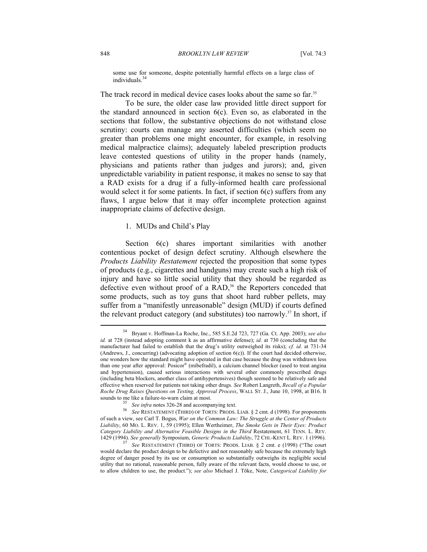some use for someone, despite potentially harmful effects on a large class of individuals.34

The track record in medical device cases looks about the same so far.<sup>35</sup>

To be sure, the older case law provided little direct support for the standard announced in section 6(c). Even so, as elaborated in the sections that follow, the substantive objections do not withstand close scrutiny: courts can manage any asserted difficulties (which seem no greater than problems one might encounter, for example, in resolving medical malpractice claims); adequately labeled prescription products leave contested questions of utility in the proper hands (namely, physicians and patients rather than judges and jurors); and, given unpredictable variability in patient response, it makes no sense to say that a RAD exists for a drug if a fully-informed health care professional would select it for some patients. In fact, if section  $6(c)$  suffers from any flaws, I argue below that it may offer incomplete protection against inappropriate claims of defective design.

#### 1. MUDs and Child's Play

Section  $6(c)$  shares important similarities with another contentious pocket of design defect scrutiny. Although elsewhere the *Products Liability Restatement* rejected the proposition that some types of products (e.g., cigarettes and handguns) may create such a high risk of injury and have so little social utility that they should be regarded as defective even without proof of a RAD,<sup>36</sup> the Reporters conceded that some products, such as toy guns that shoot hard rubber pellets, may suffer from a "manifestly unreasonable" design (MUD) if courts defined the relevant product category (and substitutes) too narrowly.<sup>37</sup> In short, if

<sup>34</sup> Bryant v. Hoffman-La Roche, Inc., 585 S.E.2d 723, 727 (Ga. Ct. App. 2003); *see also id.* at 728 (instead adopting comment k as an affirmative defense); *id.* at 730 (concluding that the manufacturer had failed to establish that the drug's utility outweighed its risks); *cf. id.* at 731-34 (Andrews, J., concurring) (advocating adoption of section 6(c)). If the court had decided otherwise, one wonders how the standard might have operated in that case because the drug was withdrawn less than one year after approval: Posicor® (mibefradil), a calcium channel blocker (used to treat angina and hypertension), caused serious interactions with several other commonly prescribed drugs (including beta blockers, another class of antihypertensives) though seemed to be relatively safe and effective when reserved for patients not taking other drugs. *See* Robert Langreth, *Recall of a Popular Roche Drug Raises Questions on Testing, Approval Process*, WALL ST. J., June 10, 1998, at B16. It

<sup>&</sup>lt;sup>35</sup> See infra notes 326-28 and accompanying text.<br><sup>36</sup> See RESTATEMENT (THIRD) OF TORTS: PRODS. LIAB. § 2 cmt. d (1998). For proponents of such a view, see Carl T. Bogus, *War on the Common Law: The Struggle at the Center of Products Liability*, 60 MO. L. REV. 1, 59 (1995); Ellen Wertheimer, *The Smoke Gets in Their Eyes: Product*  Category Liability and Alternative Feasible Designs in the Third Restatement, 61 TENN. L. REV.<br>1429 (1994). See generally Symposium, Generic Products Liability, 72 CHI.-KENT L. REV. 1 (1996).

See RESTATEMENT (THIRD) OF TORTS: PRODS. LIAB. § 2 cmt. e (1998) ("The court would declare the product design to be defective and not reasonably safe because the extremely high degree of danger posed by its use or consumption so substantially outweighs its negligible social utility that no rational, reasonable person, fully aware of the relevant facts, would choose to use, or to allow children to use, the product."); *see also* Michael J. Tõke, Note, *Categorical Liability for*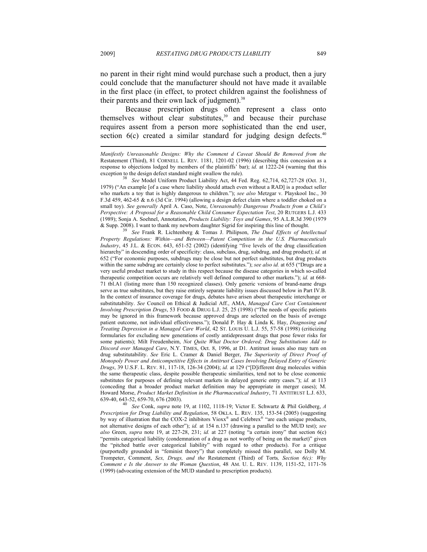no parent in their right mind would purchase such a product, then a jury could conclude that the manufacturer should not have made it available in the first place (in effect, to protect children against the foolishness of their parents and their own lack of judgment).<sup>38</sup>

Because prescription drugs often represent a class onto themselves without clear substitutes,<sup>39</sup> and because their purchase requires assent from a person more sophisticated than the end user, section  $6(c)$  created a similar standard for judging design defects.<sup>40</sup>  $\overline{a}$ 

See Model Uniform Product Liability Act, 44 Fed. Reg. 62,714, 62,727-28 (Oct. 31, 1979) ("An example [of a case where liability should attach even without a RAD] is a product seller who markets a toy that is highly dangerous to children."); *see also* Metzgar v. Playskool Inc., 30 F.3d 459, 462-65 & n.6 (3d Cir. 1994) (allowing a design defect claim where a toddler choked on a small toy). *See generally* April A. Caso, Note, *Unreasonably Dangerous Products from a Child's Perspective: A Proposal for a Reasonable Child Consumer Expectation Test*, 20 RUTGERS L.J. 433 (1989); Sonja A. Soehnel, Annotation, *Products Liability: Toys and Games*, 95 A.L.R.3d 390 (1979 & Supp. 2008). I want to thank my newborn daughter Sigrid for inspiring this line of thought. 39 *See* Frank R. Lichtenberg & Tomas J. Philipson, *The Dual Effects of Intellectual* 

*Property Regulations: Within—and Between—Patent Competition in the U.S. Pharmaceuticals Industry*, 45 J.L. & ECON. 643, 651-52 (2002) (identifying "five levels of the drug classification hierarchy" in descending order of specificity: class, subclass, drug, subdrug, and drug product); *id.* at 652 ("For economic purposes, subdrugs may be close but not perfect substitutes, but drug products within the same subdrug are certainly close to perfect substitutes."); *see also id.* at 655 ("Drugs are a very useful product market to study in this respect because the disease categories in which so-called therapeutic competition occurs are relatively well defined compared to other markets."); *id.* at 668- 71 tbl.A1 (listing more than 150 recognized classes). Only generic versions of brand-name drugs serve as true substitutes, but they raise entirely separate liability issues discussed below in Part IV.B. In the context of insurance coverage for drugs, debates have arisen about therapeutic interchange or substitutability. *See* Council on Ethical & Judicial Aff., AMA, *Managed Care Cost Containment Involving Prescription Drugs*, 53 FOOD & DRUG L.J. 25, 25 (1998) ("The needs of specific patients may be ignored in this framework because approved drugs are selected on the basis of average patient outcome, not individual effectiveness."); Donald P. Hay & Linda K. Hay, *Diagnosing and Treating Depression in a Managed Care World*, 42 ST. LOUIS U. L.J. 55, 57-58 (1998) (criticizing formularies for excluding new generations of costly antidepressant drugs that pose fewer risks for some patients); Milt Freudenheim, *Not Quite What Doctor Ordered; Drug Substitutions Add to Discord over Managed Care*, N.Y. TIMES, Oct. 8, 1996, at D1. Antitrust issues also may turn on drug substitutability. *See* Eric L. Cramer & Daniel Berger, *The Superiority of Direct Proof of Monopoly Power and Anticompetitive Effects in Antitrust Cases Involving Delayed Entry of Generic Drugs*, 39 U.S.F. L. REV. 81, 117-18, 126-34 (2004); *id.* at 129 ("[D]ifferent drug molecules within the same therapeutic class, despite possible therapeutic similarities, tend not to be close economic substitutes for purposes of defining relevant markets in delayed generic entry cases."); *id.* at 113 (conceding that a broader product market definition may be appropriate in merger cases); M. Howard Morse, *Product Market Definition in the Pharmaceutical Industry*, 71 ANTITRUST L.J. 633, 639-40, 643-52, 659-70, 676 (2003). 40 *See* Conk, *supra* note 19, at 1102, 1118-19; Victor E. Schwartz & Phil Goldberg, *<sup>A</sup>*

*Prescription for Drug Liability and Regulation*, 58 OKLA. L. REV. 135, 153-54 (2005) (suggesting by way of illustration that the COX-2 inhibitors Vioxx<sup>®</sup> and Celebrex<sup>®</sup> "are each unique products, not alternative designs of each other"); *id.* at 154 n.137 (drawing a parallel to the MUD test); *see also* Green, *supra* note 19, at 227-28, 231; *id.* at 227 (noting "a certain irony" that section 6(c) "permits categorical liability (condemnation of a drug as not worthy of being on the market)" given the "pitched battle over categorical liability" with regard to other products). For a critique (purportedly grounded in "feminist theory") that completely missed this parallel, see Dolly M. Trompeter, Comment, *Sex, Drugs, and the* Restatement (Third) of Torts*, Section 6(c): Why Comment e Is the Answer to the Woman Question*, 48 AM. U. L. REV. 1139, 1151-52, 1171-76 (1999) (advocating extension of the MUD standard to prescription products).

*Manifestly Unreasonable Designs: Why the Comment d Caveat Should Be Removed from the*  Restatement (Third), 81 CORNELL L. REV. 1181, 1201-02 (1996) (describing this concession as a response to objections lodged by members of the plaintiffs' bar); *id.* at 1222-24 (warning that this exception to the design defect standard might swallow the rule).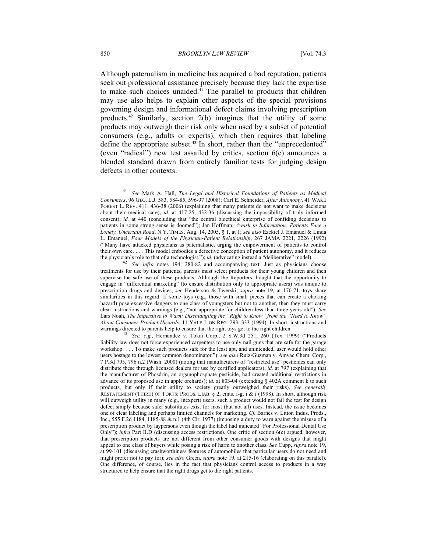Although paternalism in medicine has acquired a bad reputation, patients seek out professional assistance precisely because they lack the expertise to make such choices unaided.<sup>41</sup> The parallel to products that children may use also helps to explain other aspects of the special provisions governing design and informational defect claims involving prescription products.42 Similarly, section 2(b) imagines that the utility of some products may outweigh their risk only when used by a subset of potential consumers (e.g., adults or experts), which then requires that labeling define the appropriate subset.<sup>43</sup> In short, rather than the "unprecedented" (even "radical") new test assailed by critics, section 6(c) announces a blended standard drawn from entirely familiar tests for judging design defects in other contexts.

<sup>41</sup> *See* Mark A. Hall, *The Legal and Historical Foundations of Patients as Medical Consumers*, 96 GEO. L.J. 583, 584-85, 596-97 (2008); Carl E. Schneider, *After Autonomy*, 41 WAKE FOREST L. REV. 411, 436-38 (2006) (explaining that many patients do not want to make decisions about their medical care); *id.* at 417-25, 432-36 (discussing the impossibility of truly informed consent); *id.* at 440 (concluding that "the central bioethical enterprise of confiding decisions to patients in some strong sense is doomed"); Jan Hoffman, *Awash in Information: Patients Face a Lonely, Uncertain Road*, N.Y. TIMES, Aug. 14, 2005, § 1, at 1; *see also* Ezekiel J. Emanuel & Linda L. Emanuel, *Four Models of the Physician*-*Patient Relationship*, 267 JAMA 2221, 2226 (1992) ("Many have attacked physicians as paternalistic, urging the empowerment of patients to control their own care. . . . This model embodies a defective conception of patient autonomy, and it reduces the physician's role to that of a technologist."); *id.* (advocating instead a "deliberative" model).

<sup>&</sup>lt;sup>42</sup> See infra notes 194, 280-82 and accompanying text. Just as physicians choose treatments for use by their patients, parents must select products for their young children and then supervise the safe use of these products. Although the Reporters thought that the opportunity to engage in "differential marketing" (to ensure distribution only to appropriate users) was unique to prescription drugs and devices, *see* Henderson & Twerski, *supra* note 19, at 170-71, toys share similarities in this regard. If some toys (e.g., those with small pieces that can create a choking hazard) pose excessive dangers to one class of youngsters but not to another, then they must carry clear instructions and warnings (e.g., "not appropriate for children less than three years old"). *See* Lars Noah, *The Imperative to Warn: Disentangling the "Right to Know" from the "Need to Know" About Consumer Product Hazards*, 11 YALE J. ON REG. 293, 333 (1994). In short, instructions and warnings directed to parents help to ensure that the right toys get to the right children.<br><sup>43</sup> See, e.g., Hernandez v. Tokai Corp., 2 S.W.3d 251, 260 (Tex. 1999) ("Products

liability law does not force experienced carpenters to use only nail guns that are safe for the garage workshop. . . . To make such products safe for the least apt, and unintended, user would hold other users hostage to the lowest common denominator."); *see also* Ruiz-Guzman v. Amvac Chem. Corp., 7 P.3d 795, 796 n.2 (Wash. 2000) (noting that manufacturers of "restricted use" pesticides can only distribute these through licensed dealers for use by certified applicators); *id.* at 797 (explaining that the manufacturer of Phosdrin, an organophosphate pesticide, had created additional restrictions in advance of its proposed use in apple orchards); *id.* at 803-04 (extending § 402A comment k to such products, but only if their utility to society greatly outweighed their risks). *See generally* RESTATEMENT (THIRD) OF TORTS: PRODS. LIAB. § 2, cmts. f-g, i & *l* (1998). In short, although risk will outweigh utility in many (e.g., inexpert) users, such a product would not fail the test for design defect simply because safer substitutes exist for most (but not all) uses. Instead, the issue becomes one of clear labeling and perhaps limited channels for marketing. *Cf.* Barnes v. Litton Indus. Prods., Inc., 555 F.2d 1184, 1185-88 & n.1 (4th Cir. 1977) (imposing a duty to warn against the misuse of a prescription product by laypersons even though the label had indicated "For Professional Dental Use Only"); *infra* Part II.D (discussing access restrictions). One critic of section 6(c) argued, however, that prescription products are not different from other consumer goods with designs that might appeal to one class of buyers while posing a risk of harm to another class. *See* Cupp, *supra* note 19, at 99-101 (discussing crashworthiness features of automobiles that particular users do not need and might prefer not to pay for); *see also* Green, *supra* note 19, at 215-16 (elaborating on this parallel). One difference, of course, lies in the fact that physicians control access to products in a way structured to help ensure that the right drugs get to the right patients.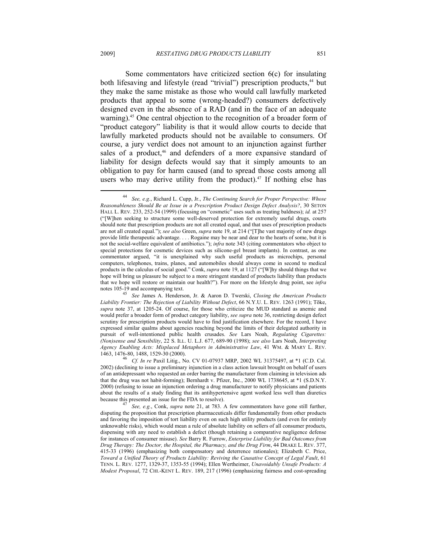Some commentators have criticized section 6(c) for insulating both lifesaving and lifestyle (read "trivial") prescription products,<sup>44</sup> but they make the same mistake as those who would call lawfully marketed products that appeal to some (wrong-headed?) consumers defectively designed even in the absence of a RAD (and in the face of an adequate warning).<sup>45</sup> One central objection to the recognition of a broader form of "product category" liability is that it would allow courts to decide that lawfully marketed products should not be available to consumers. Of course, a jury verdict does not amount to an injunction against further sales of a product,<sup>46</sup> and defenders of a more expansive standard of liability for design defects would say that it simply amounts to an obligation to pay for harm caused (and to spread those costs among all users who may derive utility from the product).<sup>47</sup> If nothing else has

<sup>44</sup> *See, e.g.*, Richard L. Cupp, Jr., *The Continuing Search for Proper Perspective: Whose Reasonableness Should Be at Issue in a Prescription Product Design Defect Analysis?*, 30 SETON HALL L. REV. 233, 252-54 (1999) (focusing on "cosmetic" uses such as treating baldness); *id.* at 257 ("[W]hen seeking to structure some well-deserved protection for extremely useful drugs, courts should note that prescription products are not all created equal, and that uses of prescription products are not all created equal."); *see also* Green, *supra* note 19, at 214 ("[T]he vast majority of new drugs provide little therapeutic advantage. . . . Rogaine may be near and dear to the hearts of some, but it is not the social-welfare equivalent of antibiotics."); *infra* note 343 (citing commentators who object to special protections for cosmetic devices such as silicone-gel breast implants). In contrast, as one commentator argued, "it is unexplained why such useful products as microchips, personal computers, telephones, trains, planes, and automobiles should always come in second to medical products in the calculus of social good." Conk, *supra* note 19, at 1127 ("[W]hy should things that we hope will bring us pleasure be subject to a more stringent standard of products liability than products that we hope will restore or maintain our health?"). For more on the lifestyle drug point, see *infra* notes 105-19 and accompanying text. 45 *See* James A. Henderson, Jr. & Aaron D. Twerski, *Closing the American Products* 

*Liability Frontier: The Rejection of Liability Without Defect*, 66 N.Y.U. L. REV. 1263 (1991); Tõke, *supra* note 37, at 1205-24. Of course, for those who criticize the MUD standard as anemic and would prefer a broader form of product category liability, *see supra* note 36, restricting design defect scrutiny for prescription products would have to find justification elsewhere. For the record, I have expressed similar qualms about agencies reaching beyond the limits of their delegated authority in pursuit of well-intentioned public health crusades. *See* Lars Noah, *Regulating Cigarettes: (Non)sense and Sensibility*, 22 S. ILL. U. L.J. 677, 689-90 (1998); *see also* Lars Noah, *Interpreting Agency Enabling Acts: Misplaced Metaphors in Administrative Law*, 41 WM. & MARY L. REV.

<sup>&</sup>lt;sup>46</sup> *Cf. In re* Paxil Litig., No. CV 01-07937 MRP, 2002 WL 31375497, at \*1 (C.D. Cal. 2002) (declining to issue a preliminary injunction in a class action lawsuit brought on behalf of users of an antidepressant who requested an order barring the manufacturer from claiming in television ads that the drug was not habit-forming); Bernhardt v. Pfizer, Inc., 2000 WL 1738645, at \*1 (S.D.N.Y. 2000) (refusing to issue an injunction ordering a drug manufacturer to notify physicians and patients about the results of a study finding that its antihypertensive agent worked less well than diuretics because this presented an issue for the FDA to resolve). 47 *See, e.g.*, Conk, *supra* note 21, at 783. A few commentators have gone still further,

disputing the proposition that prescription pharmaceuticals differ fundamentally from other products and favoring the imposition of tort liability even on such high utility products (and even for entirely unknowable risks), which would mean a rule of absolute liability on sellers of all consumer products, dispensing with any need to establish a defect (though retaining a comparative negligence defense for instances of consumer misuse). *See* Barry R. Furrow, *Enterprise Liability for Bad Outcomes from Drug Therapy: The Doctor, the Hospital, the Pharmacy, and the Drug Firm*, 44 DRAKE L. REV. 377, 415-33 (1996) (emphasizing both compensatory and deterrence rationales); Elizabeth C. Price, *Toward a Unified Theory of Products Liability: Reviving the Causative Concept of Legal Fault*, 61 TENN. L. REV. 1277, 1329-37, 1353-55 (1994); Ellen Wertheimer, *Unavoidably Unsafe Products: A Modest Proposal*, 72 CHI.-KENT L. REV. 189, 217 (1996) (emphasizing fairness and cost-spreading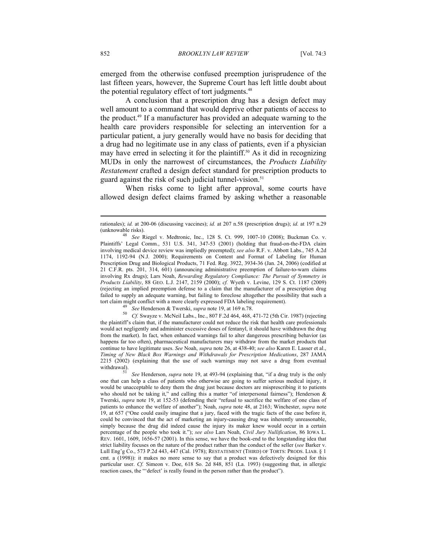emerged from the otherwise confused preemption jurisprudence of the last fifteen years, however, the Supreme Court has left little doubt about the potential regulatory effect of tort judgments.<sup>48</sup>

A conclusion that a prescription drug has a design defect may well amount to a command that would deprive other patients of access to the product.49 If a manufacturer has provided an adequate warning to the health care providers responsible for selecting an intervention for a particular patient, a jury generally would have no basis for deciding that a drug had no legitimate use in any class of patients, even if a physician may have erred in selecting it for the plaintiff.50 As it did in recognizing MUDs in only the narrowest of circumstances, the *Products Liability Restatement* crafted a design defect standard for prescription products to guard against the risk of such judicial tunnel-vision.<sup>51</sup>

When risks come to light after approval, some courts have allowed design defect claims framed by asking whether a reasonable

tort claim might conflict with a more clearly expressed FDA labeling requirement).<br>
<sup>49</sup> See Henderson & Twerski, *supra* note 19, at 169 n.78.<br>
<sup>50</sup> Cf. Swayze v. McNeil Labs., Inc., 807 F.2d 464, 468, 471-72 (5th Cir. 19 the plaintiff's claim that, if the manufacturer could not reduce the risk that health care professionals would act negligently and administer excessive doses of fentanyl, it should have withdrawn the drug from the market). In fact, when enhanced warnings fail to alter dangerous prescribing behavior (as happens far too often), pharmaceutical manufacturers may withdraw from the market products that continue to have legitimate uses. *See* Noah, *supra* note 26, at 438-40; *see also* Karen E. Lasser et al., *Timing of New Black Box Warnings and Withdrawals for Prescription Medications*, 287 JAMA 2215 (2002) (explaining that the use of such warnings may not save a drug from eventual withdrawal).

rationales); *id.* at 200-06 (discussing vaccines); *id.* at 207 n.58 (prescription drugs); *id.* at 197 n.29 (unknowable risks). 48 *See* Riegel v. Medtronic, Inc., 128 S. Ct. 999, 1007-10 (2008); Buckman Co. v.

Plaintiffs' Legal Comm., 531 U.S. 341, 347-53 (2001) (holding that fraud-on-the-FDA claim involving medical device review was impliedly preempted); *see also* R.F. v. Abbott Labs., 745 A.2d 1174, 1192-94 (N.J. 2000); Requirements on Content and Format of Labeling for Human Prescription Drug and Biological Products, 71 Fed. Reg. 3922, 3934-36 (Jan. 24, 2006) (codified at 21 C.F.R. pts. 201, 314, 601) (announcing administrative preemption of failure-to-warn claims involving Rx drugs); Lars Noah, *Rewarding Regulatory Compliance: The Pursuit of Symmetry in Products Liability*, 88 GEO. L.J. 2147, 2159 (2000); *cf.* Wyeth v. Levine, 129 S. Ct. 1187 (2009) (rejecting an implied preemption defense to a claim that the manufacturer of a prescription drug failed to supply an adequate warning, but failing to foreclose altogether the possibility that such a

See Henderson, *supra* note 19, at 493-94 (explaining that, "if a drug truly is the only one that can help a class of patients who otherwise are going to suffer serious medical injury, it would be unacceptable to deny them the drug just because doctors are misprescribing it to patients who should not be taking it," and calling this a matter "of interpersonal fairness"); Henderson & Twerski, *supra* note 19, at 152-53 (defending their "refusal to sacrifice the welfare of one class of patients to enhance the welfare of another"); Noah, *supra* note 48, at 2163; Winchester, *supra* note 19, at 657 ("One could easily imagine that a jury, faced with the tragic facts of the case before it, could be convinced that the act of marketing an injury-causing drug was inherently unreasonable, simply because the drug did indeed cause the injury its maker knew would occur in a certain percentage of the people who took it."); *see also* Lars Noah, *Civil Jury Nullification*, 86 IOWA L. REV. 1601, 1609, 1656-57 (2001). In this sense, we have the book-end to the longstanding idea that strict liability focuses on the nature of the product rather than the conduct of the seller (*see* Barker v. Lull Eng'g Co., 573 P.2d 443, 447 (Cal. 1978); RESTATEMENT (THIRD) OF TORTS: PRODS. LIAB. § 1 cmt. a (1998)): it makes no more sense to say that a product was defectively designed for this particular user. *Cf.* Simeon v. Doe, 618 So. 2d 848, 851 (La. 1993) (suggesting that, in allergic reaction cases, the "'defect' is really found in the person rather than the product").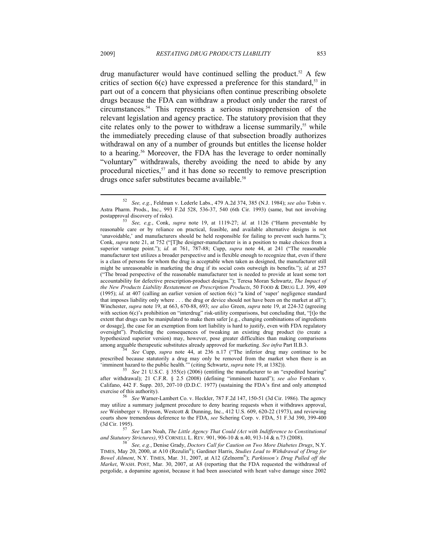drug manufacturer would have continued selling the product.<sup>52</sup> A few critics of section  $6(c)$  have expressed a preference for this standard,<sup>53</sup> in part out of a concern that physicians often continue prescribing obsolete drugs because the FDA can withdraw a product only under the rarest of circumstances.54 This represents a serious misapprehension of the relevant legislation and agency practice. The statutory provision that they cite relates only to the power to withdraw a license summarily,<sup>55</sup> while the immediately preceding clause of that subsection broadly authorizes withdrawal on any of a number of grounds but entitles the license holder to a hearing.<sup>56</sup> Moreover, the FDA has the leverage to order nominally "voluntary" withdrawals, thereby avoiding the need to abide by any procedural niceties, $57$  and it has done so recently to remove prescription drugs once safer substitutes became available.<sup>58</sup>

prescribed because statutorily a drug may only be removed from the market when there is an 'imminent hazard to the public health.'" (citing Schwartz, *supra* note 19, at 1382)). 55 *See* 21 U.S.C. § 355(e) (2006) (entitling the manufacturer to an "expedited hearing"

<sup>52</sup> *See, e.g.*, Feldman v. Lederle Labs., 479 A.2d 374, 385 (N.J. 1984); *see also* Tobin v. Astra Pharm. Prods., Inc., 993 F.2d 528, 536-37, 540 (6th Cir. 1993) (same, but not involving

<sup>&</sup>lt;sup>53</sup> See, e.g., Conk, *supra* note 19, at 1119-27; *id.* at 1126 ("Harm preventable by reasonable care or by reliance on practical, feasible, and available alternative designs is not 'unavoidable,' and manufacturers should be held responsible for failing to prevent such harms."); Conk, *supra* note 21, at 752 ("[T]he designer-manufacturer is in a position to make choices from a superior vantage point."); *id.* at 761, 787-88; Cupp, *supra* note 44, at 241 ("The reasonable manufacturer test utilizes a broader perspective and is flexible enough to recognize that, even if there is a class of persons for whom the drug is acceptable when taken as designed, the manufacturer still might be unreasonable in marketing the drug if its social costs outweigh its benefits."); *id.* at 257 ("The broad perspective of the reasonable manufacturer test is needed to provide at least some tort accountability for defective prescription-product designs."); Teresa Moran Schwartz, *The Impact of the New Products Liability Restatement on Prescription Products*, 50 FOOD & DRUG L.J. 399, 409 (1995); *id.* at 407 (calling an earlier version of section 6(c) "a kind of 'super' negligence standard that imposes liability only where . . . the drug or device should not have been on the market at all"); Winchester, *supra* note 19, at 663, 670-88, 693; *see also* Green, *supra* note 19, at 224-32 (agreeing with section 6(c)'s prohibition on "interdrug" risk-utility comparisons, but concluding that, "[t]o the extent that drugs can be manipulated to make them safer [e.g., changing combinations of ingredients or dosage], the case for an exemption from tort liability is hard to justify, even with FDA regulatory oversight"). Predicting the consequences of tweaking an existing drug product (to create a hypothesized superior version) may, however, pose greater difficulties than making comparisons among arguable therapeutic substitutes already approved for marketing. *See infra* Part II.B.3. *See* Cupp, *supra* note 44, at 236 n.17 ("The inferior drug may continue to be

after withdrawal); 21 C.F.R. § 2.5 (2008) (defining "imminent hazard"); *see also* Forsham v. Califano, 442 F. Supp. 203, 207-10 (D.D.C. 1977) (sustaining the FDA's first and only attempted exercise of this authority). 56 *See* Warner-Lambert Co. v. Heckler, 787 F.2d 147, 150-51 (3d Cir. 1986). The agency

may utilize a summary judgment procedure to deny hearing requests when it withdraws approval, *see* Weinberger v. Hynson, Westcott & Dunning, Inc., 412 U.S. 609, 620-22 (1973), and reviewing courts show tremendous deference to the FDA, *see* Schering Corp. v. FDA, 51 F.3d 390, 399-400 (3d Cir. 1995). 57 *See* Lars Noah, *The Little Agency That Could (Act with Indifference to Constitutional* 

*and Statutory Strictures)*, 93 CORNELL L. REV. 901, 906-10 & n.40, 913-14 & n.73 (2008). 58 *See, e.g.*, Denise Grady, *Doctors Call for Caution on Two More Diabetes Drugs*, N.Y.

TIMES, May 20, 2000, at A10 (Rezulin®); Gardiner Harris, *Studies Lead to Withdrawal of Drug for Bowel Ailment*, N.Y. TIMES, Mar. 31, 2007, at A12 (Zelnorm®); *Parkinson's Drug Pulled off the Market*, WASH. POST, Mar. 30, 2007, at A8 (reporting that the FDA requested the withdrawal of pergolide, a dopamine agonist, because it had been associated with heart valve damage since 2002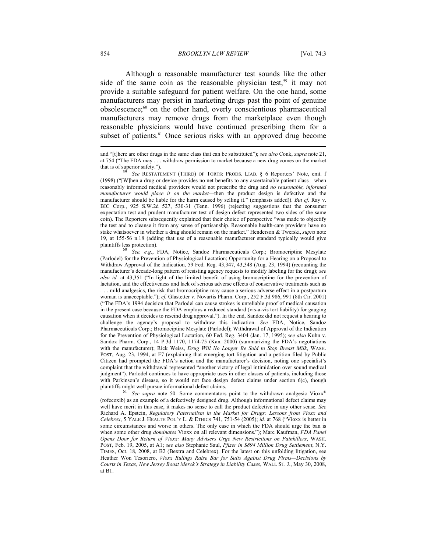Although a reasonable manufacturer test sounds like the other side of the same coin as the reasonable physician test,<sup>59</sup> it may not provide a suitable safeguard for patient welfare. On the one hand, some manufacturers may persist in marketing drugs past the point of genuine obsolescence;60 on the other hand, overly conscientious pharmaceutical manufacturers may remove drugs from the marketplace even though reasonable physicians would have continued prescribing them for a subset of patients.<sup>61</sup> Once serious risks with an approved drug become

(rofecoxib) as an example of a defectively designed drug. Although informational defect claims may well have merit in this case, it makes no sense to call the product defective in any other sense. *See* Richard A. Epstein, *Regulatory Paternalism in the Market for Drugs: Lessons from Vioxx and Celebrex*, 5 YALE J. HEALTH POL'Y L. & ETHICS 741, 751-54 (2005); *id.* at 768 ("Vioxx is better in some circumstances and worse in others. The only case in which the FDA should urge the ban is when some other drug *dominates* Vioxx on all relevant dimensions."); Marc Kaufman, *FDA Panel Opens Door for Return of Vioxx: Many Advisers Urge New Restrictions on Painkillers*, WASH. POST, Feb. 19, 2005, at A1; *see also* Stephanie Saul, *Pfizer in \$894 Million Drug Settlement*, N.Y. TIMES, Oct. 18, 2008, at B2 (Bextra and Celebrex). For the latest on this unfolding litigation, see Heather Won Tesoriero, *Vioxx Rulings Raise Bar for Suits Against Drug Firms—Decisions by Courts in Texas, New Jersey Boost Merck's Strategy in Liability Cases*, WALL ST. J., May 30, 2008, at B1.

and "[t]here are other drugs in the same class that can be substituted"); *see also* Conk, *supra* note 21, at 754 ("The FDA may . . . withdraw permission to market because a new drug comes on the market that is of superior safety."). 59 *See* RESTATEMENT (THIRD) OF TORTS: PRODS. LIAB. § 6 Reporters' Note, cmt. f

<sup>(1998) (&</sup>quot;[W]hen a drug or device provides no net benefits to any ascertainable patient class—when reasonably informed medical providers would not prescribe the drug and *no reasonable, informed manufacturer would place it on the market*—then the product design is defective and the manufacturer should be liable for the harm caused by selling it." (emphasis added)). *But cf.* Ray v. BIC Corp., 925 S.W.2d 527, 530-31 (Tenn. 1996) (rejecting suggestions that the consumer expectation test and prudent manufacturer test of design defect represented two sides of the same coin). The Reporters subsequently explained that their choice of perspective "was made to objectify the test and to cleanse it from any sense of partisanship. Reasonable health-care providers have no stake whatsoever in whether a drug should remain on the market." Henderson & Twerski, *supra* note 19, at 155-56 n.18 (adding that use of a reasonable manufacturer standard typically would give plaintiffs less protection). 60 *See, e.g.*, FDA, Notice, Sandoz Pharmaceuticals Corp.; Bromocriptine Mesylate

<sup>(</sup>Parlodel) for the Prevention of Physiological Lactation; Opportunity for a Hearing on a Proposal to Withdraw Approval of the Indication, 59 Fed. Reg. 43,347, 43,348 (Aug. 23, 1994) (recounting the manufacturer's decade-long pattern of resisting agency requests to modify labeling for the drug); *see also id.* at 43,351 ("In light of the limited benefit of using bromocriptine for the prevention of lactation, and the effectiveness and lack of serious adverse effects of conservative treatments such as . . . mild analgesics, the risk that bromocriptine may cause a serious adverse effect in a postpartum woman is unacceptable."); *cf.* Glastetter v. Novartis Pharm. Corp., 252 F.3d 986, 991 (8th Cir. 2001) ("The FDA's 1994 decision that Parlodel can cause strokes is unreliable proof of medical causation in the present case because the FDA employs a reduced standard (vis-a-vis tort liability) for gauging causation when it decides to rescind drug approval."). In the end, Sandoz did not request a hearing to challenge the agency's proposal to withdraw this indication. *See* FDA, Notice, Sandoz Pharmaceuticals Corp.; Bromociptine Mesylate (Parlodel); Withdrawal of Approval of the Indication for the Prevention of Physiological Lactation, 60 Fed. Reg. 3404 (Jan. 17, 1995); *see also* Kuhn v. Sandoz Pharm. Corp., 14 P.3d 1170, 1174-75 (Kan. 2000) (summarizing the FDA's negotiations with the manufacturer); Rick Weiss, *Drug Will No Longer Be Sold to Stop Breast Milk*, WASH. POST, Aug. 23, 1994, at F7 (explaining that emerging tort litigation and a petition filed by Public Citizen had prompted the FDA's action and the manufacturer's decision, noting one specialist's complaint that the withdrawal represented "another victory of legal intimidation over sound medical judgment"). Parlodel continues to have appropriate uses in other classes of patients, including those with Parkinson's disease, so it would not face design defect claims under section 6(c), though plaintiffs might well pursue informational defect claims.<br><sup>61</sup> See supra note 50. Some commentators point to the withdrawn analgesic Vioxx<sup>®</sup>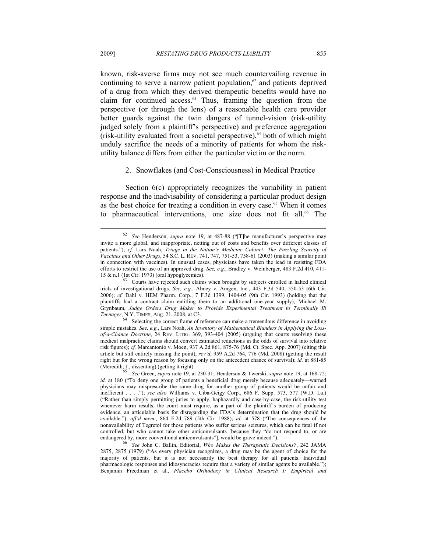known, risk-averse firms may not see much countervailing revenue in continuing to serve a narrow patient population, $62$  and patients deprived of a drug from which they derived therapeutic benefits would have no claim for continued access. $63$  Thus, framing the question from the perspective (or through the lens) of a reasonable health care provider better guards against the twin dangers of tunnel-vision (risk-utility judged solely from a plaintiff's perspective) and preference aggregation (risk-utility evaluated from a societal perspective), $64$  both of which might unduly sacrifice the needs of a minority of patients for whom the riskutility balance differs from either the particular victim or the norm.

#### 2. Snowflakes (and Cost-Consciousness) in Medical Practice

Section  $6(c)$  appropriately recognizes the variability in patient response and the inadvisability of considering a particular product design as the best choice for treating a condition in every case.<sup>65</sup> When it comes to pharmaceutical interventions, one size does not fit all.<sup>66</sup> The

<sup>62</sup> *See* Henderson, *supra* note 19, at 487-88 ("[T]he manufacturer's perspective may invite a more global, and inappropriate, netting out of costs and benefits over different classes of patients."); *cf.* Lars Noah, *Triage in the Nation's Medicine Cabinet: The Puzzling Scarcity of Vaccines and Other Drugs*, 54 S.C. L. REV. 741, 747, 751-53, 758-61 (2003) (making a similar point in connection with vaccines). In unusual cases, physicians have taken the lead in resisting FDA efforts to restrict the use of an approved drug. *See, e.g.*, Bradley v. Weinberger, 483 F.2d 410, 411- 15  $\&$  n.1 (1st Cir. 1973) (oral hypoglycemics).<br><sup>63</sup> Courts have rejected such claims when brought by subjects enrolled in halted clinical

trials of investigational drugs. *See, e.g.*, Abney v. Amgen, Inc., 443 F.3d 540, 550-53 (6th Cir. 2006); *cf.* Dahl v. HEM Pharm. Corp., 7 F.3d 1399, 1404-05 (9th Cir. 1993) (holding that the plaintiffs had a contract claim entitling them to an additional one-year supply); Michael M. Grynbaum, *Judge Orders Drug Maker to Provide Experimental Treatment to Terminally Ill* 

*Teenager*, N.Y. TIMES, Aug. 21, 2008, at C3.<br>Selecting the correct frame of reference can make a tremendous difference in avoiding simple mistakes. *See, e.g.*, Lars Noah, *An Inventory of Mathematical Blunders in Applying the Lossof-a-Chance Doctrine*, 24 REV. LITIG. 369, 393-404 (2005) (arguing that courts resolving these medical malpractice claims should convert estimated reductions in the odds of survival into relative risk figures); *cf.* Marcantonio v. Moen, 937 A.2d 861, 875-76 (Md. Ct. Spec. App. 2007) (citing this article but still entirely missing the point), *rev'd*, 959 A.2d 764, 776 (Md. 2008) (getting the result right but for the wrong reason by focusing only on the antecedent chance of survival); *id.* at 881-85 (Meredith, J., dissenting) (getting it right). 65 *See* Green, *supra* note 19, at 230-31; Henderson & Twerski, *supra* note 19, at 168-72;

*id.* at 180 ("To deny one group of patients a beneficial drug merely because adequately—warned physicians may misprescribe the same drug for another group of patients would be unfair and inefficient . . . ."); *see also* Williams v. Ciba-Geigy Corp., 686 F. Supp. 573, 577 (W.D. La.) ("Rather than simply permitting juries to apply, haphazardly and case-by-case, the risk-utility test whenever harm results, the court must require, as a part of the plaintiff's burden of producing evidence, an articulable basis for disregarding the FDA's determination that the drug should be available."), *aff'd mem.*, 864 F.2d 789 (5th Cir. 1988); *id.* at 578 ("The consequences of the nonavailability of Tegretol for those patients who suffer serious seizures, which can be fatal if not controlled, but who cannot take other anticonvulsants [because they "do not respond to, or are endangered by, more conventional anticonvulsants"], would be grave indeed.").

endangered by, more conventional anticonvulsants"], would be grave indeed."). 66 *See* John C. Ballin, Editorial, *Who Makes the Therapeutic Decisions?*, 242 JAMA 2875, 2875 (1979) ("As every physician recognizes, a drug may be the agent of choice for the majority of patients, but it is not necessarily the best therapy for all patients. Individual pharmacologic responses and idiosyncracies require that a variety of similar agents be available."); Benjamin Freedman et al., *Placebo Orthodoxy in Clinical Research I: Empirical and*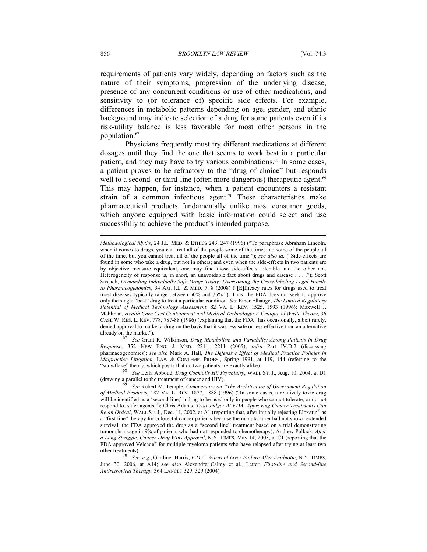requirements of patients vary widely, depending on factors such as the nature of their symptoms, progression of the underlying disease, presence of any concurrent conditions or use of other medications, and sensitivity to (or tolerance of) specific side effects. For example, differences in metabolic patterns depending on age, gender, and ethnic background may indicate selection of a drug for some patients even if its risk-utility balance is less favorable for most other persons in the population.<sup>67</sup>

Physicians frequently must try different medications at different dosages until they find the one that seems to work best in a particular patient, and they may have to try various combinations.<sup>68</sup> In some cases, a patient proves to be refractory to the "drug of choice" but responds well to a second- or third-line (often more dangerous) therapeutic agent.<sup>69</sup> This may happen, for instance, when a patient encounters a resistant strain of a common infectious agent.<sup>70</sup> These characteristics make pharmaceutical products fundamentally unlike most consumer goods, which anyone equipped with basic information could select and use successfully to achieve the product's intended purpose.

See Grant R. Wilkinson, *Drug Metabolism and Variability Among Patients in Drug Response*, 352 NEW ENG. J. MED. 2211, 2211 (2005); *infra* Part IV.D.2 (discussing pharmacogenomics); *see also* Mark A. Hall, *The Defensive Effect of Medical Practice Policies in Malpractice Litigation*, LAW & CONTEMP. PROBS., Spring 1991, at 119, 144 (referring to the "snowflake" theory, which posits that no two patients are exactly alike). 68 *See* Leila Abboud, *Drug Cocktails Hit Psychiatry*, WALL ST. J., Aug. 10, 2004, at D1

(drawing a parallel to the treatment of cancer and HIV). 69 *See* Robert M. Temple, *Commentary on "The Architecture of Government Regulation* 

*Methodological Myths*, 24 J.L. MED. & ETHICS 243, 247 (1996) ("To paraphrase Abraham Lincoln, when it comes to drugs, you can treat all of the people some of the time, and some of the people all of the time, but you cannot treat all of the people all of the time."); *see also id.* ("Side-effects are found in some who take a drug, but not in others; and even when the side-effects in two patients are by objective measure equivalent, one may find those side-effects tolerable and the other not. Heterogeneity of response is, in short, an unavoidable fact about drugs and disease . . . ."); Scott Sasjack, *Demanding Individually Safe Drugs Today: Overcoming the Cross-labeling Legal Hurdle to Pharmacogenomics*, 34 AM. J.L. & MED. 7, 8 (2008) ("[E]fficacy rates for drugs used to treat most diseases typically range between 50% and 75%."). Thus, the FDA does not seek to approve only the single "best" drug to treat a particular condition. *See* Einer Elhauge, *The Limited Regulatory Potential of Medical Technology Assessment*, 82 VA. L. REV. 1525, 1593 (1996); Maxwell J. Mehlman, *Health Care Cost Containment and Medical Technology: A Critique of Waste Theory*, 36 CASE W. RES. L. REV. 778, 787-88 (1986) (explaining that the FDA "has occasionally, albeit rarely, denied approval to market a drug on the basis that it was less safe or less effective than an alternative already on the market").

*of Medical Products*,*"* 82 VA. L. REV. 1877, 1888 (1996) ("In some cases, a relatively toxic drug will be identified as a 'second-line,' a drug to be used only in people who cannot tolerate, or do not respond to, safer agents."); Chris Adams, *Trial Judge: At FDA, Approving Cancer Treatments Can Be an Ordeal*, WALL ST. J., Dec. 11, 2002, at A1 (reporting that, after initially rejecting Eloxatin® as a "first line" therapy for colorectal cancer patients because the manufacturer had not shown extended survival, the FDA approved the drug as a "second line" treatment based on a trial demonstrating tumor shrinkage in 9% of patients who had not responded to chemotherapy); Andrew Pollack, *After a Long Struggle, Cancer Drug Wins Approval*, N.Y. TIMES, May 14, 2003, at C1 (reporting that the FDA approved Velcade® for multiple myeloma patients who have relapsed after trying at least two other treatments). 70 *See, e.g.*, Gardiner Harris, *F.D.A. Warns of Liver Failure After Antibiotic*, N.Y. TIMES,

June 30, 2006, at A14; *see also* Alexandra Calmy et al., Letter, *First-line and Second-line Antiretroviral Therapy*, 364 LANCET 329, 329 (2004).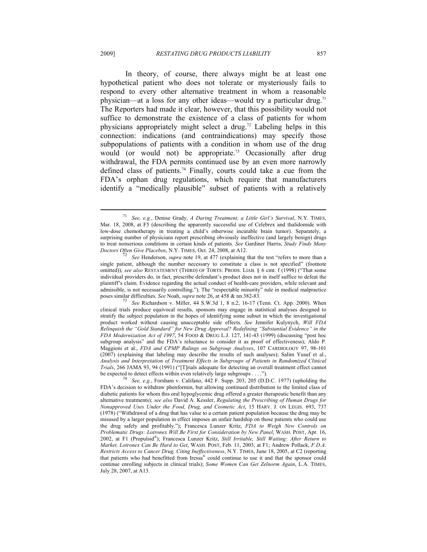In theory, of course, there always might be at least one hypothetical patient who does not tolerate or mysteriously fails to respond to every other alternative treatment in whom a reasonable physician—at a loss for any other ideas—would try a particular drug.<sup>71</sup> The Reporters had made it clear, however, that this possibility would not suffice to demonstrate the existence of a class of patients for whom physicians appropriately might select a drug.72 Labeling helps in this connection: indications (and contraindications) may specify those subpopulations of patients with a condition in whom use of the drug would (or would not) be appropriate.<sup>73</sup> Occasionally after drug withdrawal, the FDA permits continued use by an even more narrowly defined class of patients.<sup>74</sup> Finally, courts could take a cue from the

FDA's orphan drug regulations, which require that manufacturers identify a "medically plausible" subset of patients with a relatively

<sup>71</sup> *See, e.g.*, Denise Grady, *A Daring Treatment, a Little Girl's Survival*, N.Y. TIMES, Mar. 18, 2008, at F5 (describing the apparently successful use of Celebrex and thalidomide with low-dose chemotherapy in treating a child's otherwise incurable brain tumor). Separately, a surprising number of physicians report prescribing obviously ineffective (and largely benign) drugs to treat nonserious conditions in certain kinds of patients. *See* Gardiner Harris, *Study Finds Many* 

<sup>&</sup>lt;sup>72</sup> See Henderson, *supra* note 19, at 477 (explaining that the test "refers to more than a single patient, although the number necessary to constitute a class is not specified" (footnote omitted)); *see also* RESTATEMENT (THIRD) OF TORTS: PRODS. LIAB. § 6 cmt. f (1998) ("That some individual providers do, in fact, prescribe defendant's product does not in itself suffice to defeat the plaintiff's claim. Evidence regarding the actual conduct of health-care providers, while relevant and admissible, is not necessarily controlling."). The "respectable minority" rule in medical malpractice poses similar difficulties. *See* Noah, *supra* note 26, at 458 & nn.382-83. 73 *See* Richardson v. Miller, 44 S.W.3d 1, 8 n.2, 16-17 (Tenn. Ct. App. 2000). When

clinical trials produce equivocal results, sponsors may engage in statistical analyses designed to stratify the subject population in the hopes of identifying some subset in which the investigational product worked without causing unacceptable side effects. *See* Jennifer Kulynych, *Will FDA Relinquish the "Gold Standard" for New Drug Approval? Redefining "Substantial Evidence" in the FDA Modernization Act of 1997*, 54 FOOD & DRUG L.J. 127, 141-43 (1999) (discussing "post hoc subgroup analysis" and the FDA's reluctance to consider it as proof of effectiveness); Aldo P. Maggioni et al., *FDA and CPMP Rulings on Subgroup Analyses*, 107 CARDIOLOGY 97, 98-101 (2007) (explaining that labeling may describe the results of such analyses); Salim Yusuf et al., *Analysis and Interpretation of Treatment Effects in Subgroups of Patients in Randomized Clinical Trials*, 266 JAMA 93, 94 (1991) ("[T]rials adequate for detecting an overall treatment effect cannot be expected to detect effects within even relatively large subgroups . . . .").<br><sup>74</sup> *See, e.g.*, Forsham v. Califano, 442 F. Supp. 203, 205 (D.D.C. 1977) (upholding the

FDA's decision to withdraw phenformin, but allowing continued distribution to the limited class of diabetic patients for whom this oral hypoglycemic drug offered a greater therapeutic benefit than any alternative treatments); *see also* David A. Kessler, *Regulating the Prescribing of Human Drugs for Nonapproved Uses Under the Food, Drug, and Cosmetic Act*, 15 HARV. J. ON LEGIS. 693, 737 (1978) ("Withdrawal of a drug that has value to a certain patient population because the drug may be misused by a larger population in effect imposes an unfair hardship on those patients who could use the drug safely and profitably."); Francesca Lunzer Kritz, *FDA to Weigh New Controls on Problematic Drugs: Lotronex Will Be First for Consideration by New Panel*, WASH. POST, Apr. 16, 2002, at F1 (Propulsid®); Francesca Lunzer Kritz, *Still Irritable, Still Waiting: After Return to Market, Lotronex Can Be Hard to Get*, WASH. POST, Feb. 11, 2003, at F1; Andrew Pollack, *F.D.A. Restricts Access to Cancer Drug, Citing Ineffectiveness*, N.Y. TIMES, June 18, 2005, at C2 (reporting that patients who had benefitted from Iressa® could continue to use it and that the sponsor could continue enrolling subjects in clinical trials); *Some Women Can Get Zelnorm Again*, L.A. TIMES, July 28, 2007, at A13.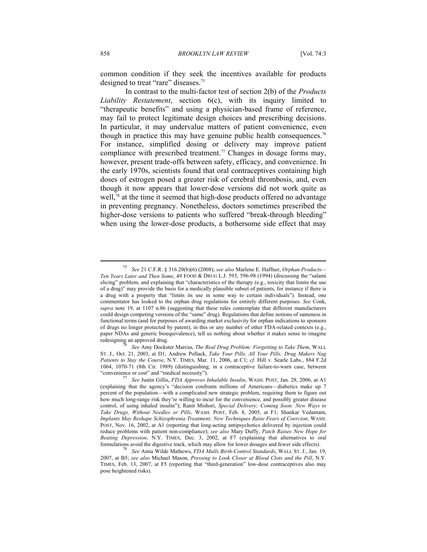common condition if they seek the incentives available for products designed to treat "rare" diseases.<sup>75</sup>

In contrast to the multi-factor test of section 2(b) of the *Products Liability Restatement*, section 6(c), with its inquiry limited to "therapeutic benefits" and using a physician-based frame of reference, may fail to protect legitimate design choices and prescribing decisions. In particular, it may undervalue matters of patient convenience, even though in practice this may have genuine public health consequences.<sup>76</sup> For instance, simplified dosing or delivery may improve patient compliance with prescribed treatment.<sup>77</sup> Changes in dosage forms may, however, present trade-offs between safety, efficacy, and convenience. In the early 1970s, scientists found that oral contraceptives containing high doses of estrogen posed a greater risk of cerebral thrombosis, and, even though it now appears that lower-dose versions did not work quite as well,<sup>78</sup> at the time it seemed that high-dose products offered no advantage in preventing pregnancy. Nonetheless, doctors sometimes prescribed the higher-dose versions to patients who suffered "break-through bleeding" when using the lower-dose products, a bothersome side effect that may

<sup>75</sup> *See* 21 C.F.R. § 316.20(b)(6) (2008); *see also* Marlene E. Haffner, *Orphan Products— Ten Years Later and Then Some*, 49 FOOD & DRUG L.J. 593, 596-98 (1994) (discussing the "salami slicing" problem, and explaining that "characteristics of the therapy (e.g., toxicity that limits the use of a drug)" may provide the basis for a medically plausible subset of patients, for instance if there is a drug with a property that "limits its use in some way to certain individuals"). Instead, one commentator has looked to the orphan drug regulations for entirely different purposes. *See* Conk, *supra* note 19, at 1107 n.86 (suggesting that these rules contemplate that different manufacturers could design competing versions of the "same" drug). Regulations that define notions of sameness in functional terms (and for purposes of awarding market exclusivity for orphan indications to sponsors of drugs no longer protected by patent), in this or any number of other FDA-related contexts (e.g., paper NDAs and generic bioequivalence), tell us nothing about whether it makes sense to imagine redesigning an approved drug. 76 *See* Amy Dockster Marcus, *The Real Drug Problem: Forgetting to Take Them*, WALL

ST. J., Oct. 21, 2003, at D1; Andrew Pollack, *Take Your Pills, All Your Pills; Drug Makers Nag Patients to Stay the Course*, N.Y. TIMES, Mar. 11, 2006, at C1; *cf.* Hill v. Searle Labs., 884 F.2d 1064, 1070-71 (8th Cir. 1989) (distinguishing, in a contraceptive failure-to-warn case, between "convenience or cost" and "medical necessity"). 77 *See* Justin Gillis, *FDA Approves Inhalable Insulin*, WASH. POST, Jan. 28, 2006, at A1

<sup>(</sup>explaining that the agency's "decision confronts millions of Americans—diabetics make up 7 percent of the population—with a complicated new strategic problem, requiring them to figure out how much long-range risk they're willing to incur for the convenience, and possibly greater disease control, of using inhaled insulin"); Ranit Mishori, *Special Delivery; Coming Soon: New Ways to Take Drugs, Without Needles or Pills*, WASH. POST, Feb. 8, 2005, at F1; Shankar Vedantam, *Implants May Reshape Schizophrenia Treatment; New Techniques Raise Fears of Coercion*, WASH. POST, Nov. 16, 2002, at A1 (reporting that long-acting antipsychotics delivered by injection could reduce problems with patient non-compliance); *see also* Mary Duffy, *Patch Raises New Hope for Beating Depression*, N.Y. TIMES, Dec. 3, 2002, at F7 (explaining that alternatives to oral formulations avoid the digestive track, which may allow for lower dosages and fewer side effects). 78 *See* Anna Wilde Mathews, *FDA Mulls Birth-Control Standards*, WALL ST. J., Jan. 19,

<sup>2007,</sup> at B5; *see also* Michael Mason, *Pressing to Look Closer at Blood Clots and the Pill*, N.Y. TIMES, Feb. 13, 2007, at F5 (reporting that "third-generation" low-dose contraceptives also may pose heightened risks).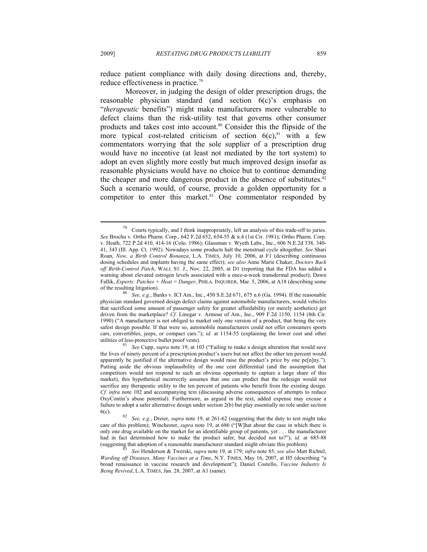reduce patient compliance with daily dosing directions and, thereby, reduce effectiveness in practice.79

Moreover, in judging the design of older prescription drugs, the reasonable physician standard (and section 6(c)'s emphasis on "*therapeutic* benefits") might make manufacturers more vulnerable to defect claims than the risk-utility test that governs other consumer products and takes cost into account.80 Consider this the flipside of the more typical cost-related criticism of section  $6(c)$ ,<sup>81</sup> with a few commentators worrying that the sole supplier of a prescription drug would have no incentive (at least not mediated by the tort system) to adopt an even slightly more costly but much improved design insofar as reasonable physicians would have no choice but to continue demanding the cheaper and more dangerous product in the absence of substitutes.<sup>82</sup> Such a scenario would, of course, provide a golden opportunity for a competitor to enter this market.<sup>83</sup> One commentator responded by

 $79$  Courts typically, and I think inappropriately, left an analysis of this trade-off to juries. *See* Brochu v. Ortho Pharm. Corp., 642 F.2d 652, 654-55 & n.4 (1st Cir. 1981); Ortho Pharm. Corp. v. Heath, 722 P.2d 410, 414-16 (Colo. 1986); Glassman v. Wyeth Labs., Inc., 606 N.E.2d 338, 340- 41, 343 (Ill. App. Ct. 1992). Nowadays some products halt the menstrual cycle altogether. *See* Shari Roan, *Now, a Birth Control Bonanza*, L.A. TIMES, July 10, 2006, at F1 (describing continuous dosing schedules and implants having the same effect); *see also* Anne Marie Chaker, *Doctors Back off Birth-Control Patch*, WALL ST. J., Nov. 22, 2005, at D1 (reporting that the FDA has added a warning about elevated estrogen levels associated with a once-a-week transdermal product); Dawn Fallik, *Experts: Patches + Heat = Danger*, PHILA. INQUIRER, Mar. 5, 2006, at A18 (describing some of the resulting litigation).

See, e.g., Banks v. ICI Am., Inc., 450 S.E.2d 671, 675 n.6 (Ga. 1994). If the reasonable physician standard governed design defect claims against automobile manufacturers, would vehicles that sacrificed some amount of passenger safety for greater affordability (or merely aesthetics) get driven from the marketplace? *Cf.* Linegar v. Armour of Am., Inc., 909 F.2d 1150, 1154 (8th Cir. 1990) ("A manufacturer is not obliged to market only one version of a product, that being the very safest design possible. If that were so, automobile manufacturers could not offer consumers sports cars, convertibles, jeeps, or compact cars."); *id.* at 1154-55 (explaining the lower cost and other utilities of less-protective bullet proof vests). 81 *See* Cupp, *supra* note 19, at 103 ("Failing to make a design alteration that would save

the lives of ninety percent of a prescription product's users but not affect the other ten percent would apparently be justified if the alternative design would raise the product's price by one pe[n]ny."). Putting aside the obvious implausibility of the one cent differential (and the assumption that competitors would not respond to such an obvious opportunity to capture a large share of this market), this hypothetical incorrectly assumes that one can predict that the redesign would not sacrifice any therapeutic utility to the ten percent of patients who benefit from the existing design. *Cf. infra* note 102 and accompanying text (discussing adverse consequences of attempts to reduce OxyContin's abuse potential). Furthermore, as argued in the text, added expense may excuse a failure to adopt a safer alternative design under section 2(b) but play essentially no role under section

<sup>6(</sup>c). 82 *See, e.g.*, Dreier, *supra* note 19, at 261-62 (suggesting that the duty to test might take care of this problem); Winchester, *supra* note 19, at 686 ("[W]hat about the case in which there is only one drug available on the market for an identifiable group of patients, yet . . . the manufacturer had in fact determined how to make the product safer, but decided not to?"); *id.* at 685-88 (suggesting that adoption of a reasonable manufacturer standard might obviate this problem). 83 *See* Henderson & Twerski, *supra* note 19, at 179; *infra* note 85; *see also* Matt Richtel,

*Warding off Diseases, Many Vaccines at a Time*, N.Y. TIMES, May 16, 2007, at H5 (describing "a broad renaissance in vaccine research and development"); Daniel Costello, *Vaccine Industry Is Being Revived*, L.A. TIMES, Jan. 28, 2007, at A1 (same).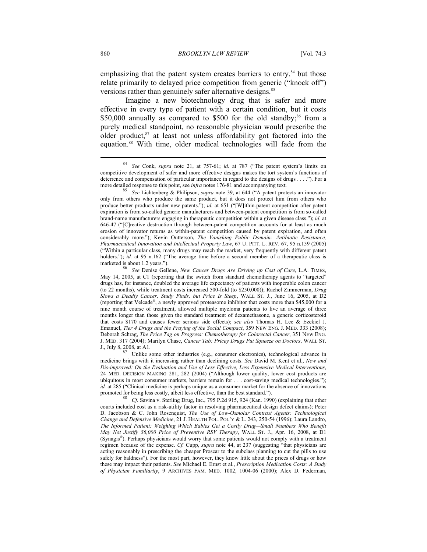emphasizing that the patent system creates barriers to entry, $84$  but those relate primarily to delayed price competition from generic ("knock off") versions rather than genuinely safer alternative designs.<sup>85</sup>

Imagine a new biotechnology drug that is safer and more effective in every type of patient with a certain condition, but it costs \$50,000 annually as compared to \$500 for the old standby;<sup>86</sup> from a purely medical standpoint, no reasonable physician would prescribe the older product, $87$  at least not unless affordability got factored into the equation.88 With time, older medical technologies will fade from the

<sup>84</sup> *See* Conk, *supra* note 21, at 757-61; *id.* at 787 ("The patent system's limits on competitive development of safer and more effective designs makes the tort system's functions of deterrence and compensation of particular importance in regard to the designs of drugs . . . ."). For a more detailed response to this point, see *infra* notes 176-81 and accompanying text. 85 *See* Lichtenberg & Philipson, *supra* note 39, at 644 ("A patent protects an innovator

only from others who produce the same product, but it does not protect him from others who produce better products under new patents."); *id.* at 651 ("[W]ithin-patent competition after patent expiration is from so-called generic manufacturers and between-patent competition is from so-called brand-name manufacturers engaging in therapeutic competition within a given disease class."); *id.* at 646-47 ("[C]reative destruction through between-patent competition accounts for at least as much erosion of innovator returns as within-patent competition caused by patent expiration, and often considerably more."); Kevin Outterson, *The Vanishing Public Domain: Antibiotic Resistance, Pharmaceutical Innovation and Intellectual Property Law*, 67 U. PITT. L. REV. 67, 95 n.159 (2005) ("Within a particular class, many drugs may reach the market, very frequently with different patent holders."); *id.* at 95 n.162 ("The average time before a second member of a therapeutic class is marketed is about 1.2 years."). 86 *See* Denise Gellene, *New Cancer Drugs Are Driving up Cost of Care*, L.A. TIMES,

May 14, 2005, at C1 (reporting that the switch from standard chemotherapy agents to "targeted" drugs has, for instance, doubled the average life expectancy of patients with inoperable colon cancer (to 22 months), while treatment costs increased 500-fold (to \$250,000)); Rachel Zimmerman, *Drug Slows a Deadly Cancer, Study Finds, but Price Is Steep*, WALL ST. J., June 16, 2005, at D2 (reporting that Velcade®, a newly approved proteasome inhibitor that costs more than \$45,000 for a nine month course of treatment, allowed multiple myeloma patients to live an average of three months longer than those given the standard treatment of dexamethasone, a generic corticosteroid that costs \$170 and causes fewer serious side effects); *see also* Thomas H. Lee & Ezekiel J. Emanuel, *Tier 4 Drugs and the Fraying of the Social Compact*, 359 NEW ENG. J. MED. 333 (2008); Deborah Schrag, *The Price Tag on Progress: Chemotherapy for Colorectal Cancer*, 351 NEW ENG. J. MED. 317 (2004); Marilyn Chase, *Cancer Tab: Pricey Drugs Put Squeeze on Doctors*, WALL ST. J., July 8, 2008, at A1. 87 Unlike some other industries (e.g., consumer electronics), technological advance in

medicine brings with it increasing rather than declining costs. *See* David M. Kent et al., *New and Dis-improved: On the Evaluation and Use of Less Effective, Less Expensive Medical Interventions*, 24 MED. DECISION MAKING 281, 282 (2004) ("Although lower quality, lower cost products are ubiquitous in most consumer markets, barriers remain for . . . cost-saving medical technologies."); *id.* at 285 ("Clinical medicine is perhaps unique as a consumer market for the absence of innovations promoted for being less costly, albeit less effective, than the best standard.").<br><sup>88</sup> Cf. Savina v. Sterling Drug, Inc., 795 P.2d 915, 924 (Kan. 1990) (explaining that other

courts included cost as a risk-utility factor in resolving pharmaceutical design defect claims); Peter D. Jacobson & C. John Rosenquist, *The Use of Low-Osmolar Contrast Agents: Technological Change and Defensive Medicine*, 21 J. HEALTH POL. POL'Y & L. 243, 250-54 (1996); Laura Landro, *The Informed Patient: Weighing Which Babies Get a Costly Drug—Small Numbers Who Benefit May Not Justify \$6,000 Price of Preventive RSV Therapy*, WALL ST. J., Apr. 16, 2008, at D1 (Synagis®). Perhaps physicians would worry that some patients would not comply with a treatment regimen because of the expense. *Cf.* Cupp, *supra* note 44, at 237 (suggesting "that physicians are acting reasonably in prescribing the cheaper Proscar to the subclass planning to cut the pills to use safely for baldness"). For the most part, however, they know little about the prices of drugs or how these may impact their patients. *See* Michael E. Ernst et al., *Prescription Medication Costs: A Study of Physician Familiarity*, 9 ARCHIVES FAM. MED. 1002, 1004-06 (2000); Alex D. Federman,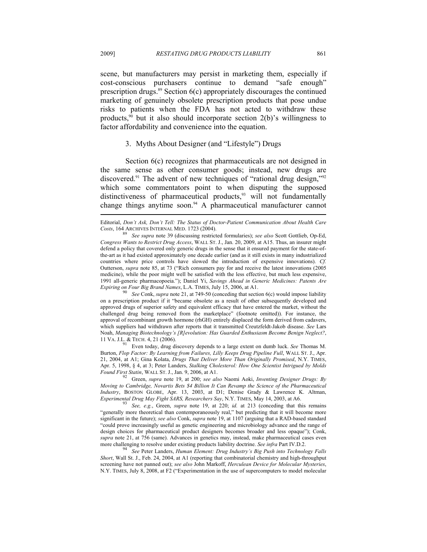scene, but manufacturers may persist in marketing them, especially if cost-conscious purchasers continue to demand "safe enough" prescription drugs. $89$  Section  $6(c)$  appropriately discourages the continued marketing of genuinely obsolete prescription products that pose undue risks to patients when the FDA has not acted to withdraw these products,<sup>90</sup> but it also should incorporate section  $2(b)$ 's willingness to factor affordability and convenience into the equation.

#### 3. Myths About Designer (and "Lifestyle") Drugs

Section  $6(c)$  recognizes that pharmaceuticals are not designed in the same sense as other consumer goods; instead, new drugs are discovered.<sup>91</sup> The advent of new techniques of "rational drug design,"<sup>92</sup> which some commentators point to when disputing the supposed distinctiveness of pharmaceutical products, $93$  will not fundamentally change things anytime soon.94 A pharmaceutical manufacturer cannot

on a prescription product if it "became obsolete as a result of other subsequently developed and approved drugs of superior safety and equivalent efficacy that have entered the market, without the challenged drug being removed from the marketplace" (footnote omitted)). For instance, the approval of recombinant growth hormone (rhGH) entirely displaced the form derived from cadavers, which suppliers had withdrawn after reports that it transmitted Creutzfeldt-Jakob disease. *See* Lars Noah, *Managing Biotechnology's [R]evolution: Has Guarded Enthusiasm Become Benign Neglect?*, 11 VA. J.L. & TECH. 4, 21 (2006).<br><sup>91</sup> Even today, drug discovery depends to a large extent on dumb luck. *See* Thomas M.

Burton, *Flop Factor: By Learning from Failures, Lilly Keeps Drug Pipeline Full*, WALL ST. J., Apr. 21, 2004, at A1; Gina Kolata, *Drugs That Deliver More Than Originally Promised*, N.Y. TIMES, Apr. 5, 1998, § 4, at 3; Peter Landers, *Stalking Cholesterol: How One Scientist Intrigued by Molds Found First Statin*, WALL ST. J., Jan. 9, 2006, at A1. 92 Green, *supra* note 19, at 200; *see also* Naomi Aoki, *Inventing Designer Drugs: By* 

*Moving to Cambridge, Novartis Bets \$4 Billion It Can Revamp the Science of the Pharmaceutical Industry*, BOSTON GLOBE, Apr. 13, 2003, at D1; Denise Grady & Lawrence K. Altman, *Experimental Drug May Fight SARS, Researchers Say*, N.Y. TIMES, May 14, 2003, at A6. 93 *See, e.g.*, Green, *supra* note 19, at 220; *id.* at 213 (conceding that this remains

"generally more theoretical than contemporaneously real," but predicting that it will become more significant in the future); *see also* Conk, *supra* note 19, at 1107 (arguing that a RAD-based standard "could prove increasingly useful as genetic engineering and microbiology advance and the range of design choices for pharmaceutical product designers becomes broader and less opaque"); Conk, *supra* note 21, at 756 (same). Advances in genetics may, instead, make pharmaceutical cases even more challenging to resolve under existing products liability doctrine. *See infra* Part IV.D.2.<br><sup>94</sup> See Peter Landers, *Human Element: Drug Industry's Big Push into Technology Falls* 

*Short*, Wall St. J., Feb. 24, 2004, at A1 (reporting that combinatorial chemistry and high-throughput screening have not panned out); *see also* John Markoff, *Herculean Device for Molecular Mysteries*, N.Y. TIMES, July 8, 2008, at F2 ("Experimentation in the use of supercomputers to model molecular

Editorial, *Don't Ask, Don't Tell: The Status of Doctor-Patient Communication About Health Care Costs*, 164 ARCHIVES INTERNAL MED. 1723 (2004). 89 *See supra* note 39 (discussing restricted formularies); *see also* Scott Gottlieb, Op-Ed,

*Congress Wants to Restrict Drug Access*, WALL ST. J., Jan. 20, 2009, at A15. Thus, an insurer might defend a policy that covered only generic drugs in the sense that it ensured payment for the state-ofthe-art as it had existed approximately one decade earlier (and as it still exists in many industrialized countries where price controls have slowed the introduction of expensive innovations). *Cf.* Outterson, *supra* note 85, at 73 ("Rich consumers pay for and receive the latest innovations (2005 medicine), while the poor might well be satisfied with the less effective, but much less expensive, 1991 all-generic pharmacopoeia."); Daniel Yi, *Savings Ahead in Generic Medicines: Patents Are Expiring on Four Big Brand Names*, L.A. TIMES, July 15, 2006, at A1.<br><sup>90</sup> See Conk, *supra* note 21, at 749-50 (conceding that section 6(c) would impose liability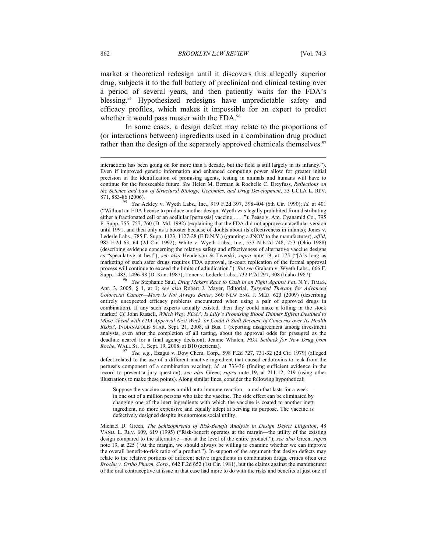market a theoretical redesign until it discovers this allegedly superior drug, subjects it to the full battery of preclinical and clinical testing over a period of several years, and then patiently waits for the FDA's blessing.<sup>95</sup> Hypothesized redesigns have unpredictable safety and efficacy profiles, which makes it impossible for an expert to predict whether it would pass muster with the FDA.<sup>96</sup>

In some cases, a design defect may relate to the proportions of (or interactions between) ingredients used in a combination drug product rather than the design of the separately approved chemicals themselves.<sup>97</sup>

interactions has been going on for more than a decade, but the field is still largely in its infancy."). Even if improved genetic information and enhanced computing power allow for greater initial precision in the identification of promising agents, testing in animals and humans will have to continue for the foreseeable future. *See* Helen M. Berman & Rochelle C. Dreyfuss, *Reflections on the Science and Law of Structural Biology, Genomics, and Drug Development*, 53 UCLA L. REV. 871, 883-86 (2006). 95 *See* Ackley v. Wyeth Labs., Inc., 919 F.2d 397, 398-404 (6th Cir. 1990); *id.* at 401

<sup>(&</sup>quot;Without an FDA license to produce another design, Wyeth was legally prohibited from distributing either a fractionated cell or an acellular [pertussis] vaccine . . . ."); Pease v. Am. Cyanamid Co., 795 F. Supp. 755, 757, 760 (D. Md. 1992) (explaining that the FDA did not approve an acellular version until 1991, and then only as a booster because of doubts about its effectiveness in infants); Jones v. Lederle Labs., 785 F. Supp. 1123, 1127-28 (E.D.N.Y.) (granting a JNOV to the manufacturer), *aff'd*, 982 F.2d 63, 64 (2d Cir. 1992); White v. Wyeth Labs., Inc., 533 N.E.2d 748, 753 (Ohio 1988) (describing evidence concerning the relative safety and effectiveness of alternative vaccine designs as "speculative at best"); *see also* Henderson & Twerski, *supra* note 19, at 175 ("[A]s long as marketing of such safer drugs requires FDA approval, in-court replication of the formal approval process will continue to exceed the limits of adjudication."). *But see* Graham v. Wyeth Labs., 666 F. Supp. 1483, 1496-98 (D. Kan. 1987); Toner v. Lederle Labs., 732 P.2d 297, 308 (Idaho 1987). 96 *See* Stephanie Saul, *Drug Makers Race to Cash in on Fight Against Fat*, N.Y. TIMES,

Apr. 3, 2005, § 1, at 1; *see also* Robert J. Mayer, Editorial, *Targeted Therapy for Advanced Colorectal Cancer—More Is Not Always Better*, 360 NEW ENG. J. MED. 623 (2009) (describing entirely unexpected efficacy problems encountered when using a pair of approved drugs in combination). If any such experts actually existed, then they could make a killing in the stock market! *Cf.* John Russell, *Which Way, FDA?: Is Lilly's Promising Blood Thinner Effient Destined to Move Ahead with FDA Approval Next Week, or Could It Stall Because of Concerns over Its Health Risks?*, INDIANAPOLIS STAR, Sept. 21, 2008, at Bus. 1 (reporting disagreement among investment analysts, even after the completion of all testing, about the approval odds for prasugrel as the deadline neared for a final agency decision); Jeanne Whalen, *FDA Setback for New Drug from Roche*, WALL ST. J., Sept. 19, 2008, at B10 (actrema). <sup>97</sup> *See, e.g.*, Ezagui v. Dow Chem. Corp., 598 F.2d 727, 731-32 (2d Cir. 1979) (alleged

defect related to the use of a different inactive ingredient that caused endotoxins to leak from the pertussis component of a combination vaccine); *id.* at 733-36 (finding sufficient evidence in the record to present a jury question); *see also* Green, *supra* note 19, at 211-12, 219 (using other illustrations to make these points). Along similar lines, consider the following hypothetical:

Suppose the vaccine causes a mild auto-immune reaction—a rash that lasts for a week in one out of a million persons who take the vaccine. The side effect can be eliminated by changing one of the inert ingredients with which the vaccine is coated to another inert ingredient, no more expensive and equally adept at serving its purpose. The vaccine is defectively designed despite its enormous social utility.

Michael D. Green, *The Schizophrenia of Risk-Benefit Analysis in Design Defect Litigation*, 48 VAND. L. REV. 609, 619 (1995) ("Risk-benefit operates at the margin—the utility of the existing design compared to the alternative—not at the level of the entire product."); *see also* Green, *supra* note 19, at 225 ("At the margin, we should always be willing to examine whether we can improve the overall benefit-to-risk ratio of a product."). In support of the argument that design defects may relate to the relative portions of different active ingredients in combination drugs, critics often cite *Brochu v. Ortho Pharm. Corp.*, 642 F.2d 652 (1st Cir. 1981), but the claims against the manufacturer of the oral contraceptive at issue in that case had more to do with the risks and benefits of just one of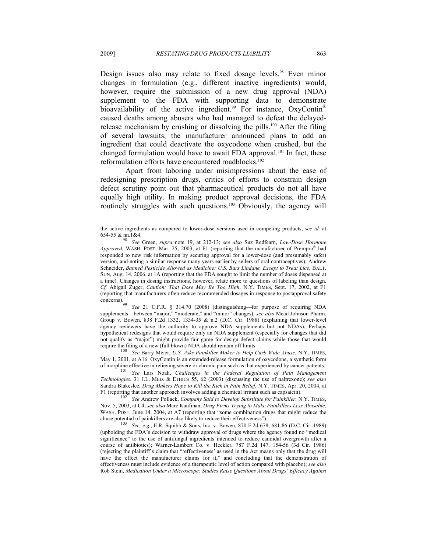Design issues also may relate to fixed dosage levels.<sup>98</sup> Even minor changes in formulation (e.g., different inactive ingredients) would, however, require the submission of a new drug approval (NDA) supplement to the FDA with supporting data to demonstrate bioavailability of the active ingredient.<sup>99</sup> For instance,  $OxyContin<sup>®</sup>$ caused deaths among abusers who had managed to defeat the delayedrelease mechanism by crushing or dissolving the pills.100 After the filing of several lawsuits, the manufacturer announced plans to add an ingredient that could deactivate the oxycodone when crushed, but the changed formulation would have to await FDA approval.<sup>101</sup> In fact, these reformulation efforts have encountered roadblocks.<sup>102</sup>

Apart from laboring under misimpressions about the ease of redesigning prescription drugs, critics of efforts to constrain design defect scrutiny point out that pharmaceutical products do not all have equally high utility. In making product approval decisions, the FDA routinely struggles with such questions.<sup>103</sup> Obviously, the agency will

See 21 C.F.R. § 314.70 (2008) (distinguishing—for purpose of requiring NDA supplements—between "major," "moderate," and "minor" changes); *see also* Mead Johnson Pharm. Group v. Bowen, 838 F.2d 1332, 1334-35 & n.2 (D.C. Cir. 1988) (explaining that lower-level agency reviewers have the authority to approve NDA supplements but not NDAs). Perhaps hypothetical redesigns that would require only an NDA supplement (especially for changes that did not qualify as "major") might provide fair game for design defect claims while those that would require the filing of a new (full blown) NDA should remain off limits. 100 *See* Barry Meier, *U.S. Asks Painkiller Maker to Help Curb Wide Abuse*, N.Y. TIMES,

May 1, 2001, at A16. OxyContin is an extended-release formulation of oxycodone, a synthetic form of morphine effective in relieving severe or chronic pain such as that experienced by cancer patients. 101 *See* Lars Noah, *Challenges in the Federal Regulation of Pain Management* 

*Technologies*, 31 J.L. MED. & ETHICS 55, 62 (2003) (discussing the use of naltrexone); *see also* Sandra Blakeslee, *Drug Makers Hope to Kill the Kick in Pain Relief*, N.Y. TIMES, Apr. 20, 2004, at F1 (reporting that another approach involves adding a chemical irritant such as capsaicin). 102 *See* Andrew Pollack, *Company Said to Develop Substitute for Painkiller*, N.Y. TIMES,

Nov. 5, 2003, at C4; *see also* Marc Kaufman, *Drug Firms Trying to Make Painkillers Less Abusable*, WASH. POST, June 14, 2004, at A7 (reporting that "some combination drugs that might reduce the

abuse potential of painkillers are also likely to reduce their effectiveness"). 103 *See, e.g.*, E.R. Squibb & Sons, Inc. v. Bowen, 870 F.2d 678, 681-86 (D.C. Cir. 1989) (upholding the FDA's decision to withdraw approval of drugs where the agency found no "medical significance" to the use of antifungal ingredients intended to reduce candidal overgrowth after a course of antibiotics); Warner-Lambert Co. v. Heckler, 787 F.2d 147, 154-56 (3d Cir. 1986) (rejecting the plaintiff's claim that "'effectiveness' as used in the Act means only that the drug will have the effect the manufacturer claims for it," and concluding that the demonstration of effectiveness must include evidence of a therapeutic level of action compared with placebo); *see also* Rob Stein, *Medication Under a Microscope: Studies Raise Questions About Drugs' Efficacy Against* 

 $\overline{\phantom{a}}$ 

the active ingredients as compared to lower-dose versions used in competing products, *see id.* at 654-55 & nn.1&4. 98 *See* Green, *supra* note 19, at 212-13; *see also* Suz Redfearn, *Low-Dose Hormone* 

*Approved*, WASH. POST, Mar. 25, 2003, at F1 (reporting that the manufacturer of Prempro® had responded to new risk information by securing approval for a lower-dose (and presumably safer) version, and noting a similar response many years earlier by sellers of oral contraceptives); Andrew Schneider, *Banned Pesticide Allowed as Medicine: U.S. Bars Lindane, Except to Treat Lice*, BALT. SUN, Aug. 14, 2006, at 1A (reporting that the FDA sought to limit the number of doses dispensed at a time). Changes in dosing instructions, however, relate more to questions of labeling than design. *Cf.* Abigail Zuger, *Caution: That Dose May Be Too High*, N.Y. TIMES, Sept. 17, 2002, at F1 (reporting that manufacturers often reduce recommended dosages in response to postapproval safety concerns).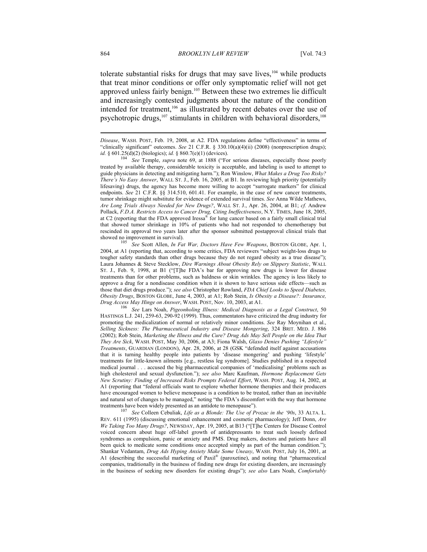tolerate substantial risks for drugs that may save lives, $104$  while products that treat minor conditions or offer only symptomatic relief will not get approved unless fairly benign.105 Between these two extremes lie difficult and increasingly contested judgments about the nature of the condition intended for treatment,<sup>106</sup> as illustrated by recent debates over the use of psychotropic drugs,<sup>107</sup> stimulants in children with behavioral disorders,<sup>108</sup>

treated by available therapy, considerable toxicity is acceptable, and labeling is used to attempt to guide physicians in detecting and mitigating harm."); Ron Winslow, *What Makes a Drug Too Risky? There's No Easy Answer*, WALL ST. J., Feb. 16, 2005, at B1. In reviewing high priority (potentially lifesaving) drugs, the agency has become more willing to accept "surrogate markers" for clinical endpoints. *See* 21 C.F.R. §§ 314.510, 601.41. For example, in the case of new cancer treatments, tumor shrinkage might substitute for evidence of extended survival times. *See* Anna Wilde Mathews, *Are Long Trials Always Needed for New Drugs?*, WALL ST. J., Apr. 26, 2004, at B1; *cf.* Andrew Pollack, *F.D.A. Restricts Access to Cancer Drug, Citing Ineffectiveness*, N.Y. TIMES, June 18, 2005, at C2 (reporting that the FDA approved Iressa® for lung cancer based on a fairly small clinical trial that showed tumor shrinkage in 10% of patients who had not responded to chemotherapy but rescinded its approval two years later after the sponsor submitted postapproval clinical trials that showed no improvement in survival). 105 *See* Scott Allen, *In Fat War, Doctors Have Few Weapons*, BOSTON GLOBE, Apr. 1,

2004, at A1 (reporting that, according to some critics, FDA reviewers "subject weight-loss drugs to tougher safety standards than other drugs because they do not regard obesity as a true disease"); Laura Johannes & Steve Stecklow, *Dire Warnings About Obesity Rely on Slippery Statistic*, WALL ST. J., Feb. 9, 1998, at B1 ("[T]he FDA's bar for approving new drugs is lower for disease treatments than for other problems, such as baldness or skin wrinkles. The agency is less likely to approve a drug for a nondisease condition when it is shown to have serious side effects—such as those that diet drugs produce."); *see also* Christopher Rowland, *FDA Chief Looks to Speed Diabetes, Obesity Drugs*, BOSTON GLOBE, June 4, 2003, at A1; Rob Stein, *Is Obesity a Disease?: Insurance, Drug Access May Hinge on Answer*, WASH. POST, Nov. 10, 2003, at A1. 106 *See* Lars Noah, *Pigeonholing Illness: Medical Diagnosis as a Legal Construct*, 50

HASTINGS L.J. 241, 259-63, 290-92 (1999). Thus, commentators have criticized the drug industry for promoting the medicalization of normal or relatively minor conditions. *See* Ray Moynihan et al., *Selling Sickness: The Pharmaceutical Industry and Disease Mongering*, 324 BRIT. MED. J. 886 (2002); Rob Stein, *Marketing the Illness and the Cure? Drug Ads May Sell People on the Idea That They Are Sick*, WASH. POST, May 30, 2006, at A3; Fiona Walsh, *Glaxo Denies Pushing "Lifestyle" Treatments*, GUARDIAN (LONDON), Apr. 28, 2006, at 28 (GSK "defended itself against accusations that it is turning healthy people into patients by 'disease mongering' and pushing 'lifestyle' treatments for little-known ailments [e.g., restless leg syndrome]. Studies published in a respected medical journal . . . accused the big pharmaceutical companies of 'medicalising' problems such as high cholesterol and sexual dysfunction."); *see also* Marc Kaufman, *Hormone Replacement Gets New Scrutiny: Finding of Increased Risks Prompts Federal Effort*, WASH. POST, Aug. 14, 2002, at A1 (reporting that "federal officials want to explore whether hormone therapies and their producers have encouraged women to believe menopause is a condition to be treated, rather than an inevitable and natural set of changes to be managed," noting "the FDA's discomfort with the way that hormone

treatments have been widely presented as an antidote to menopause"). 107 *See* Colleen Cebuliak, *Life as a Blonde: The Use of Prozac in the '90s*, 33 ALTA. L. REV. 611 (1995) (discussing emotional enhancement and cosmetic pharmacology); Jeff Donn, *Are We Taking Too Many Drugs?*, NEWSDAY, Apr. 19, 2005, at B13 ("[T]he Centers for Disease Control voiced concern about huge off-label growth of antidepressants to treat such loosely defined syndromes as compulsion, panic or anxiety and PMS. Drug makers, doctors and patients have all been quick to medicate some conditions once accepted simply as part of the human condition."); Shankar Vedantam, *Drug Ads Hyping Anxiety Make Some Uneasy*, WASH. POST, July 16, 2001, at A1 (describing the successful marketing of Paxil® (paroxetine), and noting that "pharmaceutical companies, traditionally in the business of finding new drugs for existing disorders, are increasingly in the business of seeking new disorders for existing drugs"); *see also* Lars Noah, *Comfortably* 

*Disease*, WASH. POST, Feb. 19, 2008, at A2. FDA regulations define "effectiveness" in terms of "clinically significant" outcomes. *See* 21 C.F.R. § 330.10(a)(4)(ii) (2008) (nonprescription drugs); *id.* § 601.25(d)(2) (biologics); *id.* § 860.7(e)(1) (devices).<br><sup>104</sup> See Temple, *supra* note 69, at 1888 ("For serious diseases, especially those poorly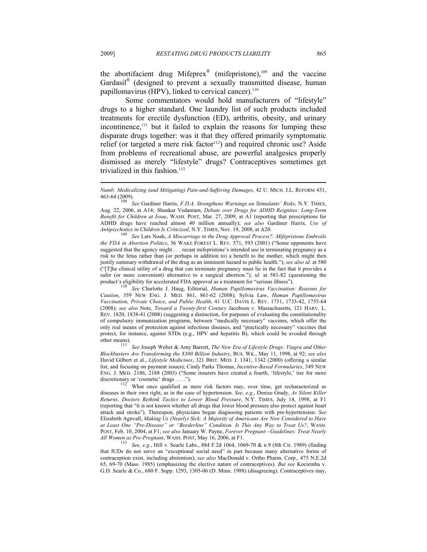the abortifacient drug Mifeprex<sup>®</sup> (mifepristone),<sup>109</sup> and the vaccine Gardasil<sup>®</sup> (designed to prevent a sexually transmitted disease, human papillomavirus (HPV), linked to cervical cancer).<sup>110</sup>

Some commentators would hold manufacturers of "lifestyle" drugs to a higher standard. One laundry list of such products included treatments for erectile dysfunction (ED), arthritis, obesity, and urinary incontinence,<sup>111</sup> but it failed to explain the reasons for lumping these disparate drugs together: was it that they offered primarily symptomatic relief (or targeted a mere risk factor<sup>112</sup>) and required chronic use? Aside from problems of recreational abuse, are powerful analgesics properly dismissed as merely "lifestyle" drugs? Contraceptives sometimes get trivialized in this fashion.<sup>113</sup>

 $\overline{\phantom{a}}$ 

Aug. 22, 2006, at A14; Shankar Vedantam, *Debate over Drugs for ADHD Reignites: Long-Term Benefit for Children at Issue*, WASH. POST, Mar. 27, 2009, at A1 (reporting that prescriptions for ADHD drugs have reached almost 40 million annually); *see also* Gardiner Harris, *Use of Antipsychotics in Children Is Criticized*, N.Y. TIMES, Nov. 19, 2008, at A20. <sup>109</sup> See Lars Noah, *A Miscarriage in the Drug Approval Process?: Mifepristone Embroils CHU* 

*the FDA in Abortion Politics*, 36 WAKE FOREST L. REV. 571, 593 (2001) ("Some opponents have suggested that the agency might . . . recast mifepristone's intended use in terminating pregnancy as a risk to the fetus rather than (or perhaps in addition to) a benefit to the mother, which might then justify summary withdrawal of the drug as an imminent hazard to public health."); *see also id.* at 580 ("[T]he clinical utility of a drug that can terminate pregnancy must lie in the fact that it provides a safer (or more convenient) alternative to a surgical abortion."); *id.* at 581-82 (questioning the product's eligibility for accelerated FDA approval as a treatment for "serious illness").

product's eligibility for accelerated FDA approval as a treatment for "serious illness"). 110 *See* Charlotte J. Haug, Editorial, *Human Papillomavirus Vaccination: Reasons for Caution*, 359 NEW ENG. J. MED. 861, 861-62 (2008); Sylvia Law, *Human Papillomavirus Vaccination, Private Choice, and Public Health*, 41 U.C. DAVIS L. REV. 1731, 1733-42, 1755-64 (2008); *see also* Note, *Toward a Twenty-first Century* Jacobson v. Massachusetts, 121 HARV. L. REV. 1820, 1838-41 (2008) (suggesting a distinction, for purposes of evaluating the constitutionality of compulsory immunization programs, between "medically necessary" vaccines, which offer the only real means of protection against infectious diseases, and "practically necessary" vaccines that protect, for instance, against STDs (e.g., HPV and hepatitis B), which could be avoided through other means). 111 *See* Joseph Weber & Amy Barrett, *The New Era of Lifestyle Drugs: Viagra and Other* 

*Blockbusters Are Transforming the \$300 Billion Industry*, BUS. WK., May 11, 1998, at 92; *see also* David Gilbert et al., *Lifestyle Medicines*, 321 BRIT. MED. J. 1341, 1342 (2000) (offering a similar list, and focusing on payment issues); Cindy Parks Thomas, *Incentive-Based Formularies*, 349 NEW ENG. J. MED. 2186, 2188 (2003) ("Some insurers have created a fourth, 'lifestyle,' tier for more discretionary or 'cosmetic' drugs . . . .").

 $\frac{112}{112}$  What once qualified as mere risk factors may, over time, get recharacterized as diseases in their own right, as in the case of hypertension. *See, e.g.*, Denise Grady, *As Silent Killer Returns, Doctors Rethink Tactics to Lower Blood Pressure*, N.Y. TIMES, July 14, 1998, at F1 (reporting that "it is not known whether all drugs that lower blood pressure also protect against heart attack and stroke"). Thereupon, physicians began diagnosing patients with pre-hypertension. *See* Elizabeth Agnvall, *Making Us (Nearly) Sick: A Majority of Americans Are Now Considered to Have at Least One "Pre-Disease" or "Borderline" Condition. Is This Any Way to Treat Us?*, WASH. POST, Feb. 10, 2004, at F1; *see also* January W. Payne, *Forever Pregnant—Guidelines: Treat Nearly* 

*All Women as Pre-Pregnant*, WASH. POST, May 16, 2006, at F1. 113 *See, e.g.*, Hill v. Searle Labs., 884 F.2d 1064, 1069-70 & n.9 (8th Cir. 1989) (finding that IUDs do not serve an "exceptional social need" in part because many alternative forms of contraception exist, including abstention); *see also* MacDonald v. Ortho Pharm. Corp., 475 N.E.2d 65, 69-70 (Mass. 1985) (emphasizing the elective nature of contraceptives). *But see* Kociemba v. G.D. Searle & Co., 680 F. Supp. 1293, 1305-06 (D. Minn. 1988) (disagreeing). Contraceptives may,

*Numb: Medicalizing (and Mitigating) Pain-and-Suffering Damages*, 42 U. MICH. J.L. REFORM 431, 463-64 (2009). 108 *See* Gardiner Harris, *F.D.A. Strengthens Warnings on Stimulants' Risks*, N.Y. TIMES,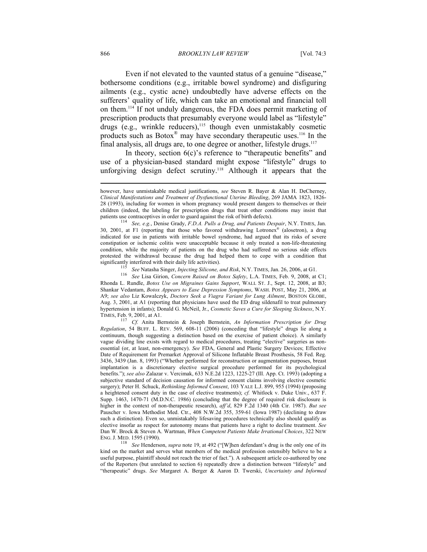#### 866 *BROOKLYN LAW REVIEW* [Vol. 74:3

Even if not elevated to the vaunted status of a genuine "disease," bothersome conditions (e.g., irritable bowel syndrome) and disfiguring ailments (e.g., cystic acne) undoubtedly have adverse effects on the sufferers' quality of life, which can take an emotional and financial toll on them.114 If not unduly dangerous, the FDA does permit marketing of prescription products that presumably everyone would label as "lifestyle" drugs (e.g., wrinkle reducers),115 though even unmistakably cosmetic products such as Botox® may have secondary therapeutic uses.116 In the final analysis, all drugs are, to one degree or another, lifestyle drugs.<sup>117</sup>

In theory, section 6(c)'s reference to "therapeutic benefits" and use of a physician-based standard might expose "lifestyle" drugs to unforgiving design defect scrutiny.<sup>118</sup> Although it appears that the

30, 2001, at F1 (reporting that those who favored withdrawing Lotronex® (alosetron), a drug indicated for use in patients with irritable bowel syndrome, had argued that its risks of severe constipation or ischemic colitis were unacceptable because it only treated a non-life-threatening condition, while the majority of patients on the drug who had suffered no serious side effects protested the withdrawal because the drug had helped them to cope with a condition that

significantly interfered with their daily life activities).<br>
<sup>115</sup> See Natasha Singer, *Injecting Silicone, and Risk*, N.Y. TIMES, Jan. 26, 2006, at G1.<br>
<sup>116</sup> See Lisa Girion, *Concern Raised on Botox Safety*, L.A. TIMES Rhonda L. Rundle, *Botox Use on Migraines Gains Support*, WALL ST. J., Sept. 12, 2008, at B3; Shankar Vedantam, *Botox Appears to Ease Depression Symptoms*, WASH. POST, May 21, 2006, at A9; *see also* Liz Kowalczyk, *Doctors Seek a Viagra Variant for Lung Ailment*, BOSTON GLOBE, Aug. 3, 2001, at A1 (reporting that physicians have used the ED drug sildenafil to treat pulmonary hypertension in infants); Donald G. McNeil, Jr., *Cosmetic Saves a Cure for Sleeping Sickness*, N.Y. TIMES, Feb. 9, 2001, at A1. 117 *Cf.* Anita Bernstein & Joseph Bernstein, *An Information Prescription for Drug* 

*Regulation*, 54 BUFF. L. REV. 569, 608-11 (2006) (conceding that "lifestyle" drugs lie along a continuum, though suggesting a distinction based on the exercise of patient choice). A similarly vague dividing line exists with regard to medical procedures, treating "elective" surgeries as nonessential (or, at least, non-emergency). *See* FDA, General and Plastic Surgery Devices; Effective Date of Requirement for Premarket Approval of Silicone Inflatable Breast Prosthesis, 58 Fed. Reg. 3436, 3439 (Jan. 8, 1993) ("Whether performed for reconstruction or augmentation purposes, breast implantation is a discretionary elective surgical procedure performed for its psychological benefits."); *see also* Zalazar v. Vercimak, 633 N.E.2d 1223, 1225-27 (Ill. App. Ct. 1993) (adopting a subjective standard of decision causation for informed consent claims involving elective cosmetic surgery); Peter H. Schuck, *Rethinking Informed Consent*, 103 YALE L.J. 899, 955 (1994) (proposing a heightened consent duty in the case of elective treatments); *cf.* Whitlock v. Duke Univ., 637 F. Supp. 1463, 1470-71 (M.D.N.C. 1986) (concluding that the degree of required risk disclosure is higher in the context of non-therapeutic research), *aff'd*, 829 F.2d 1340 (4th Cir. 1987). *But see* Pauscher v. Iowa Methodist Med. Ctr., 408 N.W.2d 355, 359-61 (Iowa 1987) (declining to draw such a distinction). Even so, unmistakably lifesaving procedures technically also should qualify as elective insofar as respect for autonomy means that patients have a right to decline treatment. *See* Dan W. Brock & Steven A. Wartman, *When Competent Patients Make Irrational Choices*, 322 NEW

ENG. J. MED. 1595 (1990). 118 *See* Henderson, *supra* note 19, at 492 ("[W]hen defendant's drug is the only one of its kind on the market and serves what members of the medical profession ostensibly believe to be a useful purpose, plaintiff should not reach the trier of fact."). A subsequent article co-authored by one of the Reporters (but unrelated to section 6) repeatedly drew a distinction between "lifestyle" and "therapeutic" drugs. *See* Margaret A. Berger & Aaron D. Twerski, *Uncertainty and Informed* 

 $\overline{\phantom{a}}$ 

however, have unmistakable medical justifications, *see* Steven R. Bayer & Alan H. DeCherney, *Clinical Manifestations and Treatment of Dysfunctional Uterine Bleeding*, 269 JAMA 1823, 1826- 28 (1993), including for women in whom pregnancy would present dangers to themselves or their children (indeed, the labeling for prescription drugs that treat other conditions may insist that patients use contraceptives in order to guard against the risk of birth defects).<br><sup>114</sup> See, e.g., Denise Grady, *F.D.A. Pulls a Drug, and Patients Despair*, N.Y. TIMES, Jan.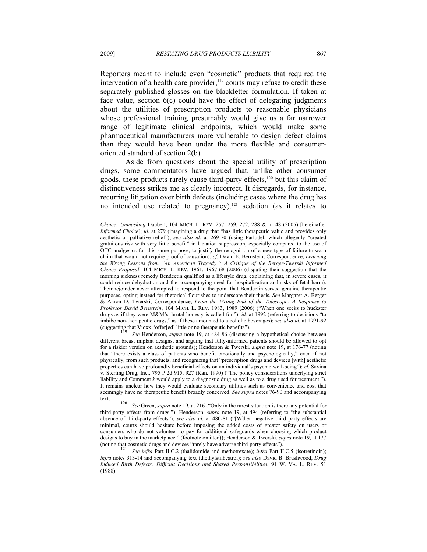Reporters meant to include even "cosmetic" products that required the intervention of a health care provider, $119$  courts may refuse to credit these separately published glosses on the blackletter formulation. If taken at face value, section 6(c) could have the effect of delegating judgments about the utilities of prescription products to reasonable physicians whose professional training presumably would give us a far narrower range of legitimate clinical endpoints, which would make some pharmaceutical manufacturers more vulnerable to design defect claims than they would have been under the more flexible and consumeroriented standard of section 2(b).

Aside from questions about the special utility of prescription drugs, some commentators have argued that, unlike other consumer goods, these products rarely cause third-party effects,<sup>120</sup> but this claim of distinctiveness strikes me as clearly incorrect. It disregards, for instance, recurring litigation over birth defects (including cases where the drug has no intended use related to pregnancy), $121$  sedation (as it relates to

different breast implant designs, and arguing that fully-informed patients should be allowed to opt for a riskier version on aesthetic grounds); Henderson & Twerski, *supra* note 19, at 176-77 (noting that "there exists a class of patients who benefit emotionally and psychologically," even if not physically, from such products, and recognizing that "prescription drugs and devices [with] aesthetic properties can have profoundly beneficial effects on an individual's psychic well-being"); *cf.* Savina v. Sterling Drug, Inc., 795 P.2d 915, 927 (Kan. 1990) ("The policy considerations underlying strict liability and Comment *k* would apply to a diagnostic drug as well as to a drug used for treatment."). It remains unclear how they would evaluate secondary utilities such as convenience and cost that seemingly have no therapeutic benefit broadly conceived. *See supra* notes 76-90 and accompanying text. 120 *See* Green, *supra* note 19, at 216 ("Only in the rarest situation is there any potential for

*Choice: Unmasking* Daubert, 104 MICH. L. REV. 257, 259, 272, 288 & n.148 (2005) [hereinafter *Informed Choice*]; *id.* at 279 (imagining a drug that "has little therapeutic value and provides only aesthetic or palliative relief"); *see also id.* at 269-70 (using Parlodel, which allegedly "created gratuitous risk with very little benefit" in lactation suppression, especially compared to the use of OTC analgesics for this same purpose, to justify the recognition of a new type of failure-to-warn claim that would not require proof of causation); *cf.* David E. Bernstein, Correspondence, *Learning the Wrong Lessons from "An American Tragedy": A Critique of the Berger-Twerski Informed Choice Proposal*, 104 MICH. L. REV. 1961, 1967-68 (2006) (disputing their suggestion that the morning sickness remedy Bendectin qualified as a lifestyle drug, explaining that, in severe cases, it could reduce dehydration and the accompanying need for hospitalization and risks of fetal harm). Their rejoinder never attempted to respond to the point that Bendectin served genuine therapeutic purposes, opting instead for rhetorical flourishes to underscore their thesis. *See* Margaret A. Berger & Aaron D. Twerski, Correspondence, *From the Wrong End of the Telescope: A Response to Professor David Bernstein*, 104 MICH. L. REV. 1983, 1989 (2006) ("When one seeks to huckster drugs as if they were M&M's, brutal honesty is called for."); *id.* at 1992 (referring to decisions "to imbibe non-therapeutic drugs," as if these amounted to alcoholic beverages); *see also id.* at 1991-92 (suggesting that Vioxx "offer[ed] little or no therapeutic benefits"). 119 *See* Henderson, *supra* note 19, at 484-86 (discussing a hypothetical choice between

third-party effects from drugs."); Henderson, *supra* note 19, at 494 (referring to "the substantial absence of third-party effects"); *see also id.* at 480-81 ("[W]hen negative third party effects are minimal, courts should hesitate before imposing the added costs of greater safety on users or consumers who do not volunteer to pay for additional safeguards when choosing which product designs to buy in the marketplace." (footnote omitted)); Henderson & Twerski, *supra* note 19, at 177 (noting that cosmetic drugs and devices "rarely have adverse third-party effects"). 121 *See infra* Part II.C.2 (thalidomide and methotrexate); *infra* Part II.C.5 (isotretinoin);

*infra* notes 313-14 and accompanying text (diethylstilbestrol); *see also* David B. Brushwood, *Drug Induced Birth Defects: Difficult Decisions and Shared Responsibilities*, 91 W. VA. L. REV. 51 (1988).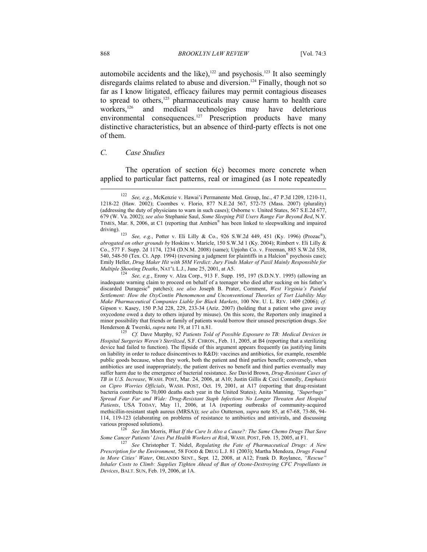automobile accidents and the like), $122$  and psychosis.<sup>123</sup> It also seemingly disregards claims related to abuse and diversion.<sup>124</sup> Finally, though not so far as I know litigated, efficacy failures may permit contagious diseases to spread to others,<sup>125</sup> pharmaceuticals may cause harm to health care workers,<sup>126</sup> and medical technologies may have deleterious environmental consequences.<sup>127</sup> Prescription products have many distinctive characteristics, but an absence of third-party effects is not one of them.

#### *C. Case Studies*

The operation of section 6(c) becomes more concrete when applied to particular fact patterns, real or imagined (as I note repeatedly  $\overline{\phantom{a}}$ 

*See, e.g.*, Erony v. Alza Corp., 913 F. Supp. 195, 197 (S.D.N.Y. 1995) (allowing an inadequate warning claim to proceed on behalf of a teenager who died after sucking on his father's discarded Duragesic® patches); *see also* Joseph B. Prater, Comment, *West Virginia's Painful Settlement: How the OxyContin Phenomenon and Unconventional Theories of Tort Liability May Make Pharmaceutical Companies Liable for Black Markets*, 100 NW. U. L. REV. 1409 (2006); *cf.* Gipson v. Kasey, 150 P.3d 228, 229, 233-34 (Ariz. 2007) (holding that a patient who gave away oxycodone owed a duty to others injured by misuse). On this score, the Reporters only imagined a minor possibility that friends or family of patients would borrow their unused prescription drugs. *See*

Henderson & Twerski, *supra* note 19, at 171 n.81.<br><sup>125</sup> Cf. Dave Murphy, 92 Patients Told of Possible Exposure to TB: Medical Devices in *Hospital Surgeries Weren't Sterilized*, S.F. CHRON., Feb. 11, 2005, at B4 (reporting that a sterilizing device had failed to function). The flipside of this argument appears frequently (as justifying limits on liability in order to reduce disincentives to R&D): vaccines and antibiotics, for example, resemble public goods because, when they work, both the patient and third parties benefit; conversely, when antibiotics are used inappropriately, the patient derives no benefit and third parties eventually may suffer harm due to the emergence of bacterial resistance. *See* David Brown, *Drug-Resistant Cases of TB in U.S. Increase*, WASH. POST, Mar. 24, 2006, at A10; Justin Gillis & Ceci Connolly, *Emphasis on Cipro Worries Officials*, WASH. POST, Oct. 19, 2001, at A17 (reporting that drug-resistant bacteria contribute to 70,000 deaths each year in the United States); Anita Manning, *"Superbugs" Spread Fear Far and Wide: Drug-Resistant Staph Infections No Longer Threaten Just Hospital*  Patients, USA TODAY, May 11, 2006, at 1A (reporting outbreaks of community-acquired methicillin-resistant staph aureus (MRSA)); *see also* Outterson, *supra* note 85, at 67-68, 73-86, 94- 114, 119-123 (elaborating on problems of resistance to antibiotics and antivirals, and discussing various proposed solutions). 126 *See* Jim Morris, *What If the Cure Is Also a Cause?: The Same Chemo Drugs That Save* 

*Some Cancer Patients' Lives Put Health Workers at Risk*, WASH. POST, Feb. 15, 2005, at F1. 127 *See* Christopher T. Nidel, *Regulating the Fate of Pharmaceutical Drugs: A New Prescription for the Environment*, 58 FOOD & DRUG L.J. 81 (2003); Martha Mendoza, *Drugs Found in More Cities' Water*, ORLANDO SENT., Sept. 12, 2008, at A12; Frank D. Roylance, *"Rescue" Inhaler Costs to Climb: Supplies Tighten Ahead of Ban of Ozone-Destroying CFC Propellants in Devices*, BALT. SUN, Feb. 19, 2006, at 1A.

<sup>122</sup> *See, e.g.*, McKenzie v. Hawai'i Permanente Med. Group, Inc., 47 P.3d 1209, 1210-11, 1218-22 (Haw. 2002); Coombes v. Florio, 877 N.E.2d 567, 572-75 (Mass. 2007) (plurality) (addressing the duty of physicians to warn in such cases); Osborne v. United States, 567 S.E.2d 677, 679 (W. Va. 2002); *see also* Stephanie Saul, *Some Sleeping Pill Users Range Far Beyond Bed*, N.Y. TIMES, Mar. 8, 2006, at C1 (reporting that Ambien® has been linked to sleepwalking and impaired

See, e.g., Potter v. Eli Lilly & Co., 926 S.W.2d 449, 451 (Ky. 1996) (Prozac<sup>®</sup>), *abrogated on other grounds by* Hoskins v. Maricle, 150 S.W.3d 1 (Ky. 2004); Rimbert v. Eli Lilly & Co., 577 F. Supp. 2d 1174, 1234 (D.N.M. 2008) (same); Upjohn Co. v. Freeman, 885 S.W.2d 538, 540, 548-50 (Tex. Ct. App. 1994) (reversing a judgment for plaintiffs in a Halcion® psychosis case); Emily Heller, *Drug Maker Hit with \$8M Verdict: Jury Finds Maker of Paxil Mainly Responsible for*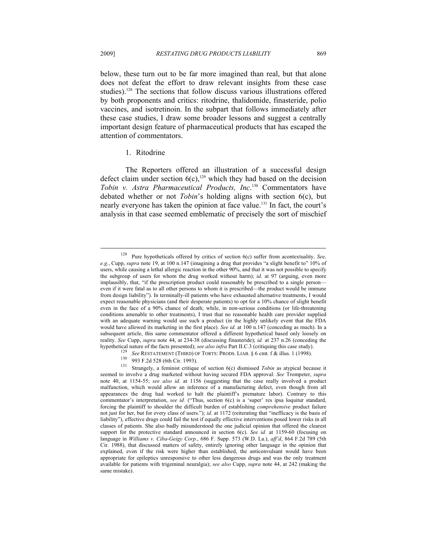$\overline{\phantom{a}}$ 

below, these turn out to be far more imagined than real, but that alone does not defeat the effort to draw relevant insights from these case studies).<sup>128</sup> The sections that follow discuss various illustrations offered by both proponents and critics: ritodrine, thalidomide, finasteride, polio vaccines, and isotretinoin. In the subpart that follows immediately after these case studies, I draw some broader lessons and suggest a centrally important design feature of pharmaceutical products that has escaped the attention of commentators.

#### 1. Ritodrine

The Reporters offered an illustration of a successful design defect claim under section  $6(c)$ ,<sup>129</sup> which they had based on the decision *Tobin v. Astra Pharmaceutical Products, Inc*. 130 Commentators have debated whether or not *Tobin*'s holding aligns with section 6(c), but nearly everyone has taken the opinion at face value.131 In fact, the court's analysis in that case seemed emblematic of precisely the sort of mischief

<sup>128</sup> Pure hypotheticals offered by critics of section 6(c) suffer from acontextuality. *See, e.g.*, Cupp, *supra* note 19, at 100 n.147 (imagining a drug that provides "a slight benefit to" 10% of users, while causing a lethal allergic reaction in the other 90%, and that it was not possible to specify the subgroup of users for whom the drug worked without harm); *id.* at 97 (arguing, even more implausibly, that, "if the prescription product could reasonably be prescribed to a single person even if it were fatal as to all other persons to whom it is prescribed—the product would be immune from design liability"). In terminally-ill patients who have exhausted alternative treatments, I would expect reasonable physicians (and their desperate patients) to opt for a 10% chance of slight benefit even in the face of a 90% chance of death; while, in non-serious conditions (or life-threatening conditions amenable to other treatments), I trust that no reasonable health care provider supplied with an adequate warning would use such a product (in the highly unlikely event that the FDA would have allowed its marketing in the first place). *See id.* at 100 n.147 (conceding as much). In a subsequent article, this same commentator offered a different hypothetical based only loosely on reality. *See* Cupp, *supra* note 44, at 234-38 (discussing finasteride); *id.* at 237 n.26 (conceding the hypothetical nature of the facts presented); *see also infra* Part II.C.3 (critiquing this case study).

<sup>&</sup>lt;sup>129</sup> See RESTATEMENT (THIRD) OF TORTS: PRODS. LIAB. § 6 cmt. f & illus. 1 (1998).<br><sup>130</sup> 993 F.2d 528 (6th Cir. 1993).<br><sup>131</sup> Strangely, a feminist critique of section 6(c) dismissed *Tobin* as atypical because it seemed to involve a drug marketed without having secured FDA approval. *See* Trompeter, *supra* note 40, at 1154-55; *see also id.* at 1156 (suggesting that the case really involved a product malfunction, which would allow an inference of a manufacturing defect, even though from all appearances the drug had worked to halt the plaintiff's premature labor). Contrary to this commentator's interpretation, *see id.* ("Thus, section 6(c) is a 'super' res ipsa loquitur standard, forcing the plaintiff to shoulder the difficult burden of establishing *comprehensive* product failure not just for her, but for every class of users."); *id.* at 1172 (reiterating that "inefficacy is the basis of liability"), effective drugs could fail the test if equally effective interventions posed lower risks in all classes of patients. She also badly misunderstood the one judicial opinion that offered the clearest support for the protective standard announced in section 6(c). *See id.* at 1159-60 (focusing on language in *Williams v. Ciba-Geigy Corp.*, 686 F. Supp. 573 (W.D. La.), *aff'd*, 864 F.2d 789 (5th Cir. 1988), that discussed matters of safety, entirely ignoring other language in the opinion that explained, even if the risk were higher than established, the anticonvulsant would have been appropriate for epileptics unresponsive to other less dangerous drugs and was the only treatment available for patients with trigeminal neuralgia); *see also* Cupp, *supra* note 44, at 242 (making the same mistake).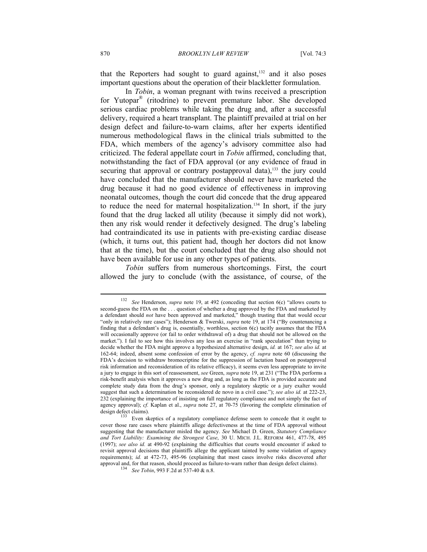that the Reporters had sought to guard against, $132$  and it also poses important questions about the operation of their blackletter formulation.

In *Tobin*, a woman pregnant with twins received a prescription for Yutopar® (ritodrine) to prevent premature labor. She developed serious cardiac problems while taking the drug and, after a successful delivery, required a heart transplant. The plaintiff prevailed at trial on her design defect and failure-to-warn claims, after her experts identified numerous methodological flaws in the clinical trials submitted to the FDA, which members of the agency's advisory committee also had criticized. The federal appellate court in *Tobin* affirmed, concluding that, notwithstanding the fact of FDA approval (or any evidence of fraud in securing that approval or contrary postapproval data), $133$  the jury could have concluded that the manufacturer should never have marketed the drug because it had no good evidence of effectiveness in improving neonatal outcomes, though the court did concede that the drug appeared to reduce the need for maternal hospitalization.<sup>134</sup> In short, if the jury found that the drug lacked all utility (because it simply did not work), then any risk would render it defectively designed. The drug's labeling had contraindicated its use in patients with pre-existing cardiac disease (which, it turns out, this patient had, though her doctors did not know that at the time), but the court concluded that the drug also should not have been available for use in any other types of patients.

*Tobin* suffers from numerous shortcomings. First, the court allowed the jury to conclude (with the assistance, of course, of the

 $\overline{\phantom{a}}$ 

<sup>132</sup> *See* Henderson, *supra* note 19, at 492 (conceding that section 6(c) "allows courts to second-guess the FDA on the . . . question of whether a drug approved by the FDA and marketed by a defendant should *not* have been approved and marketed," though trusting that that would occur "only in relatively rare cases"); Henderson & Twerski, *supra* note 19, at 174 ("By countenancing a finding that a defendant's drug is, essentially, worthless, section 6(c) tacitly assumes that the FDA will occasionally approve (or fail to order withdrawal of) a drug that should not be allowed on the market."). I fail to see how this involves any less an exercise in "rank speculation" than trying to decide whether the FDA might approve a hypothesized alternative design, *id.* at 167; *see also id.* at 162-64; indeed, absent some confession of error by the agency, *cf. supra* note 60 (discussing the FDA's decision to withdraw bromocriptine for the suppression of lactation based on postapproval risk information and reconsideration of its relative efficacy), it seems even less appropriate to invite a jury to engage in this sort of reassessment, *see* Green, *supra* note 19, at 231 ("The FDA performs a risk-benefit analysis when it approves a new drug and, as long as the FDA is provided accurate and complete study data from the drug's sponsor, only a regulatory skeptic or a jury exalter would suggest that such a determination be reconsidered de novo in a civil case."); *see also id.* at 222-23, 232 (explaining the importance of insisting on full regulatory compliance and not simply the fact of agency approval); *cf.* Kaplan et al., *supra* note 27, at 70-75 (favoring the complete elimination of

design defect claims).<br><sup>133</sup> Even skeptics of a regulatory compliance defense seem to concede that it ought to cover those rare cases where plaintiffs allege defectiveness at the time of FDA approval without suggesting that the manufacturer misled the agency. *See* Michael D. Green, *Statutory Compliance and Tort Liability: Examining the Strongest Case*, 30 U. MICH. J.L. REFORM 461, 477-78, 495 (1997); *see also id.* at 490-92 (explaining the difficulties that courts would encounter if asked to revisit approval decisions that plaintiffs allege the applicant tainted by some violation of agency requirements); *id.* at 472-73, 495-96 (explaining that most cases involve risks discovered after approval and, for that reason, should proceed as failure-to-warn rather than design defect claims). 134 *See Tobin*, 993 F.2d at 537-40 & n.8.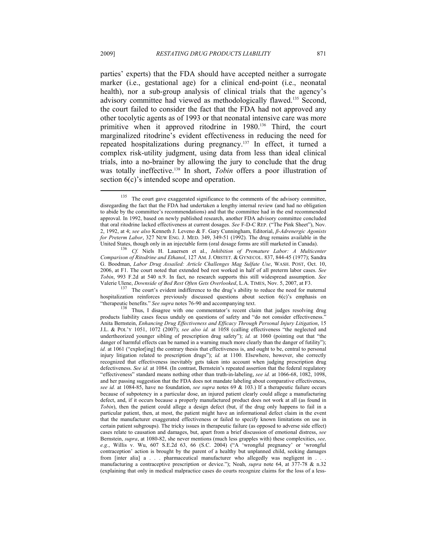parties' experts) that the FDA should have accepted neither a surrogate marker (i.e., gestational age) for a clinical end-point (i.e., neonatal health), nor a sub-group analysis of clinical trials that the agency's advisory committee had viewed as methodologically flawed.135 Second, the court failed to consider the fact that the FDA had not approved any other tocolytic agents as of 1993 or that neonatal intensive care was more primitive when it approved ritodrine in 1980.136 Third, the court marginalized ritodrine's evident effectiveness in reducing the need for repeated hospitalizations during pregnancy.137 In effect, it turned a complex risk-utility judgment, using data from less than ideal clinical trials, into a no-brainer by allowing the jury to conclude that the drug was totally ineffective.<sup>138</sup> In short, *Tobin* offers a poor illustration of section  $6(c)$ 's intended scope and operation.

<sup>137</sup> The court's evident indifference to the drug's ability to reduce the need for maternal hospitalization reinforces previously discussed questions about section 6(c)'s emphasis on "therapeutic benefits." *See supra* notes 76-90 and accompanying text. 138 Thus, I disagree with one commentator's recent claim that judges resolving drug

<sup>&</sup>lt;sup>135</sup> The court gave exaggerated significance to the comments of the advisory committee, disregarding the fact that the FDA had undertaken a lengthy internal review (and had no obligation to abide by the committee's recommendations) and that the committee had in the end recommended approval. In 1992, based on newly published research, another FDA advisory committee concluded that oral ritodrine lacked effectiveness at current dosages. *See* F-D-C REP. ("The Pink Sheet"), Nov. 2, 1992, at 4; *see also* Kenneth J. Leveno & F. Gary Cunningham, Editorial, *β-Adrenergic Agonists for Preterm Labor*, 327 NEW ENG. J. MED. 349, 349-51 (1992). The drug remains available in the United States, though only in an injectable form (oral dosage forms are still marketed in Canada). 136 *Cf.* Niels H. Lauersen et al., *Inhibition of Premature Labor: A Multicenter* 

*Comparison of Ritodrine and Ethanol*, 127 AM. J. OBSTET. & GYNECOL. 837, 844-45 (1977); Sandra G. Boodman, *Labor Drug Assailed: Article Challenges Mag Sulfate Use*, WASH. POST, Oct. 10, 2006, at F1. The court noted that extended bed rest worked in half of all preterm labor cases. *See Tobin*, 993 F.2d at 540 n.9. In fact, no research supports this still widespread assumption. *See*

products liability cases focus unduly on questions of safety and "do not consider effectiveness." Anita Bernstein, *Enhancing Drug Effectiveness and Efficacy Through Personal Injury Litigation*, 15 J.L. & POL'Y 1051, 1072 (2007); *see also id.* at 1058 (calling effectiveness "the neglected and undertheorized younger sibling of prescription drug safety"); *id.* at 1060 (pointing out that "the danger of harmful effects can be named in a warning much more clearly than the danger of futility"); *id.* at 1061 ("explor[ing] the contrary thesis that effectiveness is, and ought to be, central to personal injury litigation related to prescription drugs"); *id.* at 1100. Elsewhere, however, she correctly recognized that effectiveness inevitably gets taken into account when judging prescription drug defectiveness. *See id.* at 1084. (In contrast, Bernstein's repeated assertion that the federal regulatory "effectiveness" standard means nothing other than truth-in-labeling, *see id.* at 1066-68, 1082, 1098, and her passing suggestion that the FDA does not mandate labeling about comparative effectiveness, *see id.* at 1084-85, have no foundation, *see supra* notes 69 & 103.) If a therapeutic failure occurs because of subpotency in a particular dose, an injured patient clearly could allege a manufacturing defect, and, if it occurs because a properly manufactured product does not work at all (as found in *Tobin*), then the patient could allege a design defect (but, if the drug only happens to fail in a particular patient, then, at most, the patient might have an informational defect claim in the event that the manufacturer exaggerated effectiveness or failed to specify known limitations on use in certain patient subgroups). The tricky issues in therapeutic failure (as opposed to adverse side effect) cases relate to causation and damages, but, apart from a brief discussion of emotional distress, *see* Bernstein, *supra*, at 1080-82, she never mentions (much less grapples with) these complexities, *see, e.g.*, Willis v. Wu, 607 S.E.2d 63, 66 (S.C. 2004) ("A 'wrongful pregnancy' or 'wrongful contraception' action is brought by the parent of a healthy but unplanned child, seeking damages from [inter alia] a . . . pharmaceutical manufacturer who allegedly was negligent in . . . manufacturing a contraceptive prescription or device."); Noah, *supra* note 64, at 377-78 & n.32 (explaining that only in medical malpractice cases do courts recognize claims for the loss of a less-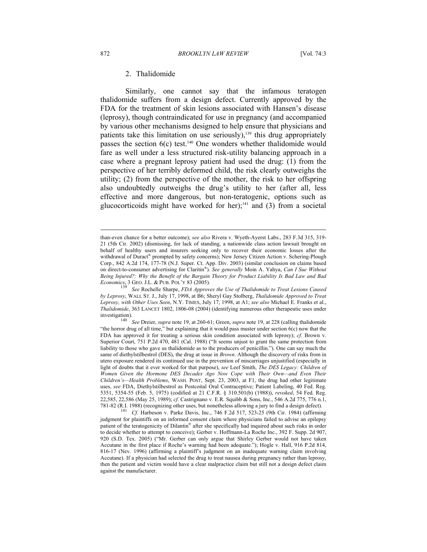#### 2. Thalidomide

Similarly, one cannot say that the infamous teratogen thalidomide suffers from a design defect. Currently approved by the FDA for the treatment of skin lesions associated with Hansen's disease (leprosy), though contraindicated for use in pregnancy (and accompanied by various other mechanisms designed to help ensure that physicians and patients take this limitation on use seriously), $139$  this drug appropriately passes the section  $6(c)$  test.<sup>140</sup> One wonders whether thalidomide would fare as well under a less structured risk-utility balancing approach in a case where a pregnant leprosy patient had used the drug: (1) from the perspective of her terribly deformed child, the risk clearly outweighs the utility; (2) from the perspective of the mother, the risk to her offspring also undoubtedly outweighs the drug's utility to her (after all, less effective and more dangerous, but non-teratogenic, options such as glucocorticoids might have worked for her);<sup>141</sup> and (3) from a societal

than-even chance for a better outcome); *see also* Rivera v. Wyeth-Ayerst Labs., 283 F.3d 315, 319- 21 (5th Cir. 2002) (dismissing, for lack of standing, a nationwide class action lawsuit brought on behalf of healthy users and insurers seeking only to recover their economic losses after the withdrawal of Duract® prompted by safety concerns); New Jersey Citizen Action v. Schering-Plough Corp., 842 A.2d 174, 177-78 (N.J. Super. Ct. App. Div. 2003) (similar conclusion on claims based on direct-to-consumer advertising for Claritin®). *See generally* Moin A. Yahya, *Can I Sue Without Being Injured?: Why the Benefit of the Bargain Theory for Product Liability Is Bad Law and Bad Economics*, 3 GEO. J.L. & PUB. POL'Y 83 (2005). <sup>139</sup> See Rochelle Sharpe, *FDA Approves the Use of Thalidomide to Treat Lesions Caused* 

*by Leprosy*, WALL ST. J., July 17, 1998, at B6; Sheryl Gay Stolberg, *Thalidomide Approved to Treat Leprosy, with Other Uses Seen*, N.Y. TIMES, July 17, 1998, at A1; *see also* Michael E. Franks et al., *Thalidomide*, 363 LANCET 1802, 1806-08 (2004) (identifying numerous other therapeutic uses under investigation). 140 *See* Dreier, *supra* note 19, at 260-61; Green, *supra* note 19, at 228 (calling thalidomide

<sup>&</sup>quot;the horror drug of all time," but explaining that it would pass muster under section 6(c) now that the FDA has approved it for treating a serious skin condition associated with leprosy); *cf.* Brown v. Superior Court, 751 P.2d 470, 481 (Cal. 1988) ("It seems unjust to grant the same protection from liability to those who gave us thalidomide as to the producers of penicillin."). One can say much the same of diethylstilbestrol (DES), the drug at issue in *Brown*. Although the discovery of risks from in utero exposure rendered its continued use in the prevention of miscarriages unjustified (especially in light of doubts that it ever worked for that purpose), *see* Leef Smith, *The DES Legacy: Children of Women Given the Hormone DES Decades Ago Now Cope with Their Own—and Even Their Children's—Health Problems*, WASH. POST, Sept. 23, 2003, at F1, the drug had other legitimate uses, *see* FDA, Diethylstilbestrol as Postcoital Oral Contraceptive; Patient Labeling, 40 Fed. Reg. 5351, 5354-55 (Feb. 5, 1975) (codified at 21 C.F.R. § 310.501(b) (1988)), *revoked*, 54 Fed. Reg. 22,585, 22,586 (May 25, 1989); *cf.* Castrignano v. E.R. Squibb & Sons, Inc., 546 A.2d 775, 776 n.1, 781-82 (R.I. 1988) (recognizing other uses, but nonetheless allowing a jury to find a design defect). 141 *Cf.* Harbeson v. Parke Davis, Inc., 746 F.2d 517, 523-25 (9th Cir. 1984) (affirming

judgment for plaintiffs on an informed consent claim where physicians failed to advise an epilepsy patient of the teratogenicity of Dilantin® after she specifically had inquired about such risks in order to decide whether to attempt to conceive); Gerber v. Hoffmann-La Roche Inc., 392 F. Supp. 2d 907, 920 (S.D. Tex. 2005) ("Mr. Gerber can only argue that Shirley Gerber would not have taken Accutane in the first place if Roche's warning had been adequate."); Hogle v. Hall, 916 P.2d 814, 816-17 (Nev. 1996) (affirming a plaintiff's judgment on an inadequate warning claim involving Accutane). If a physician had selected the drug to treat nausea during pregnancy rather than leprosy, then the patient and victim would have a clear malpractice claim but still not a design defect claim against the manufacturer.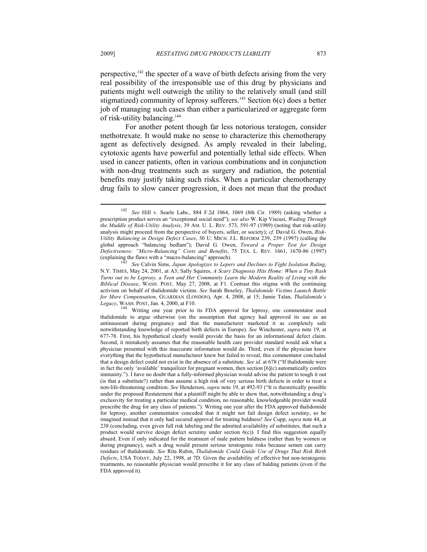perspective,  $142$  the specter of a wave of birth defects arising from the very real possibility of the irresponsible use of this drug by physicians and patients might well outweigh the utility to the relatively small (and still stigmatized) community of leprosy sufferers.<sup>143</sup> Section  $6(c)$  does a better job of managing such cases than either a particularized or aggregate form of risk-utility balancing.144

For another potent though far less notorious teratogen, consider methotrexate. It would make no sense to characterize this chemotherapy agent as defectively designed. As amply revealed in their labeling, cytotoxic agents have powerful and potentially lethal side effects. When used in cancer patients, often in various combinations and in conjunction with non-drug treatments such as surgery and radiation, the potential benefits may justify taking such risks. When a particular chemotherapy drug fails to slow cancer progression, it does not mean that the product

<sup>142</sup> *See* Hill v. Searle Labs., 884 F.2d 1064, 1069 (8th Cir. 1989) (asking whether a prescription product serves an "exceptional social need"); *see also* W. Kip Viscusi, *Wading Through the Muddle of Risk-Utility Analysis*, 39 AM. U. L. REV. 573, 591-97 (1989) (noting that risk-utility analysis might proceed from the perspective of buyers, seller, or society); *cf.* David G. Owen, *Risk-Utility Balancing in Design Defect Cases*, 30 U. MICH. J.L. REFORM 239, 239 (1997) (calling the global approach "balancing bedlam"); David G. Owen, *Toward a Proper Test for Design Defectiveness: "Micro-Balancing" Costs and Benefits*, 75 TEX. L. REV. 1661, 1670-86 (1997) (explaining the flaws with a "macro-balancing" approach).

See Calvin Sims, Japan Apologizes to Lepers and Declines to Fight Isolation Ruling, N.Y. TIMES, May 24, 2001, at A3; Sally Squires, *A Scary Diagnosis Hits Home: When a Tiny Rash Turns out to be Leprosy, a Teen and Her Community Learn the Modern Reality of Living with the Biblical Disease*, WASH. POST, May 27, 2008, at F1. Contrast this stigma with the continuing activism on behalf of thalidomide victims. *See* Sarah Boseley, *Thalidomide Victims Launch Battle for More Compensation*, GUARDIAN (LONDON), Apr. 4, 2008, at 15; Jamie Talan, *Thalidomide's* 

*Legacy*, WASH. POST, Jan. 4, 2000, at F10. 1144 Writing one year prior to its FDA approval for leprosy, one commentator used thalidomide to argue otherwise (on the assumption that agency had approved its use as an antinauseant during pregnancy and that the manufacturer marketed it as completely safe notwithstanding knowledge of reported birth defects in Europe). *See* Winchester, *supra* note 19, at 677-78. First, his hypothetical clearly would provide the basis for an informational defect claim. Second, it mistakenly assumes that the reasonable health care provider standard would ask what a physician presented with this inaccurate information would do. Third, even if the physician knew everything that the hypothetical manufacturer knew but failed to reveal, this commentator concluded that a design defect could not exist in the absence of a substitute. *See id.* at 678 ("If thalidomide were in fact the only 'available' tranquilizer for pregnant women, then section  $[6](c)$  automatically confers immunity."). I have no doubt that a fully-informed physician would advise the patient to tough it out (is that a substitute?) rather than assume a high risk of very serious birth defects in order to treat a non-life-threatening condition. *See* Henderson, *supra* note 19, at 492-93 ("It is theoretically possible under the proposed Restatement that a plaintiff might be able to show that, notwithstanding a drug's exclusivity for treating a particular medical condition, no reasonable, knowledgeable provider would prescribe the drug for any class of patients."). Writing one year after the FDA approved thalidomide for leprosy, another commentator conceded that it might not fail design defect scrutiny, so he imagined instead that it only had secured approval for treating baldness! *See* Cupp, *supra* note 44, at 238 (concluding, even given full risk labeling and the admitted availability of substitutes, that such a product would survive design defect scrutiny under section  $6(c)$ ). I find this suggestion equally absurd. Even if only indicated for the treatment of male pattern baldness (rather than by women or during pregnancy), such a drug would present serious teratogenic risks because semen can carry residues of thalidomide. *See* Rita Rubin, *Thalidomide Could Guide Use of Drugs That Risk Birth Defects*, USA TODAY, July 22, 1998, at 7D. Given the availability of effective but non-teratogenic treatments, no reasonable physician would prescribe it for any class of balding patients (even if the FDA approved it).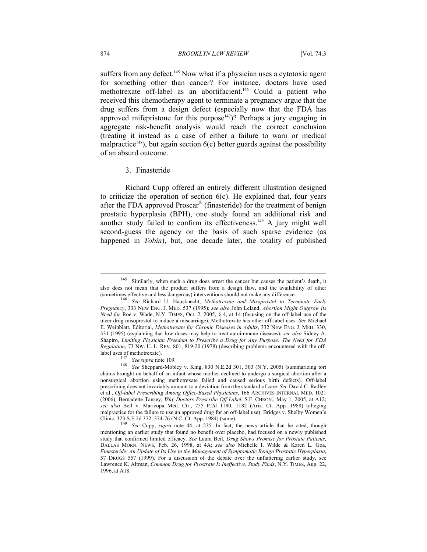suffers from any defect.<sup>145</sup> Now what if a physician uses a cytotoxic agent for something other than cancer? For instance, doctors have used methotrexate off-label as an abortifacient.146 Could a patient who received this chemotherapy agent to terminate a pregnancy argue that the drug suffers from a design defect (especially now that the FDA has approved mifepristone for this purpose<sup>147</sup>)? Perhaps a jury engaging in aggregate risk-benefit analysis would reach the correct conclusion (treating it instead as a case of either a failure to warn or medical malpractice<sup>148</sup>), but again section  $6(c)$  better guards against the possibility of an absurd outcome.

## 3. Finasteride

Richard Cupp offered an entirely different illustration designed to criticize the operation of section 6(c). He explained that, four years after the FDA approved Proscar® (finasteride) for the treatment of benign prostatic hyperplasia (BPH), one study found an additional risk and another study failed to confirm its effectiveness.149 A jury might well second-guess the agency on the basis of such sparse evidence (as happened in *Tobin*), but, one decade later, the totality of published

<sup>&</sup>lt;sup>145</sup> Similarly, when such a drug does arrest the cancer but causes the patient's death, it also does not mean that the product suffers from a design flaw, and the availability of other (sometimes effective and less dangerous) interventions should not make any difference.

<sup>&</sup>lt;sup>146</sup> See Richard U. Hausknecht, Methotrexate and Misoprostol to Terminate Early *Pregnancy*, 333 NEW ENG. J. MED. 537 (1995); *see also* John Leland, *Abortion Might Outgrow its Need for* Roe v. Wade, N.Y. TIMES, Oct. 2, 2005, § 4, at 14 (focusing on the off-label use of the ulcer drug misoprostol to induce a miscarriage). Methotrexate has other off-label uses. *See* Michael E. Weinblatt, Editorial, *Methotrexate for Chronic Diseases in Adults*, 332 NEW ENG. J. MED. 330, 331 (1995) (explaining that low doses may help to treat autoimmune diseases); *see also* Sidney A. Shapiro, *Limiting Physician Freedom to Prescribe a Drug for Any Purpose: The Need for FDA Regulation*, 73 NW. U. L. REV. 801, 819-20 (1978) (describing problems encountered with the off-

label uses of methotrexate). 147 *See supra* note 109. 148 *See* Sheppard-Mobley v. King, 830 N.E.2d 301, 303 (N.Y. 2005) (summarizing tort claims brought on behalf of an infant whose mother declined to undergo a surgical abortion after a nonsurgical abortion using methotrexate failed and caused serious birth defects). Off-label prescribing does not invariably amount to a deviation from the standard of care. *See* David C. Radley et al., *Off-label Prescribing Among Office-Based Physicians*, 166 ARCHIVES INTERNAL MED. 1021 (2006); Bernadette Tansey, *Why Doctors Prescribe Off Label*, S.F. CHRON., May 1, 2005, at A12; *see also* Bell v. Maricopa Med. Ctr., 755 P.2d 1180, 1182 (Ariz. Ct. App. 1988) (alleging malpractice for the failure to use an approved drug for an off-label use); Bridges v. Shelby Women's Clinic, 323 S.E.2d 372, 374-76 (N.C. Ct. App. 1984) (same).

Clinic, 323 S.E.2d 372, 374-76 (N.C. Ct. App. 1984) (same). 149 *See* Cupp, *supra* note 44, at 235. In fact, the news article that he cited, though mentioning an earlier study that found no benefit over placebo, had focused on a newly published study that confirmed limited efficacy. *See* Laura Beil, *Drug Shows Promise for Prostate Patients*, DALLAS MORN. NEWS, Feb. 26, 1998, at 4A; *see also* Michelle I. Wilde & Karen L. Goa, *Finasteride: An Update of Its Use in the Management of Symptomatic Benign Prostatic Hyperplasia*, 57 DRUGS 557 (1999). For a discussion of the debate over the unflattering earlier study, see Lawrence K. Altman, *Common Drug for Prostrate Is Ineffective, Study Finds*, N.Y. TIMES, Aug. 22, 1996, at A18.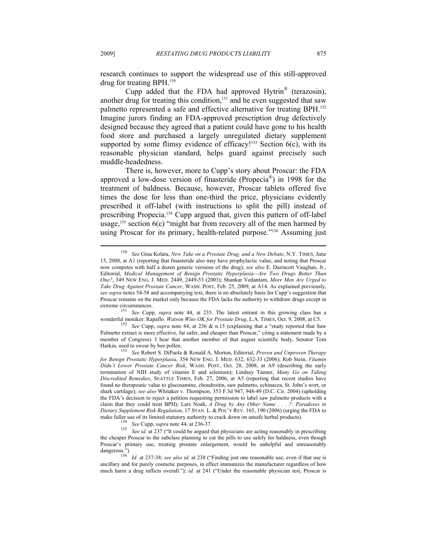research continues to support the widespread use of this still-approved drug for treating BPH.150

Cupp added that the FDA had approved Hytrin® (terazosin), another drug for treating this condition,<sup>151</sup> and he even suggested that saw palmetto represented a safe and effective alternative for treating BPH.152 Imagine jurors finding an FDA-approved prescription drug defectively designed because they agreed that a patient could have gone to his health food store and purchased a largely unregulated dietary supplement supported by some flimsy evidence of efficacy!<sup>153</sup> Section  $6(c)$ , with its reasonable physician standard, helps guard against precisely such muddle-headedness.

There is, however, more to Cupp's story about Proscar: the FDA approved a low-dose version of finasteride (Propecia®) in 1998 for the treatment of baldness. Because, however, Proscar tablets offered five times the dose for less than one-third the price, physicians evidently prescribed it off-label (with instructions to split the pill) instead of prescribing Propecia.<sup>154</sup> Cupp argued that, given this pattern of off-label usage,<sup>155</sup> section  $6(c)$  "might bar from recovery all of the men harmed by using Proscar for its primary, health-related purpose."<sup>156</sup> Assuming just

<sup>151</sup> See Cupp, *supra* note 44, at 235. The latest entrant in this growing class has a wonderful moniker: Rapaflo. *Watson Wins OK for Prostate Drug*, L.A. TIMES, Oct. 9, 2008, at C5. 152 *See* Cupp, *supra* note 44, at 236 & n.15 (explaining that a "study reported that Saw

Palmetto extract is more effective, far safer, and cheaper than Proscar," citing a statement made by a member of Congress). I hear that another member of that august scientific body, Senator Tom Harkin, used to swear by bee pollen. 153 *See* Robert S. DiPaola & Ronald A. Morton, Editorial, *Proven and Unproven Therapy* 

<sup>150</sup> *See* Gina Kolata, *New Take on a Prostate Drug, and a New Debate*, N.Y. TIMES, June 15, 2008, at A1 (reporting that finasteride also may have prophylactic value, and noting that Proscar now competes with half a dozen generic versions of the drug); *see also* E. Darracott Vaughan, Jr., Editorial, *Medical Management of Benign Prostatic Hyperplasia—Are Two Drugs Better Than One?*, 349 NEW ENG. J. MED. 2449, 2449-53 (2003); Shankar Vedantam, *More Men Are Urged to Take Drug Against Prostate Cancer*, WASH. POST, Feb. 25, 2009, at A14. As explained previously, *see supra* notes 54-58 and accompanying text, there is no absolutely basis for Cupp's suggestion that Proscar remains on the market only because the FDA lacks the authority to withdraw drugs except in

*for Benign Prostatic Hyperplasia*, 354 NEW ENG. J. MED. 632, 632-33 (2006); Rob Stein, *Vitamin Didn't Lower Prostate Cancer Risk*, WASH. POST, Oct. 28, 2008, at A9 (describing the early termination of NIH study of vitamin E and selenium); Lindsey Tanner, *Many Go on Taking Discredited Remedies*, SEATTLE TIMES, Feb. 27, 2006, at A5 (reporting that recent studies have found no therapeutic value to glucosamine, chondroitin, saw palmetto, echinacea, St. John's wort, or shark cartilage); *see also* Whitaker v. Thompson, 353 F.3d 947, 948-49 (D.C. Cir. 2004) (upholding the FDA's decision to reject a petition requesting permission to label saw palmetto products with a claim that they could treat BPH); Lars Noah, *A Drug by Any Other Name . . . ?: Paradoxes in Dietary Supplement Risk Regulation*, 17 STAN. L. & POL'Y REV. 165, 190 (2006) (urging the FDA to make fuller use of its limited statutory authority to crack down on unsafe herbal products).

<sup>&</sup>lt;sup>154</sup> See Cupp, supra note 44, at 236-37.<br><sup>155</sup> See id. at 237 ("It could be argued that physicians are acting reasonably in prescribing the cheaper Proscar to the subclass planning to cut the pills to use safely for baldness, even though Proscar's primary use, treating prostate enlargement, would be unhelpful and unreasonably

dangerous."). 156 *Id.* at 237-38; *see also id.* at 238 ("Finding just one reasonable use, even if that use is ancillary and for purely cosmetic purposes, in effect immunizes the manufacturer regardless of how much harm a drug inflicts overall."); *id.* at 241 ("Under the reasonable physician test, Proscar is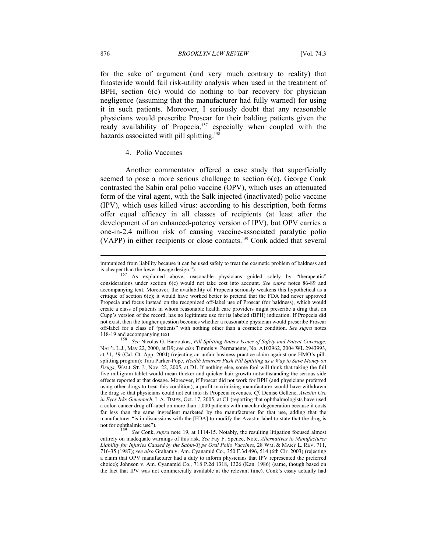for the sake of argument (and very much contrary to reality) that finasteride would fail risk-utility analysis when used in the treatment of BPH, section 6(c) would do nothing to bar recovery for physician negligence (assuming that the manufacturer had fully warned) for using it in such patients. Moreover, I seriously doubt that any reasonable physicians would prescribe Proscar for their balding patients given the ready availability of Propecia,<sup>157</sup> especially when coupled with the hazards associated with pill splitting.<sup>158</sup>

## 4. Polio Vaccines

Another commentator offered a case study that superficially seemed to pose a more serious challenge to section 6(c). George Conk contrasted the Sabin oral polio vaccine (OPV), which uses an attenuated form of the viral agent, with the Salk injected (inactivated) polio vaccine (IPV), which uses killed virus: according to his description, both forms offer equal efficacy in all classes of recipients (at least after the development of an enhanced-potency version of IPV), but OPV carries a one-in-2.4 million risk of causing vaccine-associated paralytic polio (VAPP) in either recipients or close contacts.159 Conk added that several

immunized from liability because it can be used safely to treat the cosmetic problem of baldness and<br>is cheaper than the lower dosage design.").<br> $\frac{157}{48}$  explained above reasonable physicians midad solely by "thermouti

As explained above, reasonable physicians guided solely by "therapeutic" considerations under section 6(c) would not take cost into account. *See supra* notes 86-89 and accompanying text. Moreover, the availability of Propecia seriously weakens this hypothetical as a critique of section 6(c); it would have worked better to pretend that the FDA had never approved Propecia and focus instead on the recognized off-label use of Proscar (for baldness), which would create a class of patients in whom reasonable health care providers might prescribe a drug that, on Cupp's version of the record, has no legitimate use for its labeled (BPH) indication. If Propecia did not exist, then the tougher question becomes whether a reasonable physician would prescribe Proscar off-label for a class of "patients" with nothing other than a cosmetic condition. *See supra* notes

<sup>118-19</sup> and accompanying text. 158 *See* Nicolas G. Barzoukas, *Pill Splitting Raises Issues of Safety and Patent Coverage*, NAT'L L.J., May 22, 2000, at B9; *see also* Timmis v. Permanente, No. A102962, 2004 WL 2943993, at \*1, \*9 (Cal. Ct. App. 2004) (rejecting an unfair business practice claim against one HMO's pillsplitting program); Tara Parker-Pope, *Health Insurers Push Pill Splitting as a Way to Save Money on Drugs*, WALL ST. J., Nov. 22, 2005, at D1. If nothing else, some fool will think that taking the full five milligram tablet would mean thicker and quicker hair growth notwithstanding the serious side effects reported at that dosage. Moreover, if Proscar did not work for BPH (and physicians preferred using other drugs to treat this condition), a profit-maximizing manufacturer would have withdrawn the drug so that physicians could not cut into its Propecia revenues. *Cf.* Denise Gellene, *Avastin Use in Eyes Irks Genentech*, L.A. TIMES, Oct. 17, 2005, at C1 (reporting that ophthalmologists have used a colon cancer drug off-label on more than 1,000 patients with macular degeneration because it costs far less than the same ingredient marketed by the manufacturer for that use, adding that the manufacturer "is in discussions with the [FDA] to modify the Avastin label to state that the drug is not for ophthalmic use").

<sup>&</sup>lt;sup>159</sup> See Conk, *supra* note 19, at 1114-15. Notably, the resulting litigation focused almost entirely on inadequate warnings of this risk. *See* Fay F. Spence, Note, *Alternatives to Manufacturer Liability for Injuries Caused by the Sabin-Type Oral Polio Vaccines*, 28 WM. & MARY L. REV. 711, 716-35 (1987); *see also* Graham v. Am. Cyanamid Co., 350 F.3d 496, 514 (6th Cir. 2003) (rejecting a claim that OPV manufacturer had a duty to inform physicians that IPV represented the preferred choice); Johnson v. Am. Cyanamid Co., 718 P.2d 1318, 1326 (Kan. 1986) (same, though based on the fact that IPV was not commercially available at the relevant time). Conk's essay actually had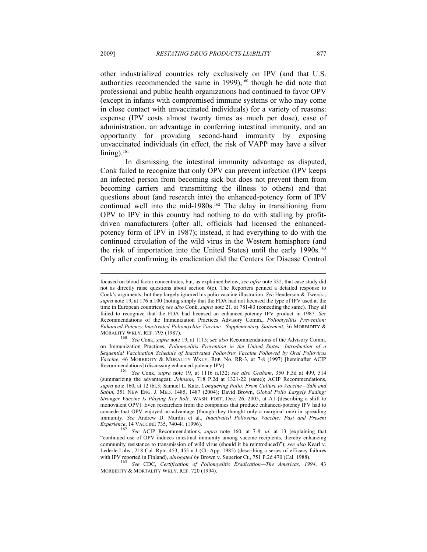other industrialized countries rely exclusively on IPV (and that U.S. authorities recommended the same in 1999), $160$  though he did note that professional and public health organizations had continued to favor OPV (except in infants with compromised immune systems or who may come in close contact with unvaccinated individuals) for a variety of reasons: expense (IPV costs almost twenty times as much per dose), ease of administration, an advantage in conferring intestinal immunity, and an opportunity for providing second-hand immunity by exposing unvaccinated individuals (in effect, the risk of VAPP may have a silver  $lining$ ).<sup>161</sup>

In dismissing the intestinal immunity advantage as disputed, Conk failed to recognize that only OPV can prevent infection (IPV keeps an infected person from becoming sick but does not prevent them from becoming carriers and transmitting the illness to others) and that questions about (and research into) the enhanced-potency form of IPV continued well into the mid-1980s.<sup>162</sup> The delay in transitioning from OPV to IPV in this country had nothing to do with stalling by profitdriven manufacturers (after all, officials had licensed the enhancedpotency form of IPV in 1987); instead, it had everything to do with the continued circulation of the wild virus in the Western hemisphere (and the risk of importation into the United States) until the early 1990s.<sup>163</sup> Only after confirming its eradication did the Centers for Disease Control

<sup>160</sup> See Conk, *supra* note 19, at 1115; *see also* Recommendations of the Advisory Comm. on Immunization Practices, *Poliomyelitis Prevention in the United States: Introduction of a Sequential Vaccination Schedule of Inactivated Poliovirus Vaccine Followed by Oral Poliovirus Vaccine*, 46 MORBIDITY & MORALITY WKLY. REP. No. RR-3, at 7-8 (1997) [hereinafter ACIP

Recommendations] (discussing enhanced-potency IPV).<br><sup>161</sup> See Conk, *supra* note 19, at 1116 n.132; *see also Graham*, 350 F.3d at 499, 514 (summarizing the advantages); *Johnson*, 718 P.2d at 1321-22 (same); ACIP Recommendations, *supra* note 160, at 12 tbl.3; Samuel L. Katz, *Conquering Polio: From Culture to Vaccine—Salk and Sabin*, 351 NEW ENG. J. MED. 1485, 1487 (2004); David Brown, *Global Polio Largely Fading: Stronger Vaccine Is Playing Key Role*, WASH. POST, Dec. 26, 2005, at A1 (describing a shift to monovalent OPV). Even researchers from the companies that produce enhanced-potency IPV had to concede that OPV enjoyed an advantage (though they thought only a marginal one) in spreading immunity. *See* Andrew D. Murdin et al., *Inactivated Poliovirus Vaccine: Past and Present*<br>*Experience*, 14 VACCINE 735, 740-41 (1996).<br><sup>162</sup> See ACIP Peopmendations surve note 160 of 7.9; id at 12 (containing declination

focused on blood factor concentrates, but, as explained below, *see infra* note 332, that case study did not as directly raise questions about section 6(c). The Reporters penned a detailed response to Conk's arguments, but they largely ignored his polio vaccine illustration. *See* Henderson & Twerski, *supra* note 19, at 176 n.100 (noting simply that the FDA had not licensed the type of IPV used at the time in European countries); *see also* Conk, *supra* note 21, at 781-83 (conceding the same). They all failed to recognize that the FDA had licensed an enhanced-potency IPV product in 1987. *See* Recommendations of the Immunization Practices Advisory Comm., *Poliomyelitis Prevention: Enhanced-Potency Inactivated Poliomyelitis Vaccine—Supplementary Statement*, 36 MORBIDITY & MORALITY WKLY. REP. 795 (1987).

*See* ACIP Recommendations, *supra* note 160, at 7-8; *id.* at 13 (explaining that "continued use of OPV induces intestinal immunity among vaccine recipients, thereby enhancing community resistance to transmission of wild virus (should it be reintroduced)"); *see also* Kearl v. Lederle Labs., 218 Cal. Rptr. 453, 455 n.1 (Ct. App. 1985) (describing a series of efficacy failures with IPV reported in Finland), *abrogated by* Brown v. Superior Ct., 751 P.2d 470 (Cal. 1988).<br><sup>163</sup> See CDC, *Certification of Poliomyelitis Eradication—The Americas, 1994*, 43

MORBIDITY & MORTALITY WKLY. REP. 720 (1994).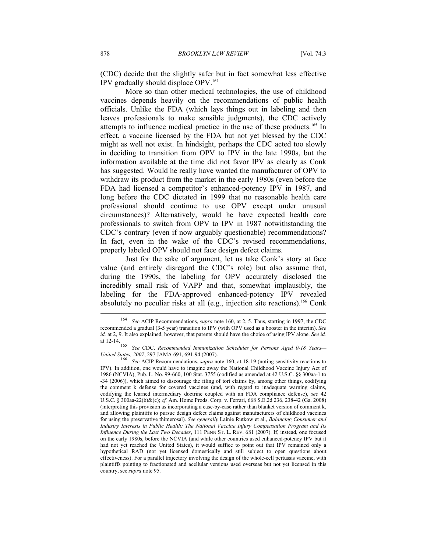(CDC) decide that the slightly safer but in fact somewhat less effective IPV gradually should displace OPV.164

More so than other medical technologies, the use of childhood vaccines depends heavily on the recommendations of public health officials. Unlike the FDA (which lays things out in labeling and then leaves professionals to make sensible judgments), the CDC actively attempts to influence medical practice in the use of these products.165 In effect, a vaccine licensed by the FDA but not yet blessed by the CDC might as well not exist. In hindsight, perhaps the CDC acted too slowly in deciding to transition from OPV to IPV in the late 1990s, but the information available at the time did not favor IPV as clearly as Conk has suggested. Would he really have wanted the manufacturer of OPV to withdraw its product from the market in the early 1980s (even before the FDA had licensed a competitor's enhanced-potency IPV in 1987, and long before the CDC dictated in 1999 that no reasonable health care professional should continue to use OPV except under unusual circumstances)? Alternatively, would he have expected health care professionals to switch from OPV to IPV in 1987 notwithstanding the CDC's contrary (even if now arguably questionable) recommendations? In fact, even in the wake of the CDC's revised recommendations, properly labeled OPV should not face design defect claims.

Just for the sake of argument, let us take Conk's story at face value (and entirely disregard the CDC's role) but also assume that, during the 1990s, the labeling for OPV accurately disclosed the incredibly small risk of VAPP and that, somewhat implausibly, the labeling for the FDA-approved enhanced-potency IPV revealed absolutely no peculiar risks at all (e.g., injection site reactions).166 Conk

<sup>164</sup> *See* ACIP Recommendations, *supra* note 160, at 2, 5. Thus, starting in 1997, the CDC recommended a gradual (3-5 year) transition to IPV (with OPV used as a booster in the interim). *See id.* at 2, 9. It also explained, however, that parents should have the choice of using IPV alone. *See id.*

at 12-14. 165 *See* CDC, *Recommended Immunization Schedules for Persons Aged 0-18 Years— United States, 2007, 297 JAMA 691, 691-94 (2007).*<br><sup>166</sup> See ACIP Recommendations, *supra* note 160, at 18-19 (noting sensitivity reactions to

IPV). In addition, one would have to imagine away the National Childhood Vaccine Injury Act of 1986 (NCVIA), Pub. L. No. 99-660, 100 Stat. 3755 (codified as amended at 42 U.S.C. §§ 300aa-1 to -34 (2006)), which aimed to discourage the filing of tort claims by, among other things, codifying the comment k defense for covered vaccines (and, with regard to inadequate warning claims, codifying the learned intermediary doctrine coupled with an FDA compliance defense), *see* 42 U.S.C. § 300aa-22(b)&(c); *cf.* Am. Home Prods. Corp. v. Ferrari, 668 S.E.2d 236, 238-42 (Ga. 2008) (interpreting this provision as incorporating a case-by-case rather than blanket version of comment k, and allowing plaintiffs to pursue design defect claims against manufacturers of childhood vaccines for using the preservative thimerosal). *See generally* Lainie Rutkow et al., *Balancing Consumer and Industry Interests in Public Health: The National Vaccine Injury Compensation Program and Its Influence During the Last Two Decades*, 111 PENN ST. L. REV. 681 (2007). If, instead, one focused on the early 1980s, before the NCVIA (and while other countries used enhanced-potency IPV but it had not yet reached the United States), it would suffice to point out that IPV remained only a hypothetical RAD (not yet licensed domestically and still subject to open questions about effectiveness). For a parallel trajectory involving the design of the whole-cell pertussis vaccine, with plaintiffs pointing to fractionated and acellular versions used overseas but not yet licensed in this country, see *supra* note 95.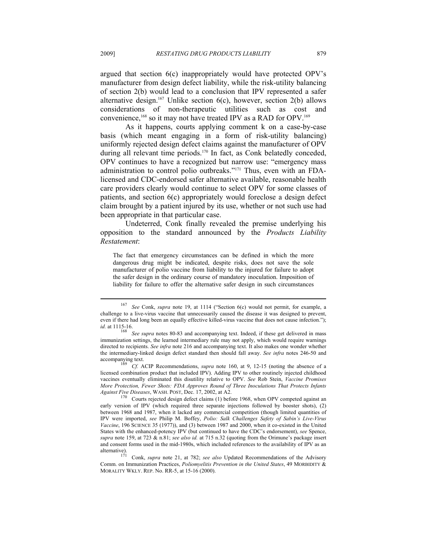argued that section 6(c) inappropriately would have protected OPV's manufacturer from design defect liability, while the risk-utility balancing of section 2(b) would lead to a conclusion that IPV represented a safer alternative design.<sup>167</sup> Unlike section  $6(c)$ , however, section  $2(b)$  allows considerations of non-therapeutic utilities such as cost and convenience,<sup>168</sup> so it may not have treated IPV as a RAD for OPV.<sup>169</sup>

As it happens, courts applying comment k on a case-by-case basis (which meant engaging in a form of risk-utility balancing) uniformly rejected design defect claims against the manufacturer of OPV during all relevant time periods.<sup>170</sup> In fact, as Conk belatedly conceded, OPV continues to have a recognized but narrow use: "emergency mass administration to control polio outbreaks."171 Thus, even with an FDAlicensed and CDC-endorsed safer alternative available, reasonable health care providers clearly would continue to select OPV for some classes of patients, and section 6(c) appropriately would foreclose a design defect claim brought by a patient injured by its use, whether or not such use had been appropriate in that particular case.

Undeterred, Conk finally revealed the premise underlying his opposition to the standard announced by the *Products Liability Restatement*:

The fact that emergency circumstances can be defined in which the more dangerous drug might be indicated, despite risks, does not save the sole manufacturer of polio vaccine from liability to the injured for failure to adopt the safer design in the ordinary course of mandatory inoculation. Imposition of liability for failure to offer the alternative safer design in such circumstances

<sup>167</sup> *See* Conk, *supra* note 19, at 1114 ("Section 6(c) would not permit, for example, a challenge to a live-virus vaccine that unnecessarily caused the disease it was designed to prevent, even if there had long been an equally effective killed-virus vaccine that does not cause infection."); *id.* at 1115-16. <sup>168</sup> See supra notes 80-83 and accompanying text. Indeed, if these get delivered in mass

immunization settings, the learned intermediary rule may not apply, which would require warnings directed to recipients. *See infra* note 216 and accompanying text. It also makes one wonder whether the intermediary-linked design defect standard then should fall away. *See infra* notes 246-50 and accompanying text. 169 *Cf.* ACIP Recommendations, *supra* note 160, at 9, 12-15 (noting the absence of a

licensed combination product that included IPV). Adding IPV to other routinely injected childhood vaccines eventually eliminated this disutility relative to OPV. *See* Rob Stein, *Vaccine Promises More Protection, Fewer Shots: FDA Approves Round of Three Inoculations That Protects Infants Against Five Diseases, WASH. POST, Dec. 17, 2002, at A2.* 

<sup>&</sup>lt;sup>170</sup> Courts rejected design defect claims (1) before 1968, when OPV competed against an early version of IPV (which required three separate injections followed by booster shots), (2) between 1968 and 1987, when it lacked any commercial competition (though limited quantities of IPV were imported, *see* Philip M. Boffey, *Polio: Salk Challenges Safety of Sabin's Live-Virus Vaccine*, 196 SCIENCE 35 (1977)), and (3) between 1987 and 2000, when it co-existed in the United States with the enhanced-potency IPV (but continued to have the CDC's endorsement), *see* Spence, *supra* note 159, at 723 & n.81; *see also id.* at 715 n.32 (quoting from the Orimune's package insert and consent forms used in the mid-1980s, which included references to the availability of IPV as an alternative).

Conk, *supra* note 21, at 782; *see also* Updated Recommendations of the Advisory Comm. on Immunization Practices, *Poliomyelitis Prevention in the United States*, 49 MORBIDITY & MORALITY WKLY. REP. No. RR-5, at 15-16 (2000).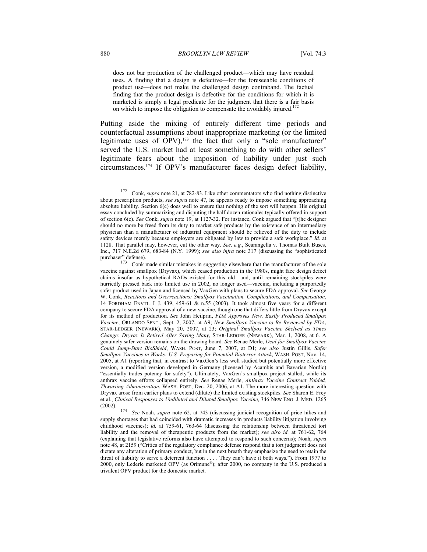does not bar production of the challenged product—which may have residual uses. A finding that a design is defective—for the foreseeable conditions of product use—does not make the challenged design contraband. The factual finding that the product design is defective for the conditions for which it is marketed is simply a legal predicate for the judgment that there is a fair basis on which to impose the obligation to compensate the avoidably injured.<sup>172</sup>

Putting aside the mixing of entirely different time periods and counterfactual assumptions about inappropriate marketing (or the limited legitimate uses of OPV), $173$  the fact that only a "sole manufacturer" served the U.S. market had at least something to do with other sellers' legitimate fears about the imposition of liability under just such circumstances.174 If OPV's manufacturer faces design defect liability,

<sup>172</sup> Conk, *supra* note 21, at 782-83. Like other commentators who find nothing distinctive about prescription products, *see supra* note 47, he appears ready to impose something approaching absolute liability. Section 6(c) does well to ensure that nothing of the sort will happen. His original essay concluded by summarizing and disputing the half dozen rationales typically offered in support of section 6(c). *See* Conk, *supra* note 19, at 1127-32. For instance, Conk argued that "[t]he designer should no more be freed from its duty to market safe products by the existence of an intermediary physician than a manufacturer of industrial equipment should be relieved of the duty to include safety devices merely because employers are obligated by law to provide a safe workplace." *Id.* at 1128. That parallel may, however, cut the other way. *See, e.g.*, Scarangella v. Thomas Built Buses, Inc., 717 N.E.2d 679, 683-84 (N.Y. 1999); *see also infra* note 317 (discussing the "sophisticated purchaser" defense).<br>
<sup>173</sup> Conk meda similar mistakes in suggesting algorithm that the manufacturer of the sole

Conk made similar mistakes in suggesting elsewhere that the manufacturer of the sole vaccine against smallpox (Dryvax), which ceased production in the 1980s, might face design defect claims insofar as hypothetical RADs existed for this old—and, until remaining stockpiles were hurriedly pressed back into limited use in 2002, no longer used—vaccine, including a purportedly safer product used in Japan and licensed by VaxGen with plans to secure FDA approval. *See* George W. Conk, *Reactions and Overreactions: Smallpox Vaccination, Complications, and Compensation*, 14 FORDHAM ENVTL. L.J. 439, 459-61 & n.55 (2003). It took almost five years for a different company to secure FDA approval of a new vaccine, though one that differs little from Dryvax except for its method of production. *See* John Heilprin, *FDA Approves New, Easily Produced Smallpox Vaccine*, ORLANDO SENT., Sept. 2, 2007, at A9; *New Smallpox Vaccine to Be Reviewed by FDA*, STAR-LEDGER (NEWARK), May 20, 2007, at 23; *Original Smallpox Vaccine Shelved as Times Change: Dryvax Is Retired After Saving Many*, STAR-LEDGER (NEWARK), Mar. 1, 2008, at 6. A genuinely safer version remains on the drawing board. *See* Renae Merle, *Deal for Smallpox Vaccine Could Jump-Start BioShield*, WASH. POST, June 7, 2007, at D1; *see also* Justin Gillis, *Safer Smallpox Vaccines in Works: U.S. Preparing for Potential Bioterror Attack*, WASH. POST, Nov. 14, 2005, at A1 (reporting that, in contrast to VaxGen's less well studied but potentially more effective version, a modified version developed in Germany (licensed by Acambis and Bavarian Nordic) "essentially trades potency for safety"). Ultimately, VaxGen's smallpox project stalled, while its anthrax vaccine efforts collapsed entirely. *See* Renae Merle, *Anthrax Vaccine Contract Voided, Thwarting Administration*, WASH. POST, Dec. 20, 2006, at A1. The more interesting question with Dryvax arose from earlier plans to extend (dilute) the limited existing stockpiles. *See* Sharon E. Frey et al., *Clinical Responses to Undiluted and Diluted Smallpox Vaccine*, 346 NEW ENG. J. MED. 1265

<sup>(2002). 174</sup> *See* Noah, *supra* note 62, at 743 (discussing judicial recognition of price hikes and supply shortages that had coincided with dramatic increases in products liability litigation involving childhood vaccines); *id.* at 759-61, 763-64 (discussing the relationship between threatened tort liability and the removal of therapeutic products from the market); *see also id.* at 761-62, 764 (explaining that legislative reforms also have attempted to respond to such concerns); Noah, *supra* note 48, at 2159 ("Critics of the regulatory compliance defense respond that a tort judgment does not dictate any alteration of primary conduct, but in the next breath they emphasize the need to retain the threat of liability to serve a deterrent function . . . . They can't have it both ways."). From 1977 to 2000, only Lederle marketed OPV (as Orimune®); after 2000, no company in the U.S. produced a trivalent OPV product for the domestic market.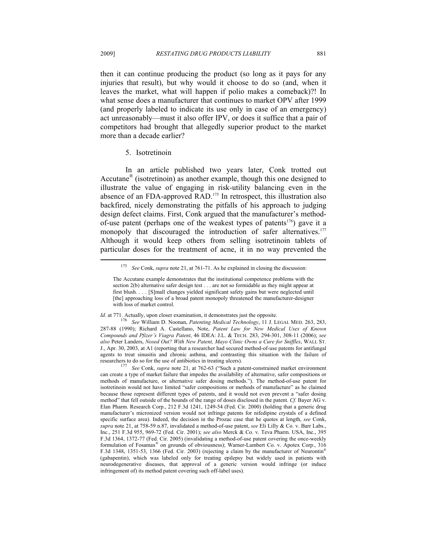then it can continue producing the product (so long as it pays for any injuries that result), but why would it choose to do so (and, when it leaves the market, what will happen if polio makes a comeback)?! In what sense does a manufacturer that continues to market OPV after 1999 (and properly labeled to indicate its use only in case of an emergency) act unreasonably—must it also offer IPV, or does it suffice that a pair of competitors had brought that allegedly superior product to the market more than a decade earlier?

## 5. Isotretinoin

In an article published two years later, Conk trotted out Accutane® (isotretinoin) as another example, though this one designed to illustrate the value of engaging in risk-utility balancing even in the absence of an FDA-approved RAD.175 In retrospect, this illustration also backfired, nicely demonstrating the pitfalls of his approach to judging design defect claims. First, Conk argued that the manufacturer's methodof-use patent (perhaps one of the weakest types of patents<sup>176</sup>) gave it a monopoly that discouraged the introduction of safer alternatives.<sup>177</sup> Although it would keep others from selling isotretinoin tablets of particular doses for the treatment of acne, it in no way prevented the

<sup>175</sup> *See* Conk, *supra* note 21, at 761-71. As he explained in closing the discussion:

The Accutane example demonstrates that the institutional competence problems with the section 2(b) alternative safer design test . . . are not so formidable as they might appear at first blush. . . . [S]mall changes yielded significant safety gains but were neglected until [the] approaching loss of a broad patent monopoly threatened the manufacturer-designer with loss of market control.

*Id.* at 771. Actually, upon closer examination, it demonstrates just the opposite. 176 *See* William D. Noonan, *Patenting Medical Technology*, 11 J. LEGAL MED. 263, 283, 287-88 (1990); Richard A. Castellano, Note, *Patent Law for New Medical Uses of Known Compounds and Pfizer's Viagra Patent*, 46 IDEA: J.L. & TECH. 283, 294-301, 308-11 (2006); *see also* Peter Landers, *Nosed Out? With New Patent, Mayo Clinic Owns a Cure for Sniffles*, WALL ST. J., Apr. 30, 2003, at A1 (reporting that a researcher had secured method-of-use patents for antifungal agents to treat sinusitis and chronic asthma, and contrasting this situation with the failure of researchers to do so for the use of antibiotics in treating ulcers). 177 *See* Conk, *supra* note 21, at 762-63 ("Such a patent-constrained market environment

can create a type of market failure that impedes the availability of alternative, safer compositions or methods of manufacture, or alternative safer dosing methods."). The method-of-use patent for isotretinoin would not have limited "safer compositions or methods of manufacture" as he claimed because those represent different types of patents, and it would not even prevent a "safer dosing method" that fell outside of the bounds of the range of doses disclosed in the patent. *Cf.* Bayer AG v. Elan Pharm. Research Corp., 212 F.3d 1241, 1249-54 (Fed. Cir. 2000) (holding that a generic drug manufacturer's micronized version would not infringe patents for nifedipine crystals of a defined specific surface area). Indeed, the decision in the Prozac case that he quotes at length, *see* Conk, *supra* note 21, at 758-59 n.87, invalidated a method-of-use patent, *see* Eli Lilly & Co. v. Barr Labs., Inc., 251 F.3d 955, 969-72 (Fed. Cir. 2001); *see also* Merck & Co. v. Teva Pharm. USA, Inc., 395 F.3d 1364, 1372-77 (Fed. Cir. 2005) (invalidating a method-of-use patent covering the once-weekly formulation of Fosamax® on grounds of obviousness); Warner-Lambert Co. v. Apotex Corp., 316 F.3d 1348, 1351-53, 1366 (Fed. Cir. 2003) (rejecting a claim by the manufacturer of Neurontin® (gabapentin), which was labeled only for treating epilepsy but widely used in patients with neurodegenerative diseases, that approval of a generic version would infringe (or induce infringement of) its method patent covering such off-label uses).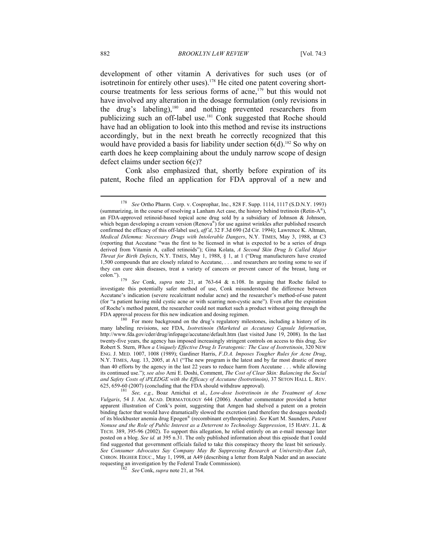development of other vitamin A derivatives for such uses (or of isotretinoin for entirely other uses).<sup>178</sup> He cited one patent covering shortcourse treatments for less serious forms of acne,<sup>179</sup> but this would not have involved any alteration in the dosage formulation (only revisions in the drug's labeling),180 and nothing prevented researchers from publicizing such an off-label use.<sup>181</sup> Conk suggested that Roche should have had an obligation to look into this method and revise its instructions accordingly, but in the next breath he correctly recognized that this would have provided a basis for liability under section  $6(d)$ <sup>182</sup> So why on earth does he keep complaining about the unduly narrow scope of design defect claims under section 6(c)?

Conk also emphasized that, shortly before expiration of its patent, Roche filed an application for FDA approval of a new and

<sup>178</sup> *See* Ortho Pharm. Corp. v. Cosprophar, Inc., 828 F. Supp. 1114, 1117 (S.D.N.Y. 1993) (summarizing, in the course of resolving a Lanham Act case, the history behind tretinoin (Retin- $A^{\mathcal{B}}$ ), an FDA-approved retinoid-based topical acne drug sold by a subsidiary of Johnson & Johnson, which began developing a cream version (Renova<sup>®</sup>) for use against wrinkles after published research confirmed the efficacy of this off-label use), *aff'd*, 32 F.3d 690 (2d Cir. 1994); Lawrence K. Altman, *Medical Dilemma: Necessary Drugs with Intolerable Dangers*, N.Y. TIMES, May 3, 1988, at C3 (reporting that Accutane "was the first to be licensed in what is expected to be a series of drugs derived from Vitamin A, called retinoids"); Gina Kolata, *A Second Skin Drug Is Called Major Threat for Birth Defects*, N.Y. TIMES, May 1, 1988, § 1, at 1 ("Drug manufacturers have created 1,500 compounds that are closely related to Accutane, . . . and researchers are testing some to see if they can cure skin diseases, treat a variety of cancers or prevent cancer of the breast, lung or colon.").

See Conk, *supra* note 21, at 763-64 & n.108. In arguing that Roche failed to investigate this potentially safer method of use, Conk misunderstood the difference between Accutane's indication (severe recalcitrant nodular acne) and the researcher's method-of-use patent (for "a patient having mild cystic acne or with scarring non-cystic acne"). Even after the expiration of Roche's method patent, the researcher could not market such a product without going through the

FDA approval process for this new indication and dosing regimen.<br>For more background on the drug's regulatory milestones, including a history of its many labeling revisions, see FDA, *Isotretinoin (Marketed as Accutane) Capsule Information*, http://www.fda.gov/cder/drug/infopage/accutane/default.htm (last visited June 19, 2008). In the last twenty-five years, the agency has imposed increasingly stringent controls on access to this drug. *See* Robert S. Stern, *When a Uniquely Effective Drug Is Teratogenic: The Case of Isotretinoin*, 320 NEW ENG. J. MED. 1007, 1008 (1989); Gardiner Harris, *F.D.A. Imposes Tougher Rules for Acne Drug*, N.Y. TIMES, Aug. 13, 2005, at A1 ("The new program is the latest and by far most drastic of more than 40 efforts by the agency in the last 22 years to reduce harm from Accutane . . . while allowing its continued use."); *see also* Ami E. Doshi, Comment, *The Cost of Clear Skin: Balancing the Social and Safety Costs of iPLEDGE with the Efficacy of Accutane (Isotretinoin)*, 37 SETON HALL L. REV.

<sup>625, 659-60 (2007) (</sup>concluding that the FDA should withdraw approval). <sup>181</sup> *See, e.g.*, Boaz Amichai et al., *Low-dose Isotretinoin in the Treatment of Acne Vulgaris*, 54 J. AM. ACAD. DERMATOLOGY 644 (2006). Another commentator provided a better apparent illustration of Conk's point, suggesting that Amgen had shelved a patent on a protein binding factor that would have dramatically slowed the excretion (and therefore the dosages needed) of its blockbuster anemia drug Epogen® (recombinant erythropoietin). *See* Kurt M. Saunders, *Patent Nonuse and the Role of Public Interest as a Deterrent to Technology Suppression*, 15 HARV. J.L. & TECH. 389, 395-96 (2002). To support this allegation, he relied entirely on an e-mail message later posted on a blog. *See id.* at 395 n.31. The only published information about this episode that I could find suggested that government officials failed to take this conspiracy theory the least bit seriously. *See Consumer Advocates Say Company May Be Suppressing Research at University-Run Lab*, CHRON. HIGHER EDUC., May 1, 1998, at A49 (describing a letter from Ralph Nader and an associate requesting an investigation by the Federal Trade Commission). 182 *See* Conk, *supra* note 21, at 764.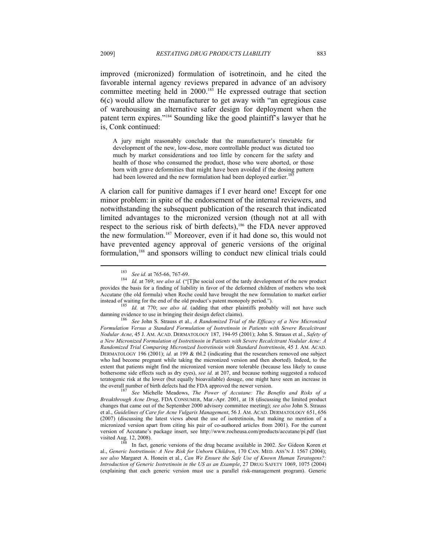improved (micronized) formulation of isotretinoin, and he cited the favorable internal agency reviews prepared in advance of an advisory committee meeting held in 2000.<sup>183</sup> He expressed outrage that section 6(c) would allow the manufacturer to get away with "an egregious case of warehousing an alternative safer design for deployment when the patent term expires."184 Sounding like the good plaintiff's lawyer that he is, Conk continued:

A jury might reasonably conclude that the manufacturer's timetable for development of the new, low-dose, more controllable product was dictated too much by market considerations and too little by concern for the safety and health of those who consumed the product, those who were aborted, or those born with grave deformities that might have been avoided if the dosing pattern had been lowered and the new formulation had been deployed earlier.<sup>1</sup>

A clarion call for punitive damages if I ever heard one! Except for one minor problem: in spite of the endorsement of the internal reviewers, and notwithstanding the subsequent publication of the research that indicated limited advantages to the micronized version (though not at all with respect to the serious risk of birth defects),<sup>186</sup> the FDA never approved the new formulation.187 Moreover, even if it had done so, this would not have prevented agency approval of generic versions of the original formulation,188 and sponsors willing to conduct new clinical trials could

<sup>183</sup> *See id.* at 765-66, 767-69. 184 *Id.* at 769; *see also id.* ("[T]he social cost of the tardy development of the new product provides the basis for a finding of liability in favor of the deformed children of mothers who took Accutane (the old formula) when Roche could have brought the new formulation to market earlier

instead of waiting for the end of the old product's patent monopoly period."). 185 *Id.* at 770; *see also id.* (adding that other plaintiffs probably will not have such damning evidence to use in bringing their design defect claims).<br><sup>186</sup> See John S. Strauss et al., *A Randomized Trial of the Efficacy of a New Micronized* 

*Formulation Versus a Standard Formulation of Isotretinoin in Patients with Severe Recalcitrant Nodular Acne*, 45 J. AM. ACAD. DERMATOLOGY 187, 194-95 (2001); John S. Strauss et al., *Safety of a New Micronized Formulation of Isotretinoin in Patients with Severe Recalcitrant Nodular Acne: A Randomized Trial Comparing Micronized Isotretinoin with Standard Isotretinoin*, 45 J. AM. ACAD. DERMATOLOGY 196 (2001); *id.* at 199 & tbl.2 (indicating that the researchers removed one subject who had become pregnant while taking the micronized version and then aborted). Indeed, to the extent that patients might find the micronized version more tolerable (because less likely to cause bothersome side effects such as dry eyes), *see id.* at 207, and because nothing suggested a reduced teratogenic risk at the lower (but equally bioavailable) dosage, one might have seen an increase in the overall number of birth defects had the FDA approved the newer version. 187 *See* Michelle Meadows, *The Power of Accutane: The Benefits and Risks of a* 

*Breakthrough Acne Drug*, FDA CONSUMER, Mar.-Apr. 2001, at 18 (discussing the limited product changes that came out of the September 2000 advisory committee meeting); *see also* John S. Strauss et al., *Guidelines of Care for Acne Vulgaris Management*, 56 J. AM. ACAD. DERMATOLOGY 651, 656 (2007) (discussing the latest views about the use of isotretinoin, but making no mention of a micronized version apart from citing his pair of co-authored articles from 2001). For the current version of Accutane's package insert, see http://www.rocheusa.com/products/accutane/pi.pdf (last<br>visited Aug. 12, 2008).<br><sup>188</sup> Ju feet provisions of the drug because spribble in 2002. See Gideau Kennet

In fact, generic versions of the drug became available in 2002. See Gideon Koren et al., *Generic Isotretinoin: A New Risk for Unborn Children*, 170 CAN. MED. ASS'N J. 1567 (2004); *see also* Margaret A. Honein et al., *Can We Ensure the Safe Use of Known Human Teratogens?: Introduction of Generic Isotretinoin in the US as an Example*, 27 DRUG SAFETY 1069, 1075 (2004) (explaining that each generic version must use a parallel risk-management program). Generic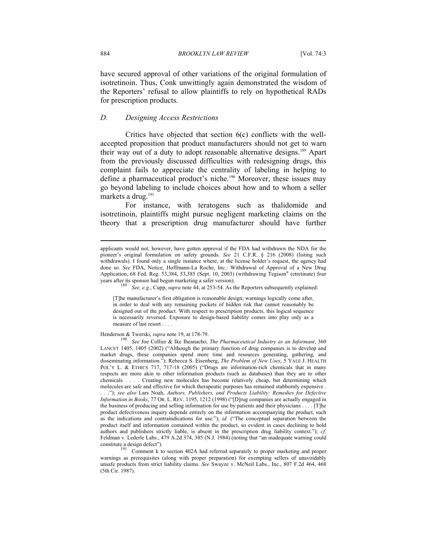have secured approval of other variations of the original formulation of isotretinoin. Thus, Conk unwittingly again demonstrated the wisdom of the Reporters' refusal to allow plaintiffs to rely on hypothetical RADs for prescription products.

### *D. Designing Access Restrictions*

Critics have objected that section 6(c) conflicts with the wellaccepted proposition that product manufacturers should not get to warn their way out of a duty to adopt reasonable alternative designs.189 Apart from the previously discussed difficulties with redesigning drugs, this complaint fails to appreciate the centrality of labeling in helping to define a pharmaceutical product's niche.<sup>190</sup> Moreover, these issues may go beyond labeling to include choices about how and to whom a seller markets a drug.<sup>191</sup>

For instance, with teratogens such as thalidomide and isotretinoin, plaintiffs might pursue negligent marketing claims on the theory that a prescription drug manufacturer should have further

[T]he manufacturer's first obligation is reasonable design; warnings logically come after, in order to deal with any remaining pockets of hidden risk that cannot reasonably be designed out of the product. With respect to prescription products, this logical sequence is necessarily reversed. Exposure to design-based liability comes into play only as a measure of last resort . . . .

Henderson & Twerski, *supra* note 19, at 178-79.<br><sup>190</sup> See Joe Collier & Ike Iheanacho, *The Pharmaceutical Industry as an Informant*, 360 LANCET 1405, 1405 (2002) ("Although the primary function of drug companies is to develop and market drugs, these companies spend more time and resources generating, gathering, and disseminating information."); Rebecca S. Eisenberg, *The Problem of New Uses*, 5 YALE J. HEALTH POL'Y L. & ETHICS 717, 717-18 (2005) ("Drugs are information-rich chemicals that in many respects are more akin to other information products (such as databases) than they are to other chemicals . . . . Creating new molecules has become relatively cheap, but determining which molecules are safe and effective for which therapeutic purposes has remained stubbornly expensive . . . ."); *see also* Lars Noah, *Authors, Publishers, and Products Liability: Remedies for Defective Information in Books*, 77 OR. L. REV. 1195, 1212 (1998) ("[D]rug companies are actually engaged in the business of producing and selling information for use by patients and their physicians . . . . [T]he product defectiveness inquiry depends entirely on the information accompanying the product, such as the indications and contraindications for use."); *id.* ("The conceptual separation between the product itself and information contained within the product, so evident in cases declining to hold authors and publishers strictly liable, is absent in the prescription drug liability context."); *cf.* Feldman v. Lederle Labs., 479 A.2d 374, 385 (N.J. 1984) (noting that "an inadequate warning could

constitute a design defect").<br>
Comment k to section 402A had referred separately to proper marketing and proper warnings as prerequisites (along with proper preparation) for exempting sellers of unavoidably unsafe products from strict liability claims. *See* Swayze v. McNeil Labs., Inc., 807 F.2d 464, 468 (5th Cir. 1987).

applicants would not, however, have gotten approval if the FDA had withdrawn the NDA for the pioneer's original formulation on safety grounds. *See* 21 C.F.R. § 216 (2008) (listing such withdrawals). I found only a single instance where, at the license holder's request, the agency had done so. *See* FDA, Notice, Hoffmann-La Roche, Inc.: Withdrawal of Approval of a New Drug Application, 68 Fed. Reg. 53,384, 53,385 (Sept. 10, 2003) (withdrawing Tegison® (etretinate) four years after its sponsor had begun marketing a safer version).<br><sup>189</sup> See, e.g., Cupp, *supra* note 44, at 253-54. As the Reporters subsequently explained: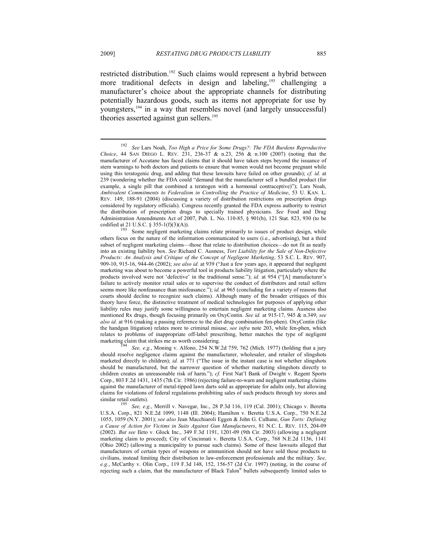$\overline{a}$ 

restricted distribution.<sup>192</sup> Such claims would represent a hybrid between more traditional defects in design and labeling,<sup>193</sup> challenging a manufacturer's choice about the appropriate channels for distributing potentially hazardous goods, such as items not appropriate for use by youngsters,194 in a way that resembles novel (and largely unsuccessful) theories asserted against gun sellers.<sup>195</sup>

See, e.g., Moning v. Alfono, 254 N.W.2d 759, 762 (Mich. 1977) (holding that a jury should resolve negligence claims against the manufacturer, wholesaler, and retailer of slingshots marketed directly to children); *id.* at 771 ("The issue in the instant case is not whether slingshots should be manufactured, but the narrower question of whether marketing slingshots directly to children creates an unreasonable risk of harm."); *cf.* First Nat'l Bank of Dwight v. Regent Sports Corp., 803 F.2d 1431, 1435 (7th Cir. 1986) (rejecting failure-to-warn and negligent marketing claims against the manufacturer of metal-tipped lawn darts sold as appropriate for adults only, but allowing claims for violations of federal regulations prohibiting sales of such products through toy stores and

similar retail outlets). 195 *See, e.g.*, Merrill v. Navegar, Inc., 28 P.3d 116, 119 (Cal. 2001); Chicago v. Beretta U.S.A. Corp., 821 N.E.2d 1099, 1148 (Ill. 2004); Hamilton v. Beretta U.S.A. Corp., 750 N.E.2d 1055, 1059 (N.Y. 2001); *see also* Jean Macchiaroli Eggen & John G. Culhane, *Gun Torts: Defining a Cause of Action for Victims in Suits Against Gun Manufacturers*, 81 N.C. L. REV. 115, 204-09 (2002). *But see* Ileto v. Glock Inc., 349 F.3d 1191, 1201-09 (9th Cir. 2003) (allowing a negligent marketing claim to proceed); City of Cincinnati v. Beretta U.S.A. Corp., 768 N.E.2d 1136, 1141 (Ohio 2002) (allowing a municipality to pursue such claims). Some of these lawsuits alleged that manufacturers of certain types of weapons or ammunition should not have sold these products to civilians, instead limiting their distribution to law-enforcement professionals and the military. *See, e.g.*, McCarthy v. Olin Corp., 119 F.3d 148, 152, 156-57 (2d Cir. 1997) (noting, in the course of rejecting such a claim, that the manufacturer of Black Talon® bullets subsequently limited sales to

<sup>192</sup> *See* Lars Noah, *Too High a Price for Some Drugs?: The FDA Burdens Reproductive Choice*, 44 SAN DIEGO L. REV. 231, 236-37 & n.23, 256 & n.100 (2007) (noting that the manufacturer of Accutane has faced claims that it should have taken steps beyond the issuance of stern warnings to both doctors and patients to ensure that women would not become pregnant while using this teratogenic drug, and adding that these lawsuits have failed on other grounds); *cf. id.* at 239 (wondering whether the FDA could "demand that the manufacturer sell a bundled product (for example, a single pill that combined a teratogen with a hormonal contraceptive)"); Lars Noah, *Ambivalent Commitments to Federalism in Controlling the Practice of Medicine*, 53 U. KAN. L. REV. 149, 188-91 (2004) (discussing a variety of distribution restrictions on prescription drugs considered by regulatory officials). Congress recently granted the FDA express authority to restrict the distribution of prescription drugs to specially trained physicians. *See* Food and Drug Administration Amendments Act of 2007, Pub. L. No. 110-85, § 901(b), 121 Stat. 823, 930 (to be

codified at 21 U.S.C. § 355-1(f)(3)(A)). Some negligent marketing claims relate primarily to issues of product design, while others focus on the nature of the information communicated to users (i.e., advertising), but a third subset of negligent marketing claims—those that relate to distribution choices—do not fit as neatly into an existing liability box. *See* Richard C. Ausness, *Tort Liability for the Sale of Non-Defective Products: An Analysis and Critique of the Concept of Negligent Marketing*, 53 S.C. L. REV. 907, 909-10, 915-16, 944-46 (2002); *see also id.* at 939 ("Just a few years ago, it appeared that negligent marketing was about to become a powerful tool in products liability litigation, particularly where the products involved were not 'defective' in the traditional sense."); *id.* at 954 ("[A] manufacturer's failure to actively monitor retail sales or to supervise the conduct of distributors and retail sellers seems more like nonfeasance than misfeasance."); *id.* at 965 (concluding for a variety of reasons that courts should decline to recognize such claims). Although many of the broader critiques of this theory have force, the distinctive treatment of medical technologies for purposes of applying other liability rules may justify some willingness to entertain negligent marketing claims. Ausness also mentioned Rx drugs, though focusing primarily on OxyContin. *See id.* at 915-17, 945 & n.349; *see also id.* at 916 (making a passing reference to the diet drug combination fen-phen). OxyContin (like the handgun litigation) relates more to criminal misuse, *see infra* note 203, while fen-phen, which relates to problems of inappropriate off-label prescribing, better matches the type of negligent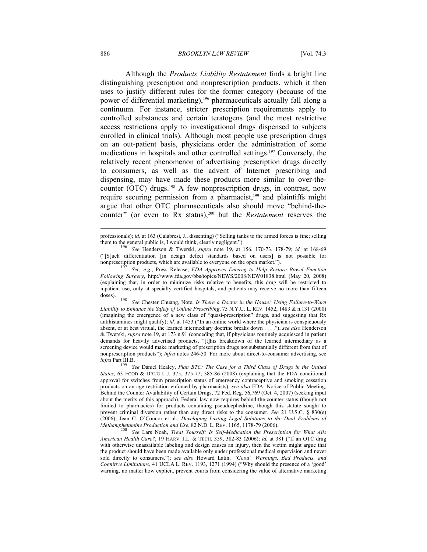#### 886 *BROOKLYN LAW REVIEW* [Vol. 74:3

Although the *Products Liability Restatement* finds a bright line distinguishing prescription and nonprescription products, which it then uses to justify different rules for the former category (because of the power of differential marketing),<sup>196</sup> pharmaceuticals actually fall along a continuum. For instance, stricter prescription requirements apply to controlled substances and certain teratogens (and the most restrictive access restrictions apply to investigational drugs dispensed to subjects enrolled in clinical trials). Although most people use prescription drugs on an out-patient basis, physicians order the administration of some medications in hospitals and other controlled settings.197 Conversely, the relatively recent phenomenon of advertising prescription drugs directly to consumers, as well as the advent of Internet prescribing and dispensing, may have made these products more similar to over-thecounter (OTC) drugs.<sup>198</sup> A few nonprescription drugs, in contrast, now require securing permission from a pharmacist,<sup>199</sup> and plaintiffs might argue that other OTC pharmaceuticals also should move "behind-thecounter" (or even to Rx status),<sup>200</sup> but the *Restatement* reserves the

doses). 198 *See* Chester Chuang, Note, *Is There a Doctor in the House? Using Failure-to-Warn Liability to Enhance the Safety of Online Prescribing*, 75 N.Y.U. L. REV. 1452, 1483 & n.131 (2000) (imagining the emergence of a new class of "quasi-prescription" drugs, and suggesting that Rx antihistamines might qualify); *id.* at 1453 ("In an online world where the physician is conspicuously absent, or at best virtual, the learned intermediary doctrine breaks down . . . ."); *see also* Henderson & Twerski, *supra* note 19, at 173 n.91 (conceding that, if physicians routinely acquiesced in patient demands for heavily advertised products, "[t]his breakdown of the learned intermediary as a screening device would make marketing of prescription drugs not substantially different from that of nonprescription products"); *infra* notes 246-50. For more about direct-to-consumer advertising, see *infra* Part III.B. 199 *See* Daniel Healey, *Plan BTC: The Case for a Third Class of Drugs in the United* 

*States*, 63 FOOD & DRUG L.J. 375, 375-77, 385-86 (2008) (explaining that the FDA conditioned approval for switches from prescription status of emergency contraceptive and smoking cessation products on an age restriction enforced by pharmacists); *see also* FDA, Notice of Public Meeting, Behind the Counter Availability of Certain Drugs, 72 Fed. Reg. 56,769 (Oct. 4, 2007) (seeking input about the merits of this approach). Federal law now requires behind-the-counter status (though not limited to pharmacies) for products containing pseudoephedrine, though this statute sought to prevent criminal diversion rather than any direct risks to the consumer. *See* 21 U.S.C. § 830(e) (2006); Jean C. O'Connor et al., *Developing Lasting Legal Solutions to the Dual Problems of* 

<sup>200</sup> See Lars Noah, *Treat Yourself: Is Self-Medication the Prescription for What Ails American Health Care?*, 19 HARV. J.L. & TECH. 359, 382-83 (2006); *id.* at 381 ("If an OTC drug with otherwise unassailable labeling and design causes an injury, then the victim might argue that the product should have been made available only under professional medical supervision and never sold directly to consumers."); *see also* Howard Latin, *"Good" Warnings, Bad Products, and Cognitive Limitations*, 41 UCLA L. REV. 1193, 1271 (1994) ("Why should the presence of a 'good' warning, no matter how explicit, prevent courts from considering the value of alternative marketing

professionals); *id.* at 163 (Calabresi, J., dissenting) ("Selling tanks to the armed forces is fine; selling them to the general public is, I would think, clearly negligent."). 196 *See* Henderson & Twerski, *supra* note 19, at 156, 170-73, 178-79; *id.* at 168-69

<sup>(&</sup>quot;[S]uch differentiation [in design defect standards based on users] is not possible for

non<br><sup>197</sup> See, e.g., Press Release, *FDA Approves Entereg to Help Restore Bowel Function Following Surgery*, http://www.fda.gov/bbs/topics/NEWS/2008/NEW01838.html (May 20, 2008) (explaining that, in order to minimize risks relative to benefits, this drug will be restricted to inpatient use, only at specially certified hospitals, and patients may receive no more than fifteen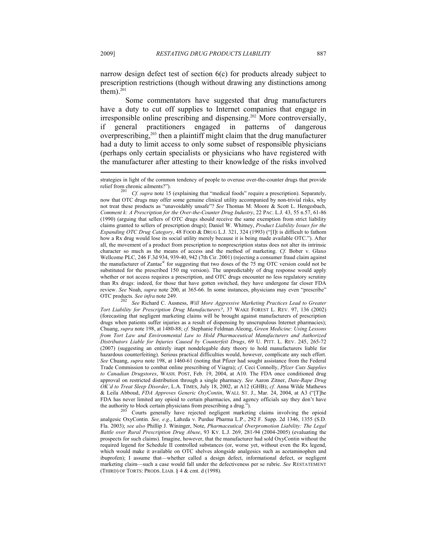narrow design defect test of section 6(c) for products already subject to prescription restrictions (though without drawing any distinctions among them). $201$ 

Some commentators have suggested that drug manufacturers have a duty to cut off supplies to Internet companies that engage in irresponsible online prescribing and dispensing.202 More controversially, if general practitioners engaged in patterns of dangerous overprescribing,203 then a plaintiff might claim that the drug manufacturer had a duty to limit access to only some subset of responsible physicians (perhaps only certain specialists or physicians who have registered with the manufacturer after attesting to their knowledge of the risks involved

OTC products. *See infra* note 249. 202 *See* Richard C. Ausness, *Will More Aggressive Marketing Practices Lead to Greater Tort Liability for Prescription Drug Manufacturers?*, 37 WAKE FOREST L. REV. 97, 136 (2002) (forecasting that negligent marketing claims will be brought against manufacturers of prescription drugs when patients suffer injuries as a result of dispensing by unscrupulous Internet pharmacies); Chuang, *supra* note 198, at 1480-88; *cf.* Stephanie Feldman Aleong, *Green Medicine: Using Lessons from Tort Law and Environmental Law to Hold Pharmaceutical Manufacturers and Authorized Distributors Liable for Injuries Caused by Counterfeit Drugs*, 69 U. PITT. L. REV. 245, 265-72 (2007) (suggesting an entirely inapt nondelegable duty theory to hold manufacturers liable for hazardous counterfeiting). Serious practical difficulties would, however, complicate any such effort. *See* Chuang, *supra* note 198, at 1460-61 (noting that Pfizer had sought assistance from the Federal Trade Commission to combat online prescribing of Viagra); *cf.* Ceci Connolly, *Pfizer Cuts Supplies to Canadian Drugstores*, WASH. POST, Feb. 19, 2004, at A10. The FDA once conditioned drug approval on restricted distribution through a single pharmacy. *See* Aaron Zitner, *Date-Rape Drug OK'd to Treat Sleep Disorder*, L.A. TIMES, July 18, 2002, at A12 (GHB); *cf.* Anna Wilde Mathews & Leila Abboud, *FDA Approves Generic OxyContin*, WALL ST. J., Mar. 24, 2004, at A3 ("[T]he FDA has never limited any opioid to certain pharmacies, and agency officials say they don't have

the authority to block certain physicians from prescribing a drug.").<br><sup>203</sup> Courts generally have rejected negligent marketing claims involving the opioid analgesic OxyContin. *See, e.g.*, Labzda v. Purdue Pharma L.P., 292 F. Supp. 2d 1346, 1355 (S.D. Fla. 2003); *see also* Phillip J. Wininger, Note, *Pharmaceutical Overpromotion Liability: The Legal Battle over Rural Prescription Drug Abuse*, 93 KY. L.J. 269, 281-94 (2004-2005) (evaluating the prospects for such claims). Imagine, however, that the manufacturer had sold OxyContin without the required legend for Schedule II controlled substances (or, worse yet, without even the Rx legend, which would make it available on OTC shelves alongside analgesics such as acetaminophen and ibuprofen); I assume that—whether called a design defect, informational defect, or negligent marketing claim—such a case would fall under the defectiveness per se rubric. *See* RESTATEMENT (THIRD) OF TORTS: PRODS. LIAB. § 4 & cmt. d (1998).

strategies in light of the common tendency of people to overuse over-the-counter drugs that provide

relief from chronic ailments?"). 201 *Cf. supra* note 15 (explaining that "medical foods" require a prescription). Separately, now that OTC drugs may offer some genuine clinical utility accompanied by non-trivial risks, why not treat these products as "unavoidably unsafe"? *See* Thomas M. Moore & Scott L. Hengesbach, *Comment k: A Prescription for the Over-the-Counter Drug Industry*, 22 PAC. L.J. 43, 55 n.57, 61-86 (1990) (arguing that sellers of OTC drugs should receive the same exemption from strict liability claims granted to sellers of prescription drugs); Daniel W. Whitney, *Product Liability Issues for the Expanding OTC Drug Category*, 48 FOOD & DRUG L.J. 321, 324 (1993) ("[I]t is difficult to fathom how a Rx drug would lose its social utility merely because it is being made available OTC."). After all, the movement of a product from prescription to nonprescription status does not alter its intrinsic character so much as the means of access and the method of marketing. *Cf.* Bober v. Glaxo Wellcome PLC, 246 F.3d 934, 939-40, 942 (7th Cir. 2001) (rejecting a consumer fraud claim against the manufacturer of Zantac® for suggesting that two doses of the 75 mg OTC version could not be substituted for the prescribed 150 mg version). The unpredictably of drug response would apply whether or not access requires a prescription, and OTC drugs encounter no less regulatory scrutiny than Rx drugs: indeed, for those that have gotten switched, they have undergone far closer FDA review. *See* Noah, *supra* note 200, at 365-66. In some instances, physicians may even "prescribe"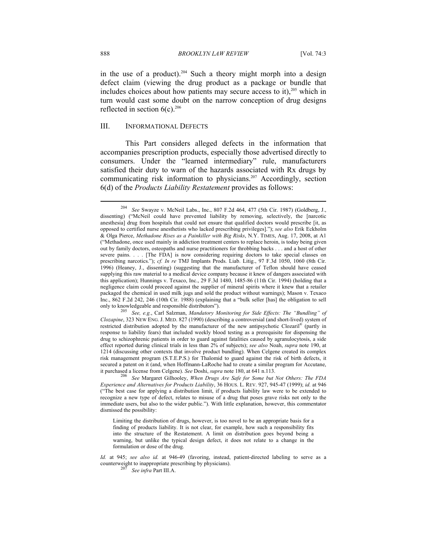in the use of a product).<sup>204</sup> Such a theory might morph into a design defect claim (viewing the drug product as a package or bundle that includes choices about how patients may secure access to it), $205$  which in turn would cast some doubt on the narrow conception of drug designs reflected in section  $6(c)$ .<sup>206</sup>

## III. INFORMATIONAL DEFECTS

This Part considers alleged defects in the information that accompanies prescription products, especially those advertised directly to consumers. Under the "learned intermediary" rule, manufacturers satisfied their duty to warn of the hazards associated with Rx drugs by communicating risk information to physicians.<sup>207</sup> Accordingly, section 6(d) of the *Products Liability Restatement* provides as follows:

<sup>204</sup> *See* Swayze v. McNeil Labs., Inc., 807 F.2d 464, 477 (5th Cir. 1987) (Goldberg, J., dissenting) ("McNeil could have prevented liability by removing, selectively, the [narcotic anesthesia] drug from hospitals that could not ensure that qualified doctors would prescribe [it, as opposed to certified nurse anesthetists who lacked prescribing privileges]."); *see also* Erik Eckholm & Olga Pierce, *Methadone Rises as a Painkiller with Big Risks*, N.Y. TIMES, Aug. 17, 2008, at A1 ("Methadone, once used mainly in addiction treatment centers to replace heroin, is today being given out by family doctors, osteopaths and nurse practitioners for throbbing backs . . . and a host of other severe pains. . . . [The FDA] is now considering requiring doctors to take special classes on prescribing narcotics."); *cf. In re* TMJ Implants Prods. Liab. Litig., 97 F.3d 1050, 1060 (8th Cir. 1996) (Heaney, J., dissenting) (suggesting that the manufacturer of Teflon should have ceased supplying this raw material to a medical device company because it knew of dangers associated with this application); Hunnings v. Texaco, Inc., 29 F.3d 1480, 1485-86 (11th Cir. 1994) (holding that a negligence claim could proceed against the supplier of mineral spirits where it knew that a retailer packaged the chemical in used milk jugs and sold the product without warnings); Mason v. Texaco Inc., 862 F.2d 242, 246 (10th Cir. 1988) (explaining that a "bulk seller [has] the obligation to sell only to knowledgeable and responsible distributors"). 205 *See, e.g.*, Carl Salzman, *Mandatory Monitoring for Side Effects: The "Bundling" of* 

*Clozapine*, 323 NEW ENG. J. MED. 827 (1990) (describing a controversial (and short-lived) system of restricted distribution adopted by the manufacturer of the new antipsychotic Clozaril® (partly in response to liability fears) that included weekly blood testing as a prerequisite for dispensing the drug to schizophrenic patients in order to guard against fatalities caused by agranulocytosis, a side effect reported during clinical trials in less than 2% of subjects); *see also* Noah, *supra* note 190, at 1214 (discussing other contexts that involve product bundling). When Celgene created its complex risk management program (S.T.E.P.S.) for Thalomid to guard against the risk of birth defects, it secured a patent on it (and, when Hoffmann-LaRoche had to create a similar program for Accutane, it purchased a license from Celgene). See Doshi, supra note 180, at 641 n.113.

it purchased a license from Celgene). *See* Doshi, *supra* note 180, at 641 n.113. 206 *See* Margaret Gilhooley, *When Drugs Are Safe for Some but Not Others: The FDA Experience and Alternatives for Products Liability*, 36 HOUS. L. REV. 927, 945-47 (1999); *id.* at 946 ("The best case for applying a distribution limit, if products liability law were to be extended to recognize a new type of defect, relates to misuse of a drug that poses grave risks not only to the immediate users, but also to the wider public."). With little explanation, however, this commentator dismissed the possibility:

Limiting the distribution of drugs, however, is too novel to be an appropriate basis for a finding of products liability. It is not clear, for example, how such a responsibility fits into the structure of the Restatement. A limit on distribution goes beyond being a warning, but unlike the typical design defect, it does not relate to a change in the formulation or dose of the drug.

*Id.* at 945; *see also id.* at 946-49 (favoring, instead, patient-directed labeling to serve as a counterweight to inappropriate prescribing by physicians). 207 *See infra* Part III.A.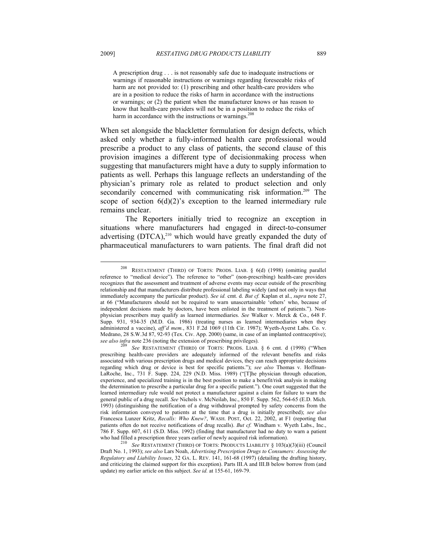A prescription drug . . . is not reasonably safe due to inadequate instructions or warnings if reasonable instructions or warnings regarding foreseeable risks of harm are not provided to: (1) prescribing and other health-care providers who are in a position to reduce the risks of harm in accordance with the instructions or warnings; or (2) the patient when the manufacturer knows or has reason to know that health-care providers will not be in a position to reduce the risks of harm in accordance with the instructions or warnings.<sup>208</sup>

When set alongside the blackletter formulation for design defects, which asked only whether a fully-informed health care professional would prescribe a product to any class of patients, the second clause of this provision imagines a different type of decisionmaking process when suggesting that manufacturers might have a duty to supply information to patients as well. Perhaps this language reflects an understanding of the physician's primary role as related to product selection and only secondarily concerned with communicating risk information.<sup>209</sup> The scope of section  $6(d)(2)$ 's exception to the learned intermediary rule remains unclear.

The Reporters initially tried to recognize an exception in situations where manufacturers had engaged in direct-to-consumer advertising  $(DTCA)$ ,<sup>210</sup> which would have greatly expanded the duty of pharmaceutical manufacturers to warn patients. The final draft did not

<sup>208</sup> RESTATEMENT (THIRD) OF TORTS: PRODS. LIAB. § 6(d) (1998) (omitting parallel reference to "medical device"). The reference to "other" (non-prescribing) health-care providers recognizes that the assessment and treatment of adverse events may occur outside of the prescribing relationship and that manufacturers distribute professional labeling widely (and not only in ways that immediately accompany the particular product). *See id.* cmt. d. *But cf.* Kaplan et al., *supra* note 27, at 66 ("Manufacturers should not be required to warn unascertainable 'others' who, because of independent decisions made by doctors, have been enlisted in the treatment of patients."). Nonphysician prescribers may qualify as learned intermediaries. *See* Walker v. Merck & Co., 648 F. Supp. 931, 934-35 (M.D. Ga. 1986) (treating nurses as learned intermediaries when they administered a vaccine), *aff'd mem.*, 831 F.2d 1069 (11th Cir. 1987); Wyeth-Ayerst Labs. Co. v. Medrano, 28 S.W.3d 87, 92-93 (Tex. Civ. App. 2000) (same, in case of an implanted contraceptive); *see also infra* note 236 (noting the extension of prescribing privileges).<br><sup>209</sup> See RESTATEMENT (THIRD) OF TORTS: PRODS. LIAB. § 6 cmt. d (1998) ("When

prescribing health-care providers are adequately informed of the relevant benefits and risks associated with various prescription drugs and medical devices, they can reach appropriate decisions regarding which drug or device is best for specific patients."); *see also* Thomas v. Hoffman-LaRoche, Inc., 731 F. Supp. 224, 229 (N.D. Miss. 1989) ("[T]he physician through education, experience, and specialized training is in the best position to make a benefit/risk analysis in making the determination to prescribe a particular drug for a specific patient."). One court suggested that the learned intermediary rule would not protect a manufacturer against a claim for failure to warn the general public of a drug recall. *See* Nichols v. McNeilab, Inc., 850 F. Supp. 562, 564-65 (E.D. Mich. 1993) (distinguishing the notification of a drug withdrawal prompted by safety concerns from the risk information conveyed to patients at the time that a drug is initially prescribed); *see also* Francesca Lunzer Kritz, *Recalls: Who Knew?*, WASH. POST, Oct. 22, 2002, at F1 (reporting that patients often do not receive notifications of drug recalls). *But cf.* Windham v. Wyeth Labs., Inc., 786 F. Supp. 607, 611 (S.D. Miss. 1992) (finding that manufacturer had no duty to warn a patient

who had filled a prescription three years earlier of newly acquired risk information). 210 *See* RESTATEMENT (THIRD) OF TORTS: PRODUCTS LIABILITY § 103(a)(3)(iii) (Council Draft No. 1, 1993); *see also* Lars Noah, *Advertising Prescription Drugs to Consumers: Assessing the Regulatory and Liability Issues*, 32 GA. L. REV. 141, 161-68 (1997) (detailing the drafting history, and criticizing the claimed support for this exception). Parts III.A and III.B below borrow from (and update) my earlier article on this subject. *See id.* at 155-61, 169-79.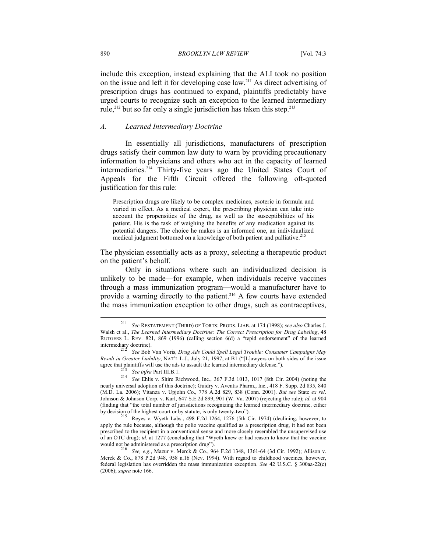include this exception, instead explaining that the ALI took no position on the issue and left it for developing case law.211 As direct advertising of prescription drugs has continued to expand, plaintiffs predictably have urged courts to recognize such an exception to the learned intermediary rule,<sup>212</sup> but so far only a single jurisdiction has taken this step.<sup>213</sup>

# *A. Learned Intermediary Doctrine*

In essentially all jurisdictions, manufacturers of prescription drugs satisfy their common law duty to warn by providing precautionary information to physicians and others who act in the capacity of learned intermediaries.<sup>214</sup> Thirty-five years ago the United States Court of Appeals for the Fifth Circuit offered the following oft-quoted justification for this rule:

Prescription drugs are likely to be complex medicines, esoteric in formula and varied in effect. As a medical expert, the prescribing physician can take into account the propensities of the drug, as well as the susceptibilities of his patient. His is the task of weighing the benefits of any medication against its potential dangers. The choice he makes is an informed one, an individualized medical judgment bottomed on a knowledge of both patient and palliative.<sup>215</sup>

The physician essentially acts as a proxy, selecting a therapeutic product on the patient's behalf.

Only in situations where such an individualized decision is unlikely to be made—for example, when individuals receive vaccines through a mass immunization program—would a manufacturer have to provide a warning directly to the patient.<sup>216</sup> A few courts have extended the mass immunization exception to other drugs, such as contraceptives,

<sup>211</sup> *See* RESTATEMENT (THIRD) OF TORTS: PRODS. LIAB. at 174 (1998); *see also* Charles J. Walsh et al., *The Learned Intermediary Doctrine: The Correct Prescription for Drug Labeling*, 48 RUTGERS L. REV. 821, 869 (1996) (calling section 6(d) a "tepid endorsement" of the learned

See Bob Van Voris, *Drug Ads Could Spell Legal Trouble: Consumer Campaigns May Result in Greater Liability*, NAT'L L.J., July 21, 1997, at B1 ("[L]awyers on both sides of the issue agree that plaintiffs will use the ads to assault the learned intermediary defense.").

<sup>&</sup>lt;sup>213</sup> See infra Part III.B.1.<br><sup>214</sup> See Ehlis v. Shire Richwood, Inc., 367 F.3d 1013, 1017 (8th Cir. 2004) (noting the nearly universal adoption of this doctrine); Guidry v. Aventis Pharm., Inc., 418 F. Supp. 2d 835, 840 (M.D. La. 2006); Vitanza v. Upjohn Co., 778 A.2d 829, 838 (Conn. 2001). *But see* State *ex rel*. Johnson & Johnson Corp. v. Karl, 647 S.E.2d 899, 901 (W. Va. 2007) (rejecting the rule); *id.* at 904 (finding that "the total number of jurisdictions recognizing the learned intermediary doctrine, either by decision of the highest court or by statute, is only twenty-two"). 215 Reyes v. Wyeth Labs., 498 F.2d 1264, 1276 (5th Cir. 1974) (declining, however, to

apply the rule because, although the polio vaccine qualified as a prescription drug, it had not been prescribed to the recipient in a conventional sense and more closely resembled the unsupervised use of an OTC drug); *id.* at 1277 (concluding that "Wyeth knew or had reason to know that the vaccine would not be administered as a prescription drug"). 216 *See, e.g.*, Mazur v. Merck & Co., 964 F.2d 1348, 1361-64 (3d Cir. 1992); Allison v.

Merck & Co., 878 P.2d 948, 958 n.16 (Nev. 1994). With regard to childhood vaccines, however, federal legislation has overridden the mass immunization exception. *See* 42 U.S.C. § 300aa-22(c) (2006); *supra* note 166.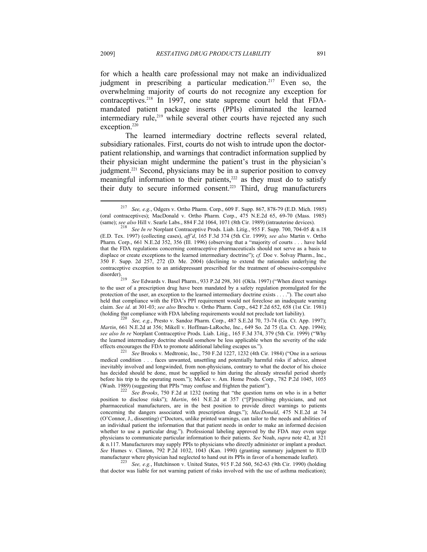for which a health care professional may not make an individualized judgment in prescribing a particular medication.<sup>217</sup> Even so, the overwhelming majority of courts do not recognize any exception for contraceptives.<sup>218</sup> In 1997, one state supreme court held that FDAmandated patient package inserts (PPIs) eliminated the learned intermediary rule,<sup>219</sup> while several other courts have rejected any such exception.<sup>220</sup>

The learned intermediary doctrine reflects several related, subsidiary rationales. First, courts do not wish to intrude upon the doctorpatient relationship, and warnings that contradict information supplied by their physician might undermine the patient's trust in the physician's judgment.<sup>221</sup> Second, physicians may be in a superior position to convey meaningful information to their patients, $222$  as they must do to satisfy their duty to secure informed consent.223 Third, drug manufacturers

*Martin*, 661 N.E.2d at 356; Mikell v. Hoffman-LaRoche, Inc., 649 So. 2d 75 (La. Ct. App. 1994); *see also In re* Norplant Contraceptive Prods. Liab. Litig., 165 F.3d 374, 379 (5th Cir. 1999) ("Why the learned intermediary doctrine should somehow be less applicable when the severity of the side effects encourages the FDA to promote additional labeling escapes us.").

that doctor was liable for not warning patient of risks involved with the use of asthma medication);

<sup>217</sup> *See, e.g.*, Odgers v. Ortho Pharm. Corp., 609 F. Supp. 867, 878-79 (E.D. Mich. 1985) (oral contraceptives); MacDonald v. Ortho Pharm. Corp., 475 N.E.2d 65, 69-70 (Mass. 1985) (same); *see also* Hill v. Searle Labs., 884 F.2d 1064, 1071 (8th Cir. 1989) (intrauterine devices). 218 *See In re* Norplant Contraceptive Prods. Liab. Litig., 955 F. Supp. 700, 704-05 & n.18

<sup>(</sup>E.D. Tex. 1997) (collecting cases), *aff'd*, 165 F.3d 374 (5th Cir. 1999); *see also* Martin v. Ortho Pharm. Corp., 661 N.E.2d 352, 356 (Ill. 1996) (observing that a "majority of courts . . . have held that the FDA regulations concerning contraceptive pharmaceuticals should not serve as a basis to displace or create exceptions to the learned intermediary doctrine"); *cf.* Doe v. Solvay Pharm., Inc., 350 F. Supp. 2d 257, 272 (D. Me. 2004) (declining to extend the rationales underlying the contraceptive exception to an antidepressant prescribed for the treatment of obsessive-compulsive disorder). 219 *See* Edwards v. Basel Pharm., 933 P.2d 298, 301 (Okla. 1997) ("When direct warnings

to the user of a prescription drug have been mandated by a safety regulation promulgated for the protection of the user, an exception to the learned intermediary doctrine exists . . . ."). The court also held that compliance with the FDA's PPI requirement would not foreclose an inadequate warning claim. *See id.* at 301-03; *see also* Brochu v. Ortho Pharm. Corp., 642 F.2d 652, 658 (1st Cir. 1981) (holding that compliance with FDA labeling requirements would not preclude tort liability).<br><sup>220</sup> *See, e.g.*, Presto v. Sandoz Pharm. Corp., 487 S.E.2d 70, 73-74 (Ga. Ct. App. 1997);

<sup>&</sup>lt;sup>221</sup> See Brooks v. Medtronic, Inc., 750 F.2d 1227, 1232 (4th Cir. 1984) ("One in a serious medical condition . . . faces unwanted, unsettling and potentially harmful risks if advice, almost inevitably involved and longwinded, from non-physicians, contrary to what the doctor of his choice has decided should be done, must be supplied to him during the already stressful period shortly before his trip to the operating room."); McKee v. Am. Home Prods. Corp., 782 P.2d 1045, 1055 (Wash. 1989) (suggesting that PPIs "may confuse and frighten the patient"). 222 *See Brooks*, 750 F.2d at 1232 (noting that "the question turns on who is in a better

position to disclose risks"); *Martin*, 661 N.E.2d at 357 ("[P]rescribing physicians, and not pharmaceutical manufacturers, are in the best position to provide direct warnings to patients concerning the dangers associated with prescription drugs."); *MacDonald*, 475 N.E.2d at 74 (O'Connor, J., dissenting) ("Doctors, unlike printed warnings, can tailor to the needs and abilities of an individual patient the information that that patient needs in order to make an informed decision whether to use a particular drug."). Professional labeling approved by the FDA may even urge physicians to communicate particular information to their patients. *See* Noah, *supra* note 42, at 321 & n.117. Manufacturers may supply PPIs to physicians who directly administer or implant a product. *See* Humes v. Clinton, 792 P.2d 1032, 1043 (Kan. 1990) (granting summary judgment to IUD manufacturer where physician had neglected to hand out its PPIs in favor of a homemade leaflet).<br><sup>223</sup> See, e.g., Hutchinson v. United States, 915 F.2d 560, 562-63 (9th Cir. 1990) (holding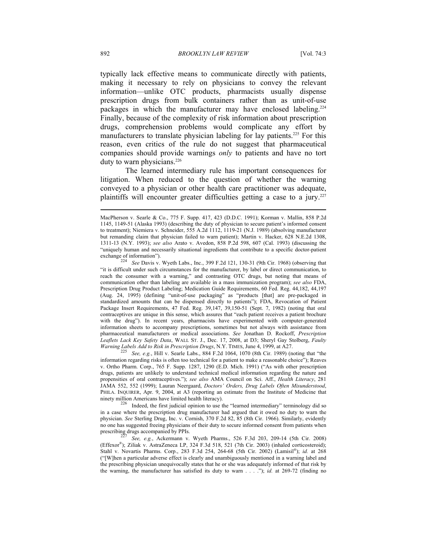typically lack effective means to communicate directly with patients, making it necessary to rely on physicians to convey the relevant information—unlike OTC products, pharmacists usually dispense prescription drugs from bulk containers rather than as unit-of-use packages in which the manufacturer may have enclosed labeling.<sup>224</sup> Finally, because of the complexity of risk information about prescription drugs, comprehension problems would complicate any effort by manufacturers to translate physician labeling for lay patients.<sup>225</sup> For this reason, even critics of the rule do not suggest that pharmaceutical companies should provide warnings *only* to patients and have no tort duty to warn physicians.<sup>226</sup>

The learned intermediary rule has important consequences for litigation. When reduced to the question of whether the warning conveyed to a physician or other health care practitioner was adequate, plaintiffs will encounter greater difficulties getting a case to a jury.<sup>227</sup>

*Warning Labels Add to Risk in Prescription Drugs*, N.Y. TIMES, June 4, 1999, at A27. 225 *See, e.g.*, Hill v. Searle Labs., 884 F.2d 1064, 1070 (8th Cir. 1989) (noting that "the information regarding risks is often too technical for a patient to make a reasonable choice"); Reaves v. Ortho Pharm. Corp., 765 F. Supp. 1287, 1290 (E.D. Mich. 1991) ("As with other prescription drugs, patients are unlikely to understand technical medical information regarding the nature and propensities of oral contraceptives."); *see also* AMA Council on Sci. Aff., *Health Literacy*, 281 JAMA 552, 552 (1999); Lauran Neergaard, *Doctors' Orders, Drug Labels Often Misunderstood*, PHILA. INQUIRER, Apr. 9, 2004, at A3 (reporting an estimate from the Institute of Medicine that

ninety million Americans have limited health literacy).<br><sup>226</sup> Indeed, the first judicial opinion to use the "learned intermediary" terminology did so in a case where the prescription drug manufacturer had argued that it owed no duty to warn the physician. *See* Sterling Drug, Inc. v. Cornish, 370 F.2d 82, 85 (8th Cir. 1966). Similarly, evidently no one has suggested freeing physicians of their duty to secure informed consent from patients when prescribing drugs accompanied by PPIs.<br><sup>227</sup> See, e.g., Ackermann v. Wyeth Pharms., 526 F.3d 203, 209-14 (5th Cir. 2008)

(Effexor®); Ziliak v. AstraZeneca LP, 324 F.3d 518, 521 (7th Cir. 2003) (inhaled corticosteroid); Stahl v. Novartis Pharms. Corp., 283 F.3d 254, 264-68 (5th Cir. 2002) (Lamisil®); *id.* at 268 ("[W]hen a particular adverse effect is clearly and unambiguously mentioned in a warning label and the prescribing physician unequivocally states that he or she was adequately informed of that risk by the warning, the manufacturer has satisfied its duty to warn . . . ."); *id.* at 269-72 (finding no

MacPherson v. Searle & Co., 775 F. Supp. 417, 423 (D.D.C. 1991); Korman v. Mallin, 858 P.2d 1145, 1149-51 (Alaska 1993) (describing the duty of physician to secure patient's informed consent to treatment); Niemiera v. Schneider, 555 A.2d 1112, 1119-21 (N.J. 1989) (absolving manufacturer but remanding claim that physician failed to warn patient); Martin v. Hacker, 628 N.E.2d 1308, 1311-13 (N.Y. 1993); *see also* Arato v. Avedon, 858 P.2d 598, 607 (Cal. 1993) (discussing the "uniquely human and necessarily situational ingredients that contribute to a specific doctor-patient exchange of information"). 224 *See* Davis v. Wyeth Labs., Inc., 399 F.2d 121, 130-31 (9th Cir. 1968) (observing that

<sup>&</sup>quot;it is difficult under such circumstances for the manufacturer, by label or direct communication, to reach the consumer with a warning," and contrasting OTC drugs, but noting that means of communication other than labeling are available in a mass immunization program); *see also* FDA, Prescription Drug Product Labeling; Medication Guide Requirements, 60 Fed. Reg. 44,182, 44,197 (Aug. 24, 1995) (defining "unit-of-use packaging" as "products [that] are pre-packaged in standardized amounts that can be dispensed directly to patients"); FDA, Revocation of Patient Package Insert Requirements, 47 Fed. Reg. 39,147, 39,150-51 (Sept. 7, 1982) (noting that oral contraceptives are unique in this sense, which assures that "each patient receives a patient brochure with the drug"). In recent years, pharmacists have experimented with computer-generated information sheets to accompany prescriptions, sometimes but not always with assistance from pharmaceutical manufacturers or medical associations. *See* Jonathan D. Rockoff, *Prescription Leaflets Lack Key Safety Data*, WALL ST. J., Dec. 17, 2008, at D3; Sheryl Gay Stolberg, *Faulty*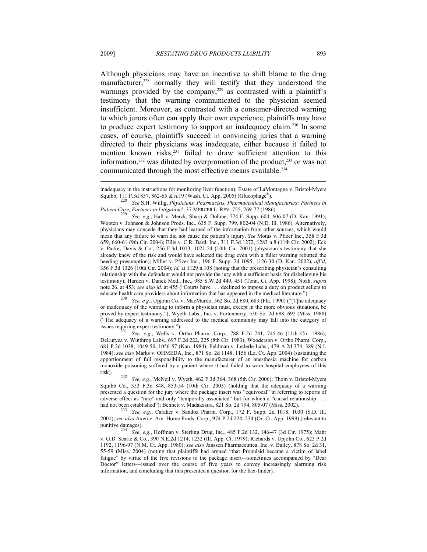Although physicians may have an incentive to shift blame to the drug manufacturer,<sup>228</sup> normally they will testify that they understood the warnings provided by the company,<sup>229</sup> as contrasted with a plaintiff's testimony that the warning communicated to the physician seemed insufficient. Moreover, as contrasted with a consumer-directed warning to which jurors often can apply their own experience, plaintiffs may have to produce expert testimony to support an inadequacy claim.<sup>230</sup> In some cases, of course, plaintiffs succeed in convincing juries that a warning directed to their physicians was inadequate, either because it failed to mention known risks,<sup>231</sup> failed to draw sufficient attention to this information,<sup>232</sup> was diluted by overpromotion of the product,<sup>233</sup> or was not communicated through the most effective means available.<sup>234</sup>

Wooten v. Johnson & Johnson Prods. Inc., 635 F. Supp. 799, 802-04 (N.D. Ill. 1986). Alternatively, physicians may concede that they had learned of the information from other sources, which would mean that any failure to warn did not cause the patient's injury. *See* Motus v. Pfizer Inc., 358 F.3d 659, 660-61 (9th Cir. 2004); Ellis v. C.R. Bard, Inc., 311 F.3d 1272, 1283 n.8 (11th Cir. 2002); Eck v. Parke, Davis & Co., 256 F.3d 1013, 1021-24 (10th Cir. 2001) (physician's testimony that she already knew of the risk and would have selected the drug even with a fuller warning rebutted the heeding presumption); Miller v. Pfizer Inc., 196 F. Supp. 2d 1095, 1126-30 (D. Kan. 2002), *aff'd*, 356 F.3d 1326 (10th Cir. 2004); *id.* at 1129 n.108 (noting that the prescribing physician's consulting relationship with the defendant would not provide the jury with a sufficient basis for disbelieving his testimony); Harden v. Danek Med., Inc., 985 S.W.2d 449, 451 (Tenn. Ct. App. 1998); Noah, *supra* note 26, at 453; *see also id.* at 455 ("Courts have . . . declined to impose a duty on product sellers to educate health care providers about information that has appeared in the medical literature."). 230 *See, e.g.*, Upjohn Co. v. MacMurdo, 562 So. 2d 680, 683 (Fla. 1990) ("[T]he adequacy

or inadequacy of the warning to inform a physician must, except in the more obvious situations, be proved by expert testimony."); Wyeth Labs., Inc. v. Fortenberry, 530 So. 2d 688, 692 (Miss. 1988) ("The adequacy of a warning addressed to the medical community may fall into the category of

See, e.g., Wells v. Ortho Pharm. Corp., 788 F.2d 741, 745-46 (11th Cir. 1986); DeLuryea v. Winthrop Labs., 697 F.2d 222, 225 (8th Cir. 1983); Wooderson v. Ortho Pharm. Corp., 681 P.2d 1038, 1049-50, 1056-57 (Kan. 1984); Feldman v. Lederle Labs., 479 A.2d 374, 389 (N.J. 1984); *see also* Marks v. OHMEDA, Inc., 871 So. 2d 1148, 1156 (La. Ct. App. 2004) (sustaining the apportionment of full responsibility to the manufacturer of an anesthesia machine for carbon monoxide poisoning suffered by a patient where it had failed to warn hospital employees of this

risk). 232 *See, e.g.*, McNeil v. Wyeth, 462 F.3d 364, 368 (5th Cir. 2006); Thom v. Bristol-Myers Squibb Co., 353 F.3d 848, 853-54 (10th Cir. 2003) (holding that the adequacy of a warning presented a question for the jury where the package insert was "equivocal" in referring to reports of adverse effect as "rare" and only "temporally associated" but for which a "causal relationship . . . had not been established"); Bennett v. Madakasira, 821 So. 2d 794, 805-07 (Miss. 2002).

See, e.g., Caraker v. Sandoz Pharm. Corp., 172 F. Supp. 2d 1018, 1030 (S.D. Ill. 2001); *see also* Axen v. Am. Home Prods. Corp., 974 P.2d 224, 234 (Or. Ct. App. 1999) (relevant to

punitive damages). 234 *See, e.g.*, Hoffman v. Sterling Drug, Inc., 485 F.2d 132, 146-47 (3d Cir. 1975); Mahr v. G.D. Searle & Co., 390 N.E.2d 1214, 1232 (Ill. App. Ct. 1979); Richards v. Upjohn Co., 625 P.2d 1192, 1196-97 (N.M. Ct. App. 1980); *see also* Janssen Pharmaceutica, Inc. v. Bailey, 878 So. 2d 31, 55-59 (Miss. 2004) (noting that plaintiffs had argued "that Propulsid became a victim of label fatigue" by virtue of the five revisions to the package insert—sometimes accompanied by "Dear Doctor" letters—issued over the course of five years to convey increasingly alarming risk information, and concluding that this presented a question for the fact-finder).

inadequacy in the instructions for monitoring liver function); Estate of LaMontagne v. Bristol-Myers Squibb, 111 P.3d 857, 862-65 & n.19 (Wash. Ct. App. 2005) (Glucophage®). 228 *See* S.H. Willig, *Physicians, Pharmacists, Pharmaceutical Manufacturers: Partners in* 

*Patient Care, Partners in Litigation?*, 37 MERCER L. REV. 755, 769-77 (1986).<br><sup>229</sup> See, e.g., Hall v. Merck, Sharp & Dohme, 774 F. Supp. 604, 606-07 (D. Kan. 1991);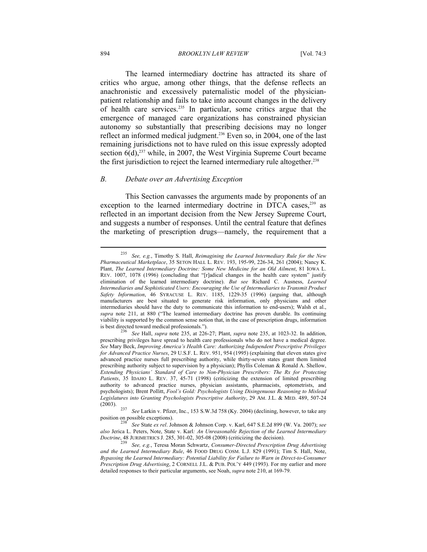#### 894 *BROOKLYN LAW REVIEW* [Vol. 74:3

The learned intermediary doctrine has attracted its share of critics who argue, among other things, that the defense reflects an anachronistic and excessively paternalistic model of the physicianpatient relationship and fails to take into account changes in the delivery of health care services.235 In particular, some critics argue that the emergence of managed care organizations has constrained physician autonomy so substantially that prescribing decisions may no longer reflect an informed medical judgment.<sup>236</sup> Even so, in 2004, one of the last remaining jurisdictions not to have ruled on this issue expressly adopted section  $6(d)$ ,<sup>237</sup> while, in 2007, the West Virginia Supreme Court became the first jurisdiction to reject the learned intermediary rule altogether.<sup>238</sup>

## *B. Debate over an Advertising Exception*

This Section canvasses the arguments made by proponents of an exception to the learned intermediary doctrine in DTCA cases,<sup>239</sup> as reflected in an important decision from the New Jersey Supreme Court, and suggests a number of responses. Until the central feature that defines the marketing of prescription drugs—namely, the requirement that a

<sup>235</sup> *See, e.g.*, Timothy S. Hall, *Reimagining the Learned Intermediary Rule for the New Pharmaceutical Marketplace*, 35 SETON HALL L. REV. 193, 195-99, 226-34, 261 (2004); Nancy K. Plant, *The Learned Intermediary Doctrine: Some New Medicine for an Old Ailment*, 81 IOWA L. REV. 1007, 1078 (1996) (concluding that "[r]adical changes in the health care system" justify elimination of the learned intermediary doctrine). *But see* Richard C. Ausness, *Learned Intermediaries and Sophisticated Users: Encouraging the Use of Intermediaries to Transmit Product Safety Information*, 46 SYRACUSE L. REV. 1185, 1229-35 (1996) (arguing that, although manufacturers are best situated to generate risk information, only physicians and other intermediaries should have the duty to communicate this information to end-users); Walsh et al., *supra* note 211, at 880 ("The learned intermediary doctrine has proven durable. Its continuing viability is supported by the common sense notion that, in the case of prescription drugs, information

is best directed toward medical professionals."). 236 *See* Hall, *supra* note 235, at 226-27; Plant, *supra* note 235, at 1023-32. In addition, prescribing privileges have spread to health care professionals who do not have a medical degree. *See* Mary Beck, *Improving America's Health Care: Authorizing Independent Prescriptive Privileges for Advanced Practice Nurses*, 29 U.S.F. L. REV. 951, 954 (1995) (explaining that eleven states give advanced practice nurses full prescribing authority, while thirty-seven states grant them limited prescribing authority subject to supervision by a physician); Phyllis Coleman & Ronald A. Shellow, *Extending Physicians' Standard of Care to Non-Physician Prescribers: The Rx for Protecting Patients*, 35 IDAHO L. REV. 37, 45-71 (1998) (criticizing the extension of limited prescribing authority to advanced practice nurses, physician assistants, pharmacists, optometrists, and psychologists); Brent Pollitt, *Fool's Gold: Psychologists Using Disingenuous Reasoning to Mislead Legislatures into Granting Psychologists Prescriptive Authority*, 29 AM. J.L. & MED. 489, 507-24

<sup>(2003). 237</sup> *See* Larkin v. Pfizer, Inc., 153 S.W.3d 758 (Ky. 2004) (declining, however, to take any

position on possible exceptions). 238 *See* State *ex rel*. Johnson & Johnson Corp. v. Karl, 647 S.E.2d 899 (W. Va. 2007); *see also* Jerica L. Peters, Note, State v. Karl*: An Unreasonable Rejection of the Learned Intermediary Doctrine*, 48 JURIMETRICS J. 285, 301-02, 305-08 (2008) (criticizing the decision). 239 *See, e.g.*, Teresa Moran Schwartz, *Consumer-Directed Prescription Drug Advertising* 

*and the Learned Intermediary Rule*, 46 FOOD DRUG COSM. L.J. 829 (1991); Tim S. Hall, Note, *Bypassing the Learned Intermediary: Potential Liability for Failure to Warn in Direct-to-Consumer Prescription Drug Advertising*, 2 CORNELL J.L. & PUB. POL'Y 449 (1993). For my earlier and more detailed responses to their particular arguments, see Noah, *supra* note 210, at 169-79.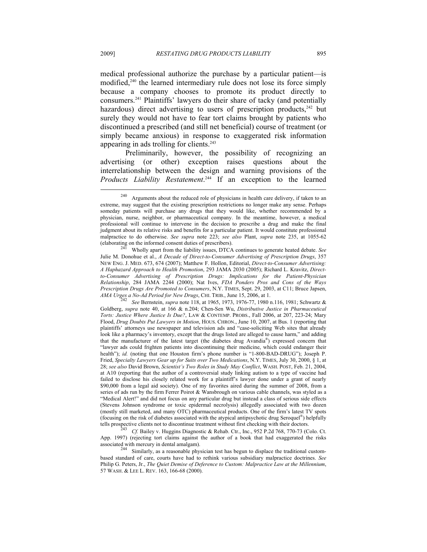medical professional authorize the purchase by a particular patient—is modified,<sup>240</sup> the learned intermediary rule does not lose its force simply because a company chooses to promote its product directly to consumers.241 Plaintiffs' lawyers do their share of tacky (and potentially hazardous) direct advertising to users of prescription products, $242$  but surely they would not have to fear tort claims brought by patients who discontinued a prescribed (and still net beneficial) course of treatment (or simply became anxious) in response to exaggerated risk information appearing in ads trolling for clients.<sup>243</sup>

Preliminarily, however, the possibility of recognizing an advertising (or other) exception raises questions about the interrelationship between the design and warning provisions of the *Products Liability Restatement*. 244 If an exception to the learned

 $240$  Arguments about the reduced role of physicians in health care delivery, if taken to an extreme, may suggest that the existing prescription restrictions no longer make any sense. Perhaps someday patients will purchase any drugs that they would like, whether recommended by a physician, nurse, neighbor, or pharmaceutical company. In the meantime, however, a medical professional will continue to intervene in the decision to prescribe a drug and make the final judgment about its relative risks and benefits for a particular patient. It would constitute professional malpractice to do otherwise. *See supra* note 223; *see also* Plant, *supra* note 235, at 1055-62 (elaborating on the informed consent duties of prescribers).

Wholly apart from the liability issues, DTCA continues to generate heated debate. *See* Julie M. Donohue et al., *A Decade of Direct-to-Consumer Advertising of Prescription Drugs*, 357 NEW ENG. J. MED. 673, 674 (2007); Matthew F. Hollon, Editorial, *Direct-to-Consumer Advertising: A Haphazard Approach to Health Promotion*, 293 JAMA 2030 (2005); Richard L. Kravitz, *Directto-Consumer Advertising of Prescription Drugs: Implications for the Patient-Physician Relationship*, 284 JAMA 2244 (2000); Nat Ives, *FDA Ponders Pros and Cons of the Ways Prescription Drugs Are Promoted to Consumers*, N.Y. TIMES, Sept. 29, 2003, at C11; Bruce Japsen, *AMA Urges a No-Ad Period for New Drugs*, CHI. TRIB., June 15, 2006, at 1.<br><sup>242</sup> See Bernstein, *supra* note 118, at 1965, 1973, 1976-77, 1980 n.116, 1981; Schwartz &

Goldberg, *supra* note 40, at 166 & n.204; Chen-Sen Wu, *Distributive Justice in Pharmaceutical Torts: Justice Where Justice Is Due?*, LAW & CONTEMP. PROBS., Fall 2006, at 207, 223-24; Mary Flood, *Drug Doubts Put Lawyers in Motion*, HOUS. CHRON., June 10, 2007, at Bus. 1 (reporting that plaintiffs' attorneys use newspaper and television ads and "case-soliciting Web sites that already look like a pharmacy's inventory, except that the drugs listed are alleged to cause harm," and adding that the manufacturer of the latest target (the diabetes drug Avandia®) expressed concern that "lawyer ads could frighten patients into discontinuing their medicine, which could endanger their health"); *id.* (noting that one Houston firm's phone number is "1-800-BAD-DRUG"); Joseph P. Fried, *Specialty Lawyers Gear up for Suits over Two Medications*, N.Y. TIMES, July 30, 2000, § 1, at 28; *see also* David Brown, *Scientist's Two Roles in Study May Conflict*, WASH. POST, Feb. 21, 2004, at A10 (reporting that the author of a controversial study linking autism to a type of vaccine had failed to disclose his closely related work for a plaintiff's lawyer done under a grant of nearly \$90,000 from a legal aid society). One of my favorites aired during the summer of 2008, from a series of ads run by the firm Ferrer Poirot & Wansbrough on various cable channels, was styled as a "Medical Alert!" and did not focus on any particular drug but instead a class of serious side effects (Stevens Johnson syndrome or toxic epidermal necrolysis) allegedly associated with two dozen (mostly still marketed, and many OTC) pharmaceutical products. One of the firm's latest TV spots (focusing on the risk of diabetes associated with the atypical antipsychotic drug Seroquel®) helpfully tells prospective clients not to discontinue treatment without first checking with their doctors.<br><sup>243</sup> Cf. Bailey v. Huggins Diagnostic & Rehab. Ctr., Inc., 952 P.2d 768, 770-73 (Colo. Ct.

App. 1997) (rejecting tort claims against the author of a book that had exaggerated the risks associated with mercury in dental amalgam).<br><sup>244</sup> Similarly, as a reasonable physician test has begun to displace the traditional custom-

based standard of care, courts have had to rethink various subsidiary malpractice doctrines. *See* Philip G. Peters, Jr., *The Quiet Demise of Deference to Custom: Malpractice Law at the Millennium*, 57 WASH. & LEE L. REV. 163, 166-68 (2000).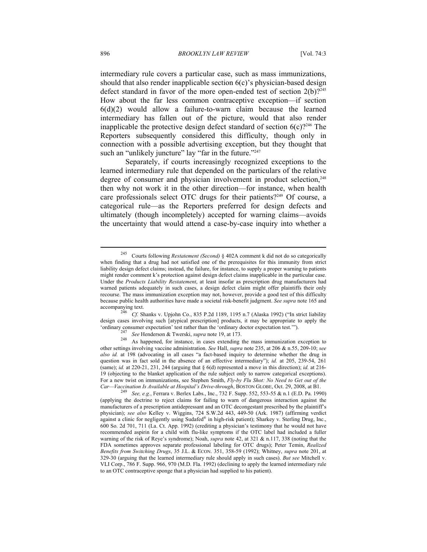intermediary rule covers a particular case, such as mass immunizations, should that also render inapplicable section 6(c)'s physician-based design defect standard in favor of the more open-ended test of section  $2(b)$ ?<sup>245</sup> How about the far less common contraceptive exception—if section  $6(d)(2)$  would allow a failure-to-warn claim because the learned intermediary has fallen out of the picture, would that also render inapplicable the protective design defect standard of section  $6(c)$ <sup>246</sup> The Reporters subsequently considered this difficulty, though only in connection with a possible advertising exception, but they thought that such an "unlikely juncture" lay "far in the future."<sup>247</sup>

Separately, if courts increasingly recognized exceptions to the learned intermediary rule that depended on the particulars of the relative degree of consumer and physician involvement in product selection,<sup>248</sup> then why not work it in the other direction—for instance, when health care professionals select OTC drugs for their patients?249 Of course, a categorical rule—as the Reporters preferred for design defects and ultimately (though incompletely) accepted for warning claims—avoids the uncertainty that would attend a case-by-case inquiry into whether a

<sup>245</sup> Courts following *Restatement (Second)* § 402A comment k did not do so categorically when finding that a drug had not satisfied one of the prerequisites for this immunity from strict liability design defect claims; instead, the failure, for instance, to supply a proper warning to patients might render comment k's protection against design defect claims inapplicable in the particular case. Under the *Products Liability Restatement*, at least insofar as prescription drug manufacturers had warned patients adequately in such cases, a design defect claim might offer plaintiffs their only recourse. The mass immunization exception may not, however, provide a good test of this difficulty because public health authorities have made a societal risk-benefit judgment. *See supra* note 165 and accompanying text. 246 *Cf.* Shanks v. Upjohn Co., 835 P.2d 1189, 1195 n.7 (Alaska 1992) ("In strict liability

design cases involving such [atypical prescription] products, it may be appropriate to apply the

<sup>&#</sup>x27;ordinary consumer expectation' test rather than the 'ordinary doctor expectation test.'").<br>
<sup>247</sup> See Henderson & Twerski, *supra* note 19, at 173.<br>
<sup>248</sup> As happened, for instance, in cases extending the mass immunizati other settings involving vaccine administration. *See* Hall, *supra* note 235, at 206 & n.55, 209-10; *see also id.* at 198 (advocating in all cases "a fact-based inquiry to determine whether the drug in question was in fact sold in the absence of an effective intermediary"); *id.* at 205, 239-54, 261 (same); *id.* at 220-21, 231, 244 (arguing that § 6(d) represented a move in this direction); *id.* at 216- 19 (objecting to the blanket application of the rule subject only to narrow categorical exceptions). For a new twist on immunizations, see Stephen Smith, *Fly-by Flu Shot: No Need to Get out of the Car—Vaccination Is Available at Hospital's Drive-through*, BOSTON GLOBE, Oct. 29, 2008, at B1. 249 *See, e.g.*, Ferrara v. Berlex Labs., Inc., 732 F. Supp. 552, 553-55 & n.1 (E.D. Pa. 1990)

<sup>(</sup>applying the doctrine to reject claims for failing to warn of dangerous interaction against the manufacturers of a prescription antidepressant and an OTC decongestant prescribed by the plaintiff's physician); *see also* Kelley v. Wiggins, 724 S.W.2d 443, 449-50 (Ark. 1987) (affirming verdict against a clinic for negligently using Sudafed® in high-risk patient); Sharkey v. Sterling Drug, Inc., 600 So. 2d 701, 711 (La. Ct. App. 1992) (crediting a physician's testimony that he would not have recommended aspirin for a child with flu-like symptoms if the OTC label had included a fuller warning of the risk of Reye's syndrome); Noah, *supra* note 42, at 321 & n.117, 338 (noting that the FDA sometimes approves separate professional labeling for OTC drugs); Peter Temin, *Realized Benefits from Switching Drugs*, 35 J.L. & ECON. 351, 358-59 (1992); Whitney, *supra* note 201, at 329-30 (arguing that the learned intermediary rule should apply in such cases). *But see* Mitchell v. VLI Corp., 786 F. Supp. 966, 970 (M.D. Fla. 1992) (declining to apply the learned intermediary rule to an OTC contraceptive sponge that a physician had supplied to his patient).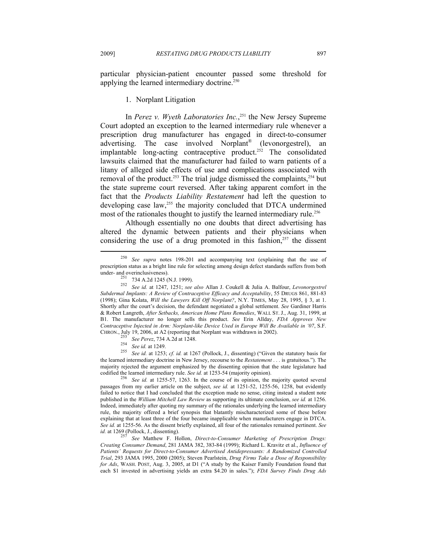particular physician-patient encounter passed some threshold for applying the learned intermediary doctrine.<sup>250</sup>

# 1. Norplant Litigation

In *Perez v. Wyeth Laboratories Inc.*, 251 the New Jersey Supreme Court adopted an exception to the learned intermediary rule whenever a prescription drug manufacturer has engaged in direct-to-consumer advertising. The case involved Norplant® (levonorgestrel), an implantable long-acting contraceptive product.252 The consolidated lawsuits claimed that the manufacturer had failed to warn patients of a litany of alleged side effects of use and complications associated with removal of the product.<sup>253</sup> The trial judge dismissed the complaints,<sup>254</sup> but the state supreme court reversed. After taking apparent comfort in the fact that the *Products Liability Restatement* had left the question to developing case law,<sup>255</sup> the majority concluded that DTCA undermined most of the rationales thought to justify the learned intermediary rule.<sup>256</sup>

Although essentially no one doubts that direct advertising has altered the dynamic between patients and their physicians when considering the use of a drug promoted in this fashion, $257$  the dissent

<sup>253</sup> *See Perez*, 734 A.2d at 1248. 254 *See id.* at 1249. 255 *See id.* at 1253; *cf. id.* at 1267 (Pollock, J., dissenting) ("Given the statutory basis for the learned intermediary doctrine in New Jersey, recourse to the *Restatement* . . . is gratuitous."). The majority rejected the argument emphasized by the dissenting opinion that the state legislature had codified the learned intermediary rule. See id. at  $1253-54$  (majority opinion).

<sup>256</sup> See id. at 1255-57, 1263. In the course of its opinion, the majority quoted several passages from my earlier article on the subject, *see id.* at 1251-52, 1255-56, 1258, but evidently failed to notice that I had concluded that the exception made no sense, citing instead a student note published in the *William Mitchell Law Review* as supporting its ultimate conclusion, *see id.* at 1256. Indeed, immediately after quoting my summary of the rationales underlying the learned intermediary rule, the majority offered a brief synopsis that blatantly mischaracterized some of these before explaining that at least three of the four became inapplicable when manufacturers engage in DTCA. *See id.* at 1255-56. As the dissent briefly explained, all four of the rationales remained pertinent. *See id.* at 1269 (Pollock, J., dissenting).

*See* Matthew F. Hollon, *Direct-to-Consumer Marketing of Prescription Drugs: Creating Consumer Demand*, 281 JAMA 382, 383-84 (1999); Richard L. Kravitz et al., *Influence of Patients' Requests for Direct-to-Consumer Advertised Antidepressants: A Randomized Controlled Trial*, 293 JAMA 1995, 2000 (2005); Steven Pearlstein, *Drug Firms Take a Dose of Responsibility for Ads*, WASH. POST, Aug. 3, 2005, at D1 ("A study by the Kaiser Family Foundation found that each \$1 invested in advertising yields an extra \$4.20 in sales."); *FDA Survey Finds Drug Ads* 

<sup>250</sup> *See supra* notes 198-201 and accompanying text (explaining that the use of prescription status as a bright line rule for selecting among design defect standards suffers from both under- and overinclusiveness).

under- and overinclusiveness). 251 734 A.2d 1245 (N.J. 1999). 252 *See id.* at 1247, 1251; *see also* Allan J. Coukell & Julia A. Balfour, *Levonorgestrel Subdermal Implants: A Review of Contraceptive Efficacy and Acceptability*, 55 DRUGS 861, 881-83 (1998); Gina Kolata, *Will the Lawyers Kill Off Norplant?*, N.Y. TIMES, May 28, 1995, § 3, at 1. Shortly after the court's decision, the defendant negotiated a global settlement. *See* Gardiner Harris & Robert Langreth, *After Setbacks, American Home Plans Remedies*, WALL ST. J., Aug. 31, 1999, at B1. The manufacturer no longer sells this product. *See* Erin Allday, *FDA Approves New Contraceptive Injected in Arm: Norplant-like Device Used in Europe Will Be Available in '07*, S.F. CHRON., July 19, 2006, at A2 (reporting that Norplant was withdrawn in 2002).<br>  $\frac{253}{254}$  See Perez, 734 A.2d at 1248.<br>  $\frac{254}{254}$  See id. at 1249.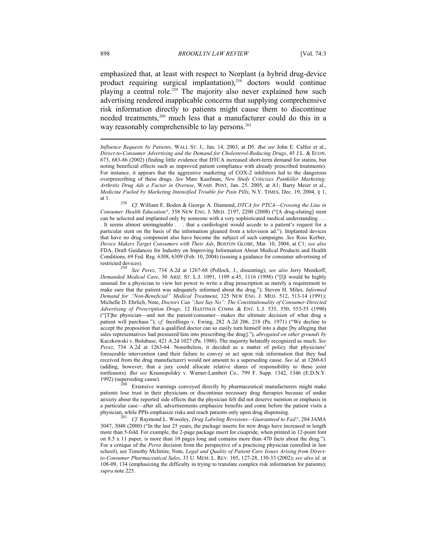emphasized that, at least with respect to Norplant (a hybrid drug-device product requiring surgical implantation), $258$  doctors would continue playing a central role.<sup>259</sup> The majority also never explained how such advertising rendered inapplicable concerns that supplying comprehensive risk information directly to patients might cause them to discontinue needed treatments,<sup>260</sup> much less that a manufacturer could do this in a way reasonably comprehensible to lay persons.<sup>261</sup>

Extensive warnings conveyed directly by pharmaceutical manufacturers might make patients lose trust in their physicians or discontinue necessary drug therapies because of undue anxiety about the reported side effects that the physician felt did not deserve mention or emphasis in a particular case—after all, advertisements emphasize benefits and come before the patient visits a physician, while PPIs emphasize risks and reach patients only upon drug dispensing. 261 *Cf.* Raymond L. Woosley, *Drug Labeling Revisions—Guaranteed to Fail?*, 284 JAMA

3047, 3048 (2000) ("In the last 25 years, the package inserts for new drugs have increased in length more than 5-fold. For example, the 2-page package insert for cisapride, when printed in 12-point font on 8.5 x 11 paper, is more than 10 pages long and contains more than 470 facts about the drug."). For a critique of the *Pere*z decision from the perspective of a practicing physician (enrolled in law school), see Timothy McIntire, Note, *Legal and Quality of Patient Care Issues Arising from Directto-Consumer Pharmaceutical Sales*, 33 U. MEM. L. REV. 105, 127-28, 130-33 (2002); *see also id.* at 108-09, 134 (emphasizing the difficulty in trying to translate complex risk information for patients); *supra* note 225.

*Influence Requests by Patients*, WALL ST. J., Jan. 14, 2003, at D5. *But see* John E. Calfee et al., *Direct-to-Consumer Advertising and the Demand for Cholesterol-Reducing Drugs*, 45 J.L. & ECON. 673, 683-86 (2002) (finding little evidence that DTCA increased short-term demand for statins, but noting beneficial effects such as improved patient compliance with already prescribed treatments). For instance, it appears that the aggressive marketing of COX-2 inhibitors led to the dangerous overprescribing of these drugs. *See* Marc Kaufman, *New Study Criticizes Painkiller Marketing: Arthritis Drug Ads a Factor in Overuse*, WASH. POST, Jan. 25, 2005, at A1; Barry Meier et al., *Medicine Fueled by Marketing Intensified Trouble for Pain Pills*, N.Y. TIMES, Dec. 19, 2004, § 1,

at 1. 258 *Cf.* William E. Boden & George A. Diamond, *DTCA for PTCA—Crossing the Line in Consumer Health Education?*, 358 NEW ENG. J. MED. 2197, 2200 (2008) ("[A drug-eluting] stent can be selected and implanted only by someone with a very sophisticated medical understanding . . . . It seems almost unimaginable . . . that a cardiologist would accede to a patient's request for a particular stent on the basis of the information gleaned from a television ad."). Implanted devices that have no drug component also have become the subject of such campaigns. *See* Ross Kerber, *Device Makers Target Consumers with Their Ads*, BOSTON GLOBE, Mar. 10, 2004, at C1; *see also* FDA, Draft Guidances for Industry on Improving Information About Medical Products and Health Conditions, 69 Fed. Reg. 6308, 6309 (Feb. 10, 2004) (issuing a guidance for consumer advertising of restricted devices). 259 *See Perez*, 734 A.2d at 1267-68 (Pollock, J., dissenting); *see also* Jerry Menikoff,

*Demanded Medical Care*, 30 ARIZ. ST. L.J. 1091, 1109 n.45, 1116 (1998) ("[I]t would be highly unusual for a physician to view her power to write a drug prescription as merely a requirement to make sure that the patient was adequately informed about the drug."); Steven H. Miles, *Informed Demand for "Non-Beneficial" Medical Treatment*, 325 NEW ENG. J. MED. 512, 513-14 (1991); Michelle D. Ehrlich, Note, *Doctors Can "Just Say No": The Constitutionality of Consumer-Directed Advertising of Prescription Drugs*, 12 HASTINGS COMM. & ENT. L.J. 535, 550, 553-55 (1990) ("[T]he physician—and not the patient/consumer—makes the ultimate decision of what drug a patient will purchase."); *cf.* Incollingo v. Ewing, 282 A.2d 206, 218 (Pa. 1971) ("We decline to accept the proposition that a qualified doctor can so easily turn himself into a dupe [by alleging that sales representatives had pressured him into prescribing the drug]."), *abrogated on other grounds by*  Kaczkowski v. Bolubasz, 421 A.2d 1027 (Pa. 1980). The majority belatedly recognized as much. *See Perez*, 734 A.2d at 1263-64. Nonetheless, it decided as a matter of policy that physicians' foreseeable intervention (and their failure to convey or act upon risk information that they had received from the drug manufacturer) would not amount to a superseding cause. *See id.* at 1260-63 (adding, however, that a jury could allocate relative shares of responsibility to these joint tortfeasors). *But see* Krasnopolsky v. Warner-Lambert Co., 799 F. Supp. 1342, 1346 (E.D.N.Y.<br>1992) (superseding cause).<br><sup>260</sup> Extensive warnings convexed directly by pharmaceutical manufacturers with well-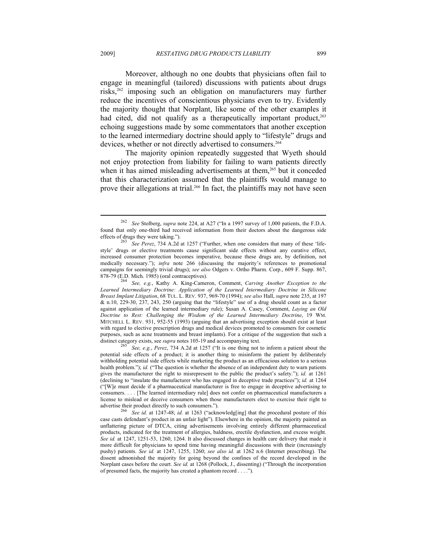Moreover, although no one doubts that physicians often fail to engage in meaningful (tailored) discussions with patients about drugs risks,262 imposing such an obligation on manufacturers may further reduce the incentives of conscientious physicians even to try. Evidently the majority thought that Norplant, like some of the other examples it had cited, did not qualify as a therapeutically important product,  $2^{63}$ echoing suggestions made by some commentators that another exception to the learned intermediary doctrine should apply to "lifestyle" drugs and devices, whether or not directly advertised to consumers.<sup>264</sup>

The majority opinion repeatedly suggested that Wyeth should not enjoy protection from liability for failing to warn patients directly when it has aimed misleading advertisements at them,<sup>265</sup> but it conceded that this characterization assumed that the plaintiffs would manage to prove their allegations at trial.266 In fact, the plaintiffs may not have seen

 $\overline{a}$ 

See, e.g., *Perez*, 734 A.2d at 1257 ("It is one thing not to inform a patient about the potential side effects of a product; it is another thing to misinform the patient by deliberately withholding potential side effects while marketing the product as an efficacious solution to a serious health problem."); *id.* ("The question is whether the absence of an independent duty to warn patients gives the manufacturer the right to misrepresent to the public the product's safety."); *id.* at 1261 (declining to "insulate the manufacturer who has engaged in deceptive trade practices"); *id.* at 1264 ("[W]e must decide if a pharmaceutical manufacturer is free to engage in deceptive advertising to consumers. . . . [The learned intermediary rule] does not confer on pharmaceutical manufacturers a license to mislead or deceive consumers when those manufacturers elect to exercise their right to

advertise their product directly to such consumers."). 266 *See id.* at 1247-48; *id.* at 1263 ("acknowledg[ing] that the procedural posture of this case casts defendant's product in an unfair light"). Elsewhere in the opinion, the majority painted an unflattering picture of DTCA, citing advertisements involving entirely different pharmaceutical products, indicated for the treatment of allergies, baldness, erectile dysfunction, and excess weight. *See id.* at 1247, 1251-53, 1260, 1264. It also discussed changes in health care delivery that made it more difficult for physicians to spend time having meaningful discussions with their (increasingly pushy) patients. *See id.* at 1247, 1255, 1260; *see also id.* at 1262 n.6 (Internet prescribing). The dissent admonished the majority for going beyond the confines of the record developed in the Norplant cases before the court. *See id.* at 1268 (Pollock, J., dissenting) ("Through the incorporation of presumed facts, the majority has created a phantom record . . . .").

<sup>262</sup> *See* Stolberg, *supra* note 224, at A27 ("In a 1997 survey of 1,000 patients, the F.D.A. found that only one-third had received information from their doctors about the dangerous side effects of drugs they were taking.").

See Perez, 734 A.2d at 1257 ("Further, when one considers that many of these 'lifestyle' drugs or elective treatments cause significant side effects without any curative effect, increased consumer protection becomes imperative, because these drugs are, by definition, not medically necessary."); *infra* note 266 (discussing the majority's references to promotional campaigns for seemingly trivial drugs); *see also* Odgers v. Ortho Pharm. Corp., 609 F. Supp. 867,

<sup>878-79 (</sup>E.D. Mich. 1985) (oral contraceptives). 264 *See, e.g.*, Kathy A. King-Cameron, Comment, *Carving Another Exception to the Learned Intermediary Doctrine: Application of the Learned Intermediary Doctrine in Silicone Breast Implant Litigation*, 68 TUL. L. REV. 937, 969-70 (1994); *see also* Hall, *supra* note 235, at 197 & n.10, 229-30, 237, 243, 250 (arguing that the "lifestyle" use of a drug should count as a factor against application of the learned intermediary rule); Susan A. Casey, Comment, *Laying an Old Doctrine to Rest: Challenging the Wisdom of the Learned Intermediary Doctrine*, 19 WM. MITCHELL L. REV. 931, 952-55 (1993) (arguing that an advertising exception should exist at least with regard to elective prescription drugs and medical devices promoted to consumers for cosmetic purposes, such as acne treatments and breast implants). For a critique of the suggestion that such a distinct category exists, see *supra* notes 105-19 and accompanying text.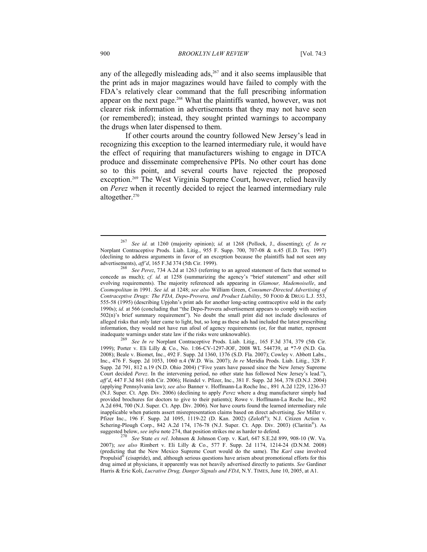any of the allegedly misleading ads, $267$  and it also seems implausible that the print ads in major magazines would have failed to comply with the FDA's relatively clear command that the full prescribing information appear on the next page.<sup>268</sup> What the plaintiffs wanted, however, was not clearer risk information in advertisements that they may not have seen (or remembered); instead, they sought printed warnings to accompany the drugs when later dispensed to them.

If other courts around the country followed New Jersey's lead in recognizing this exception to the learned intermediary rule, it would have the effect of requiring that manufacturers wishing to engage in DTCA produce and disseminate comprehensive PPIs. No other court has done so to this point, and several courts have rejected the proposed exception.<sup>269</sup> The West Virginia Supreme Court, however, relied heavily on *Perez* when it recently decided to reject the learned intermediary rule altogether.270

<sup>267</sup> *See id.* at 1260 (majority opinion); *id.* at 1268 (Pollock, J., dissenting); *cf. In re* Norplant Contraceptive Prods. Liab. Litig., 955 F. Supp. 700, 707-08 & n.45 (E.D. Tex. 1997) (declining to address arguments in favor of an exception because the plaintiffs had not seen any

advertisements), *aff'd*, 165 F.3d 374 (5th Cir. 1999). 268 *See Perez*, 734 A.2d at 1263 (referring to an agreed statement of facts that seemed to concede as much); *cf. id.* at 1258 (summarizing the agency's "brief statement" and other still evolving requirements). The majority referenced ads appearing in *Glamour, Mademoiselle*, and *Cosmopolitan* in 1991. *See id.* at 1248; *see also* William Green, *Consumer-Directed Advertising of Contraceptive Drugs: The FDA, Depo-Provera, and Product Liability*, 50 FOOD & DRUG L.J. 553, 555-58 (1995) (describing Upjohn's print ads for another long-acting contraceptive sold in the early 1990s); *id.* at 566 (concluding that "the Depo-Provera advertisement appears to comply with section 502(n)'s brief summary requirement"). No doubt the small print did not include disclosures of alleged risks that only later came to light, but, so long as these ads had included the latest prescribing information, they would not have run afoul of agency requirements (or, for that matter, represent inadequate warnings under state law if the risks were unknowable). 269 *See In re* Norplant Contraceptive Prods. Liab. Litig., 165 F.3d 374, 379 (5th Cir.

<sup>1999);</sup> Porter v. Eli Lilly & Co., No. 1:06-CV-1297-JOF, 2008 WL 544739, at \*7-9 (N.D. Ga. 2008); Beale v. Biomet, Inc., 492 F. Supp. 2d 1360, 1376 (S.D. Fla. 2007); Cowley v. Abbott Labs., Inc., 476 F. Supp. 2d 1053, 1060 n.4 (W.D. Wis. 2007); *In re* Meridia Prods. Liab. Litig., 328 F. Supp. 2d 791, 812 n.19 (N.D. Ohio 2004) ("Five years have passed since the New Jersey Supreme Court decided *Perez*. In the intervening period, no other state has followed New Jersey's lead."), *aff'd*, 447 F.3d 861 (6th Cir. 2006); Heindel v. Pfizer, Inc., 381 F. Supp. 2d 364, 378 (D.N.J. 2004) (applying Pennsylvania law); *see also* Banner v. Hoffmann-La Roche Inc., 891 A.2d 1229, 1236-37 (N.J. Super. Ct. App. Div. 2006) (declining to apply *Perez* where a drug manufacturer simply had provided brochures for doctors to give to their patients); Rowe v. Hoffmann-La Roche Inc., 892 A.2d 694, 700 (N.J. Super. Ct. App. Div. 2006). Nor have courts found the learned intermediary rule inapplicable when patients assert misrepresentation claims based on direct advertising. *See* Miller v. Pfizer Inc., 196 F. Supp. 2d 1095, 1119-22 (D. Kan. 2002) (Zoloft®); N.J. Citizen Action v. Schering-Plough Corp., 842 A.2d 174, 176-78 (N.J. Super. Ct. App. Div. 2003) (Claritin®). As suggested below, *see infra* note 274, that position strikes me as harder to defend.<br><sup>270</sup> See State *ex rel*. Johnson & Johnson Corp. v. Karl, 647 S.E.2d 899, 908-10 (W. Va.

<sup>2007);</sup> *see also* Rimbert v. Eli Lilly & Co., 577 F. Supp. 2d 1174, 1214-24 (D.N.M. 2008) (predicting that the New Mexico Supreme Court would do the same). The *Karl* case involved Propulsid<sup>®</sup> (cisapride), and, although serious questions have arisen about promotional efforts for this drug aimed at physicians, it apparently was not heavily advertised directly to patients. *See* Gardiner Harris & Eric Koli, *Lucrative Drug, Danger Signals and FDA*, N.Y. TIMES, June 10, 2005, at A1.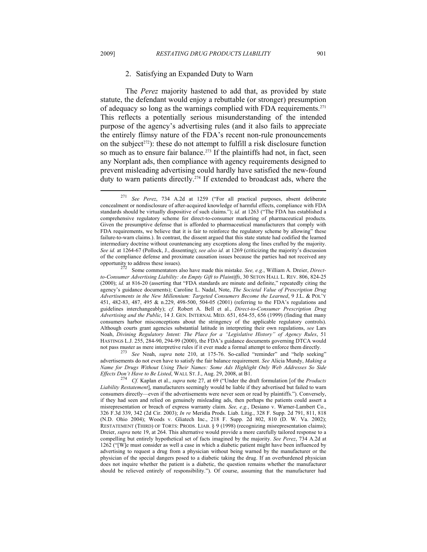## 2. Satisfying an Expanded Duty to Warn

The *Perez* majority hastened to add that, as provided by state statute, the defendant would enjoy a rebuttable (or stronger) presumption of adequacy so long as the warnings complied with FDA requirements.<sup>271</sup> This reflects a potentially serious misunderstanding of the intended purpose of the agency's advertising rules (and it also fails to appreciate the entirely flimsy nature of the FDA's recent non-rule pronouncements on the subject<sup> $272$ </sup>): these do not attempt to fulfill a risk disclosure function so much as to ensure fair balance.<sup>273</sup> If the plaintiffs had not, in fact, seen any Norplant ads, then compliance with agency requirements designed to prevent misleading advertising could hardly have satisfied the new-found duty to warn patients directly.<sup>274</sup> If extended to broadcast ads, where the

advertisements do not even have to satisfy the fair balance requirement. *See* Alicia Mundy, *Making a Name for Drugs Without Using Their Names: Some Ads Highlight Only Web Addresses So Side Effects Don't Have to Be Listed*, WALL ST. J., Aug. 29, 2008, at B1. 274 *Cf.* Kaplan et al., *supra* note 27, at 69 ("Under the draft formulation [of the *Products* 

<sup>271</sup> *See Perez*, 734 A.2d at 1259 ("For all practical purposes, absent deliberate concealment or nondisclosure of after-acquired knowledge of harmful effects, compliance with FDA standards should be virtually dispositive of such claims."); *id.* at 1263 ("The FDA has established a comprehensive regulatory scheme for direct-to-consumer marketing of pharmaceutical products. Given the presumptive defense that is afforded to pharmaceutical manufacturers that comply with FDA requirements, we believe that it is fair to reinforce the regulatory scheme by allowing" these failure-to-warn claims.). In contrast, the dissent argued that this state statute had codified the learned intermediary doctrine without countenancing any exceptions along the lines crafted by the majority. *See id.* at 1264-67 (Pollock, J., dissenting); *see also id.* at 1269 (criticizing the majority's discussion of the compliance defense and proximate causation issues because the parties had not received any opportunity to address these issues). 272 Some commentators also have made this mistake. *See, e.g.*, William A. Dreier, *Direct-*

*to-Consumer Advertising Liability: An Empty Gift to Plaintiffs*, 30 SETON HALL L. REV. 806, 824-25 (2000); *id.* at 816-20 (asserting that "FDA standards are minute and definite," repeatedly citing the agency's guidance documents); Caroline L. Nadal, Note, *The Societal Value of Prescription Drug Advertisements in the New Millennium: Targeted Consumers Become the Learned*, 9 J.L. & POL'Y 451, 482-83, 487, 495 & n.229, 498-500, 504-05 (2001) (referring to the FDA's regulations and guidelines interchangeably); *cf.* Robert A. Bell et al., *Direct-to-Consumer Prescription Drug Advertising and the Public*, 14 J. GEN. INTERNAL MED. 651, 654-55, 656 (1999) (finding that many consumers harbor misconceptions about the stringency of the applicable regulatory controls). Although courts grant agencies substantial latitude in interpreting their own regulations, *see* Lars Noah, *Divining Regulatory Intent: The Place for a "Legislative History" of Agency Rules*, 51 HASTINGS L.J. 255, 284-90, 294-99 (2000), the FDA's guidance documents governing DTCA would not pass muster as mere interpretive rules if it ever made a formal attempt to enforce them directly. 273 *See* Noah, *supra* note 210, at 175-76. So-called "reminder" and "help seeking"

*Liability Restatement*], manufacturers seemingly would be liable if they advertised but failed to warn consumers directly—even if the advertisements were never seen or read by plaintiffs."). Conversely, if they had seen and relied on genuinely misleading ads, then perhaps the patients could assert a misrepresentation or breach of express warranty claim. *See, e.g.*, Desiano v. Warner-Lambert Co., 326 F.3d 339, 342 (2d Cir. 2003); *In re* Meridia Prods. Liab. Litig., 328 F. Supp. 2d 791, 811, 818 (N.D. Ohio 2004); Woods v. Gliatech Inc., 218 F. Supp. 2d 802, 810 (D. W. Va. 2002); RESTATEMENT (THIRD) OF TORTS: PRODS. LIAB. § 9 (1998) (recognizing misrepresentation claims); Dreier, *supra* note 19, at 264. This alternative would provide a more carefully tailored response to a compelling but entirely hypothetical set of facts imagined by the majority. *See Perez*, 734 A.2d at 1262 ("[W]e must consider as well a case in which a diabetic patient might have been influenced by advertising to request a drug from a physician without being warned by the manufacturer or the physician of the special dangers posed to a diabetic taking the drug. If an overburdened physician does not inquire whether the patient is a diabetic, the question remains whether the manufacturer should be relieved entirely of responsibility."). Of course, assuming that the manufacturer had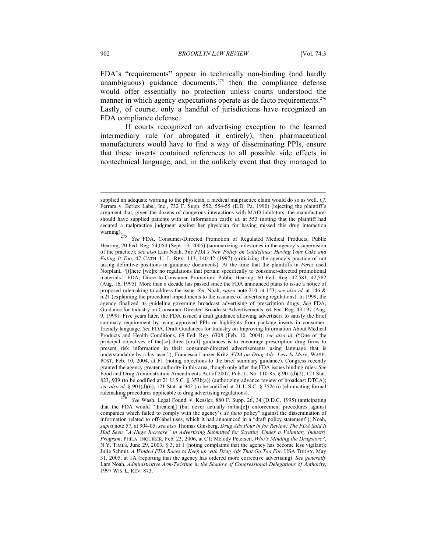FDA's "requirements" appear in technically non-binding (and hardly unambiguous) guidance documents, $275$  then the compliance defense would offer essentially no protection unless courts understood the manner in which agency expectations operate as de facto requirements.<sup>276</sup> Lastly, of course, only a handful of jurisdictions have recognized an FDA compliance defense.

If courts recognized an advertising exception to the learned intermediary rule (or abrogated it entirely), then pharmaceutical manufacturers would have to find a way of disseminating PPIs, ensure that these inserts contained references to all possible side effects in nontechnical language, and, in the unlikely event that they managed to

rulemaking procedures applicable to drug advertising regulations). 276 *See* Wash. Legal Found. v. Kessler, 880 F. Supp. 26, 34 (D.D.C. 1995) (anticipating that the FDA would "threaten[] (but never actually initiat[e]) enforcement procedures against companies which failed to comply with the agency's *de facto* policy" against the dissemination of information related to off-label uses, which it had announced in a "draft policy statement"); Noah, *supra* note 57, at 904-05; *see also* Thomas Ginsberg, *Drug Ads Pour in for Review: The FDA Said It Had Seen "A Huge Increase" in Advertising Submitted for Scrutiny Under a Voluntary Industry Program*, PHILA. INQUIRER, Feb. 23, 2006, at C1; Melody Petersen, *Who's Minding the Drugstore?*, N.Y. TIMES, June 29, 2003, § 3, at 1 (noting complaints that the agency has become less vigilant); Julie Schmit, *A Winded FDA Races to Keep up with Drug Ads That Go Too Far*, USA TODAY, May 31, 2005, at 1A (reporting that the agency has ordered more corrective advertising). *See generally* Lars Noah, *Administrative Arm-Twisting in the Shadow of Congressional Delegations of Authority*, 1997 WIS. L. REV. 873.

supplied an adequate warning to the physician, a medical malpractice claim would do so as well. *Cf.* Ferrara v. Berlex Labs., Inc., 732 F. Supp. 552, 554-55 (E.D. Pa. 1990) (rejecting the plaintiff's argument that, given the dozens of dangerous interactions with MAO inhibitors, the manufacturer should have supplied patients with an information card); *id.* at 553 (noting that the plaintiff had secured a malpractice judgment against her physician for having missed this drug interaction warning).

See FDA, Consumer-Directed Promotion of Regulated Medical Products; Public Hearing, 70 Fed. Reg. 54,054 (Sept. 13, 2005) (summarizing milestones in the agency's supervision of the practice); *see also* Lars Noah, *The FDA's New Policy on Guidelines: Having Your Cake and Eating It Too*, 47 CATH. U. L. REV. 113, 140-42 (1997) (criticizing the agency's practice of not taking definitive positions in guidance documents). At the time that the plaintiffs in *Perez* used Norplant, "[t]here [we]re no regulations that pertain specifically to consumer-directed promotional materials." FDA, Direct-to-Consumer Promotion; Public Hearing, 60 Fed. Reg. 42,581, 42,582 (Aug. 16, 1995). More than a decade has passed since the FDA announced plans to issue a notice of proposed rulemaking to address the issue. *See* Noah, *supra* note 210, at 153; *see also id.* at 146 & n.21 (explaining the procedural impediments to the issuance of advertising regulations). In 1999, the agency finalized its guideline governing broadcast advertising of prescription drugs. *See* FDA, Guidance for Industry on Consumer-Directed Broadcast Advertisements, 64 Fed. Reg. 43,197 (Aug. 9, 1999). Five years later, the FDA issued a draft guidance allowing advertisers to satisfy the brief summary requirement by using approved PPIs or highlights from package inserts in consumerfriendly language. *See* FDA, Draft Guidances for Industry on Improving Information About Medical Products and Health Conditions, 69 Fed. Reg. 6308 (Feb. 10, 2004); *see also id.* ("One of the principal objectives of the[se] three [draft] guidances is to encourage prescription drug firms to present risk information in their consumer-directed advertisements using language that is understandable by a lay user."); Francesca Lunzer Kritz, *FDA on Drug Ads: Less Is More*, WASH. POST, Feb. 10, 2004, at F1 (noting objections to the brief summary guidance). Congress recently granted the agency greater authority in this area, though only after the FDA issues binding rules. *See* Food and Drug Administration Amendments Act of 2007, Pub. L. No. 110-85, § 901(d)(2), 121 Stat. 823, 939 (to be codified at 21 U.S.C. § 353b(a)) (authorizing advance review of broadcast DTCA); *see also id.* § 901(d)(6), 121 Stat. at 942 (to be codified at 21 U.S.C. § 352(n)) (eliminating formal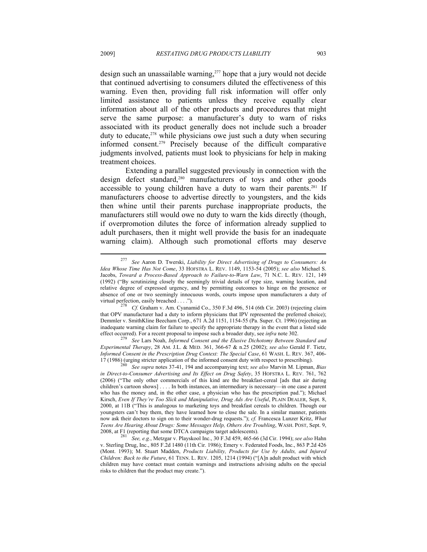design such an unassailable warning,<sup>277</sup> hope that a jury would not decide that continued advertising to consumers diluted the effectiveness of this warning. Even then, providing full risk information will offer only limited assistance to patients unless they receive equally clear information about all of the other products and procedures that might serve the same purpose: a manufacturer's duty to warn of risks associated with its product generally does not include such a broader duty to educate, $278$  while physicians owe just such a duty when securing informed consent.279 Precisely because of the difficult comparative judgments involved, patients must look to physicians for help in making treatment choices.

Extending a parallel suggested previously in connection with the design defect standard,<sup>280</sup> manufacturers of toys and other goods accessible to young children have a duty to warn their parents.<sup>281</sup> If manufacturers choose to advertise directly to youngsters, and the kids then whine until their parents purchase inappropriate products, the manufacturers still would owe no duty to warn the kids directly (though, if overpromotion dilutes the force of information already supplied to adult purchasers, then it might well provide the basis for an inadequate warning claim). Although such promotional efforts may deserve

<sup>277</sup> *See* Aaron D. Twerski, *Liability for Direct Advertising of Drugs to Consumers: An Idea Whose Time Has Not Come*, 33 HOFSTRA L. REV. 1149, 1153-54 (2005); *see also* Michael S. Jacobs, *Toward a Process-Based Approach to Failure-to-Warn Law*, 71 N.C. L. REV. 121, 149 (1992) ("By scrutinizing closely the seemingly trivial details of type size, warning location, and relative degree of expressed urgency, and by permitting outcomes to hinge on the presence or absence of one or two seemingly innocuous words, courts impose upon manufacturers a duty of virtual perfection, easily breached . . . .").<br><sup>278</sup> Cf. Graham v. Am. Cyanamid Co., 350 F.3d 496, 514 (6th Cir. 2003) (rejecting claim

that OPV manufacturer had a duty to inform physicians that IPV represented the preferred choice); Demmler v. SmithKline Beecham Corp., 671 A.2d 1151, 1154-55 (Pa. Super. Ct. 1996) (rejecting an inadequate warning claim for failure to specify the appropriate therapy in the event that a listed side effect occurred). For a recent proposal to impose such a broader duty, see *infra* note 302. 279 *See* Lars Noah, *Informed Consent and the Elusive Dichotomy Between Standard and* 

*Experimental Therapy*, 28 AM. J.L. & MED. 361, 366-67 & n.25 (2002); *see also* Gerald F. Tietz, *Informed Consent in the Prescription Drug Context: The Special Case*, 61 WASH. L. REV. 367, 406-

<sup>17 (1986) (</sup>urging stricter application of the informed consent duty with respect to prescribing). 280 *See supra* notes 37-41, 194 and accompanying text; *see also* Marvin M. Lipman, *Bias in Direct-to-Consumer Advertising and Its Effect on Drug Safety*, 35 HOFSTRA L. REV. 761, 762 (2006) ("The only other commercials of this kind are the breakfast-cereal [ads that air during children's cartoon shows] . . . . In both instances, an intermediary is necessary—in one case a parent who has the money and, in the other case, a physician who has the prescription pad."); Michael Kirsch, *Even If They're Too Slick and Manipulative, Drug Ads Are Useful*, PLAIN DEALER, Sept. 8, 2000, at 11B ("This is analogous to marketing toys and breakfast cereals to children. Though our youngsters can't buy them, they have learned how to close the sale. In a similar manner, patients now ask their doctors to sign on to their wonder-drug requests."); *cf.* Francesca Lunzer Kritz, *What Teens Are Hearing About Drugs: Some Messages Help, Others Are Troubling*, WASH. POST, Sept. 9, 2008, at F1 (reporting that some DTCA campaigns target adolescents). 281 *See, e.g.*, Metzgar v. Playskool Inc., 30 F.3d 459, 465-66 (3d Cir. 1994); *see also* Hahn

v. Sterling Drug, Inc., 805 F.2d 1480 (11th Cir. 1986); Emery v. Federated Foods, Inc., 863 P.2d 426 (Mont. 1993); M. Stuart Madden, *Products Liability, Products for Use by Adults, and Injured Children: Back to the Future*, 61 TENN. L. REV. 1205, 1214 (1994) ("[A]n adult product with which children may have contact must contain warnings and instructions advising adults on the special risks to children that the product may create.").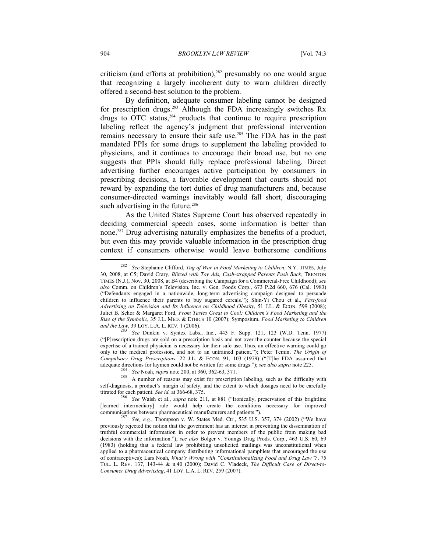criticism (and efforts at prohibition), $282$  presumably no one would argue that recognizing a largely incoherent duty to warn children directly offered a second-best solution to the problem.

By definition, adequate consumer labeling cannot be designed for prescription drugs.<sup>283</sup> Although the FDA increasingly switches  $Rx$ drugs to OTC status,284 products that continue to require prescription labeling reflect the agency's judgment that professional intervention remains necessary to ensure their safe use.285 The FDA has in the past mandated PPIs for some drugs to supplement the labeling provided to physicians, and it continues to encourage their broad use, but no one suggests that PPIs should fully replace professional labeling. Direct advertising further encourages active participation by consumers in prescribing decisions, a favorable development that courts should not reward by expanding the tort duties of drug manufacturers and, because consumer-directed warnings inevitably would fall short, discouraging such advertising in the future.<sup>286</sup>

As the United States Supreme Court has observed repeatedly in deciding commercial speech cases, some information is better than none.287 Drug advertising naturally emphasizes the benefits of a product, but even this may provide valuable information in the prescription drug context if consumers otherwise would leave bothersome conditions

<sup>282</sup> *See* Stephanie Clifford, *Tug of War in Food Marketing to Children*, N.Y. TIMES, July 30, 2008, at C5; David Crary, *Blitzed with Toy Ads, Cash-strapped Parents Push Back*, TRENTON TIMES (N.J.), Nov. 30, 2008, at B4 (describing the Campaign for a Commercial-Free Childhood); *see also* Comm. on Children's Television, Inc. v. Gen. Foods Corp., 673 P.2d 660, 676 (Cal. 1983) ("Defendants engaged in a nationwide, long-term advertising campaign designed to persuade children to influence their parents to buy sugared cereals."); Shin-Yi Chou et al., *Fast-food Advertising on Television and Its Influence on Childhood Obesity*, 51 J.L. & ECON. 599 (2008); Juliet B. Schor & Margaret Ford, *From Tastes Great to Cool: Children's Food Marketing and the Rise of the Symbolic*, 35 J.L. MED. & ETHICS 10 (2007); Symposium, *Food Marketing to Children* 

<sup>&</sup>lt;sup>283</sup> See Dunkin v. Syntex Labs., Inc., 443 F. Supp. 121, 123 (W.D. Tenn. 1977) ("[P]rescription drugs are sold on a prescription basis and not over-the-counter because the special expertise of a trained physician is necessary for their safe use. Thus, an effective warning could go only to the medical profession, and not to an untrained patient."); Peter Temin, *The Origin of Compulsory Drug Prescriptions*, 22 J.L. & ECON. 91, 103 (1979) ("[T]he FDA assumed that adequate directions for laymen could not be written for some drugs."); *see also supra* note 225.

See Noah, supra note 200, at 360, 362-63, 371.<br><sup>285</sup> A number of reasons may exist for prescription labeling, such as the difficulty with self-diagnosis, a product's margin of safety, and the extent to which dosages need to be carefully titrated for each patient. See id. at 366-68, 375.

<sup>&</sup>lt;sup>286</sup> See Walsh et al., *supra* note 211, at 881 ("Ironically, preservation of this brightline [learned intermediary] rule would help create the conditions necessary for improved communications between pharmaceutical manufacturers and patients."). 287 *See, e.g.*, Thompson v. W. States Med. Ctr., 535 U.S. 357, 374 (2002) ("We have

previously rejected the notion that the government has an interest in preventing the dissemination of truthful commercial information in order to prevent members of the public from making bad decisions with the information."); *see also* Bolger v. Youngs Drug Prods. Corp., 463 U.S. 60, 69 (1983) (holding that a federal law prohibiting unsolicited mailings was unconstitutional when applied to a pharmaceutical company distributing informational pamphlets that encouraged the use of contraceptives); Lars Noah, *What's Wrong with "Constitutionalizing Food and Drug Law"?*, 75 TUL. L. REV. 137, 143-44 & n.40 (2000); David C. Vladeck, *The Difficult Case of Direct-to-Consumer Drug Advertising*, 41 LOY. L.A. L. REV. 259 (2007).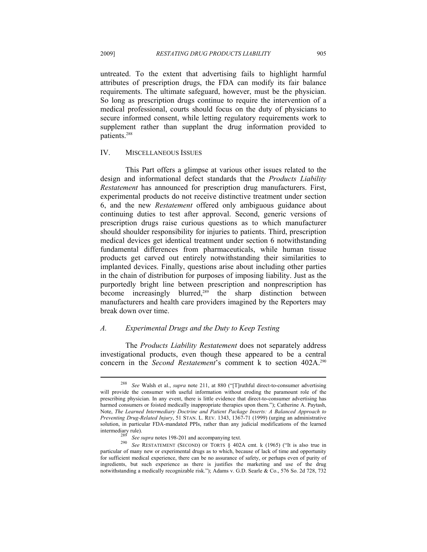untreated. To the extent that advertising fails to highlight harmful attributes of prescription drugs, the FDA can modify its fair balance requirements. The ultimate safeguard, however, must be the physician. So long as prescription drugs continue to require the intervention of a medical professional, courts should focus on the duty of physicians to secure informed consent, while letting regulatory requirements work to supplement rather than supplant the drug information provided to patients.<sup>288</sup>

## IV. MISCELLANEOUS ISSUES

This Part offers a glimpse at various other issues related to the design and informational defect standards that the *Products Liability Restatement* has announced for prescription drug manufacturers. First, experimental products do not receive distinctive treatment under section 6, and the new *Restatement* offered only ambiguous guidance about continuing duties to test after approval. Second, generic versions of prescription drugs raise curious questions as to which manufacturer should shoulder responsibility for injuries to patients. Third, prescription medical devices get identical treatment under section 6 notwithstanding fundamental differences from pharmaceuticals, while human tissue products get carved out entirely notwithstanding their similarities to implanted devices. Finally, questions arise about including other parties in the chain of distribution for purposes of imposing liability. Just as the purportedly bright line between prescription and nonprescription has become increasingly blurred,<sup>289</sup> the sharp distinction between manufacturers and health care providers imagined by the Reporters may break down over time.

## *A. Experimental Drugs and the Duty to Keep Testing*

The *Products Liability Restatement* does not separately address investigational products, even though these appeared to be a central concern in the *Second Restatement*'s comment k to section 402A.<sup>290</sup>

<sup>288</sup> *See* Walsh et al., *supra* note 211, at 880 ("[T]ruthful direct-to-consumer advertising will provide the consumer with useful information without eroding the paramount role of the prescribing physician. In any event, there is little evidence that direct-to-consumer advertising has harmed consumers or foisted medically inappropriate therapies upon them."); Catherine A. Paytash, Note, *The Learned Intermediary Doctrine and Patient Package Inserts: A Balanced Approach to Preventing Drug-Related Injury*, 51 STAN. L. REV. 1343, 1367-71 (1999) (urging an administrative solution, in particular FDA-mandated PPIs, rather than any judicial modifications of the learned

intermediary rule). 289 *See supra* notes 198-201 and accompanying text. 290 *See* RESTATEMENT (SECOND) OF TORTS § 402A cmt. k (1965) ("It is also true in particular of many new or experimental drugs as to which, because of lack of time and opportunity for sufficient medical experience, there can be no assurance of safety, or perhaps even of purity of ingredients, but such experience as there is justifies the marketing and use of the drug notwithstanding a medically recognizable risk."); Adams v. G.D. Searle & Co., 576 So. 2d 728, 732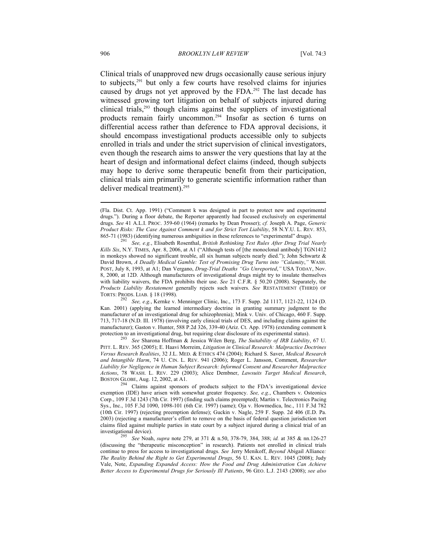Clinical trials of unapproved new drugs occasionally cause serious injury to subjects,291 but only a few courts have resolved claims for injuries caused by drugs not yet approved by the FDA.292 The last decade has witnessed growing tort litigation on behalf of subjects injured during clinical trials, $293$  though claims against the suppliers of investigational products remain fairly uncommon.294 Insofar as section 6 turns on differential access rather than deference to FDA approval decisions, it should encompass investigational products accessible only to subjects enrolled in trials and under the strict supervision of clinical investigators, even though the research aims to answer the very questions that lay at the heart of design and informational defect claims (indeed, though subjects may hope to derive some therapeutic benefit from their participation, clinical trials aim primarily to generate scientific information rather than deliver medical treatment).<sup>295</sup>

PITT. L. REV. 365 (2005); E. Haavi Morreim, *Litigation in Clinical Research: Malpractice Doctrines Versus Research Realities*, 32 J.L. MED. & ETHICS 474 (2004); Richard S. Saver, *Medical Research and Intangible Harm*, 74 U. CIN. L. REV. 941 (2006); Roger L. Jansson, Comment, *Researcher Liability for Negligence in Human Subject Research: Informed Consent and Researcher Malpractice Actions*, 78 WASH. L. REV. 229 (2003); Alice Dembner, *Lawsuits Target Medical Research*,

<sup>(</sup>Fla. Dist. Ct. App. 1991) ("Comment k was designed in part to protect new and experimental drugs."). During a floor debate, the Reporter apparently had focused exclusively on experimental drugs. *See* 41 A.L.I. PROC. 359-60 (1964) (remarks by Dean Prosser); *cf.* Joseph A. Page, *Generic Product Risks: The Case Against Comment k and for Strict Tort Liability*, 58 N.Y.U. L. REV. 853,

<sup>865-71 (1983) (</sup>identifying numerous ambiguities in these references to "experimental" drugs). 291 *See, e.g.*, Elisabeth Rosenthal, *British Rethinking Test Rules After Drug Trial Nearly Kills Six*, N.Y. TIMES, Apr. 8, 2006, at A1 ("Although tests of [the monoclonal antibody] TGN1412 in monkeys showed no significant trouble, all six human subjects nearly died."); John Schwartz & David Brown, *A Deadly Medical Gamble: Test of Promising Drug Turns into "Calamity*,*"* WASH. POST, July 8, 1993, at A1; Dan Vergano, *Drug-Trial Deaths "Go Unreported*,*"* USA TODAY, Nov. 8, 2000, at 12D. Although manufacturers of investigational drugs might try to insulate themselves with liability waivers, the FDA prohibits their use. *See* 21 C.F.R. § 50.20 (2008). Separately, the *Products Liability Restatement* generally rejects such waivers. *See* RESTATEMENT (THIRD) OF

TORTS: PRODS. LIAB. § 18 (1998). 292 *See, e.g.*, Kernke v. Menninger Clinic, Inc., 173 F. Supp. 2d 1117, 1121-22, 1124 (D. Kan. 2001) (applying the learned intermediary doctrine in granting summary judgment to the manufacturer of an investigational drug for schizophrenia); Mink v. Univ. of Chicago, 460 F. Supp. 713, 717-18 (N.D. Ill. 1978) (involving early clinical trials of DES, and including claims against the manufacturer); Gaston v. Hunter, 588 P.2d 326, 339-40 (Ariz. Ct. App. 1978) (extending comment k protection to an investigational drug, but requiring clear disclosure of its experimental status). 293 *See* Sharona Hoffman & Jessica Wilen Berg, *The Suitability of IRB Liability*, 67 U.

<sup>&</sup>lt;sup>294</sup> Claims against sponsors of products subject to the FDA's investigational device exemption (IDE) have arisen with somewhat greater frequency. *See, e.g.*, Chambers v. Osteonics Corp., 109 F.3d 1243 (7th Cir. 1997) (finding such claims preempted); Martin v. Telectronics Pacing Sys., Inc., 105 F.3d 1090, 1098-101 (6th Cir. 1997) (same); Oja v. Howmedica, Inc., 111 F.3d 782 (10th Cir. 1997) (rejecting preemption defense); Guckin v. Nagle, 259 F. Supp. 2d 406 (E.D. Pa. 2003) (rejecting a manufacturer's effort to remove on the basis of federal question jurisdiction tort claims filed against multiple parties in state court by a subject injured during a clinical trial of an investigational device).<br>
<sup>295</sup> See Noah sunga pote 270, at 271, & p.50, 272, 70, 284, 298,  $\frac{1}{2}$  of 285, & pp.12

investigational device). 295 *See* Noah, *supra* note 279, at 371 & n.50, 378-79, 384, 388; *id.* at 385 & nn.126-27 (discussing the "therapeutic misconception" in research). Patients not enrolled in clinical trials continue to press for access to investigational drugs. *See* Jerry Menikoff, *Beyond* Abigail Alliance*: The Reality Behind the Right to Get Experimental Drugs*, 56 U. KAN. L. REV. 1045 (2008); Judy Vale, Note, *Expanding Expanded Access: How the Food and Drug Administration Can Achieve Better Access to Experimental Drugs for Seriously Ill Patients*, 96 GEO. L.J. 2143 (2008); *see also*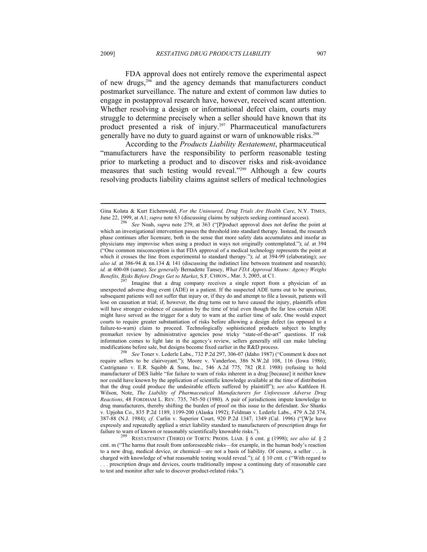FDA approval does not entirely remove the experimental aspect of new drugs,296 and the agency demands that manufacturers conduct postmarket surveillance. The nature and extent of common law duties to engage in postapproval research have, however, received scant attention. Whether resolving a design or informational defect claim, courts may struggle to determine precisely when a seller should have known that its product presented a risk of injury.<sup>297</sup> Pharmaceutical manufacturers generally have no duty to guard against or warn of unknowable risks.298

According to the *Products Liability Restatement*, pharmaceutical "manufacturers have the responsibility to perform reasonable testing prior to marketing a product and to discover risks and risk-avoidance measures that such testing would reveal."299 Although a few courts resolving products liability claims against sellers of medical technologies

Gina Kolata & Kurt Eichenwald, *For the Uninsured, Drug Trials Are Health Care*, N.Y. TIMES, June 22, 1999, at A1; *supra* note 63 (discussing claims by subjects seeking continued access). 296 *See* Noah, *supra* note 279, at 363 ("[P]roduct approval does not define the point at

which an investigational intervention passes the threshold into standard therapy. Instead, the research phase continues after licensure, both in the sense that more safety data accumulates and insofar as physicians may improvise when using a product in ways not originally contemplated."); *id.* at 394 ("One common misconception is that FDA approval of a medical technology represents the point at which it crosses the line from experimental to standard therapy."); *id.* at 394-99 (elaborating); *see also id.* at 386-94 & nn.134 & 141 (discussing the indistinct line between treatment and research); *id.* at 400-08 (same). *See generally* Bernadette Tansey, *What FDA Approval Means: Agency Weighs Benefits, Risks Before Drugs Get to Market*, S.F. CHRON., Mar. 3, 2005, at C1.<br><sup>297</sup> Imagine that a drug company receives a single report from a physician of an

unexpected adverse drug event (ADE) in a patient. If the suspected ADE turns out to be spurious, subsequent patients will not suffer that injury or, if they do and attempt to file a lawsuit, patients will lose on causation at trial; if, however, the drug turns out to have caused the injury, plaintiffs often will have stronger evidence of causation by the time of trial even though the far less certain ADE might have served as the trigger for a duty to warn at the earlier time of sale. One would expect courts to require greater substantiation of risks before allowing a design defect (as opposed to a failure-to-warn) claim to proceed. Technologically sophisticated products subject to lengthy premarket review by administrative agencies pose tricky "state-of-the-art" questions. If risk information comes to light late in the agency's review, sellers generally still can make labeling modifications before sale, but designs become fixed earlier in the R&D process. 298 *See* Toner v. Lederle Labs., 732 P.2d 297, 306-07 (Idaho 1987) ("Comment k does not

require sellers to be clairvoyant."); Moore v. Vanderloo, 386 N.W.2d 108, 116 (Iowa 1986); Castrignano v. E.R. Squibb & Sons, Inc., 546 A.2d 775, 782 (R.I. 1988) (refusing to hold manufacturer of DES liable "for failure to warn of risks inherent in a drug [because] it neither knew nor could have known by the application of scientific knowledge available at the time of distribution that the drug could produce the undesirable effects suffered by plaintiff"); *see also* Kathleen H. Wilson, Note, *The Liability of Pharmaceutical Manufacturers for Unforeseen Adverse Drug Reactions*, 48 FORDHAM L. REV. 735, 745-50 (1980). A pair of jurisdictions impute knowledge to drug manufacturers, thereby shifting the burden of proof on this issue to the defendant. *See* Shanks v. Upjohn Co., 835 P.2d 1189, 1199-200 (Alaska 1992); Feldman v. Lederle Labs., 479 A.2d 374, 387-88 (N.J. 1984); *cf.* Carlin v. Superior Court, 920 P.2d 1347, 1349 (Cal. 1996) ("[W]e have expressly and repeatedly applied a strict liability standard to manufacturers of prescription drugs for failure to warn of known or reasonably scientifically knowable risks.").<br><sup>299</sup> RESTATEMENT (THIRD) OF TORTS: PRODS. LIAB. § 6 cmt. g (1998); *see also id.* § 2

cmt. m ("The harms that result from unforeseeable risks—for example, in the human body's reaction to a new drug, medical device, or chemical—are not a basis of liability. Of course, a seller . . . is charged with knowledge of what reasonable testing would reveal."); *id.* § 10 cmt. c ("With regard to

<sup>. . .</sup> prescription drugs and devices, courts traditionally impose a continuing duty of reasonable care to test and monitor after sale to discover product-related risks.").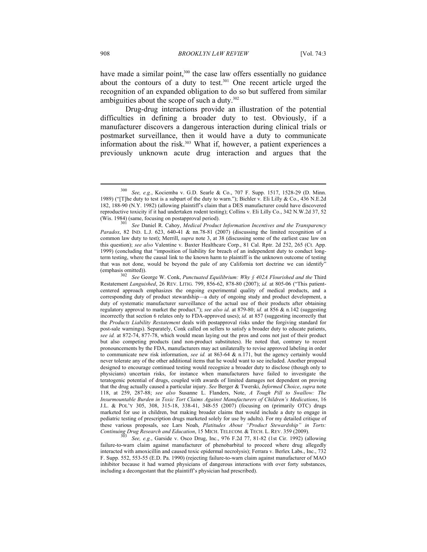have made a similar point,<sup>300</sup> the case law offers essentially no guidance about the contours of a duty to test.<sup>301</sup> One recent article urged the recognition of an expanded obligation to do so but suffered from similar ambiguities about the scope of such a duty.302

Drug-drug interactions provide an illustration of the potential difficulties in defining a broader duty to test. Obviously, if a manufacturer discovers a dangerous interaction during clinical trials or postmarket surveillance, then it would have a duty to communicate information about the risk.<sup>303</sup> What if, however, a patient experiences a previously unknown acute drug interaction and argues that the

(emphasis omitted)). 302 *See* George W. Conk, *Punctuated Equilibrium: Why § 402A Flourished and the* Third Restatement *Languished*, 26 REV. LITIG. 799, 856-62, 878-80 (2007); *id.* at 805-06 ("This patientcentered approach emphasizes the ongoing experimental quality of medical products, and a corresponding duty of product stewardship—a duty of ongoing study and product development, a duty of systematic manufacturer surveillance of the actual use of their products after obtaining regulatory approval to market the product."); *see also id.* at 879-80; *id.* at 856 & n.142 (suggesting incorrectly that section 6 relates only to FDA-approved uses); *id.* at 857 (suggesting incorrectly that the *Products Liability Restatement* deals with postapproval risks under the forgiving standard for post-sale warnings). Separately, Conk called on sellers to satisfy a broader duty to educate patients, *see id.* at 872-74, 877-78, which would mean laying out the pros and cons not just of their product but also competing products (and non-product substitutes). He noted that, contrary to recent pronouncements by the FDA, manufacturers may act unilaterally to revise approved labeling in order to communicate new risk information, *see id.* at 863-64 & n.171, but the agency certainly would never tolerate any of the other additional items that he would want to see included. Another proposal designed to encourage continued testing would recognize a broader duty to disclose (though only to physicians) uncertain risks, for instance when manufacturers have failed to investigate the teratogenic potential of drugs, coupled with awards of limited damages not dependent on proving that the drug actually caused a particular injury. *See* Berger & Twerski, *Informed Choice*, *supra* note 118, at 259, 287-88; *see also* Susanne L. Flanders, Note, *A Tough Pill to Swallow: The Insurmountable Burden in Toxic Tort Claims Against Manufacturers of Children's Medications*, 16 J.L. & POL'Y 305, 308, 315-18, 338-41, 348-55 (2007) (focusing on (primarily OTC) drugs marketed for use in children, but making broader claims that would include a duty to engage in pediatric testing of prescription drugs marketed solely for use by adults). For my detailed critique of these various proposals, see Lars Noah, *Platitudes About "Product Stewardship" in Torts: Continuing Drug Research and Education*, 15 MICH. TELECOM. & TECH. L. REV. 359 (2009).<br><sup>303</sup> See, e.g., Garside v. Osco Drug, Inc., 976 F.2d 77, 81-82 (1st Cir. 1992) (allowing

failure-to-warn claim against manufacturer of phenobarbital to proceed where drug allegedly interacted with amoxicillin and caused toxic epidermal necrolysis); Ferrara v. Berlex Labs., Inc., 732 F. Supp. 552, 553-55 (E.D. Pa. 1990) (rejecting failure-to-warn claim against manufacturer of MAO inhibitor because it had warned physicians of dangerous interactions with over forty substances, including a decongestant that the plaintiff's physician had prescribed).

<sup>300</sup> *See, e.g.*, Kociemba v. G.D. Searle & Co., 707 F. Supp. 1517, 1528-29 (D. Minn. 1989) ("[T]he duty to test is a subpart of the duty to warn."); Bichler v. Eli Lilly & Co., 436 N.E.2d 182, 188-90 (N.Y. 1982) (allowing plaintiff's claim that a DES manufacturer could have discovered reproductive toxicity if it had undertaken rodent testing); Collins v. Eli Lilly Co., 342 N.W.2d 37, 52 (Wis. 1984) (same, focusing on postapproval period). 301 *See* Daniel R. Cahoy, *Medical Product Information Incentives and the Transparency* 

*Paradox*, 82 IND. L.J. 623, 640-41 & nn.78-81 (2007) (discussing the limited recognition of a common law duty to test); Merrill, *supra* note 3, at 38 (discussing some of the earliest case law on this question); *see also* Valentine v. Baxter Healthcare Corp., 81 Cal. Rptr. 2d 252, 265 (Ct. App. 1999) (concluding that "imposition of liability for breach of an independent duty to conduct longterm testing, where the causal link to the known harm to plaintiff is the unknown outcome of testing that was not done, would be beyond the pale of any California tort doctrine we can identify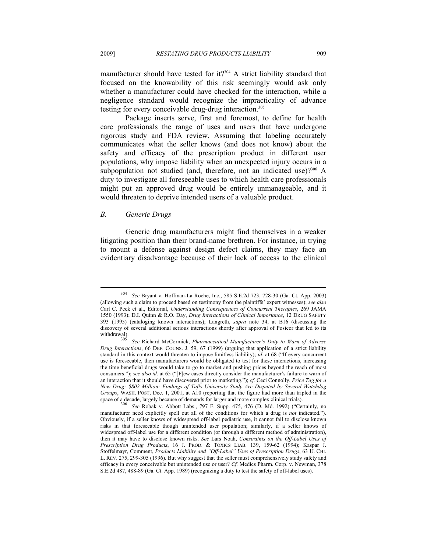manufacturer should have tested for it?<sup>304</sup> A strict liability standard that focused on the knowability of this risk seemingly would ask only whether a manufacturer could have checked for the interaction, while a negligence standard would recognize the impracticality of advance testing for every conceivable drug-drug interaction.<sup>305</sup>

Package inserts serve, first and foremost, to define for health care professionals the range of uses and users that have undergone rigorous study and FDA review. Assuming that labeling accurately communicates what the seller knows (and does not know) about the safety and efficacy of the prescription product in different user populations, why impose liability when an unexpected injury occurs in a subpopulation not studied (and, therefore, not an indicated use)? $306 \text{ A}$ duty to investigate all foreseeable uses to which health care professionals might put an approved drug would be entirely unmanageable, and it would threaten to deprive intended users of a valuable product.

# *B. Generic Drugs*

 $\overline{a}$ 

Generic drug manufacturers might find themselves in a weaker litigating position than their brand-name brethren. For instance, in trying to mount a defense against design defect claims, they may face an evidentiary disadvantage because of their lack of access to the clinical

<sup>304</sup> *See* Bryant v. Hoffman-La Roche, Inc., 585 S.E.2d 723, 728-30 (Ga. Ct. App. 2003) (allowing such a claim to proceed based on testimony from the plaintiffs' expert witnesses); *see also* Carl C. Peck et al., Editorial, *Understanding Consequences of Concurrent Therapies*, 269 JAMA 1550 (1993); D.I. Quinn & R.O. Day, *Drug Interactions of Clinical Importance*, 12 DRUG SAFETY 393 (1995) (cataloging known interactions); Langreth, *supra* note 34, at B16 (discussing the discovery of several additional serious interactions shortly after approval of Posicor that led to its

withdrawal). 305 *See* Richard McCormick, *Pharmaceutical Manufacturer's Duty to Warn of Adverse Drug Interactions*, 66 DEF. COUNS. J. 59, 67 (1999) (arguing that application of a strict liability standard in this context would threaten to impose limitless liability); *id.* at 68 ("If every concurrent use is foreseeable, then manufacturers would be obligated to test for these interactions, increasing the time beneficial drugs would take to go to market and pushing prices beyond the reach of most consumers."); *see also id.* at 65 ("[F]ew cases directly consider the manufacturer's failure to warn of an interaction that it should have discovered prior to marketing."); *cf.* Ceci Connolly, *Price Tag for a New Drug: \$802 Million: Findings of Tufts University Study Are Disputed by Several Watchdog Groups*, WASH. POST, Dec. 1, 2001, at A10 (reporting that the figure had more than tripled in the space of a decade, largely because of demands for larger and more complex clinical trials).

<sup>&</sup>lt;sup>36</sup> See Robak v. Abbott Labs., 797 F. Supp. 475, 476 (D. Md. 1992) ("Certainly, no manufacturer need explicitly spell out all of the conditions for which a drug is *not* indicated."). Obviously, if a seller knows of widespread off-label pediatric use, it cannot fail to disclose known risks in that foreseeable though unintended user population; similarly, if a seller knows of widespread off-label use for a different condition (or through a different method of administration), then it may have to disclose known risks. *See* Lars Noah, *Constraints on the Off-Label Uses of Prescription Drug Products*, 16 J. PROD. & TOXICS LIAB. 139, 159-62 (1994); Kaspar J. Stoffelmayr, Comment, *Products Liability and "Off-Label" Uses of Prescription Drugs*, 63 U. CHI. L. REV. 275, 299-305 (1996). But why suggest that the seller must comprehensively study safety and efficacy in every conceivable but unintended use or user? *Cf.* Medics Pharm. Corp. v. Newman, 378 S.E.2d 487, 488-89 (Ga. Ct. App. 1989) (recognizing a duty to test the safety of off-label uses).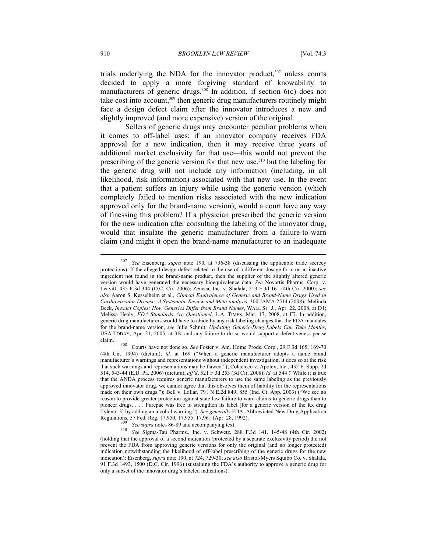trials underlying the NDA for the innovator product, $307$  unless courts decided to apply a more forgiving standard of knowability to manufacturers of generic drugs.<sup>308</sup> In addition, if section 6(c) does not take cost into account,<sup>309</sup> then generic drug manufacturers routinely might face a design defect claim after the innovator introduces a new and slightly improved (and more expensive) version of the original.

Sellers of generic drugs may encounter peculiar problems when it comes to off-label uses: if an innovator company receives FDA approval for a new indication, then it may receive three years of additional market exclusivity for that use—this would not prevent the prescribing of the generic version for that new use,<sup>310</sup> but the labeling for the generic drug will not include any information (including, in all likelihood, risk information) associated with that new use. In the event that a patient suffers an injury while using the generic version (which completely failed to mention risks associated with the new indication approved only for the brand-name version), would a court have any way of finessing this problem? If a physician prescribed the generic version for the new indication after consulting the labeling of the innovator drug, would that insulate the generic manufacturer from a failure-to-warn claim (and might it open the brand-name manufacturer to an inadequate

See Eisenberg, *supra* note 190, at 736-38 (discussing the applicable trade secrecy protections). If the alleged design defect related to the use of a different dosage form or an inactive ingredient not found in the brand-name product, then the supplier of the slightly altered generic version would have generated the necessary bioequivalence data. *See* Novartis Pharms. Corp. v. Leavitt, 435 F.3d 344 (D.C. Cir. 2006); Zeneca, Inc. v. Shalala, 213 F.3d 161 (4th Cir. 2000); *see also* Aaron S. Kesselheim et al., *Clinical Equivalence of Generic and Brand-Name Drugs Used in Cardiovascular Disease: A Systematic Review and Meta-analysis*, 300 JAMA 2514 (2008); Melinda Beck, *Inexact Copies: How Generics Differ from Brand Names*, WALL ST. J., Apr. 22, 2008, at D1; Melissa Healy, *FDA Standards Are Questioned*, L.A. TIMES, Mar. 17, 2008, at F7. In addition, generic drug manufacturers would have to abide by any risk labeling changes that the FDA mandates for the brand-name version, *see* Julie Schmit, *Updating Generic-Drug Labels Can Take Months*, USA TODAY, Apr. 21, 2005, at 3B, and any failure to do so would support a defectiveness per se claim. 308 Courts have not done so. *See* Foster v. Am. Home Prods. Corp., 29 F.3d 165, 169-70

<sup>(4</sup>th Cir. 1994) (dictum); *id.* at 169 ("When a generic manufacturer adopts a name brand manufacturer's warnings and representations without independent investigation, it does so at the risk that such warnings and representations may be flawed."); Colacicco v. Apotex, Inc., 432 F. Supp. 2d 514, 543-44 (E.D. Pa. 2006) (dictum), *aff'd*, 521 F.3d 253 (3d Cir. 2008); *id.* at 544 ("While it is true that the ANDA process requires generic manufacturers to use the same labeling as the previously approved innovator drug, we cannot agree that this absolves them of liability for the representations made on their own drugs."); Bell v. Lollar, 791 N.E.2d 849, 855 (Ind. Ct. App. 2003) ("We see no reason to provide greater protection against state law failure to warn claims to generic drugs than to pioneer drugs. . . . Purepac was free to strengthen its label [for a generic version of the Rx drug Tylenol 3] by adding an alcohol warning."). *See generally* FDA, Abbreviated New Drug Application

Regulations, 57 Fed. Reg. 17,950, 17,955, 17,961 (Apr. 28, 1992). 309 *See supra* notes 86-89 and accompanying text. 310 *See* Sigma-Tau Pharms., Inc. v. Schwetz, 288 F.3d 141, 145-48 (4th Cir. 2002) (holding that the approval of a second indication (protected by a separate exclusivity period) did not prevent the FDA from approving generic versions for only the original (and no longer protected) indication notwithstanding the likelihood of off-label prescribing of the generic drugs for the new indication); Eisenberg, *supra* note 190, at 724, 729-30; *see also* Bristol-Myers Squibb Co. v. Shalala, 91 F.3d 1493, 1500 (D.C. Cir. 1996) (sustaining the FDA's authority to approve a generic drug for only a subset of the innovator drug's labeled indications).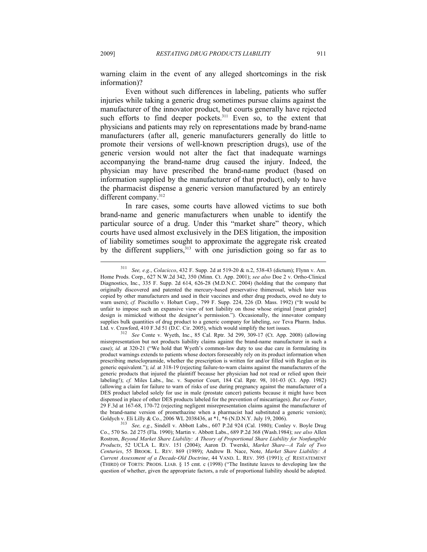warning claim in the event of any alleged shortcomings in the risk information)?

Even without such differences in labeling, patients who suffer injuries while taking a generic drug sometimes pursue claims against the manufacturer of the innovator product, but courts generally have rejected such efforts to find deeper pockets.<sup>311</sup> Even so, to the extent that physicians and patients may rely on representations made by brand-name manufacturers (after all, generic manufacturers generally do little to promote their versions of well-known prescription drugs), use of the generic version would not alter the fact that inadequate warnings accompanying the brand-name drug caused the injury. Indeed, the physician may have prescribed the brand-name product (based on information supplied by the manufacturer of that product), only to have the pharmacist dispense a generic version manufactured by an entirely different company.<sup>312</sup>

In rare cases, some courts have allowed victims to sue both brand-name and generic manufacturers when unable to identify the particular source of a drug. Under this "market share" theory, which courts have used almost exclusively in the DES litigation, the imposition of liability sometimes sought to approximate the aggregate risk created by the different suppliers, $313$  with one jurisdiction going so far as to

<sup>311</sup> *See, e.g.*, *Colacicco*, 432 F. Supp. 2d at 519-20 & n.2, 538-43 (dictum); Flynn v. Am. Home Prods. Corp., 627 N.W.2d 342, 350 (Minn. Ct. App. 2001); *see also* Doe 2 v. Ortho-Clinical Diagnostics, Inc., 335 F. Supp. 2d 614, 626-28 (M.D.N.C. 2004) (holding that the company that originally discovered and patented the mercury-based preservative thimerosal, which later was copied by other manufacturers and used in their vaccines and other drug products, owed no duty to warn users); *cf.* Piscitello v. Hobart Corp., 799 F. Supp. 224, 226 (D. Mass. 1992) ("It would be unfair to impose such an expansive view of tort liability on those whose original [meat grinder] design is mimicked without the designer's permission."). Occasionally, the innovator company supplies bulk quantities of drug product to a generic company for labeling, *see* Teva Pharm. Indus. Ltd. v. Crawford, 410 F.3d 51 (D.C. Cir. 2005), which would simplify the tort issues. 312 *See* Conte v. Wyeth, Inc., 85 Cal. Rptr. 3d 299, 309-17 (Ct. App. 2008) (allowing

misrepresentation but not products liability claims against the brand-name manufacturer in such a case); *id.* at 320-21 ("We hold that Wyeth's common-law duty to use due care in formulating its product warnings extends to patients whose doctors foreseeably rely on its product information when prescribing metoclopramide, whether the prescription is written for and/or filled with Reglan or its generic equivalent."); *id.* at 318-19 (rejecting failure-to-warn claims against the manufacturers of the generic products that injured the plaintiff because her physician had not read or relied upon their labeling!); *cf.* Miles Labs., Inc. v. Superior Court, 184 Cal. Rptr. 98, 101-03 (Ct. App. 1982) (allowing a claim for failure to warn of risks of use during pregnancy against the manufacturer of a DES product labeled solely for use in male (prostate cancer) patients because it might have been dispensed in place of other DES products labeled for the prevention of miscarriages). *But see Foster*, 29 F.3d at 167-68, 170-72 (rejecting negligent misrepresentation claims against the manufacturer of the brand-name version of promethazine when a pharmacist had substituted a generic version);<br>Goldych v. Eli Lilly & Co., 2006 WL 2038436, at  $*1$ ,  $*6$  (N.D.N.Y. July 19, 2006).

<sup>&</sup>lt;sup>313</sup> See, e.g., Sindell v. Abbott Labs., 607 P.2d 924 (Cal. 1980); Conley v. Boyle Drug Co., 570 So. 2d 275 (Fla. 1990); Martin v. Abbott Labs., 689 P.2d 368 (Wash.1984); *see also* Allen Rostron, *Beyond Market Share Liability: A Theory of Proportional Share Liability for Nonfungible Products*, 52 UCLA L. REV. 151 (2004); Aaron D. Twerski, *Market Share—A Tale of Two Centuries*, 55 BROOK. L. REV. 869 (1989); Andrew B. Nace, Note, *Market Share Liability: A Current Assessment of a Decade-Old Doctrine*, 44 VAND. L. REV. 395 (1991); *cf.* RESTATEMENT (THIRD) OF TORTS: PRODS. LIAB. § 15 cmt. c (1998) ("The Institute leaves to developing law the question of whether, given the appropriate factors, a rule of proportional liability should be adopted.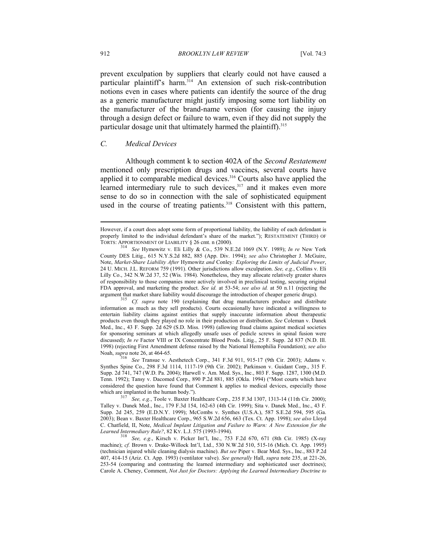prevent exculpation by suppliers that clearly could not have caused a particular plaintiff's harm.<sup>314</sup> An extension of such risk-contribution notions even in cases where patients can identify the source of the drug as a generic manufacturer might justify imposing some tort liability on the manufacturer of the brand-name version (for causing the injury through a design defect or failure to warn, even if they did not supply the particular dosage unit that ultimately harmed the plaintiff).<sup>315</sup>

## *C. Medical Devices*

Although comment k to section 402A of the *Second Restatement* mentioned only prescription drugs and vaccines, several courts have applied it to comparable medical devices.<sup>316</sup> Courts also have applied the learned intermediary rule to such devices,<sup>317</sup> and it makes even more sense to do so in connection with the sale of sophisticated equipment used in the course of treating patients.<sup>318</sup> Consistent with this pattern,

However, if a court does adopt some form of proportional liability, the liability of each defendant is properly limited to the individual defendant's share of the market."); RESTATEMENT (THIRD) OF TORTS: APPORTIONMENT OF LIABILITY § 26 cmt. n (2000). 314 *See* Hymowitz v. Eli Lilly & Co., 539 N.E.2d 1069 (N.Y. 1989); *In re* New York

County DES Litig., 615 N.Y.S.2d 882, 885 (App. Div. 1994); *see also* Christopher J. McGuire, Note, *Market-Share Liability After* Hymowitz *and* Conley*: Exploring the Limits of Judicial Power*, 24 U. MICH. J.L. REFORM 759 (1991). Other jurisdictions allow exculpation. *See, e.g.*, Collins v. Eli Lilly Co., 342 N.W.2d 37, 52 (Wis. 1984). Nonetheless, they may allocate relatively greater shares of responsibility to those companies more actively involved in preclinical testing, securing original FDA approval, and marketing the product. *See id.* at 53-54; *see also id.* at 50 n.11 (rejecting the argument that market share liability would discourage the introduction of cheaper generic drugs). 315 *Cf. supra* note 190 (explaining that drug manufacturers produce and distribute

information as much as they sell products). Courts occasionally have indicated a willingness to entertain liability claims against entities that supply inaccurate information about therapeutic products even though they played no role in their production or distribution. *See* Coleman v. Danek Med., Inc., 43 F. Supp. 2d 629 (S.D. Miss. 1998) (allowing fraud claims against medical societies for sponsoring seminars at which allegedly unsafe uses of pedicle screws in spinal fusion were discussed); *In re* Factor VIII or IX Concentrate Blood Prods. Litig., 25 F. Supp. 2d 837 (N.D. Ill. 1998) (rejecting First Amendment defense raised by the National Hemophilia Foundation); *see also*

Noah, *supra* note 26, at 464-65. 316 *See* Transue v. Aesthetech Corp., 341 F.3d 911, 915-17 (9th Cir. 2003); Adams v. Synthes Spine Co., 298 F.3d 1114, 1117-19 (9th Cir. 2002); Parkinson v. Guidant Corp., 315 F. Supp. 2d 741, 747 (W.D. Pa. 2004); Harwell v. Am. Med. Sys., Inc., 803 F. Supp. 1287, 1300 (M.D. Tenn. 1992); Tansy v. Dacomed Corp., 890 P.2d 881, 885 (Okla. 1994) ("Most courts which have considered the question have found that Comment k applies to medical devices, especially those which are implanted in the human body.").<br><sup>317</sup> *See, e.g.*, Toole v. Baxter Healthcare Corp., 235 F.3d 1307, 1313-14 (11th Cir. 2000);

Talley v. Danek Med., Inc., 179 F.3d 154, 162-63 (4th Cir. 1999); Sita v. Danek Med., Inc., 43 F. Supp. 2d 245, 259 (E.D.N.Y. 1999); McCombs v. Synthes (U.S.A.), 587 S.E.2d 594, 595 (Ga. 2003); Bean v. Baxter Healthcare Corp., 965 S.W.2d 656, 663 (Tex. Ct. App. 1998); *see also* Lloyd C. Chatfield, II, Note, *Medical Implant Litigation and Failure to Warn: A New Extension for the Learned Intermediary Rule?*, 82 KY. L.J. 575 (1993-1994). 318 *See, e.g*., Kirsch v. Picker Int'l, Inc., 753 F.2d 670, 671 (8th Cir. 1985) (X-ray

machine); *cf.* Brown v. Drake-Willock Int'l, Ltd., 530 N.W.2d 510, 515-16 (Mich. Ct. App. 1995) (technician injured while cleaning dialysis machine). *But see* Piper v. Bear Med. Sys., Inc., 883 P.2d 407, 414-15 (Ariz. Ct. App. 1993) (ventilator valve). *See generally* Hall, *supra* note 235, at 221-26, 253-54 (comparing and contrasting the learned intermediary and sophisticated user doctrines); Carole A. Cheney, Comment, *Not Just for Doctors: Applying the Learned Intermediary Doctrine to*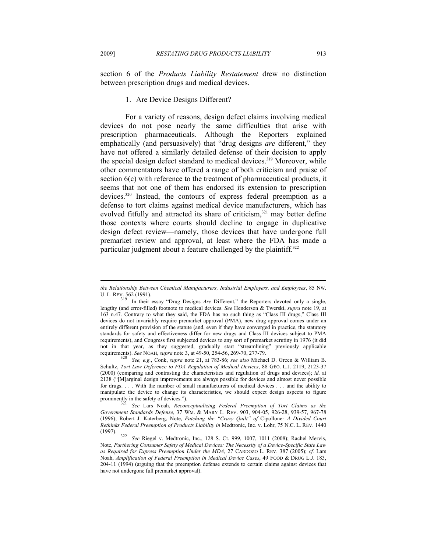section 6 of the *Products Liability Restatement* drew no distinction between prescription drugs and medical devices.

# 1. Are Device Designs Different?

For a variety of reasons, design defect claims involving medical devices do not pose nearly the same difficulties that arise with prescription pharmaceuticals. Although the Reporters explained emphatically (and persuasively) that "drug designs *are* different," they have not offered a similarly detailed defense of their decision to apply the special design defect standard to medical devices.<sup>319</sup> Moreover, while other commentators have offered a range of both criticism and praise of section 6(c) with reference to the treatment of pharmaceutical products, it seems that not one of them has endorsed its extension to prescription devices.<sup>320</sup> Instead, the contours of express federal preemption as a defense to tort claims against medical device manufacturers, which has evolved fitfully and attracted its share of criticism,<sup>321</sup> may better define those contexts where courts should decline to engage in duplicative design defect review—namely, those devices that have undergone full premarket review and approval, at least where the FDA has made a particular judgment about a feature challenged by the plaintiff.<sup>322</sup>

*the Relationship Between Chemical Manufacturers, Industrial Employers, and Employees*, 85 NW.

U. L. REV. 562 (1991).<br><sup>319</sup> In their essay "Drug Designs *Are* Different," the Reporters devoted only a single, lengthy (and error-filled) footnote to medical devices. *See* Henderson & Twerski, *supra* note 19, at 163 n.47. Contrary to what they said, the FDA has no such thing as "Class III drugs," Class III devices do not invariably require premarket approval (PMA), new drug approval comes under an entirely different provision of the statute (and, even if they have converged in practice, the statutory standards for safety and effectiveness differ for new drugs and Class III devices subject to PMA requirements), and Congress first subjected devices to any sort of premarket scrutiny in 1976 (it did not in that year, as they suggested, gradually start "streamlining" previously applicable

requirements). *See* NOAH, *supra* note 3, at 49-50, 254-56, 269-70, 277-79. 320 *See, e.g.*, Conk, *supra* note 21, at 783-86; *see also* Michael D. Green & William B. Schultz, *Tort Law Deference to FDA Regulation of Medical Devices*, 88 GEO. L.J. 2119, 2123-37 (2000) (comparing and contrasting the characteristics and regulation of drugs and devices); *id.* at 2138 ("[M]arginal design improvements are always possible for devices and almost never possible for drugs. . . . With the number of small manufacturers of medical devices . . . and the ability to manipulate the device to change its characteristics, we should expect design aspects to figure prominently in the safety of devices."). 321 *See* Lars Noah, *Reconceptualizing Federal Preemption of Tort Claims as the* 

*Government Standards Defense*, 37 WM. & MARY L. REV. 903, 904-05, 926-28, 939-57, 967-78 (1996); Robert J. Katerberg, Note, *Patching the "Crazy Quilt" of* Cipollone*: A Divided Court Rethinks Federal Preemption of Products Liability in* Medtronic, Inc. v. Lohr, 75 N.C. L. REV. 1440

<sup>(1997). 322</sup> *See* Riegel v. Medtronic, Inc., 128 S. Ct. 999, 1007, 1011 (2008); Rachel Mervis, Note, *Furthering Consumer Safety of Medical Devices: The Necessity of a Device-Specific State Law as Required for Express Preemption Under the MDA*, 27 CARDOZO L. REV. 387 (2005); *cf.* Lars Noah, *Amplification of Federal Preemption in Medical Device Cases*, 49 FOOD & DRUG L.J. 183, 204-11 (1994) (arguing that the preemption defense extends to certain claims against devices that have not undergone full premarket approval).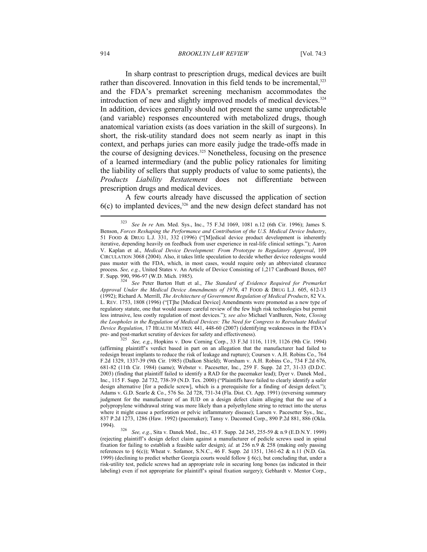In sharp contrast to prescription drugs, medical devices are built rather than discovered. Innovation in this field tends to be incremental,<sup>323</sup> and the FDA's premarket screening mechanism accommodates the introduction of new and slightly improved models of medical devices.<sup>324</sup> In addition, devices generally should not present the same unpredictable (and variable) responses encountered with metabolized drugs, though anatomical variation exists (as does variation in the skill of surgeons). In short, the risk-utility standard does not seem nearly as inapt in this context, and perhaps juries can more easily judge the trade-offs made in the course of designing devices.<sup>325</sup> Nonetheless, focusing on the presence of a learned intermediary (and the public policy rationales for limiting the liability of sellers that supply products of value to some patients), the *Products Liability Restatement* does not differentiate between prescription drugs and medical devices.

A few courts already have discussed the application of section 6(c) to implanted devices,326 and the new design defect standard has not

F. Supp. 990, 996-97 (W.D. Mich. 1985). 324 *See* Peter Barton Hutt et al., *The Standard of Evidence Required for Premarket Approval Under the Medical Device Amendments of 1976*, 47 FOOD & DRUG L.J. 605, 612-13 (1992); Richard A. Merrill, *The Architecture of Government Regulation of Medical Products*, 82 VA. L. REV. 1753, 1808 (1996) ("[T]he [Medical Device] Amendments were promoted as a new type of regulatory statute, one that would assure careful review of the few high risk technologies but permit less intrusive, less costly regulation of most devices."); *see also* Michael VanBuren, Note, *Closing the Loopholes in the Regulation of Medical Devices: The Need for Congress to Reevaluate Medical Device Regulation*, 17 HEALTH MATRIX 441, 448-60 (2007) (identifying weaknesses in the FDA's pre- and post-market scrutiny of devices for safety and effectiveness). 325 *See, e.g.*, Hopkins v. Dow Corning Corp., 33 F.3d 1116, 1119, 1126 (9th Cir. 1994)

(affirming plaintiff's verdict based in part on an allegation that the manufacturer had failed to redesign breast implants to reduce the risk of leakage and rupture); Coursen v. A.H. Robins Co., 764 F.2d 1329, 1337-39 (9th Cir. 1985) (Dalkon Shield); Worsham v. A.H. Robins Co., 734 F.2d 676, 681-82 (11th Cir. 1984) (same); Webster v. Pacesetter, Inc., 259 F. Supp. 2d 27, 31-33 (D.D.C. 2003) (finding that plaintiff failed to identify a RAD for the pacemaker lead); Dyer v. Danek Med., Inc., 115 F. Supp. 2d 732, 738-39 (N.D. Tex. 2000) ("Plaintiffs have failed to clearly identify a safer design alternative [for a pedicle screw], which is a prerequisite for a finding of design defect."); Adams v. G.D. Searle & Co., 576 So. 2d 728, 731-34 (Fla. Dist. Ct. App. 1991) (reversing summary judgment for the manufacturer of an IUD on a design defect claim alleging that the use of a polypropylene withdrawal string was more likely than a polyethylene string to retract into the uterus where it might cause a perforation or pelvic inflammatory disease); Larsen v. Pacesetter Sys., Inc., 837 P.2d 1273, 1286 (Haw. 1992) (pacemaker); Tansy v. Dacomed Corp., 890 P.2d 881, 886 (Okla.

1994). 326 *See, e.g.*, Sita v. Danek Med., Inc., 43 F. Supp. 2d 245, 255-59 & n.9 (E.D.N.Y. 1999) (rejecting plaintiff's design defect claim against a manufacturer of pedicle screws used in spinal fixation for failing to establish a feasible safer design); *id.* at 256 n.9 & 258 (making only passing references to § 6(c)); Wheat v. Sofamor, S.N.C., 46 F. Supp. 2d 1351, 1361-62 & n.11 (N.D. Ga. 1999) (declining to predict whether Georgia courts would follow § 6(c), but concluding that, under a risk-utility test, pedicle screws had an appropriate role in securing long bones (as indicated in their labeling) even if not appropriate for plaintiff's spinal fixation surgery); Gebhardt v. Mentor Corp.,

<sup>323</sup> *See In re* Am. Med. Sys., Inc., 75 F.3d 1069, 1081 n.12 (6th Cir. 1996); James S. Benson, *Forces Reshaping the Performance and Contribution of the U.S. Medical Device Industry*, 51 FOOD & DRUG L.J. 331, 332 (1996) ("[M]edical device product development is inherently iterative, depending heavily on feedback from user experience in real-life clinical settings."); Aaron V. Kaplan et al., *Medical Device Development: From Prototype to Regulatory Approval*, 109 CIRCULATION 3068 (2004). Also, it takes little speculation to decide whether device redesigns would pass muster with the FDA, which, in most cases, would require only an abbreviated clearance process. *See, e.g.*, United States v. An Article of Device Consisting of 1,217 Cardboard Boxes, 607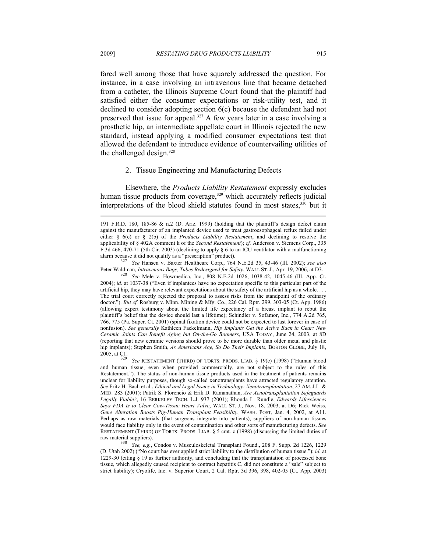fared well among those that have squarely addressed the question. For instance, in a case involving an intravenous line that became detached from a catheter, the Illinois Supreme Court found that the plaintiff had satisfied either the consumer expectations or risk-utility test, and it declined to consider adopting section 6(c) because the defendant had not preserved that issue for appeal.<sup>327</sup> A few years later in a case involving a prosthetic hip, an intermediate appellate court in Illinois rejected the new standard, instead applying a modified consumer expectations test that allowed the defendant to introduce evidence of countervailing utilities of the challenged design.<sup>328</sup>

### 2. Tissue Engineering and Manufacturing Defects

Elsewhere, the *Products Liability Restatement* expressly excludes human tissue products from coverage,<sup>329</sup> which accurately reflects judicial interpretations of the blood shield statutes found in most states,<sup>330</sup> but it

Peter Waldman, *Intravenous Bags, Tubes Redesigned for Safety*, WALL ST. J., Apr. 19, 2006, at D3.<br><sup>328</sup> See Mele v. Howmedica, Inc., 808 N.E.2d 1026, 1038-42, 1045-46 (Ill. App. Ct.

2004); *id.* at 1037-38 ("Even if implantees have no expectation specific to this particular part of the artificial hip, they may have relevant expectations about the safety of the artificial hip as a whole. . . . The trial court correctly rejected the proposal to assess risks from the standpoint of the ordinary doctor."). *But cf.* Rosburg v. Minn. Mining & Mfg. Co., 226 Cal. Rptr. 299, 303-05 (Ct. App. 1986) (allowing expert testimony about the limited life expectancy of a breast implant to rebut the plaintiff's belief that the device should last a lifetime); Schindler v. Sofamor, Inc., 774 A.2d 765, 766, 775 (Pa. Super. Ct. 2001) (spinal fixation device could not be expected to last forever in case of nonfusion). *See generally* Kathleen Fackelmann, *Hip Implants Get the Active Back in Gear: New Ceramic Joints Can Benefit Aging but On-the-Go Boomers*, USA TODAY, June 24, 2003, at 8D (reporting that new ceramic versions should prove to be more durable than older metal and plastic hip implants); Stephen Smith, *As Americans Age, So Do Their Implants*, BOSTON GLOBE, July 18, 2005, at C1.

<sup>329</sup> See RESTATEMENT (THIRD) OF TORTS: PRODS. LIAB. § 19(c) (1998) ("Human blood and human tissue, even when provided commercially, are not subject to the rules of this Restatement."). The status of non-human tissue products used in the treatment of patients remains unclear for liability purposes, though so-called xenotransplants have attracted regulatory attention. *See* Fritz H. Bach et al., *Ethical and Legal Issues in Technology: Xenotransplantation*, 27 AM. J.L. & MED. 283 (2001); Patrik S. Florencio & Erik D. Ramanathan, *Are Xenotransplantation Safeguards Legally Viable?*, 16 BERKELEY TECH. L.J. 937 (2001); Rhonda L. Rundle, *Edwards Lifesciences Says FDA Is to Clear Cow-Tissue Heart Valve*, WALL ST. J., Nov. 18, 2003, at D6; Rick Weiss, *Gene Alteration Boosts Pig-Human Transplant Feasibility*, WASH. POST, Jan. 4, 2002, at A11. Perhaps as raw materials (that surgeons integrate into patients), suppliers of non-human tissues would face liability only in the event of contamination and other sorts of manufacturing defects. *See* RESTATEMENT (THIRD) OF TORTS: PRODS. LIAB. § 5 cmt. c (1998) (discussing the limited duties of

raw material suppliers). 330 *See, e.g.*, Condos v. Musculoskeletal Transplant Found., 208 F. Supp. 2d 1226, 1229 (D. Utah 2002) ("No court has ever applied strict liability to the distribution of human tissue."); *id.* at 1229-30 (citing § 19 as further authority, and concluding that the transplantation of processed bone tissue, which allegedly caused recipient to contract hepatitis C, did not constitute a "sale" subject to strict liability); Cryolife, Inc. v. Superior Court, 2 Cal. Rptr. 3d 396, 398, 402-05 (Ct. App. 2003)

<sup>191</sup> F.R.D. 180, 185-86 & n.2 (D. Ariz. 1999) (holding that the plaintiff's design defect claim against the manufacturer of an implanted device used to treat gastroesophageal reflux failed under either § 6(c) or § 2(b) of the *Products Liability Restatement*, and declining to resolve the applicability of § 402A comment k of the *Second Restatement*); *cf.* Anderson v. Siemens Corp., 335 F.3d 466, 470-71 (5th Cir. 2003) (declining to apply § 6 to an ICU ventilator with a malfunctioning alarm because it did not qualify as a "prescription" product). 327 *See* Hansen v. Baxter Healthcare Corp., 764 N.E.2d 35, 43-46 (Ill. 2002); *see also*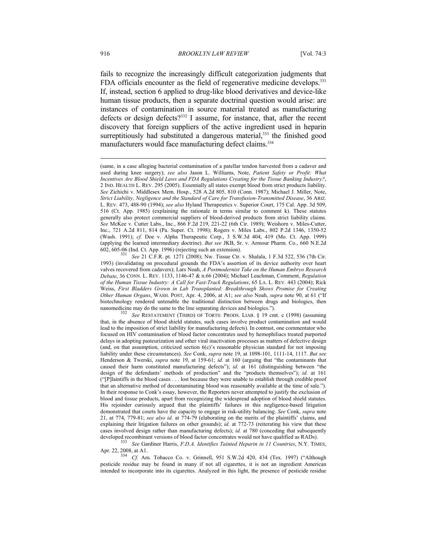fails to recognize the increasingly difficult categorization judgments that FDA officials encounter as the field of regenerative medicine develops.<sup>331</sup> If, instead, section 6 applied to drug-like blood derivatives and device-like human tissue products, then a separate doctrinal question would arise: are instances of contamination in source material treated as manufacturing defects or design defects?<sup>332</sup> I assume, for instance, that, after the recent discovery that foreign suppliers of the active ingredient used in heparin surreptitiously had substituted a dangerous material,<sup>333</sup> the finished good manufacturers would face manufacturing defect claims.<sup>334</sup>

Apr. 22, 2008, at A1. 334 *Cf.* Am. Tobacco Co. v. Grinnell, 951 S.W.2d 420, 434 (Tex. 1997) ("Although

pesticide residue may be found in many if not all cigarettes, it is not an ingredient American intended to incorporate into its cigarettes. Analyzed in this light, the presence of pesticide residue

<sup>(</sup>same, in a case alleging bacterial contamination of a patellar tendon harvested from a cadaver and used during knee surgery); *see also* Jason L. Williams, Note, *Patient Safety or Profit: What Incentives Are Blood Shield Laws and FDA Regulations Creating for the Tissue Banking Industry?*, 2 IND. HEALTH L. REV. 295 (2005). Essentially all states exempt blood from strict products liability. *See* Zichichi v. Middlesex Mem. Hosp., 528 A.2d 805, 810 (Conn. 1987); Michael J. Miller, Note, *Strict Liability, Negligence and the Standard of Care for Transfusion-Transmitted Disease*, 36 ARIZ. L. REV. 473, 488-90 (1994); *see also* Hyland Therapeutics v. Superior Court, 175 Cal. App. 3d 509, 516 (Ct. App. 1985) (explaining the rationale in terms similar to comment k). These statutes generally also protect commercial suppliers of blood-derived products from strict liability claims. *See* McKee v. Cutter Labs., Inc., 866 F.2d 219, 221-22 (6th Cir. 1989); Weishorn v. Miles-Cutter, Inc., 721 A.2d 811, 814 (Pa. Super. Ct. 1998); Rogers v. Miles Labs., 802 P.2d 1346, 1350-52 (Wash. 1991); *cf.* Doe v. Alpha Therapeutic Corp., 3 S.W.3d 404, 419 (Mo. Ct. App. 1999) (applying the learned intermediary doctrine). *But see* JKB, Sr. v. Armour Pharm. Co., 660 N.E.2d

<sup>602, 605-06 (</sup>Ind. Ct. App. 1996) (rejecting such an extension). 331 *See* 21 C.F.R. pt. 1271 (2008); Nw. Tissue Ctr. v. Shalala, 1 F.3d 522, 536 (7th Cir. 1993) (invalidating on procedural grounds the FDA's assertion of its device authority over heart valves recovered from cadavers); Lars Noah, *A Postmodernist Take on the Human Embryo Research Debate*, 36 CONN. L. REV. 1133, 1146-47 & n.66 (2004); Michael Leachman, Comment, *Regulation of the Human Tissue Industry: A Call for Fast-Track Regulations*, 65 LA. L. REV. 443 (2004); Rick Weiss, *First Bladders Grown in Lab Transplanted: Breakthrough Shows Promise for Creating Other Human Organs*, WASH. POST, Apr. 4, 2006, at A1; *see also* Noah, *supra* note 90, at 61 ("If biotechnology rendered untenable the traditional distinction between drugs and biologics, then

nanomedicine may do the same to the line separating devices and biologics.").<br><sup>332</sup> See RESTATEMENT (THIRD) OF TORTS: PRODS. LIAB. § 19 cmt. c (1998) (assuming that, in the absence of blood shield statutes, such cases involve product contamination and would lead to the imposition of strict liability for manufacturing defects). In contrast, one commentator who focused on HIV contamination of blood factor concentrates used by hemophiliacs treated purported delays in adopting pasteurization and other viral inactivation processes as matters of defective design (and, on that assumption, criticized section 6(c)'s reasonable physician standard for not imposing liability under these circumstances). *See* Conk, *supra* note 19, at 1098-101, 1111-14, 1117. *But see* Henderson & Twerski, *supra* note 19, at 159-61; *id.* at 160 (arguing that "the contaminants that caused their harm constituted manufacturing defects"); *id.* at 161 (distinguishing between "the design of the defendants' methods of production" and the "products themselves"); *id.* at 161 ("[P]laintiffs in the blood cases . . . lost because they were unable to establish through credible proof that an alternative method of decontaminating blood was reasonably available at the time of sale."). In their response to Conk's essay, however, the Reporters never attempted to justify the exclusion of blood and tissue products, apart from recognizing the widespread adoption of blood shield statutes. His rejoinder curiously argued that the plaintiffs' failures in this negligence-based litigation demonstrated that courts have the capacity to engage in risk-utility balancing. *See* Conk, *supra* note 21, at 774, 779-81; *see also id.* at 774-79 (elaborating on the merits of the plaintiffs' claims, and explaining their litigation failures on other grounds); *id.* at 772-73 (reiterating his view that these cases involved design rather than manufacturing defects); *id.* at 780 (conceding that subsequently developed recombinant versions of blood factor concentrates would not have qualified as RADs). 333 *See* Gardiner Harris, *F.D.A. Identifies Tainted Heparin in 11 Countries*, N.Y. TIMES,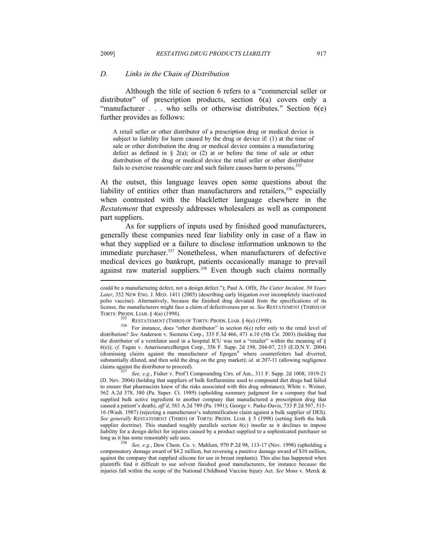#### *D. Links in the Chain of Distribution*

Although the title of section 6 refers to a "commercial seller or distributor" of prescription products, section 6(a) covers only a "manufacturer  $\ldots$  who sells or otherwise distributes." Section  $6(e)$ further provides as follows:

A retail seller or other distributor of a prescription drug or medical device is subject to liability for harm caused by the drug or device if: (1) at the time of sale or other distribution the drug or medical device contains a manufacturing defect as defined in  $\S$  2(a); or (2) at or before the time of sale or other distribution of the drug or medical device the retail seller or other distributor fails to exercise reasonable care and such failure causes harm to persons.<sup>335</sup>

At the outset, this language leaves open some questions about the liability of entities other than manufacturers and retailers,<sup>336</sup> especially when contrasted with the blackletter language elsewhere in the *Restatement* that expressly addresses wholesalers as well as component part suppliers.

As for suppliers of inputs used by finished good manufacturers, generally these companies need fear liability only in case of a flaw in what they supplied or a failure to disclose information unknown to the immediate purchaser.<sup>337</sup> Nonetheless, when manufacturers of defective medical devices go bankrupt, patients occasionally manage to prevail against raw material suppliers.<sup>338</sup> Even though such claims normally

could be a manufacturing defect, not a design defect."); Paul A. Offit, *The Cutter Incident, 50 Years Later*, 352 NEW ENG. J. MED. 1411 (2005) (describing early litigation over incompletely inactivated polio vaccine). Alternatively, because the finished drug deviated from the specifications of its license, the manufacturers might face a claim of defectiveness per se. *See* RESTATEMENT (THIRD) OF

TORTS: PRODS. LIAB. § 4(a) (1998).<br><sup>335</sup> RESTATEMENT (THIRD) OF TORTS: PRODS. LIAB. § 6(e) (1998).<br><sup>336</sup> For instance, does "other distributor" in section 6(e) refer only to the retail level of distribution? *See* Anderson v. Siemens Corp., 335 F.3d 466, 471 n.10 (5th Cir. 2003) (holding that the distributor of a ventilator used in a hospital ICU was not a "retailer" within the meaning of § 6(e)); *cf.* Fagan v. AmerisourceBergen Corp., 356 F. Supp. 2d 198, 204-07, 215 (E.D.N.Y. 2004) (dismissing claims against the manufacturer of Epogen® where counterfeiters had diverted, substantially diluted, and then sold the drug on the gray market); *id.* at 207-11 (allowing negligence claims against the distributor to proceed).

See, e.g., Fisher v. Prof'l Compounding Ctrs. of Am., 311 F. Supp. 2d 1008, 1019-21 (D. Nev. 2004) (holding that suppliers of bulk fenfluramine used to compound diet drugs had failed to ensure that pharmacists knew of the risks associated with this drug substance); White v. Weiner, 562 A.2d 378, 380 (Pa. Super. Ct. 1989) (upholding summary judgment for a company that had supplied bulk active ingredient to another company that manufactured a prescription drug that caused a patient's death), *aff'd*, 583 A.2d 789 (Pa. 1991); George v. Parke-Davis, 733 P.2d 507, 515- 16 (Wash. 1987) (rejecting a manufacturer's indemnification claim against a bulk supplier of DES). *See generally* RESTATEMENT (THIRD) OF TORTS: PRODS. LIAB. § 5 (1998) (setting forth the bulk supplier doctrine). This standard roughly parallels section  $6(c)$  insofar as it declines to impose liability for a design defect for injuries caused by a product supplied to a sophisticated purchaser so long as it has some reasonably safe uses.

<sup>338</sup> See, e.g., Dow Chem. Co. v. Mahlum, 970 P.2d 98, 113-17 (Nev. 1998) (upholding a compensatory damage award of \$4.2 million, but reversing a punitive damage award of \$10 million, against the company that supplied silicone for use in breast implants). This also has happened when plaintiffs find it difficult to sue solvent finished good manufacturers, for instance because the injuries fall within the scope of the National Childhood Vaccine Injury Act. *See* Moss v. Merck &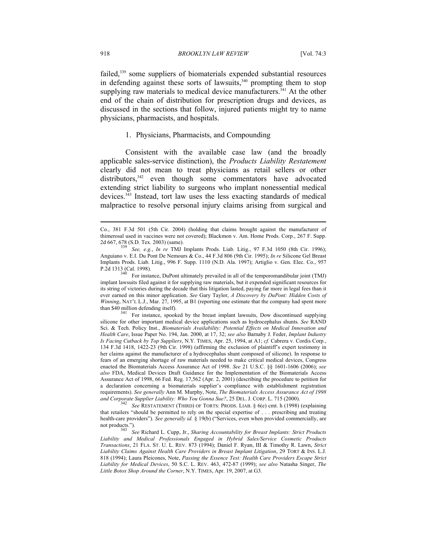failed,339 some suppliers of biomaterials expended substantial resources in defending against these sorts of lawsuits,<sup>340</sup> prompting them to stop supplying raw materials to medical device manufacturers.<sup>341</sup> At the other end of the chain of distribution for prescription drugs and devices, as discussed in the sections that follow, injured patients might try to name physicians, pharmacists, and hospitals.

### 1. Physicians, Pharmacists, and Compounding

Consistent with the available case law (and the broadly applicable sales-service distinction), the *Products Liability Restatement* clearly did not mean to treat physicians as retail sellers or other distributors,<sup>342</sup> even though some commentators have advocated extending strict liability to surgeons who implant nonessential medical devices.343 Instead, tort law uses the less exacting standards of medical malpractice to resolve personal injury claims arising from surgical and

Co., 381 F.3d 501 (5th Cir. 2004) (holding that claims brought against the manufacturer of thimerosal used in vaccines were not covered); Blackmon v. Am. Home Prods. Corp., 267 F. Supp. 2d 667, 678 (S.D. Tex. 2003) (same). 339 *See, e.g.*, *In re* TMJ Implants Prods. Liab. Litig., 97 F.3d 1050 (8th Cir. 1996);

Anguiano v. E.I. Du Pont De Nemours & Co., 44 F.3d 806 (9th Cir. 1995); *In re* Silicone Gel Breast Implants Prods. Liab. Litig., 996 F. Supp. 1110 (N.D. Ala. 1997); Artiglio v. Gen. Elec. Co., 957

P.2d 1313 (Cal. 1998). <sup>340</sup> For instance, DuPont ultimately prevailed in all of the temporomandibular joint (TMJ) implant lawsuits filed against it for supplying raw materials, but it expended significant resources for its string of victories during the decade that this litigation lasted, paying far more in legal fees than it ever earned on this minor application. *See* Gary Taylor, *A Discovery by DuPont: Hidden Costs of Winning*, NAT'L L.J., Mar. 27, 1995, at B1 (reporting one estimate that the company had spent more

than \$40 million defending itself).<br>
341 For instance, spooked by the breast implant lawsuits, Dow discontinued supplying silicone for other important medical device applications such as hydrocephalus shunts. *See* RAND Sci. & Tech. Policy Inst., *Biomaterials Availability: Potential Effects on Medical Innovation and Health Care*, Issue Paper No. 194, Jan. 2000, at 17, 32; *see also* Barnaby J. Feder, *Implant Industry Is Facing Cutback by Top Suppliers*, N.Y. TIMES, Apr. 25, 1994, at A1; *cf.* Cabrera v. Cordis Corp., 134 F.3d 1418, 1422-23 (9th Cir. 1998) (affirming the exclusion of plaintiff's expert testimony in her claims against the manufacturer of a hydrocephalus shunt composed of silicone). In response to fears of an emerging shortage of raw materials needed to make critical medical devices, Congress enacted the Biomaterials Access Assurance Act of 1998. *See* 21 U.S.C. §§ 1601-1606 (2006); *see also* FDA, Medical Devices Draft Guidance for the Implementation of the Biomaterials Access Assurance Act of 1998, 66 Fed. Reg. 17,562 (Apr. 2, 2001) (describing the procedure to petition for a declaration concerning a biomaterials supplier's compliance with establishment registration requirements). *See generally* Ann M. Murphy, Note, *The Biomaterials Access Assurance Act of 1998 and Corporate Supplier Liability: Who You Gonna Sue?*, 25 DEL. J. CORP. L. 715 (2000). 342 *See* RESTATEMENT (THIRD) OF TORTS: PRODS. LIAB. § 6(e) cmt. h (1998) (explaining

that retailers "should be permitted to rely on the special expertise of . . . prescribing and treating health-care providers"). *See generally id.* § 19(b) ("Services, even when provided commercially, are not products."). 343 *See* Richard L. Cupp, Jr., *Sharing Accountability for Breast Implants: Strict Products* 

*Liability and Medical Professionals Engaged in Hybrid Sales/Service Cosmetic Products Transactions*, 21 FLA. ST. U. L. REV. 873 (1994); Daniel F. Ryan, III & Timothy R. Lawn, *Strict Liability Claims Against Health Care Providers in Breast Implant Litigation*, 29 TORT & INS. L.J. 818 (1994); Laura Pleicones, Note, *Passing the Essence Test: Health Care Providers Escape Strict Liability for Medical Devices*, 50 S.C. L. REV. 463, 472-87 (1999); *see also* Natasha Singer, *The Little Botox Shop Around the Corner*, N.Y. TIMES, Apr. 19, 2007, at G3.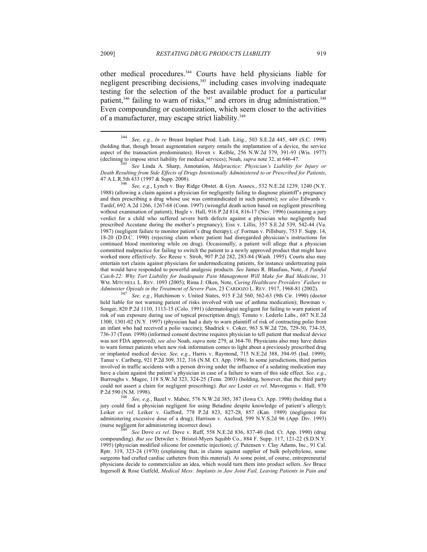$\overline{a}$ 

other medical procedures.344 Courts have held physicians liable for negligent prescribing decisions,<sup>345</sup> including cases involving inadequate testing for the selection of the best available product for a particular patient, $346$  failing to warn of risks, $347$  and errors in drug administration.<sup>348</sup> Even compounding or customization, which seem closer to the activities of a manufacturer, may escape strict liability.<sup>349</sup>

346 *See, e.g.*, Lynch v. Bay Ridge Obstet. & Gyn. Assocs., 532 N.E.2d 1239, 1240 (N.Y. 1988) (allowing a claim against a physician for negligently failing to diagnose plaintiff's pregnancy and then prescribing a drug whose use was contraindicated in such patients); *see also* Edwards v. Tardif, 692 A.2d 1266, 1267-68 (Conn. 1997) (wrongful death action based on negligent prescribing without examination of patient); Hogle v. Hall, 916 P.2d 814, 816-17 (Nev. 1996) (sustaining a jury verdict for a child who suffered severe birth defects against a physician who negligently had prescribed Accutane during the mother's pregnancy); Eiss v. Lillis, 357 S.E.2d 539, 542-44 (Va. 1987) (negligent failure to monitor patient's drug therapy); *cf.* Forman v. Pillsbury, 753 F. Supp. 14, 18-20 (D.D.C. 1990) (rejecting claim where patient had disregarded physician's instructions for continued blood monitoring while on drug). Occasionally, a patient will allege that a physician committed malpractice for failing to switch the patient to a newly approved product that might have worked more effectively. *See* Reese v. Stroh, 907 P.2d 282, 283-84 (Wash. 1995). Courts also may entertain tort claims against physicians for undermedicating patients, for instance undertreating pain that would have responded to powerful analgesic products. *See* James R. Blaufuss, Note, *A Painful Catch-22: Why Tort Liability for Inadequate Pain Management Will Make for Bad Medicine*, 31 WM. MITCHELL L. REV. 1093 (2005); Rima J. Oken, Note, *Curing Healthcare Providers' Failure to Administer Opioids in the Treatment of Severe Pain*, 23 CARDOZO L. REV. 1917, 1968-81 (2002). 347 *See, e.g.*, Hutchinson v. United States, 915 F.2d 560, 562-63 (9th Cir. 1990) (doctor

held liable for not warning patient of risks involved with use of asthma medication); Bowman v. Songer, 820 P.2d 1110, 1113-15 (Colo. 1991) (dermatologist negligent for failing to warn patient of risk of sun exposure during use of topical prescription drug); Tenuto v. Lederle Labs., 687 N.E.2d 1300, 1301-02 (N.Y. 1997) (physician had a duty to warn plaintiff of risk of contracting polio from an infant who had received a polio vaccine); Shadrick v. Coker, 963 S.W.2d 726, 729-30, 734-35, 736-37 (Tenn. 1998) (informed consent doctrine requires physician to tell patient that medical device was not FDA approved); *see also* Noah, *supra* note 279, at 364-70. Physicians also may have duties to warn former patients when new risk information comes to light about a previously prescribed drug or implanted medical device. *See, e.g.*, Harris v. Raymond, 715 N.E.2d 388, 394-95 (Ind. 1999); Tanuz v. Carlberg, 921 P.2d 309, 312, 316 (N.M. Ct. App. 1996). In some jurisdictions, third parties involved in traffic accidents with a person driving under the influence of a sedating medication may have a claim against the patient's physician in case of a failure to warn of this side effect. *See, e.g.*, Burroughs v. Magee, 118 S.W.3d 323, 324-25 (Tenn. 2003) (holding, however, that the third party could not assert a claim for negligent prescribing). *But see* Lester *ex rel*. Mavrogenis v. Hall, 970 P.2d 590 (N.M. 1998). 348 *See, e.g.*, Bazel v. Mabee, 576 N.W.2d 385, 387 (Iowa Ct. App. 1998) (holding that a

jury could find a physician negligent for using Betadine despite knowledge of patient's allergy); Leiker *ex rel*. Leiker v. Gafford, 778 P.2d 823, 827-28, 857 (Kan. 1989) (negligence for administering excessive dose of a drug); Harrison v. Axelrod, 599 N.Y.S.2d 96 (App. Div. 1993)<br>(nurse negligent for administering incorrect dose).<br> $\frac{349}{2568}$  See Dave as and Dave as Deffected M.D.2d 226, 227, 42.6d an

See Dove ex rel. Dove v. Ruff, 558 N.E.2d 836, 837-40 (Ind. Ct. App. 1990) (drug compounding). *But see* Detwiler v. Bristol-Myers Squibb Co., 884 F. Supp. 117, 121-22 (S.D.N.Y. 1995) (physician modified silicone for cosmetic injection); *cf.* Putensen v. Clay Adams, Inc., 91 Cal. Rptr. 319, 323-24 (1970) (explaining that, in claims against supplier of bulk polyethylene, some surgeons had crafted cardiac catheters from this material). At some point, of course, entrepreneurial physicians decide to commercialize an idea, which would turn them into product sellers. *See* Bruce Ingersoll & Rose Gutfeld, *Medical Mess: Implants in Jaw Joint Fail, Leaving Patients in Pain and* 

<sup>344</sup> *See, e.g.*, *In re* Breast Implant Prod. Liab. Litig., 503 S.E.2d 445, 449 (S.C. 1998) (holding that, though breast augmentation surgery entails the implantation of a device, the service aspect of the transaction predominates); Hoven v. Kelble, 256 N.W.2d 379, 391-93 (Wis. 1977) (declining to impose strict liability for medical services); Noah, *supra* note 32, at 646-47.<br><sup>345</sup> See Linda A. Sharp, Annotation, *Malpractice: Physician's Liability for Injury or* 

*Death Resulting from Side Effects of Drugs Intentionally Administered to or Prescribed for Patients*,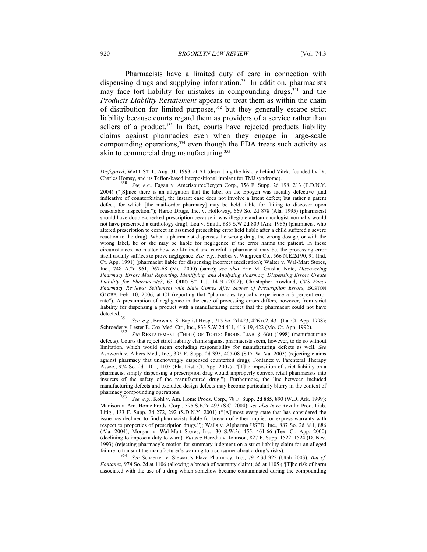Pharmacists have a limited duty of care in connection with dispensing drugs and supplying information.<sup>350</sup> In addition, pharmacists may face tort liability for mistakes in compounding drugs,<sup>351</sup> and the *Products Liability Restatement* appears to treat them as within the chain of distribution for limited purposes,<sup>352</sup> but they generally escape strict liability because courts regard them as providers of a service rather than sellers of a product.<sup>353</sup> In fact, courts have rejected products liability claims against pharmacies even when they engage in large-scale compounding operations, $354$  even though the FDA treats such activity as akin to commercial drug manufacturing.355  $\overline{a}$ 

detected. 351 *See, e.g.*, Brown v. S. Baptist Hosp., 715 So. 2d 423, 426 n.2, 431 (La. Ct. App. 1998); Schroeder v. Lester E. Cox Med. Ctr., Inc., 833 S.W.2d 411, 416-19, 422 (Mo. Ct. App. 1992). 352 *See* RESTATEMENT (THIRD) OF TORTS: PRODS. LIAB. § 6(e) (1998) (manufacturing

defects). Courts that reject strict liability claims against pharmacists seem, however, to do so without limitation, which would mean excluding responsibility for manufacturing defects as well. *See* Ashworth v. Albers Med., Inc., 395 F. Supp. 2d 395, 407-08 (S.D. W. Va. 2005) (rejecting claims against pharmacy that unknowingly dispensed counterfeit drug); Fontanez v. Parenteral Therapy Assoc., 974 So. 2d 1101, 1105 (Fla. Dist. Ct. App. 2007) ("[T]he imposition of strict liability on a pharmacist simply dispensing a prescription drug would improperly convert retail pharmacists into insurers of the safety of the manufactured drug."). Furthermore, the line between included manufacturing defects and excluded design defects may become particularly blurry in the context of

pharmacy compounding operations. 353 *See, e.g.*, Kohl v. Am. Home Prods. Corp., 78 F. Supp. 2d 885, 890 (W.D. Ark. 1999); Madison v. Am. Home Prods. Corp., 595 S.E.2d 493 (S.C. 2004); *see also In re* Rezulin Prod. Liab. Litig., 133 F. Supp. 2d 272, 292 (S.D.N.Y. 2001) ("[A]lmost every state that has considered the issue has declined to find pharmacists liable for breach of either implied or express warranty with respect to properties of prescription drugs."); Walls v. Alpharma USPD, Inc., 887 So. 2d 881, 886 (Ala. 2004); Morgan v. Wal-Mart Stores, Inc., 30 S.W.3d 455, 461-66 (Tex. Ct. App. 2000) (declining to impose a duty to warn). *But see* Heredia v. Johnson, 827 F. Supp. 1522, 1524 (D. Nev. 1993) (rejecting pharmacy's motion for summary judgment on a strict liability claim for an alleged failure to transmit the manufacturer's warning to a consumer about a drug's risks). 354 *See* Schaerrer v. Stewart's Plaza Pharmacy, Inc., 79 P.3d 922 (Utah 2003). *But cf.*

*Fontanez*, 974 So. 2d at 1106 (allowing a breach of warranty claim); *id.* at 1105 ("[T]he risk of harm associated with the use of a drug which somehow became contaminated during the compounding

*Disfigured*, WALL ST. J., Aug. 31, 1993, at A1 (describing the history behind Vitek, founded by Dr. Charles Homsy, and its Teflon-based interpositional implant for TMJ syndrome). 350 *See, e.g.*, Fagan v. AmerisourceBergen Corp., 356 F. Supp. 2d 198, 213 (E.D.N.Y.

<sup>2004) (&</sup>quot;[S]ince there is an allegation that the label on the Epogen was facially defective [and indicative of counterfeiting], the instant case does not involve a latent defect; but rather a patent defect, for which [the mail-order pharmacy] may be held liable for failing to discover upon reasonable inspection."); Harco Drugs, Inc. v. Holloway, 669 So. 2d 878 (Ala. 1995) (pharmacist should have double-checked prescription because it was illegible and an oncologist normally would not have prescribed a cardiology drug); Lou v. Smith, 685 S.W.2d 809 (Ark. 1985) (pharmacist who altered prescription to correct an assumed prescribing error held liable after a child suffered a severe reaction to the drug). When a pharmacist dispenses the wrong drug, the wrong dosage, or with the wrong label, he or she may be liable for negligence if the error harms the patient. In these circumstances, no matter how well-trained and careful a pharmacist may be, the processing error itself usually suffices to prove negligence. *See, e.g*., Forbes v. Walgreen Co., 566 N.E.2d 90, 91 (Ind. Ct. App. 1991) (pharmacist liable for dispensing incorrect medication); Walter v. Wal-Mart Stores, Inc., 748 A.2d 961, 967-68 (Me. 2000) (same); *see also* Eric M. Grasha, Note, *Discovering Pharmacy Error: Must Reporting, Identifying, and Analyzing Pharmacy Dispensing Errors Create Liability for Pharmacists?*, 63 OHIO ST. L.J. 1419 (2002); Christopher Rowland, *CVS Faces Pharmacy Reviews: Settlement with State Comes After Scores of Prescription Errors*, BOSTON GLOBE, Feb. 10, 2006, at C1 (reporting that "pharmacies typically experience a 3 percent error rate"). A presumption of negligence in the case of processing errors differs, however, from strict liability for dispensing a product with a manufacturing defect that the pharmacist could not have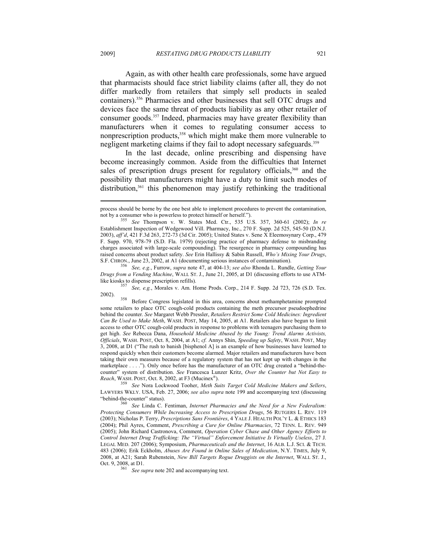Again, as with other health care professionals, some have argued that pharmacists should face strict liability claims (after all, they do not differ markedly from retailers that simply sell products in sealed containers).356 Pharmacies and other businesses that sell OTC drugs and devices face the same threat of products liability as any other retailer of consumer goods.357 Indeed, pharmacies may have greater flexibility than manufacturers when it comes to regulating consumer access to nonprescription products,<sup>358</sup> which might make them more vulnerable to negligent marketing claims if they fail to adopt necessary safeguards.<sup>359</sup>

In the last decade, online prescribing and dispensing have become increasingly common. Aside from the difficulties that Internet sales of prescription drugs present for regulatory officials,<sup>360</sup> and the possibility that manufacturers might have a duty to limit such modes of distribution,<sup>361</sup> this phenomenon may justify rethinking the traditional

S.F. CHRON., June 23, 2002, at A1 (documenting serious instances of contamination). 356 *See, e.g.*, Furrow, *supra* note 47, at 404-13; *see also* Rhonda L. Rundle, *Getting Your Drugs from a Vending Machine*, WALL ST. J., June 21, 2005, at D1 (discussing efforts to use ATMlike kiosks to dispense prescription refills). 357 *See, e.g.*, Morales v. Am. Home Prods. Corp., 214 F. Supp. 2d 723, 726 (S.D. Tex.

2002). 358 Before Congress legislated in this area, concerns about methamphetamine prompted

some retailers to place OTC cough-cold products containing the meth precursor pseudoephedrine behind the counter. *See* Margaret Webb Pressler, *Retailers Restrict Some Cold Medicines: Ingredient Can Be Used to Make Meth*, WASH. POST, May 14, 2005, at A1. Retailers also have begun to limit access to other OTC cough-cold products in response to problems with teenagers purchasing them to get high. *See* Rebecca Dana, *Household Medicine Abused by the Young: Trend Alarms Activists, Officials*, WASH. POST, Oct. 8, 2004, at A1; *cf.* Annys Shin, *Speeding up Safety*, WASH. POST, May 3, 2008, at D1 ("The rush to banish [bisphenol A] is an example of how businesses have learned to respond quickly when their customers become alarmed. Major retailers and manufacturers have been taking their own measures because of a regulatory system that has not kept up with changes in the marketplace . . . ."). Only once before has the manufacturer of an OTC drug created a "behind-thecounter" system of distribution. *See* Francesca Lunzer Kritz, *Over the Counter but Not Easy to* 

*Reach*, WASH. POST, Oct. 8, 2002, at F3 (Mucinex®). 359 *See* Nora Lockwood Tooher, *Meth Suits Target Cold Medicine Makers and Sellers*, LAWYERS WKLY. USA, Feb. 27, 2006; *see also supra* note 199 and accompanying text (discussing "behind-the-counter" status). 360 *See* Linda C. Fentiman, *Internet Pharmacies and the Need for a New Federalism:* 

*Protecting Consumers While Increasing Access to Prescription Drugs*, 56 RUTGERS L. REV. 119 (2003); Nicholas P. Terry, *Prescriptions Sans Frontières*, 4 YALE J. HEALTH POL'Y L. & ETHICS 183 (2004); Phil Ayres, Comment, *Prescribing a Cure for Online Pharmacies*, 72 TENN. L. REV. 949 (2005); John Richard Castronova, Comment, *Operation Cyber Chase and Other Agency Efforts to Control Internet Drug Trafficking: The "Virtual" Enforcement Initiative Is Virtually Useless*, 27 J. LEGAL MED. 207 (2006); Symposium, *Pharmaceuticals and the Internet*, 16 ALB. L.J. SCI. & TECH. 483 (2006); Erik Eckholm, *Abuses Are Found in Online Sales of Medication*, N.Y. TIMES, July 9, 2008, at A21; Sarah Rubenstein, *New Bill Targets Rogue Druggists on the Internet*, WALL ST. J.,

 $\frac{361}{361}$  See supra note 202 and accompanying text.

process should be borne by the one best able to implement procedures to prevent the contamination,

not by a consumer who is powerless to protect himself or herself."). 355 *See* Thompson v. W. States Med. Ctr., 535 U.S. 357, 360-61 (2002); *In re* Establishment Inspection of Wedgewood Vill. Pharmacy, Inc., 270 F. Supp. 2d 525, 545-50 (D.N.J. 2003), *aff'd*, 421 F.3d 263, 272-73 (3d Cir. 2005); United States v. Sene X Eleemosynary Corp., 479 F. Supp. 970, 978-79 (S.D. Fla. 1979) (rejecting practice of pharmacy defense to misbranding charges associated with large-scale compounding). The resurgence in pharmacy compounding has raised concerns about product safety. *See* Erin Hallissy & Sabin Russell, *Who's Mixing Your Drugs*,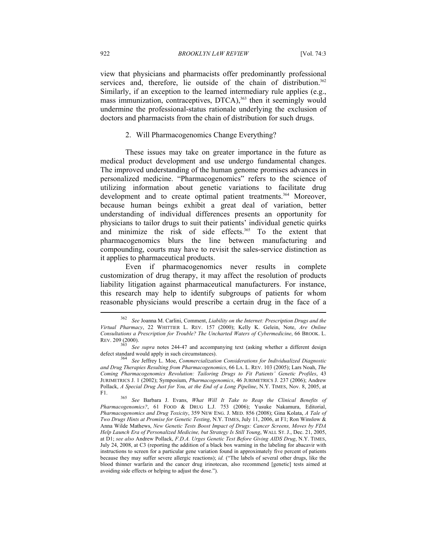view that physicians and pharmacists offer predominantly professional services and, therefore, lie outside of the chain of distribution.<sup>362</sup> Similarly, if an exception to the learned intermediary rule applies (e.g., mass immunization, contraceptives, DTCA),<sup>363</sup> then it seemingly would undermine the professional-status rationale underlying the exclusion of doctors and pharmacists from the chain of distribution for such drugs.

## 2. Will Pharmacogenomics Change Everything?

These issues may take on greater importance in the future as medical product development and use undergo fundamental changes. The improved understanding of the human genome promises advances in personalized medicine. "Pharmacogenomics" refers to the science of utilizing information about genetic variations to facilitate drug development and to create optimal patient treatments.<sup>364</sup> Moreover, because human beings exhibit a great deal of variation, better understanding of individual differences presents an opportunity for physicians to tailor drugs to suit their patients' individual genetic quirks and minimize the risk of side effects.<sup>365</sup> To the extent that pharmacogenomics blurs the line between manufacturing and compounding, courts may have to revisit the sales-service distinction as it applies to pharmaceutical products.

Even if pharmacogenomics never results in complete customization of drug therapy, it may affect the resolution of products liability litigation against pharmaceutical manufacturers. For instance, this research may help to identify subgroups of patients for whom reasonable physicians would prescribe a certain drug in the face of a  $\overline{a}$ 

<sup>362</sup> *See* Joanna M. Carlini, Comment, *Liability on the Internet: Prescription Drugs and the Virtual Pharmacy*, 22 WHITTIER L. REV. 157 (2000); Kelly K. Gelein, Note, *Are Online Consultations a Prescription for Trouble? The Uncharted Waters of Cybermedicine*, 66 BROOK. L. REV. 209 (2000).<br><sup>363</sup> See supra notes 244-47 and accompanying text (asking whether a different design

defect standard would apply in such circumstances). 364 *See* Jeffrey L. Moe, *Commercialization Considerations for Individualized Diagnostic and Drug Therapies Resulting from Pharmacogenomics*, 66 LA. L. REV. 103 (2005); Lars Noah, *The Coming Pharmacogenomics Revolution: Tailoring Drugs to Fit Patients' Genetic Profiles*, 43 JURIMETRICS J. 1 (2002); Symposium, *Pharmacogenomics*, 46 JURIMETRICS J. 237 (2006); Andrew Pollack, *A Special Drug Just for You, at the End of a Long Pipeline*, N.Y. TIMES, Nov. 8, 2005, at F1. 365 *See* Barbara J. Evans, *What Will It Take to Reap the Clinical Benefits of* 

*Pharmacogenomics?*, 61 FOOD & DRUG L.J. 753 (2006); Yusuke Nakamura, Editorial, *Pharmacogenomics and Drug Toxicity*, 359 NEW ENG. J. MED. 856 (2008); Gina Kolata, *A Tale of Two Drugs Hints at Promise for Genetic Testing*, N.Y. TIMES, July 11, 2006, at F1; Ron Winslow & Anna Wilde Mathews, *New Genetic Tests Boost Impact of Drugs: Cancer Screens, Moves by FDA Help Launch Era of Personalized Medicine, but Strategy Is Still Young*, WALL ST. J., Dec. 21, 2005, at D1; *see also* Andrew Pollack, *F.D.A. Urges Genetic Test Before Giving AIDS Drug*, N.Y. TIMES, July 24, 2008, at C3 (reporting the addition of a black box warning in the labeling for abacavir with instructions to screen for a particular gene variation found in approximately five percent of patients because they may suffer severe allergic reactions); *id.* ("The labels of several other drugs, like the blood thinner warfarin and the cancer drug irinotecan, also recommend [genetic] tests aimed at avoiding side effects or helping to adjust the dose.").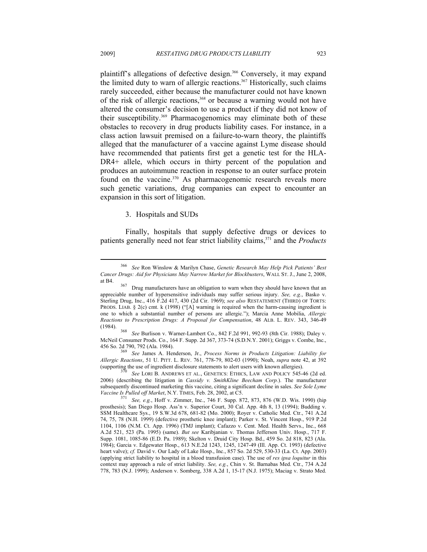plaintiff's allegations of defective design.<sup>366</sup> Conversely, it may expand the limited duty to warn of allergic reactions.<sup>367</sup> Historically, such claims rarely succeeded, either because the manufacturer could not have known of the risk of allergic reactions,<sup>368</sup> or because a warning would not have altered the consumer's decision to use a product if they did not know of their susceptibility.369 Pharmacogenomics may eliminate both of these obstacles to recovery in drug products liability cases. For instance, in a class action lawsuit premised on a failure-to-warn theory, the plaintiffs alleged that the manufacturer of a vaccine against Lyme disease should have recommended that patients first get a genetic test for the HLA-DR4+ allele, which occurs in thirty percent of the population and produces an autoimmune reaction in response to an outer surface protein found on the vaccine.<sup>370</sup> As pharmacogenomic research reveals more such genetic variations, drug companies can expect to encounter an expansion in this sort of litigation.

## 3. Hospitals and SUDs

Finally, hospitals that supply defective drugs or devices to patients generally need not fear strict liability claims,371 and the *Products* 

McNeil Consumer Prods. Co., 164 F. Supp. 2d 367, 373-74 (S.D.N.Y. 2001); Griggs v. Combe, Inc.,

456 So. 2d 790, 792 (Ala. 1984). 369 *See* James A. Henderson, Jr., *Process Norms in Products Litigation: Liability for Allergic Reactions*, 51 U. PITT. L. REV. 761, 778-79, 802-03 (1990); Noah, *supra* note 42, at 392 (supporting the use of ingredient disclosure statements to alert users with known allergies).<br><sup>370</sup> See LORI B. ANDREWS ET AL., GENETICS: ETHICS, LAW AND POLICY 545-46 (2d ed.

2006) (describing the litigation in *Cassidy v. SmithKline Beecham Corp.*). The manufacturer subsequently discontinued marketing this vaccine, citing a significant decline in sales. *See Sole Lyme Vaccine Is Pulled off Market*, N.Y. TIMES, Feb. 28, 2002, at C5.

<sup>366</sup> *See* Ron Winslow & Marilyn Chase, *Genetic Research May Help Pick Patients' Best Cancer Drugs: Aid for Physicians May Narrow Market for Blockbusters*, WALL ST. J., June 2, 2008,

at B4. <sup>367</sup> Drug manufacturers have an obligation to warn when they should have known that an appreciable number of hypersensitive individuals may suffer serious injury. *See, e.g.*, Basko v. Sterling Drug, Inc., 416 F.2d 417, 430 (2d Cir. 1969); *see also* RESTATEMENT (THIRD) OF TORTS: PRODS. LIAB. § 2(c) cmt. k (1998) ("[A] warning is required when the harm-causing ingredient is one to which a substantial number of persons are allergic."); Marcia Anne Mobilia, *Allergic Reactions to Prescription Drugs: A Proposal for Compensation*, 48 ALB. L. REV. 343, 346-49 (1984). 368 *See* Burlison v. Warner-Lambert Co., 842 F.2d 991, 992-93 (8th Cir. 1988); Daley v.

<sup>&</sup>lt;sup>371</sup> See, e.g., Hoff v. Zimmer, Inc., 746 F. Supp. 872, 873, 876 (W.D. Wis. 1990) (hip prosthesis); San Diego Hosp. Ass'n v. Superior Court, 30 Cal. App. 4th 8, 13 (1994); Budding v. SSM Healthcare Sys., 19 S.W.3d 678, 681-82 (Mo. 2000); Royer v. Catholic Med. Ctr., 741 A.2d 74, 75, 78 (N.H. 1999) (defective prosthetic knee implant); Parker v. St. Vincent Hosp., 919 P.2d 1104, 1106 (N.M. Ct. App. 1996) (TMJ implant); Cafazzo v. Cent. Med. Health Servs., Inc., 668 A.2d 521, 523 (Pa. 1995) (same). *But see* Karibjanian v. Thomas Jefferson Univ. Hosp., 717 F. Supp. 1081, 1085-86 (E.D. Pa. 1989); Skelton v. Druid City Hosp. Bd., 459 So. 2d 818, 823 (Ala. 1984); Garcia v. Edgewater Hosp., 613 N.E.2d 1243, 1245, 1247-49 (Ill. App. Ct. 1993) (defective heart valve); *cf.* David v. Our Lady of Lake Hosp., Inc., 857 So. 2d 529, 530-33 (La. Ct. App. 2003) (applying strict liability to hospital in a blood transfusion case). The use of *res ipsa loquitur* in this context may approach a rule of strict liability. *See, e.g.*, Chin v. St. Barnabas Med. Ctr., 734 A.2d 778, 783 (N.J. 1999); Anderson v. Somberg, 338 A.2d 1, 15-17 (N.J. 1975); Maciag v. Strato Med.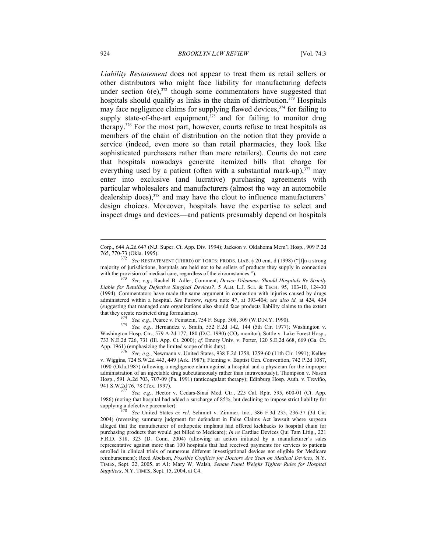*Liability Restatement* does not appear to treat them as retail sellers or other distributors who might face liability for manufacturing defects under section  $6(e)$ ,<sup>372</sup> though some commentators have suggested that hospitals should qualify as links in the chain of distribution.<sup>373</sup> Hospitals may face negligence claims for supplying flawed devices,  $374$  for failing to supply state-of-the-art equipment,  $375$  and for failing to monitor drug therapy.376 For the most part, however, courts refuse to treat hospitals as members of the chain of distribution on the notion that they provide a service (indeed, even more so than retail pharmacies, they look like sophisticated purchasers rather than mere retailers). Courts do not care that hospitals nowadays generate itemized bills that charge for everything used by a patient (often with a substantial mark-up),  $377$  may enter into exclusive (and lucrative) purchasing agreements with particular wholesalers and manufacturers (almost the way an automobile dealership does),<sup>378</sup> and may have the clout to influence manufacturers' design choices. Moreover, hospitals have the expertise to select and inspect drugs and devices—and patients presumably depend on hospitals

that they create restricted drug formularies). 374 *See, e.g.*, Pearce v. Feinstein, 754 F. Supp. 308, 309 (W.D.N.Y. 1990). 375 *See, e.g.*, Hernandez v. Smith, 552 F.2d 142, 144 (5th Cir. 1977); Washington v. Washington Hosp. Ctr., 579 A.2d 177, 180 (D.C. 1990) (CO<sub>2</sub> monitor); Suttle v. Lake Forest Hosp., 733 N.E.2d 726, 731 (Ill. App. Ct. 2000); *cf.* Emory Univ. v. Porter, 120 S.E.2d 668, 669 (Ga. Ct.

See, e.g., Newmann v. United States, 938 F.2d 1258, 1259-60 (11th Cir. 1991); Kelley v. Wiggins, 724 S.W.2d 443, 449 (Ark. 1987); Fleming v. Baptist Gen. Convention, 742 P.2d 1087, 1090 (Okla.1987) (allowing a negligence claim against a hospital and a physician for the improper administration of an injectable drug subcutaneously rather than intravenously); Thompson v. Nason Hosp., 591 A.2d 703, 707-09 (Pa. 1991) (anticoagulant therapy); Edinburg Hosp. Auth. v. Treviño,

<sup>377</sup> See, e.g., Hector v. Cedars-Sinai Med. Ctr., 225 Cal. Rptr. 595, 600-01 (Ct. App. 1986) (noting that hospital had added a surcharge of 85%, but declining to impose strict liability for supplying a defective pacemaker). 378 *See* United States *ex rel*. Schmidt v. Zimmer, Inc., 386 F.3d 235, 236-37 (3d Cir.

2004) (reversing summary judgment for defendant in False Claims Act lawsuit where surgeon alleged that the manufacturer of orthopedic implants had offered kickbacks to hospital chain for purchasing products that would get billed to Medicare); *In re* Cardiac Devices Qui Tam Litig., 221 F.R.D. 318, 323 (D. Conn. 2004) (allowing an action initiated by a manufacturer's sales representative against more than 100 hospitals that had received payments for services to patients enrolled in clinical trials of numerous different investigational devices not eligible for Medicare reimbursement); Reed Abelson, *Possible Conflicts for Doctors Are Seen on Medical Devices*, N.Y. TIMES, Sept. 22, 2005, at A1; Mary W. Walsh, *Senate Panel Weighs Tighter Rules for Hospital Suppliers*, N.Y. TIMES, Sept. 15, 2004, at C4.

Corp., 644 A.2d 647 (N.J. Super. Ct. App. Div. 1994); Jackson v. Oklahoma Mem'l Hosp., 909 P.2d

<sup>765, 770-73 (</sup>Okla. 1995). 372 *See* RESTATEMENT (THIRD) OF TORTS: PRODS. LIAB. § 20 cmt. d (1998) ("[I]n a strong majority of jurisdictions, hospitals are held not to be sellers of products they supply in connection with the provision of medical care, regardless of the circumstances.").<br><sup>373</sup> See, e.g., Rachel B. Adler, Comment, *Device Dilemma: Should Hospitals Be Strictly* 

*Liable for Retailing Defective Surgical Devices?*, 5 ALB. L.J. SCI. & TECH. 95, 103-10, 124-30 (1994). Commentators have made the same argument in connection with injuries caused by drugs administered within a hospital. *See* Furrow, *supra* note 47, at 393-404; *see also id.* at 424, 434 (suggesting that managed care organizations also should face products liability claims to the extent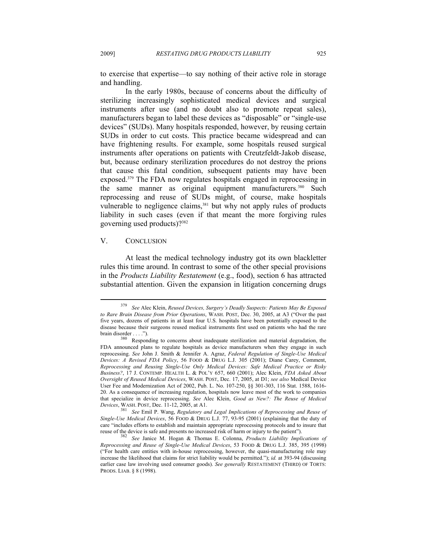to exercise that expertise—to say nothing of their active role in storage and handling.

In the early 1980s, because of concerns about the difficulty of sterilizing increasingly sophisticated medical devices and surgical instruments after use (and no doubt also to promote repeat sales), manufacturers began to label these devices as "disposable" or "single-use devices" (SUDs). Many hospitals responded, however, by reusing certain SUDs in order to cut costs. This practice became widespread and can have frightening results. For example, some hospitals reused surgical instruments after operations on patients with Creutzfeldt-Jakob disease, but, because ordinary sterilization procedures do not destroy the prions that cause this fatal condition, subsequent patients may have been exposed.<sup>379</sup> The FDA now regulates hospitals engaged in reprocessing in the same manner as original equipment manufacturers.<sup>380</sup> Such reprocessing and reuse of SUDs might, of course, make hospitals vulnerable to negligence claims,<sup>381</sup> but why not apply rules of products liability in such cases (even if that meant the more forgiving rules governing used products)?382

## V. CONCLUSION

 $\overline{a}$ 

At least the medical technology industry got its own blackletter rules this time around. In contrast to some of the other special provisions in the *Products Liability Restatement* (e.g., food), section 6 has attracted substantial attention. Given the expansion in litigation concerning drugs

<sup>379</sup> *See* Alec Klein, *Reused Devices, Surgery's Deadly Suspects: Patients May Be Exposed to Rare Brain Disease from Prior Operations*, WASH. POST, Dec. 30, 2005, at A3 ("Over the past five years, dozens of patients in at least four U.S. hospitals have been potentially exposed to the disease because their surgeons reused medical instruments first used on patients who had the rare

brain disorder . . . .").<br><sup>380</sup> Responding to concerns about inadequate sterilization and material degradation, the FDA announced plans to regulate hospitals as device manufacturers when they engage in such reprocessing. *See* John J. Smith & Jennifer A. Agraz, *Federal Regulation of Single-Use Medical Devices: A Revised FDA Policy*, 56 FOOD & DRUG L.J. 305 (2001); Diane Carey, Comment, *Reprocessing and Reusing Single-Use Only Medical Devices: Safe Medical Practice or Risky Business?*, 17 J. CONTEMP. HEALTH L. & POL'Y 657, 660 (2001); Alec Klein, *FDA Asked About Oversight of Reused Medical Devices*, WASH. POST, Dec. 17, 2005, at D1; *see also* Medical Device User Fee and Modernization Act of 2002, Pub. L. No. 107-250, §§ 301-303, 116 Stat. 1588, 1616- 20. As a consequence of increasing regulation, hospitals now leave most of the work to companies that specialize in device reprocessing. *See* Alec Klein, *Good as New?: The Reuse of Medical* 

 $B$ <sup>381</sup> See Emil P. Wang, *Regulatory and Legal Implications of Reprocessing and Reuse of Single-Use Medical Devices*, 56 FOOD & DRUG L.J. 77, 93-95 (2001) (explaining that the duty of care "includes efforts to establish and maintain appropriate reprocessing protocols and to insure that reuse of the device is safe and presents no increased risk of harm or injury to the patient"). 382 *See* Janice M. Hogan & Thomas E. Colonna, *Products Liability Implications of* 

*Reprocessing and Reuse of Single-Use Medical Devices*, 53 FOOD & DRUG L.J. 385, 395 (1998) ("For health care entities with in-house reprocessing, however, the quasi-manufacturing role may increase the likelihood that claims for strict liability would be permitted."); *id.* at 393-94 (discussing earlier case law involving used consumer goods). *See generally* RESTATEMENT (THIRD) OF TORTS: PRODS. LIAB. § 8 (1998).